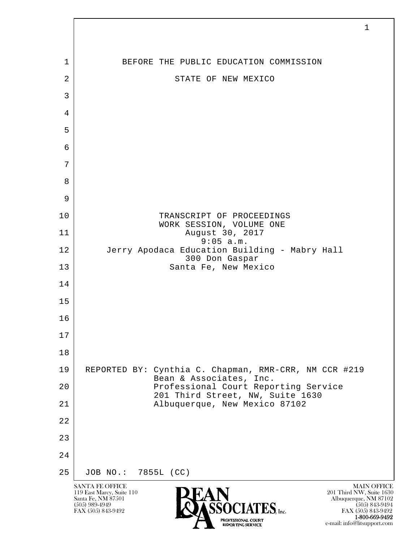

FAX (505) 843-9492 FAX (505) 843-9492 1-800-669-9492 e-mail: info@litsupport.com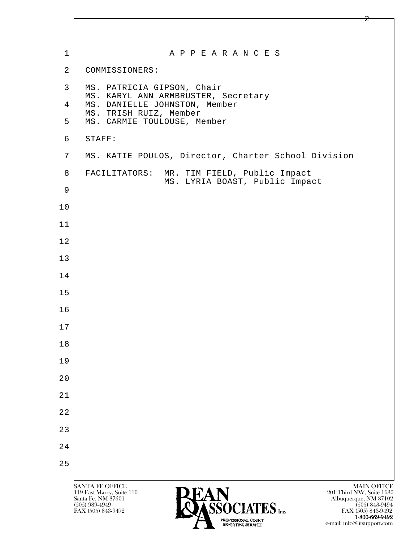| $\mathbf{1}$   | A P P E A R A N C E S                                                                                                                                     |
|----------------|-----------------------------------------------------------------------------------------------------------------------------------------------------------|
| $\overline{2}$ | COMMISSIONERS:                                                                                                                                            |
| $\mathsf{3}$   | MS. PATRICIA GIPSON, Chair                                                                                                                                |
| 4              | MS. KARYL ANN ARMBRUSTER, Secretary<br>MS. DANIELLE JOHNSTON, Member                                                                                      |
| 5              | MS. TRISH RUIZ, Member<br>MS. CARMIE TOULOUSE, Member                                                                                                     |
| 6              | STAFF:                                                                                                                                                    |
| 7              | MS. KATIE POULOS, Director, Charter School Division                                                                                                       |
| 8              | FACILITATORS: MR. TIM FIELD, Public Impact<br>MS. LYRIA BOAST, Public Impact                                                                              |
| 9              |                                                                                                                                                           |
| 10             |                                                                                                                                                           |
| 11             |                                                                                                                                                           |
| 12             |                                                                                                                                                           |
| 13             |                                                                                                                                                           |
| 14             |                                                                                                                                                           |
| 15             |                                                                                                                                                           |
| 16             |                                                                                                                                                           |
| 17             |                                                                                                                                                           |
| 18             |                                                                                                                                                           |
| 19             |                                                                                                                                                           |
| 20             |                                                                                                                                                           |
| 21             |                                                                                                                                                           |
| 22             |                                                                                                                                                           |
| 23             |                                                                                                                                                           |
| 24             |                                                                                                                                                           |
| 25             |                                                                                                                                                           |
|                | SANTA FE OFFICE<br><b>MAIN OFFICE</b>                                                                                                                     |
|                | 119 East Marcy, Suite 110<br>201 Third NW, Suite 1630<br>Santa Fe, NM 87501<br>Albuquerque, NM 87102<br>EEÀCLATEC<br>$(505)$ 989-4949<br>$(505)$ 843-9494 |

FAX (505) 843-9492 FAX (505) 843-9492 **1-800-669-9492**<br> **EXALTERIONAL CN BT** e-mail: info@litsupport.com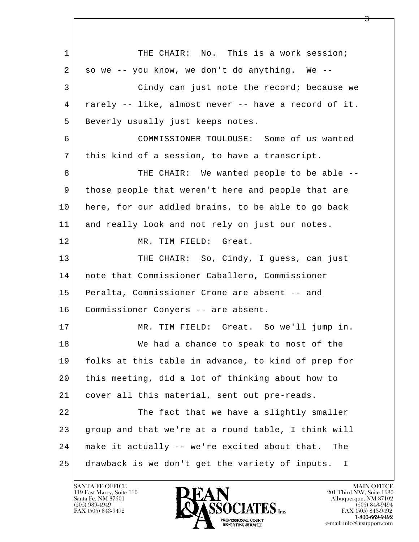l  $\overline{\phantom{a}}$ 1 THE CHAIR: No. This is a work session;  $2$  so we -- you know, we don't do anything. We -- 3 Cindy can just note the record; because we 4 rarely -- like, almost never -- have a record of it. 5 | Beverly usually just keeps notes. 6 COMMISSIONER TOULOUSE: Some of us wanted 7 this kind of a session, to have a transcript. 8 THE CHAIR: We wanted people to be able -- 9 those people that weren't here and people that are 10 here, for our addled brains, to be able to go back 11 and really look and not rely on just our notes. 12 MR. TIM FIELD: Great. 13 THE CHAIR: So, Cindy, I guess, can just 14 note that Commissioner Caballero, Commissioner 15 Peralta, Commissioner Crone are absent -- and 16 Commissioner Conyers -- are absent. 17 MR. TIM FIELD: Great. So we'll jump in. 18 We had a chance to speak to most of the 19 folks at this table in advance, to kind of prep for 20 this meeting, did a lot of thinking about how to 21 cover all this material, sent out pre-reads. 22 The fact that we have a slightly smaller 23 group and that we're at a round table, I think will 24 make it actually -- we're excited about that. The 25 drawback is we don't get the variety of inputs. I

119 East Marcy, Suite 110<br>Santa Fe, NM 87501

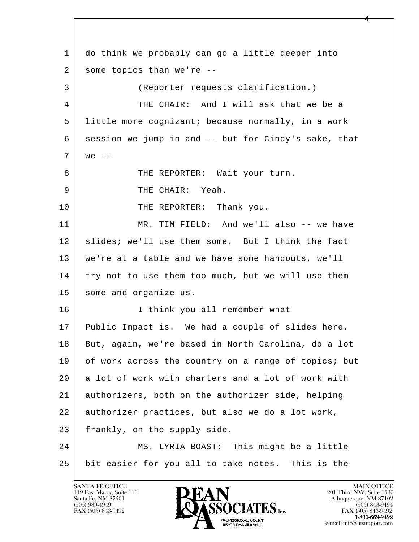l  $\overline{\phantom{a}}$  1 do think we probably can go a little deeper into 2 some topics than we're -- 3 (Reporter requests clarification.) 4 THE CHAIR: And I will ask that we be a 5 little more cognizant; because normally, in a work 6 session we jump in and -- but for Cindy's sake, that  $7 \times 7 = 7$ 8 | THE REPORTER: Wait your turn. 9 STREE CHAIR: Yeah. 10 THE REPORTER: Thank you. 11 MR. TIM FIELD: And we'll also -- we have 12 | slides; we'll use them some. But I think the fact 13 we're at a table and we have some handouts, we'll 14 try not to use them too much, but we will use them 15 | some and organize us. 16 I think you all remember what 17 Public Impact is. We had a couple of slides here. 18 But, again, we're based in North Carolina, do a lot 19 of work across the country on a range of topics; but 20 a lot of work with charters and a lot of work with 21 authorizers, both on the authorizer side, helping 22 authorizer practices, but also we do a lot work, 23 frankly, on the supply side. 24 MS. LYRIA BOAST: This might be a little 25 bit easier for you all to take notes. This is the

119 East Marcy, Suite 110<br>Santa Fe, NM 87501

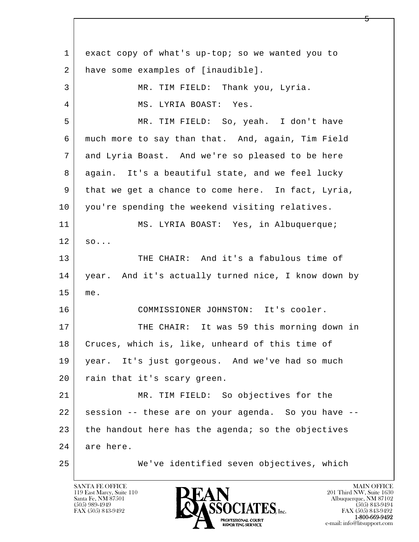l  $\overline{\phantom{a}}$  1 exact copy of what's up-top; so we wanted you to 2 have some examples of [inaudible]. 3 MR. TIM FIELD: Thank you, Lyria. 4 MS. LYRIA BOAST: Yes. 5 MR. TIM FIELD: So, yeah. I don't have 6 much more to say than that. And, again, Tim Field 7 and Lyria Boast. And we're so pleased to be here 8 again. It's a beautiful state, and we feel lucky 9 that we get a chance to come here. In fact, Lyria, 10 you're spending the weekend visiting relatives. 11 | MS. LYRIA BOAST: Yes, in Albuquerque;  $12$  so... 13 THE CHAIR: And it's a fabulous time of 14 | year. And it's actually turned nice, I know down by 15 me. 16 COMMISSIONER JOHNSTON: It's cooler. 17 | THE CHAIR: It was 59 this morning down in 18 Cruces, which is, like, unheard of this time of 19 year. It's just gorgeous. And we've had so much 20 rain that it's scary green. 21 MR. TIM FIELD: So objectives for the 22 session -- these are on your agenda. So you have -- $23$  the handout here has the agenda; so the objectives 24 are here. 25 We've identified seven objectives, which

119 East Marcy, Suite 110<br>Santa Fe, NM 87501

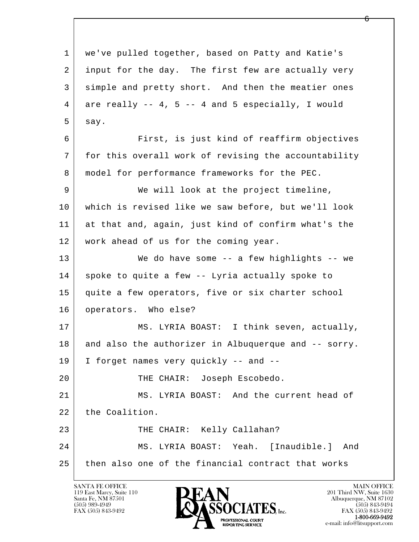l  $\overline{\phantom{a}}$  1 we've pulled together, based on Patty and Katie's 2 input for the day. The first few are actually very 3 simple and pretty short. And then the meatier ones  $4 \mid$  are really  $-4$ ,  $5 \mid -4$  and  $5$  especially, I would  $5$  say. 6 First, is just kind of reaffirm objectives 7 for this overall work of revising the accountability 8 model for performance frameworks for the PEC. 9 We will look at the project timeline, 10 which is revised like we saw before, but we'll look 11 at that and, again, just kind of confirm what's the 12 work ahead of us for the coming year. 13 We do have some -- a few highlights -- we 14 spoke to quite a few -- Lyria actually spoke to 15 quite a few operators, five or six charter school 16 operators. Who else? 17 | MS. LYRIA BOAST: I think seven, actually, 18 and also the authorizer in Albuquerque and -- sorry. 19 I forget names very quickly -- and -- 20 | THE CHAIR: Joseph Escobedo. 21 MS. LYRIA BOAST: And the current head of 22 the Coalition. 23 THE CHAIR: Kelly Callahan? 24 MS. LYRIA BOAST: Yeah. [Inaudible.] And 25 then also one of the financial contract that works

119 East Marcy, Suite 110<br>Santa Fe, NM 87501

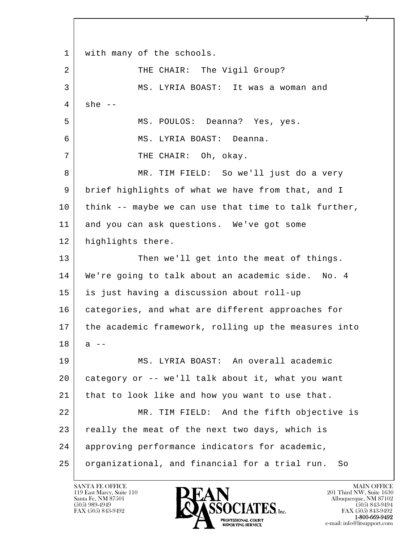l  $\overline{\phantom{a}}$ 1 with many of the schools. 2 | THE CHAIR: The Vigil Group? 3 MS. LYRIA BOAST: It was a woman and  $4 \times$  she -- 5 MS. POULOS: Deanna? Yes, yes. 6 MS. LYRIA BOAST: Deanna. 7 | THE CHAIR: Oh, okay. 8 MR. TIM FIELD: So we'll just do a very 9 brief highlights of what we have from that, and I 10 think -- maybe we can use that time to talk further, 11 and you can ask questions. We've got some 12 | highlights there. 13 Then we'll get into the meat of things. 14 We're going to talk about an academic side. No. 4 15 is just having a discussion about roll-up 16 categories, and what are different approaches for 17 the academic framework, rolling up the measures into  $18$  a  $-$  19 MS. LYRIA BOAST: An overall academic 20 category or -- we'll talk about it, what you want 21 that to look like and how you want to use that. 22 MR. TIM FIELD: And the fifth objective is 23 really the meat of the next two days, which is 24 approving performance indicators for academic, 25 organizational, and financial for a trial run. So

119 East Marcy, Suite 110<br>Santa Fe, NM 87501

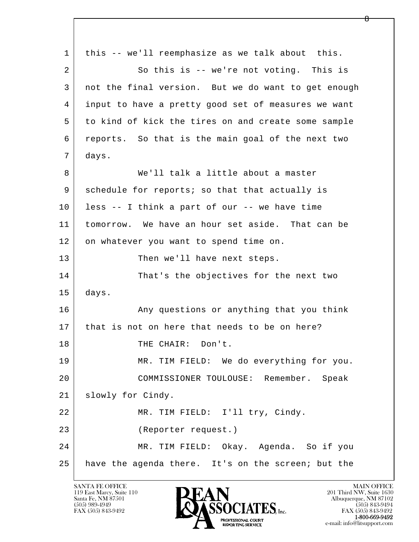l  $\overline{\phantom{a}}$  1 this -- we'll reemphasize as we talk about this. 2 So this is -- we're not voting. This is 3 not the final version. But we do want to get enough 4 input to have a pretty good set of measures we want 5 to kind of kick the tires on and create some sample 6 reports. So that is the main goal of the next two 7 days. 8 | We'll talk a little about a master 9 schedule for reports; so that that actually is  $10$  less  $-$  I think a part of our  $-$  we have time 11 tomorrow. We have an hour set aside. That can be 12 on whatever you want to spend time on. 13 Then we'll have next steps. 14 That's the objectives for the next two 15 days. 16 Any questions or anything that you think 17 | that is not on here that needs to be on here? 18 | THE CHAIR: Don't. 19 MR. TIM FIELD: We do everything for you. 20 COMMISSIONER TOULOUSE: Remember. Speak 21 | slowly for Cindy. 22 | MR. TIM FIELD: I'll try, Cindy. 23 (Reporter request.) 24 MR. TIM FIELD: Okay. Agenda. So if you 25 have the agenda there. It's on the screen; but the

119 East Marcy, Suite 110<br>Santa Fe, NM 87501

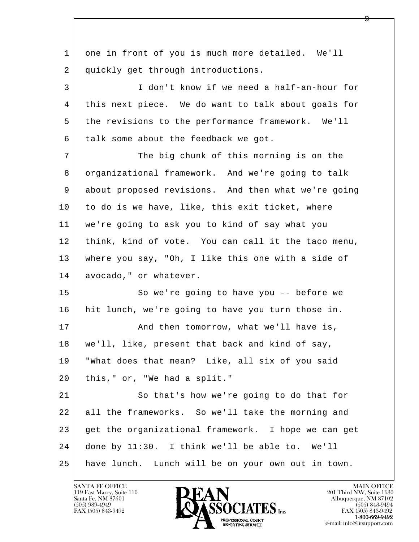l  $\overline{\phantom{a}}$ 1 one in front of you is much more detailed. We'll 2 quickly get through introductions. 3 I don't know if we need a half-an-hour for 4 this next piece. We do want to talk about goals for 5 the revisions to the performance framework. We'll 6 | talk some about the feedback we got. 7 The big chunk of this morning is on the 8 organizational framework. And we're going to talk 9 about proposed revisions. And then what we're going  $10$  to do is we have, like, this exit ticket, where 11 we're going to ask you to kind of say what you 12 think, kind of vote. You can call it the taco menu, 13 where you say, "Oh, I like this one with a side of 14 avocado," or whatever. 15 | So we're going to have you -- before we 16 hit lunch, we're going to have you turn those in. 17 | And then tomorrow, what we'll have is, 18 we'll, like, present that back and kind of say, 19 "What does that mean? Like, all six of you said 20 this," or, "We had a split." 21 So that's how we're going to do that for 22 all the frameworks. So we'll take the morning and 23 get the organizational framework. I hope we can get 24 done by 11:30. I think we'll be able to. We'll 25 have lunch. Lunch will be on your own out in town.

119 East Marcy, Suite 110<br>Santa Fe, NM 87501

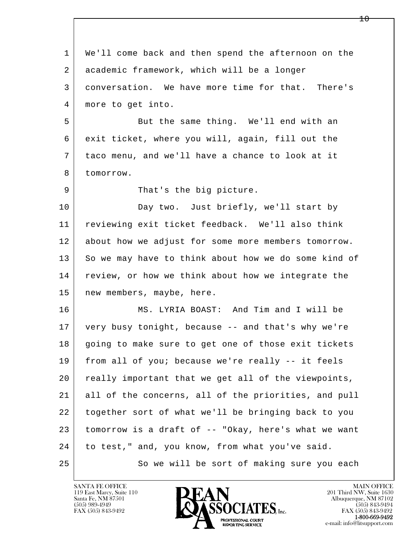| $\mathbf 1$ | We'll come back and then spend the afternoon on the  |
|-------------|------------------------------------------------------|
| 2           | academic framework, which will be a longer           |
| 3           | conversation. We have more time for that. There's    |
| 4           | more to get into.                                    |
| 5           | But the same thing. We'll end with an                |
| 6           | exit ticket, where you will, again, fill out the     |
| 7           | taco menu, and we'll have a chance to look at it     |
| 8           | tomorrow.                                            |
| 9           | That's the big picture.                              |
| 10          | Day two. Just briefly, we'll start by                |
| 11          | reviewing exit ticket feedback. We'll also think     |
| 12          | about how we adjust for some more members tomorrow.  |
| 13          | So we may have to think about how we do some kind of |
| 14          | review, or how we think about how we integrate the   |
| 15          | new members, maybe, here.                            |
| 16          | MS. LYRIA BOAST: And Tim and I will be               |
| 17          | very busy tonight, because -- and that's why we're   |
| 18          | going to make sure to get one of those exit tickets  |
| 19          | from all of you; because we're really -- it feels    |
| 20          | really important that we get all of the viewpoints,  |
| 21          | all of the concerns, all of the priorities, and pull |
| 22          | together sort of what we'll be bringing back to you  |
| 23          | tomorrow is a draft of -- "Okay, here's what we want |
| 24          | to test," and, you know, from what you've said.      |
| 25          | So we will be sort of making sure you each           |

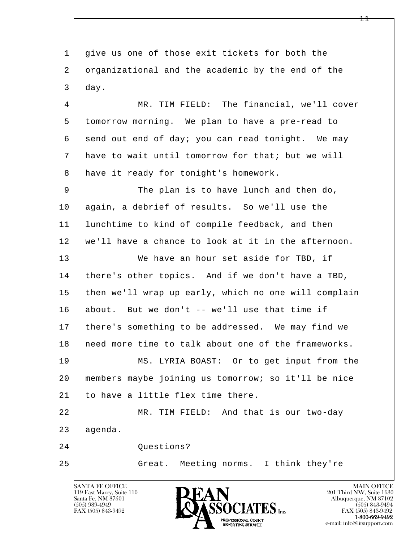l  $\overline{\phantom{a}}$ 1 qive us one of those exit tickets for both the 2 organizational and the academic by the end of the 3 day. 4 MR. TIM FIELD: The financial, we'll cover 5 tomorrow morning. We plan to have a pre-read to 6 send out end of day; you can read tonight. We may 7 have to wait until tomorrow for that; but we will 8 have it ready for tonight's homework. 9 The plan is to have lunch and then do, 10 again, a debrief of results. So we'll use the 11 lunchtime to kind of compile feedback, and then 12 we'll have a chance to look at it in the afternoon. 13 We have an hour set aside for TBD, if 14 | there's other topics. And if we don't have a TBD, 15 then we'll wrap up early, which no one will complain 16 about. But we don't -- we'll use that time if 17 there's something to be addressed. We may find we 18 | need more time to talk about one of the frameworks. 19 MS. LYRIA BOAST: Or to get input from the 20 members maybe joining us tomorrow; so it'll be nice 21 to have a little flex time there. 22 MR. TIM FIELD: And that is our two-day 23 agenda. 24 Questions? 25 Great. Meeting norms. I think they're

119 East Marcy, Suite 110<br>Santa Fe, NM 87501

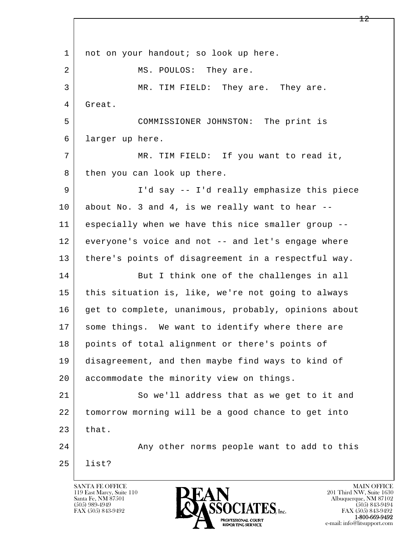l  $\overline{\phantom{a}}$ 1 | not on your handout; so look up here. 2 MS. POULOS: They are. 3 MR. TIM FIELD: They are. They are. 4 Great. 5 COMMISSIONER JOHNSTON: The print is 6 larger up here. 7 MR. TIM FIELD: If you want to read it, 8 then you can look up there. 9 I'd say -- I'd really emphasize this piece  $10$  about No. 3 and 4, is we really want to hear  $-$ - 11 especially when we have this nice smaller group -- 12 everyone's voice and not -- and let's engage where 13 there's points of disagreement in a respectful way. 14 But I think one of the challenges in all 15 | this situation is, like, we're not going to always 16 get to complete, unanimous, probably, opinions about 17 some things. We want to identify where there are 18 points of total alignment or there's points of 19 disagreement, and then maybe find ways to kind of 20 accommodate the minority view on things. 21 So we'll address that as we get to it and 22 tomorrow morning will be a good chance to get into  $23$  that. 24 Any other norms people want to add to this 25 list?

119 East Marcy, Suite 110<br>Santa Fe, NM 87501

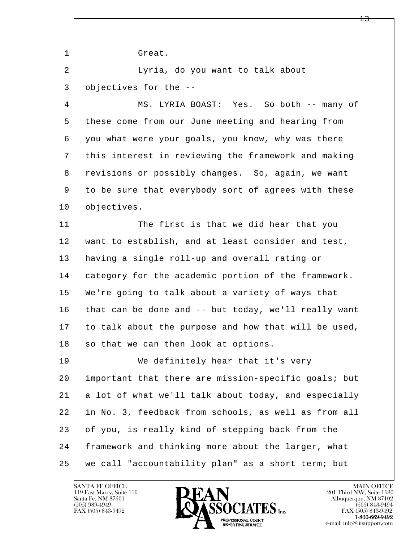l  $\overline{\phantom{a}}$ 1 Great. 2 Lyria, do you want to talk about 3 objectives for the -- 4 MS. LYRIA BOAST: Yes. So both -- many of 5 these come from our June meeting and hearing from 6 you what were your goals, you know, why was there 7 this interest in reviewing the framework and making 8 | revisions or possibly changes. So, again, we want 9 to be sure that everybody sort of agrees with these 10 **objectives**. 11 The first is that we did hear that you 12 want to establish, and at least consider and test, 13 having a single roll-up and overall rating or 14 category for the academic portion of the framework. 15 We're going to talk about a variety of ways that 16 that can be done and -- but today, we'll really want 17 to talk about the purpose and how that will be used, 18 so that we can then look at options. 19 We definitely hear that it's very 20 important that there are mission-specific goals; but 21 a lot of what we'll talk about today, and especially 22 in No. 3, feedback from schools, as well as from all 23 of you, is really kind of stepping back from the 24 framework and thinking more about the larger, what 25 we call "accountability plan" as a short term; but

119 East Marcy, Suite 110<br>Santa Fe, NM 87501

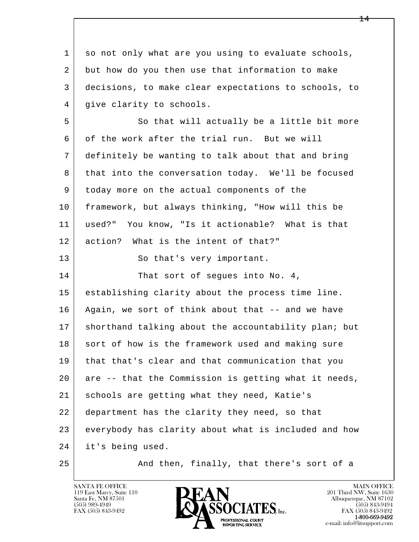l  $\overline{\phantom{a}}$ 1 so not only what are you using to evaluate schools, 2 but how do you then use that information to make 3 decisions, to make clear expectations to schools, to 4 | give clarity to schools. 5 So that will actually be a little bit more 6 of the work after the trial run. But we will 7 definitely be wanting to talk about that and bring 8 | that into the conversation today. We'll be focused 9 today more on the actual components of the 10 framework, but always thinking, "How will this be 11 used?" You know, "Is it actionable? What is that 12 action? What is the intent of that?" 13 So that's very important. 14 That sort of seques into No. 4, 15 establishing clarity about the process time line. 16 Again, we sort of think about that -- and we have 17 | shorthand talking about the accountability plan; but 18 sort of how is the framework used and making sure 19 that that's clear and that communication that you 20 are -- that the Commission is getting what it needs, 21 schools are getting what they need, Katie's 22 department has the clarity they need, so that 23 everybody has clarity about what is included and how 24 it's being used.

25 | The Rand then, finally, that there's sort of a

119 East Marcy, Suite 110<br>Santa Fe, NM 87501



FAX (505) 843-9492<br>**1-800-669-9492**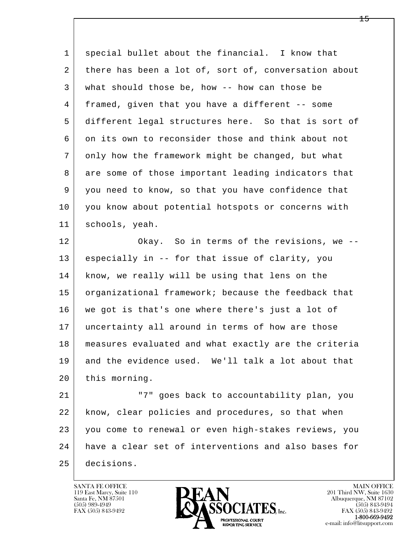| $\mathbf{1}$ | special bullet about the financial. I know that      |
|--------------|------------------------------------------------------|
| 2            | there has been a lot of, sort of, conversation about |
| 3            | what should those be, how -- how can those be        |
| 4            | framed, given that you have a different -- some      |
| 5            | different legal structures here. So that is sort of  |
| 6            | on its own to reconsider those and think about not   |
| 7            | only how the framework might be changed, but what    |
| 8            | are some of those important leading indicators that  |
| 9            | you need to know, so that you have confidence that   |
| 10           | you know about potential hotspots or concerns with   |
| 11           | schools, yeah.                                       |
| 12           | Okay. So in terms of the revisions, we --            |
| 13           | especially in -- for that issue of clarity, you      |
| 14           | know, we really will be using that lens on the       |
| 15           | organizational framework; because the feedback that  |
| 16           | we got is that's one where there's just a lot of     |
| 17           | uncertainty all around in terms of how are those     |
| 18           | measures evaluated and what exactly are the criteria |
| 19           | and the evidence used. We'll talk a lot about that   |
| 20           | this morning.                                        |
| 21           | "7" goes back to accountability plan, you            |
| 22           | know, clear policies and procedures, so that when    |
| 23           | you come to renewal or even high-stakes reviews, you |
| 24           | have a clear set of interventions and also bases for |
| 25           | decisions.                                           |

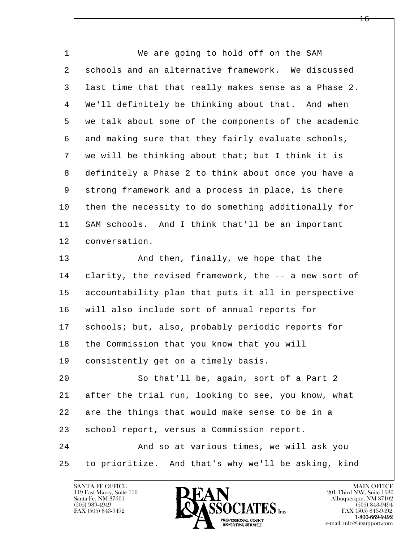l  $\overline{\phantom{a}}$  1 We are going to hold off on the SAM 2 schools and an alternative framework. We discussed 3 last time that that really makes sense as a Phase 2. 4 We'll definitely be thinking about that. And when 5 we talk about some of the components of the academic 6 | and making sure that they fairly evaluate schools, 7 we will be thinking about that; but I think it is 8 definitely a Phase 2 to think about once you have a 9 strong framework and a process in place, is there 10 then the necessity to do something additionally for 11 | SAM schools. And I think that'll be an important 12 conversation. 13 And then, finally, we hope that the 14 clarity, the revised framework, the -- a new sort of 15 accountability plan that puts it all in perspective 16 will also include sort of annual reports for 17 | schools; but, also, probably periodic reports for 18 the Commission that you know that you will 19 consistently get on a timely basis. 20 So that'll be, again, sort of a Part 2 21 after the trial run, looking to see, you know, what 22 are the things that would make sense to be in a 23 school report, versus a Commission report. 24 And so at various times, we will ask you 25 to prioritize. And that's why we'll be asking, kind

119 East Marcy, Suite 110<br>Santa Fe, NM 87501

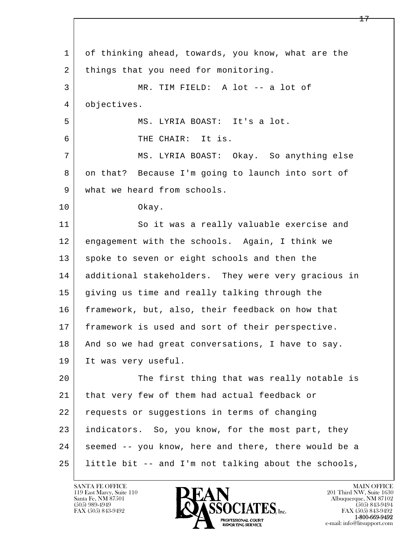l  $\overline{\phantom{a}}$  1 of thinking ahead, towards, you know, what are the 2 things that you need for monitoring. 3 MR. TIM FIELD: A lot -- a lot of 4 objectives. 5 MS. LYRIA BOAST: It's a lot. 6 THE CHAIR: It is. 7 MS. LYRIA BOAST: Okay. So anything else 8 on that? Because I'm going to launch into sort of 9 what we heard from schools. 10 Okay. 11 So it was a really valuable exercise and 12 engagement with the schools. Again, I think we 13 spoke to seven or eight schools and then the 14 additional stakeholders. They were very gracious in 15 giving us time and really talking through the 16 framework, but, also, their feedback on how that 17 framework is used and sort of their perspective. 18 | And so we had great conversations, I have to say. 19 | It was very useful. 20 The first thing that was really notable is 21 that very few of them had actual feedback or 22 requests or suggestions in terms of changing 23 indicators. So, you know, for the most part, they 24 seemed -- you know, here and there, there would be a  $25$  little bit  $-$  and I'm not talking about the schools,

119 East Marcy, Suite 110<br>Santa Fe, NM 87501

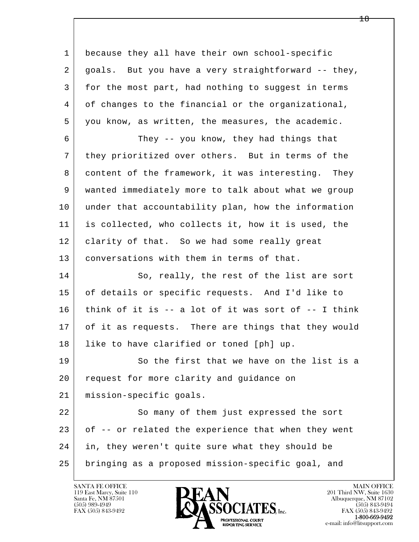l  $\overline{\phantom{a}}$ 1 because they all have their own school-specific 2 goals. But you have a very straightforward -- they, 3 for the most part, had nothing to suggest in terms 4 of changes to the financial or the organizational, 5 you know, as written, the measures, the academic. 6 They -- you know, they had things that 7 they prioritized over others. But in terms of the 8 content of the framework, it was interesting. They 9 wanted immediately more to talk about what we group 10 under that accountability plan, how the information 11 is collected, who collects it, how it is used, the 12 clarity of that. So we had some really great 13 conversations with them in terms of that. 14 So, really, the rest of the list are sort 15 of details or specific requests. And I'd like to 16 think of it is -- a lot of it was sort of -- I think 17 of it as requests. There are things that they would 18 like to have clarified or toned [ph] up. 19 So the first that we have on the list is a 20 request for more clarity and guidance on 21 mission-specific goals. 22 So many of them just expressed the sort 23 of -- or related the experience that when they went 24 in, they weren't quite sure what they should be 25 bringing as a proposed mission-specific goal, and

119 East Marcy, Suite 110<br>Santa Fe, NM 87501

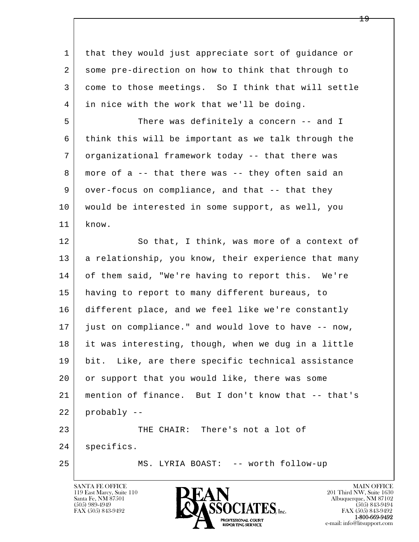| 1  | that they would just appreciate sort of guidance or  |
|----|------------------------------------------------------|
| 2  | some pre-direction on how to think that through to   |
| 3  | come to those meetings. So I think that will settle  |
| 4  | in nice with the work that we'll be doing.           |
| 5  | There was definitely a concern -- and I              |
| 6  | think this will be important as we talk through the  |
| 7  | organizational framework today -- that there was     |
| 8  | more of a -- that there was -- they often said an    |
| 9  | over-focus on compliance, and that -- that they      |
| 10 | would be interested in some support, as well, you    |
| 11 | know.                                                |
| 12 | So that, I think, was more of a context of           |
| 13 | a relationship, you know, their experience that many |
| 14 | of them said, "We're having to report this. We're    |
| 15 | having to report to many different bureaus, to       |
| 16 | different place, and we feel like we're constantly   |
| 17 | just on compliance." and would love to have -- now,  |
| 18 | it was interesting, though, when we dug in a little  |
| 19 | bit. Like, are there specific technical assistance   |
| 20 | or support that you would like, there was some       |
| 21 | mention of finance. But I don't know that -- that's  |
| 22 | probably --                                          |
| 23 | THE CHAIR: There's not a lot of                      |
| 24 | specifics.                                           |
| 25 | MS. LYRIA BOAST: -- worth follow-up                  |
|    |                                                      |

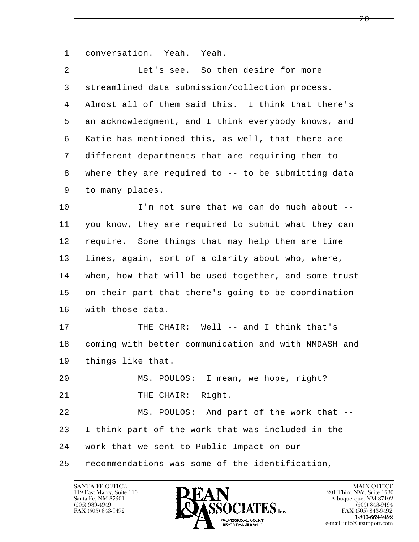1 conversation. Yeah. Yeah.

| 2  | Let's see. So then desire for more                   |
|----|------------------------------------------------------|
| 3  | streamlined data submission/collection process.      |
| 4  | Almost all of them said this. I think that there's   |
| 5  | an acknowledgment, and I think everybody knows, and  |
| 6  | Katie has mentioned this, as well, that there are    |
| 7  | different departments that are requiring them to --  |
| 8  | where they are required to -- to be submitting data  |
| 9  | to many places.                                      |
| 10 | I'm not sure that we can do much about --            |
| 11 | you know, they are required to submit what they can  |
| 12 | require. Some things that may help them are time     |
| 13 | lines, again, sort of a clarity about who, where,    |
| 14 | when, how that will be used together, and some trust |
| 15 | on their part that there's going to be coordination  |
| 16 | with those data.                                     |
| 17 | THE CHAIR: Well -- and I think that's                |
| 18 | coming with better communication and with NMDASH and |
| 19 | things like that.                                    |
| 20 | MS. POULOS: I mean, we hope, right?                  |
| 21 | THE CHAIR: Right.                                    |
| 22 | MS. POULOS: And part of the work that --             |
| 23 | I think part of the work that was included in the    |
| 24 | work that we sent to Public Impact on our            |
| 25 | recommendations was some of the identification,      |

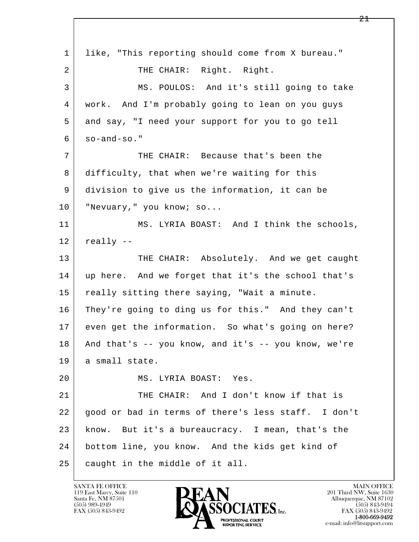l  $\overline{\phantom{a}}$  1 like, "This reporting should come from X bureau." 2 | THE CHAIR: Right. Right. 3 MS. POULOS: And it's still going to take 4 work. And I'm probably going to lean on you guys 5 and say, "I need your support for you to go tell  $6 \mid \text{so-and-so."}$  7 THE CHAIR: Because that's been the 8 difficulty, that when we're waiting for this 9 division to give us the information, it can be 10 | "Nevuary," you know; so... 11 | MS. LYRIA BOAST: And I think the schools,  $12$  really  $-$ 13 THE CHAIR: Absolutely. And we get caught 14 up here. And we forget that it's the school that's 15 | really sitting there saying, "Wait a minute. 16 They're going to ding us for this." And they can't 17 even get the information. So what's going on here?  $18$  And that's  $-$  you know, and it's  $-$  you know, we're 19 a small state. 20 MS. LYRIA BOAST: Yes. 21 | THE CHAIR: And I don't know if that is 22 good or bad in terms of there's less staff. I don't 23 know. But it's a bureaucracy. I mean, that's the 24 bottom line, you know. And the kids get kind of 25 caught in the middle of it all.

119 East Marcy, Suite 110<br>Santa Fe, NM 87501

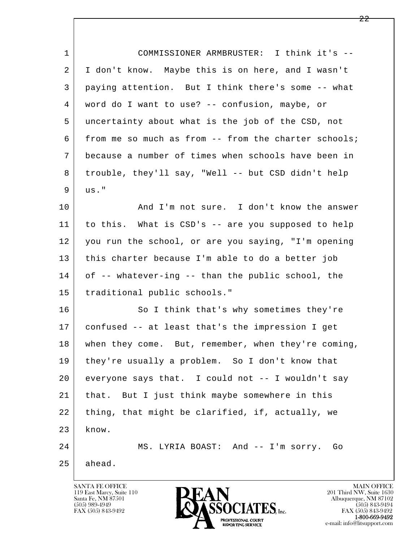| $\mathbf{1}$ | COMMISSIONER ARMBRUSTER: I think it's --             |
|--------------|------------------------------------------------------|
| 2            | I don't know. Maybe this is on here, and I wasn't    |
| 3            | paying attention. But I think there's some -- what   |
| 4            | word do I want to use? -- confusion, maybe, or       |
| 5            | uncertainty about what is the job of the CSD, not    |
| 6            | from me so much as from -- from the charter schools; |
| 7            | because a number of times when schools have been in  |
| 8            | trouble, they'll say, "Well -- but CSD didn't help   |
| 9            | us."                                                 |
| 10           | And I'm not sure. I don't know the answer            |
| 11           | to this. What is CSD's -- are you supposed to help   |
| 12           | you run the school, or are you saying, "I'm opening  |
| 13           | this charter because I'm able to do a better job     |
| 14           | of -- whatever-ing -- than the public school, the    |
| 15           | traditional public schools."                         |
| 16           | So I think that's why sometimes they're              |
| 17           | confused -- at least that's the impression I get     |
| 18           | when they come. But, remember, when they're coming,  |
| 19           | they're usually a problem. So I don't know that      |
| 20           | everyone says that. I could not -- I wouldn't say    |
| 21           | that. But I just think maybe somewhere in this       |
| 22           | thing, that might be clarified, if, actually, we     |
| 23           | know.                                                |
| 24           | MS. LYRIA BOAST: And -- I'm sorry. Go                |
| 25           | ahead.                                               |

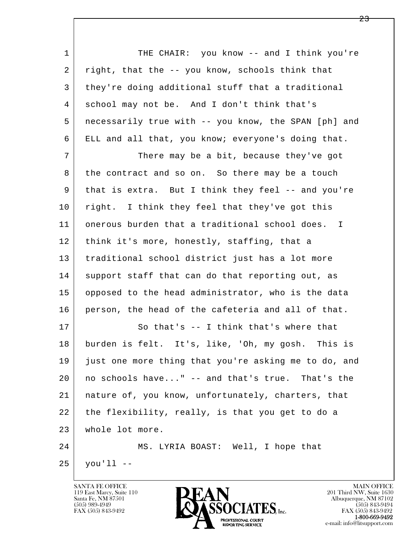1 THE CHAIR: you know -- and I think you're 2 | right, that the -- you know, schools think that 3 they're doing additional stuff that a traditional 4 school may not be. And I don't think that's 5 necessarily true with -- you know, the SPAN [ph] and 6 ELL and all that, you know; everyone's doing that. 7 There may be a bit, because they've got 8 the contract and so on. So there may be a touch 9 that is extra. But I think they feel -- and you're 10 right. I think they feel that they've got this 11 onerous burden that a traditional school does. I 12 think it's more, honestly, staffing, that a 13 traditional school district just has a lot more 14 support staff that can do that reporting out, as

 15 opposed to the head administrator, who is the data 16 person, the head of the cafeteria and all of that.

l 17 So that's -- I think that's where that 18 burden is felt. It's, like, 'Oh, my gosh. This is 19 just one more thing that you're asking me to do, and 20 no schools have..." -- and that's true. That's the 21 nature of, you know, unfortunately, charters, that 22 the flexibility, really, is that you get to do a 23 whole lot more.

 $\overline{\phantom{a}}$  24 MS. LYRIA BOAST: Well, I hope that  $25$  you'll  $-$ 

119 East Marcy, Suite 110<br>Santa Fe, NM 87501



FAX (505) 843-9492<br>**1-800-669-9492**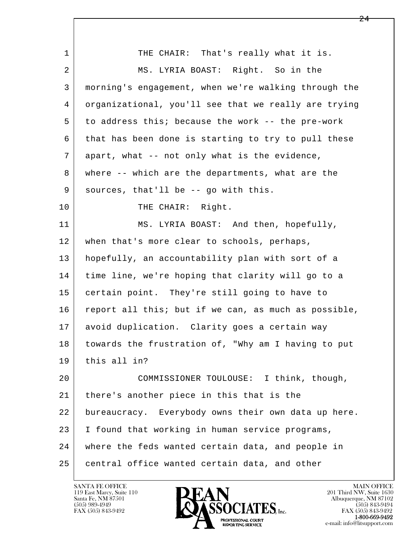l  $\overline{\phantom{a}}$ 1 THE CHAIR: That's really what it is. 2 MS. LYRIA BOAST: Right. So in the 3 morning's engagement, when we're walking through the 4 organizational, you'll see that we really are trying 5 to address this; because the work -- the pre-work 6 that has been done is starting to try to pull these 7 apart, what -- not only what is the evidence, 8 where -- which are the departments, what are the 9 | sources, that'll be -- go with this. 10 THE CHAIR: Right. 11 | MS. LYRIA BOAST: And then, hopefully, 12 when that's more clear to schools, perhaps, 13 hopefully, an accountability plan with sort of a 14 time line, we're hoping that clarity will go to a 15 certain point. They're still going to have to 16 report all this; but if we can, as much as possible, 17 | avoid duplication. Clarity goes a certain way 18 towards the frustration of, "Why am I having to put 19 this all in? 20 COMMISSIONER TOULOUSE: I think, though, 21 | there's another piece in this that is the 22 bureaucracy. Everybody owns their own data up here. 23 I found that working in human service programs, 24 where the feds wanted certain data, and people in 25 central office wanted certain data, and other

119 East Marcy, Suite 110<br>Santa Fe, NM 87501

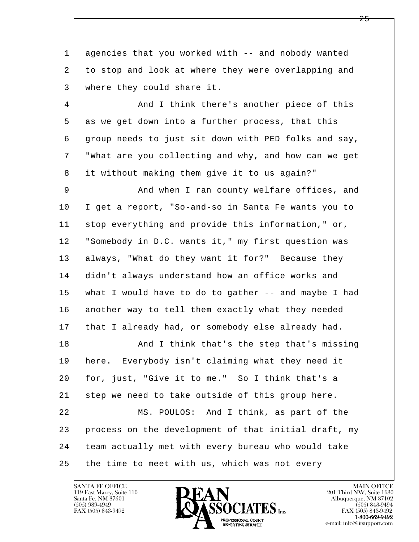1 agencies that you worked with -- and nobody wanted 2 to stop and look at where they were overlapping and 3 where they could share it.

4 | And I think there's another piece of this 5 as we get down into a further process, that this 6 group needs to just sit down with PED folks and say, 7 "What are you collecting and why, and how can we get 8 it without making them give it to us again?"

9 And when I ran county welfare offices, and 10 I get a report, "So-and-so in Santa Fe wants you to 11 stop everything and provide this information," or, 12 "Somebody in D.C. wants it," my first question was 13 always, "What do they want it for?" Because they 14 didn't always understand how an office works and 15 what I would have to do to gather -- and maybe I had 16 another way to tell them exactly what they needed 17 | that I already had, or somebody else already had.

l  $\overline{\phantom{a}}$ 18 | And I think that's the step that's missing 19 here. Everybody isn't claiming what they need it 20 for, just, "Give it to me." So I think that's a 21 step we need to take outside of this group here. 22 MS. POULOS: And I think, as part of the 23 process on the development of that initial draft, my 24 team actually met with every bureau who would take 25 the time to meet with us, which was not every

119 East Marcy, Suite 110<br>Santa Fe, NM 87501

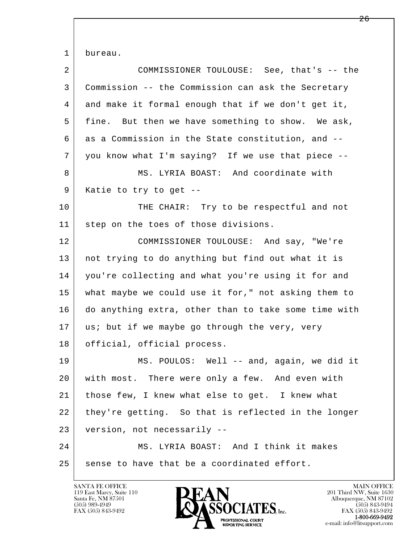1 bureau.

| $\overline{a}$ | COMMISSIONER TOULOUSE: See, that's -- the            |
|----------------|------------------------------------------------------|
| 3              | Commission -- the Commission can ask the Secretary   |
| 4              | and make it formal enough that if we don't get it,   |
| 5              | fine. But then we have something to show. We ask,    |
| 6              | as a Commission in the State constitution, and --    |
| 7              | you know what I'm saying? If we use that piece --    |
| 8              | MS. LYRIA BOAST: And coordinate with                 |
| 9              | Katie to try to get --                               |
| 10             | THE CHAIR: Try to be respectful and not              |
| 11             | step on the toes of those divisions.                 |
| 12             | COMMISSIONER TOULOUSE: And say, "We're               |
| 13             | not trying to do anything but find out what it is    |
| 14             | you're collecting and what you're using it for and   |
| 15             | what maybe we could use it for," not asking them to  |
| 16             | do anything extra, other than to take some time with |
| 17             | us; but if we maybe go through the very, very        |
| 18             | official, official process.                          |
| 19             | MS. POULOS: Well -- and, again, we did it            |
| 20             | with most. There were only a few. And even with      |
| 21             | those few, I knew what else to get. I knew what      |
| 22             | they're getting. So that is reflected in the longer  |
| 23             | version, not necessarily --                          |
| 24             | MS. LYRIA BOAST: And I think it makes                |
| 25             | sense to have that be a coordinated effort.          |

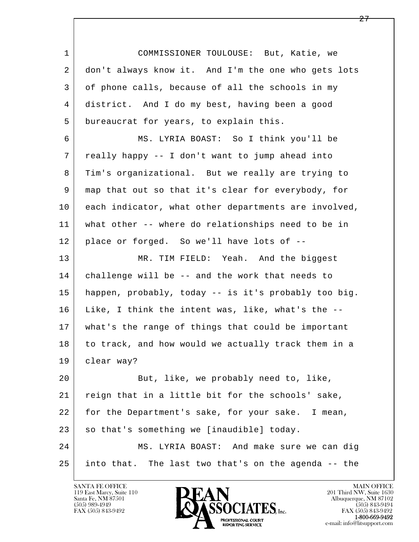l  $\overline{\phantom{a}}$  1 COMMISSIONER TOULOUSE: But, Katie, we 2 don't always know it. And I'm the one who gets lots 3 of phone calls, because of all the schools in my 4 district. And I do my best, having been a good 5 bureaucrat for years, to explain this. 6 MS. LYRIA BOAST: So I think you'll be 7 really happy -- I don't want to jump ahead into 8 Tim's organizational. But we really are trying to 9 map that out so that it's clear for everybody, for 10 each indicator, what other departments are involved, 11 what other -- where do relationships need to be in 12 | place or forged. So we'll have lots of --13 MR. TIM FIELD: Yeah. And the biggest 14 challenge will be -- and the work that needs to 15 happen, probably, today -- is it's probably too big. 16 Like, I think the intent was, like, what's the -- 17 what's the range of things that could be important 18 to track, and how would we actually track them in a 19 clear way? 20 But, like, we probably need to, like, 21 reign that in a little bit for the schools' sake, 22 for the Department's sake, for your sake. I mean,  $23$  so that's something we [inaudible] today. 24 MS. LYRIA BOAST: And make sure we can dig 25 into that. The last two that's on the agenda -- the

119 East Marcy, Suite 110<br>Santa Fe, NM 87501

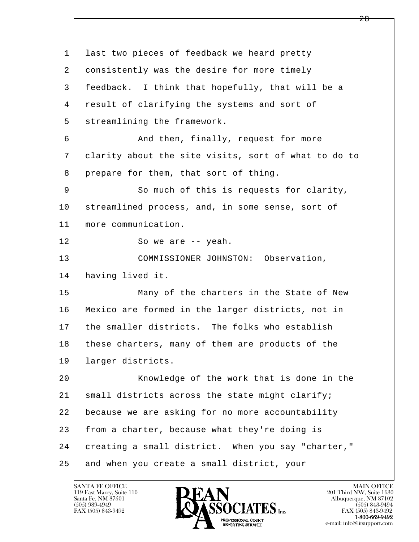l  $\overline{\phantom{a}}$  1 last two pieces of feedback we heard pretty 2 consistently was the desire for more timely 3 feedback. I think that hopefully, that will be a 4 result of clarifying the systems and sort of 5 streamlining the framework. 6 And then, finally, request for more 7 clarity about the site visits, sort of what to do to 8 prepare for them, that sort of thing. 9 So much of this is requests for clarity, 10 streamlined process, and, in some sense, sort of 11 more communication. 12 So we are -- yeah. 13 | COMMISSIONER JOHNSTON: Observation, 14 having lived it. 15 | Many of the charters in the State of New 16 Mexico are formed in the larger districts, not in 17 the smaller districts. The folks who establish 18 | these charters, many of them are products of the 19 larger districts. 20 | Knowledge of the work that is done in the  $21$  small districts across the state might clarify; 22 because we are asking for no more accountability 23 from a charter, because what they're doing is 24 creating a small district. When you say "charter," 25 and when you create a small district, your

119 East Marcy, Suite 110<br>Santa Fe, NM 87501



FAX (505) 843-9492<br>1-800-669-9492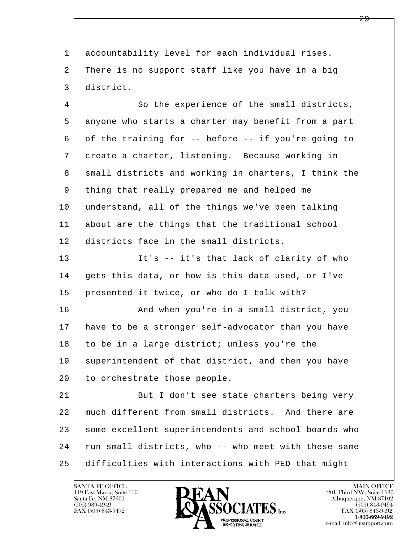l  $\overline{\phantom{a}}$  1 accountability level for each individual rises. 2 There is no support staff like you have in a big 3 district. 4 So the experience of the small districts, 5 anyone who starts a charter may benefit from a part 6 of the training for  $-$ - before  $-$ - if you're going to 7 create a charter, listening. Because working in 8 small districts and working in charters, I think the 9 | thing that really prepared me and helped me 10 understand, all of the things we've been talking 11 about are the things that the traditional school 12 districts face in the small districts. 13 It's -- it's that lack of clarity of who 14 gets this data, or how is this data used, or I've 15 presented it twice, or who do I talk with? 16 And when you're in a small district, you 17 have to be a stronger self-advocator than you have 18 to be in a large district; unless you're the 19 superintendent of that district, and then you have 20 to orchestrate those people. 21 But I don't see state charters being very 22 much different from small districts. And there are 23 some excellent superintendents and school boards who 24 run small districts, who -- who meet with these same 25 difficulties with interactions with PED that might

119 East Marcy, Suite 110<br>Santa Fe, NM 87501

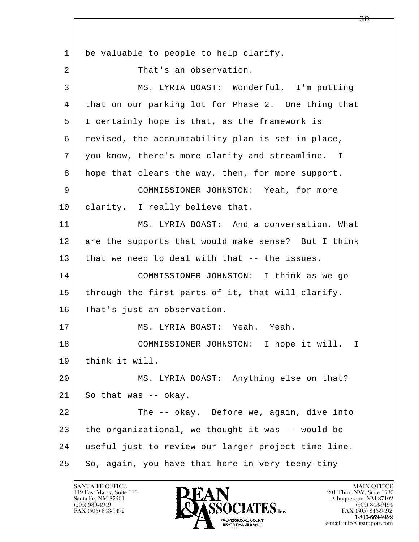l  $\overline{\phantom{a}}$ 1 be valuable to people to help clarify. 2 That's an observation. 3 MS. LYRIA BOAST: Wonderful. I'm putting 4 | that on our parking lot for Phase 2. One thing that 5 I certainly hope is that, as the framework is 6 revised, the accountability plan is set in place, 7 you know, there's more clarity and streamline. I 8 hope that clears the way, then, for more support. 9 COMMISSIONER JOHNSTON: Yeah, for more 10 | clarity. I really believe that. 11 MS. LYRIA BOAST: And a conversation, What 12 are the supports that would make sense? But I think 13 that we need to deal with that -- the issues. 14 COMMISSIONER JOHNSTON: I think as we go 15 through the first parts of it, that will clarify. 16 That's just an observation. 17 MS. LYRIA BOAST: Yeah. Yeah. 18 COMMISSIONER JOHNSTON: I hope it will. I 19 think it will. 20 MS. LYRIA BOAST: Anything else on that?  $21$  So that was  $-$  okay. 22 | The -- okay. Before we, again, dive into 23 the organizational, we thought it was -- would be 24 useful just to review our larger project time line.  $25$  So, again, you have that here in very teeny-tiny

119 East Marcy, Suite 110<br>Santa Fe, NM 87501

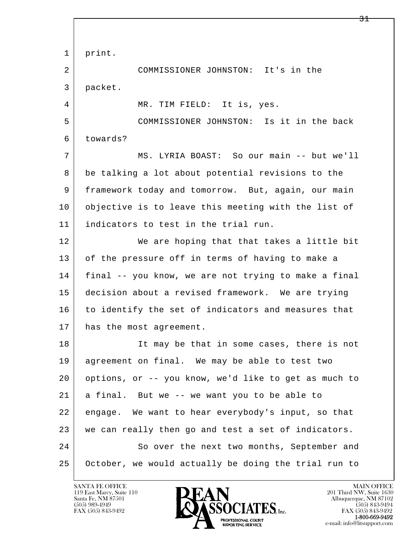l  $\overline{\phantom{a}}$  1 print. 2 COMMISSIONER JOHNSTON: It's in the 3 packet. 4 MR. TIM FIELD: It is, yes. 5 COMMISSIONER JOHNSTON: Is it in the back 6 towards? 7 MS. LYRIA BOAST: So our main -- but we'll 8 be talking a lot about potential revisions to the 9 framework today and tomorrow. But, again, our main 10 objective is to leave this meeting with the list of 11 indicators to test in the trial run. 12 We are hoping that that takes a little bit 13 of the pressure off in terms of having to make a 14 final -- you know, we are not trying to make a final 15 decision about a revised framework. We are trying 16 to identify the set of indicators and measures that 17 | has the most agreement. 18 It may be that in some cases, there is not 19 agreement on final. We may be able to test two 20 options, or -- you know, we'd like to get as much to  $21$  a final. But we  $-$  we want you to be able to 22 engage. We want to hear everybody's input, so that 23 we can really then go and test a set of indicators. 24 So over the next two months, September and 25 October, we would actually be doing the trial run to

119 East Marcy, Suite 110<br>Santa Fe, NM 87501

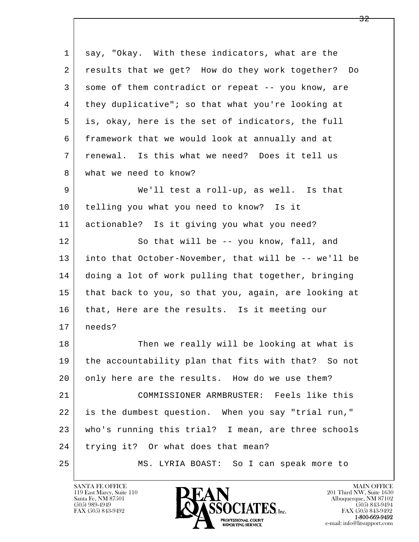| $\mathbf{1}$ | say, "Okay. With these indicators, what are the      |
|--------------|------------------------------------------------------|
| 2            | results that we get? How do they work together? Do   |
| 3            | some of them contradict or repeat -- you know, are   |
| 4            | they duplicative"; so that what you're looking at    |
| 5            | is, okay, here is the set of indicators, the full    |
| 6            | framework that we would look at annually and at      |
| 7            | renewal. Is this what we need? Does it tell us       |
| 8            | what we need to know?                                |
| 9            | We'll test a roll-up, as well. Is that               |
| 10           | telling you what you need to know? Is it             |
| 11           | actionable? Is it giving you what you need?          |
| 12           | So that will be -- you know, fall, and               |
| 13           | into that October-November, that will be -- we'll be |
| 14           | doing a lot of work pulling that together, bringing  |
| 15           | that back to you, so that you, again, are looking at |
| 16           | that, Here are the results. Is it meeting our        |
| 17           | needs?                                               |
| 18           | Then we really will be looking at what is            |
| 19           | the accountability plan that fits with that? So not  |
| 20           | only here are the results. How do we use them?       |
| 21           | COMMISSIONER ARMBRUSTER: Feels like this             |
| 22           | is the dumbest question. When you say "trial run,"   |
| 23           | who's running this trial? I mean, are three schools  |
| 24           | trying it? Or what does that mean?                   |
| 25           | MS. LYRIA BOAST: So I can speak more to              |

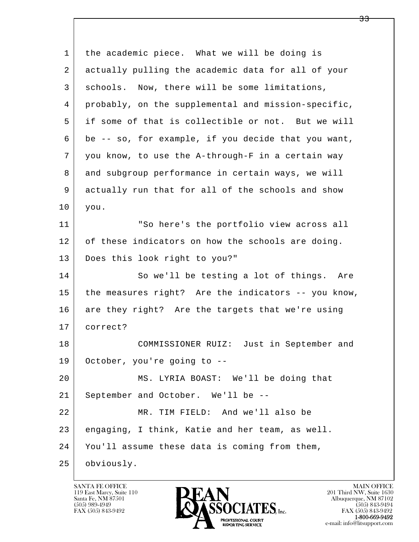l  $\overline{\phantom{a}}$  1 the academic piece. What we will be doing is 2 actually pulling the academic data for all of your 3 schools. Now, there will be some limitations, 4 probably, on the supplemental and mission-specific, 5 if some of that is collectible or not. But we will 6 be -- so, for example, if you decide that you want, 7 you know, to use the A-through-F in a certain way 8 and subgroup performance in certain ways, we will 9 actually run that for all of the schools and show 10 you. 11 "So here's the portfolio view across all 12 of these indicators on how the schools are doing. 13 Does this look right to you?" 14 So we'll be testing a lot of things. Are 15 the measures right? Are the indicators -- you know, 16 are they right? Are the targets that we're using 17 correct? 18 COMMISSIONER RUIZ: Just in September and 19 October, you're going to -- 20 MS. LYRIA BOAST: We'll be doing that 21 September and October. We'll be -- 22 MR. TIM FIELD: And we'll also be 23 engaging, I think, Katie and her team, as well. 24 You'll assume these data is coming from them, 25 obviously.

119 East Marcy, Suite 110<br>Santa Fe, NM 87501



FAX (505) 843-9492<br>1-800-669-9492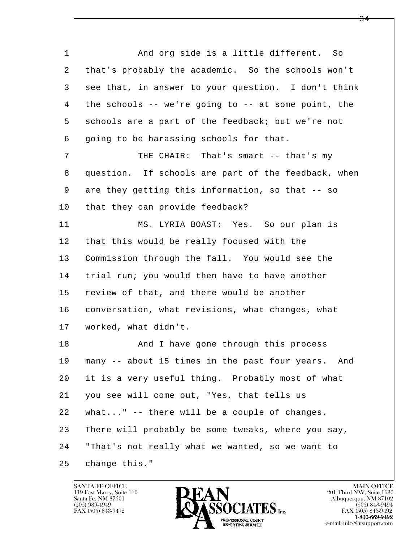l  $\overline{\phantom{a}}$ 1 and org side is a little different. So 2 that's probably the academic. So the schools won't 3 see that, in answer to your question. I don't think 4 the schools -- we're going to -- at some point, the 5 schools are a part of the feedback; but we're not 6 going to be harassing schools for that. 7 THE CHAIR: That's smart -- that's my 8 question. If schools are part of the feedback, when 9 are they getting this information, so that -- so 10 that they can provide feedback? 11 MS. LYRIA BOAST: Yes. So our plan is 12 that this would be really focused with the 13 Commission through the fall. You would see the 14 trial run; you would then have to have another 15 review of that, and there would be another 16 conversation, what revisions, what changes, what 17 | worked, what didn't. 18 | Thave gone through this process 19 many -- about 15 times in the past four years. And 20 it is a very useful thing. Probably most of what 21 you see will come out, "Yes, that tells us 22 what..." -- there will be a couple of changes. 23 There will probably be some tweaks, where you say, 24 "That's not really what we wanted, so we want to 25 change this."

119 East Marcy, Suite 110<br>Santa Fe, NM 87501

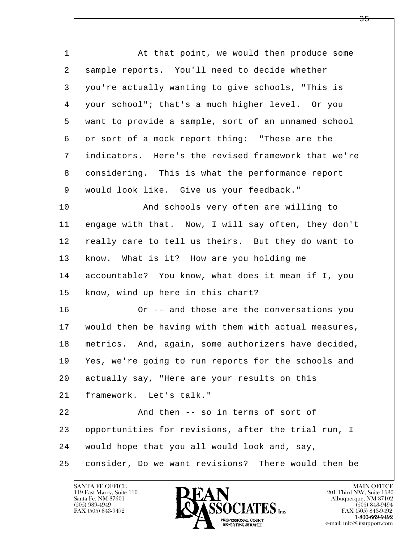| $\mathbf{1}$ | At that point, we would then produce some            |
|--------------|------------------------------------------------------|
| 2            | sample reports. You'll need to decide whether        |
| 3            | you're actually wanting to give schools, "This is    |
| 4            | your school"; that's a much higher level. Or you     |
| 5            | want to provide a sample, sort of an unnamed school  |
| 6            | or sort of a mock report thing: "These are the       |
| 7            | indicators. Here's the revised framework that we're  |
| 8            | considering. This is what the performance report     |
| 9            | would look like. Give us your feedback."             |
| 10           | And schools very often are willing to                |
| 11           | engage with that. Now, I will say often, they don't  |
| 12           | really care to tell us theirs. But they do want to   |
| 13           | know. What is it? How are you holding me             |
| 14           | accountable? You know, what does it mean if I, you   |
| 15           | know, wind up here in this chart?                    |
| 16           | Or -- and those are the conversations you            |
| 17           | would then be having with them with actual measures, |
| 18           | metrics. And, again, some authorizers have decided,  |
| 19           | Yes, we're going to run reports for the schools and  |
| 20           | actually say, "Here are your results on this         |
| 21           | framework. Let's talk."                              |
| 22           | And then -- so in terms of sort of                   |
| 23           | opportunities for revisions, after the trial run, I  |
| 24           | would hope that you all would look and, say,         |
| 25           | consider, Do we want revisions? There would then be  |

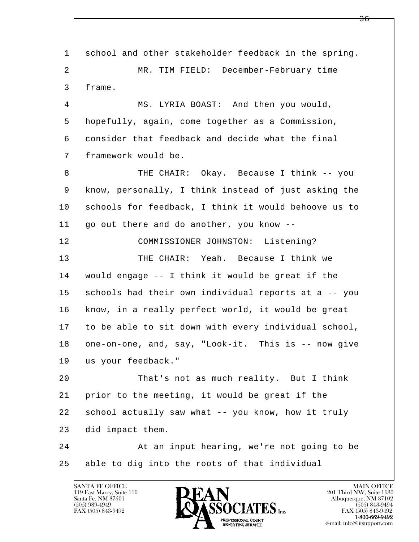l  $\overline{\phantom{a}}$  1 school and other stakeholder feedback in the spring. 2 MR. TIM FIELD: December-February time 3 frame. 4 MS. LYRIA BOAST: And then you would, 5 hopefully, again, come together as a Commission, 6 consider that feedback and decide what the final 7 framework would be. 8 THE CHAIR: Okay. Because I think -- you 9 know, personally, I think instead of just asking the 10 schools for feedback, I think it would behoove us to 11 go out there and do another, you know -- 12 COMMISSIONER JOHNSTON: Listening? 13 THE CHAIR: Yeah. Because I think we 14 would engage -- I think it would be great if the 15 schools had their own individual reports at a -- you 16 know, in a really perfect world, it would be great 17 to be able to sit down with every individual school, 18 one-on-one, and, say, "Look-it. This is -- now give 19 us your feedback." 20 That's not as much reality. But I think 21 prior to the meeting, it would be great if the 22 school actually saw what -- you know, how it truly 23 did impact them. 24 At an input hearing, we're not going to be 25 able to dig into the roots of that individual

119 East Marcy, Suite 110<br>Santa Fe, NM 87501

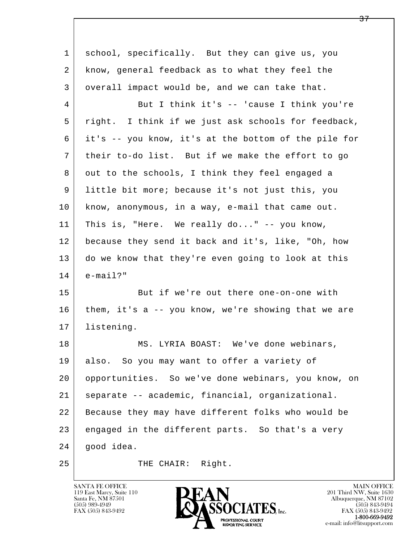| $\mathbf{1}$ | school, specifically. But they can give us, you      |
|--------------|------------------------------------------------------|
| 2            | know, general feedback as to what they feel the      |
| 3            | overall impact would be, and we can take that.       |
| 4            | But I think it's -- 'cause I think you're            |
| 5            | right. I think if we just ask schools for feedback,  |
| 6            | it's -- you know, it's at the bottom of the pile for |
| 7            | their to-do list. But if we make the effort to go    |
| 8            | out to the schools, I think they feel engaged a      |
| 9            | little bit more; because it's not just this, you     |
| 10           | know, anonymous, in a way, e-mail that came out.     |
| 11           | This is, "Here. We really do" -- you know,           |
| 12           | because they send it back and it's, like, "Oh, how   |
| 13           | do we know that they're even going to look at this   |
| 14           | $e$ -mail?"                                          |
| 15           | But if we're out there one-on-one with               |
| 16           | them, it's a -- you know, we're showing that we are  |
| 17           | listening.                                           |
| 18           | MS. LYRIA BOAST: We've done webinars,                |
| 19           | also. So you may want to offer a variety of          |
| 20           | opportunities. So we've done webinars, you know, on  |
| 21           | separate -- academic, financial, organizational.     |
| 22           | Because they may have different folks who would be   |
| 23           | engaged in the different parts. So that's a very     |
| 24           | good idea.                                           |
| 25           | THE CHAIR: Right.                                    |

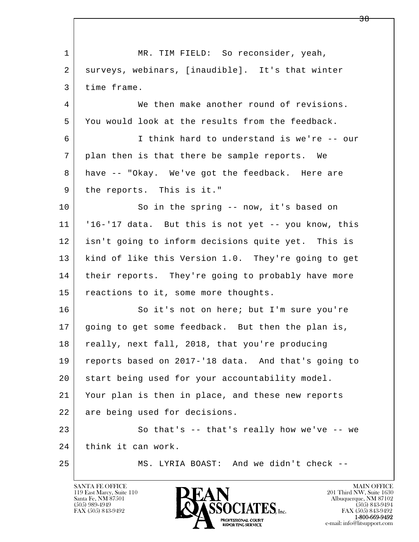l  $\overline{\phantom{a}}$ 1 | MR. TIM FIELD: So reconsider, yeah, 2 | surveys, webinars, [inaudible]. It's that winter 3 time frame. 4 We then make another round of revisions. 5 You would look at the results from the feedback. 6 I think hard to understand is we're -- our 7 plan then is that there be sample reports. We 8 have -- "Okay. We've got the feedback. Here are 9 | the reports. This is it." 10 So in the spring -- now, it's based on 11 '16-'17 data. But this is not yet -- you know, this 12 isn't going to inform decisions quite yet. This is 13 | kind of like this Version 1.0. They're going to get 14 | their reports. They're going to probably have more 15 | reactions to it, some more thoughts. 16 So it's not on here; but I'm sure you're 17 going to get some feedback. But then the plan is, 18 really, next fall, 2018, that you're producing 19 reports based on 2017-'18 data. And that's going to 20 start being used for your accountability model. 21 Your plan is then in place, and these new reports 22 are being used for decisions. 23 So that's -- that's really how we've -- we 24 | think it can work. 25 MS. LYRIA BOAST: And we didn't check --

119 East Marcy, Suite 110<br>Santa Fe, NM 87501

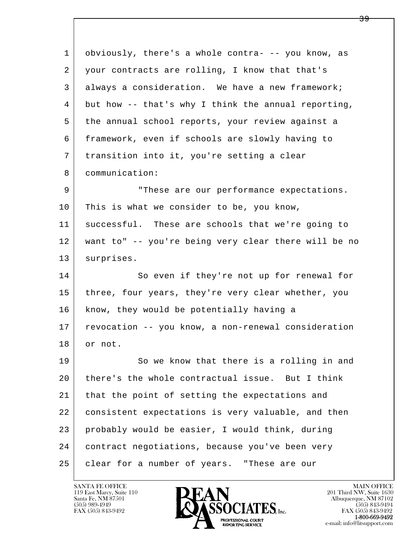| $\mathbf{1}$ | obviously, there's a whole contra- -- you know, as   |
|--------------|------------------------------------------------------|
| 2            | your contracts are rolling, I know that that's       |
| 3            | always a consideration. We have a new framework;     |
| 4            | but how -- that's why I think the annual reporting,  |
| 5            | the annual school reports, your review against a     |
| 6            | framework, even if schools are slowly having to      |
| 7            | transition into it, you're setting a clear           |
| 8            | communication:                                       |
| 9            | "These are our performance expectations.             |
| 10           | This is what we consider to be, you know,            |
| 11           | successful. These are schools that we're going to    |
| 12           | want to" -- you're being very clear there will be no |
| 13           | surprises.                                           |
| 14           | So even if they're not up for renewal for            |
| 15           | three, four years, they're very clear whether, you   |
| 16           | know, they would be potentially having a             |
| 17           | revocation -- you know, a non-renewal consideration  |
| 18           | or not.                                              |
| 19           | So we know that there is a rolling in and            |
| 20           | there's the whole contractual issue. But I think     |
| 21           | that the point of setting the expectations and       |
| 22           | consistent expectations is very valuable, and then   |
| 23           | probably would be easier, I would think, during      |
| 24           | contract negotiations, because you've been very      |
| 25           | clear for a number of years. "These are our          |

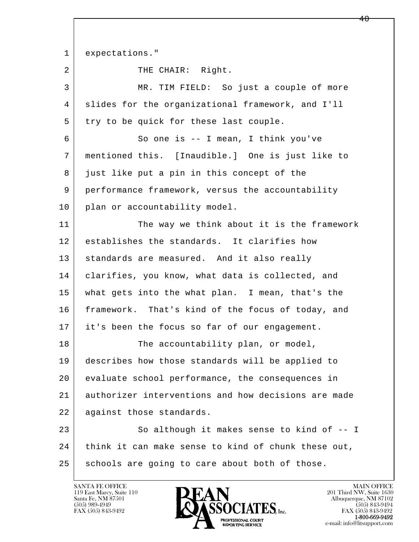l  $\overline{\phantom{a}}$ 1 expectations." 2 | THE CHAIR: Right. 3 MR. TIM FIELD: So just a couple of more 4 slides for the organizational framework, and I'll  $5$  try to be quick for these last couple. 6 So one is -- I mean, I think you've 7 mentioned this. [Inaudible.] One is just like to 8 just like put a pin in this concept of the 9 performance framework, versus the accountability 10 plan or accountability model. 11 The way we think about it is the framework 12 establishes the standards. It clarifies how 13 standards are measured. And it also really 14 | clarifies, you know, what data is collected, and 15 what gets into the what plan. I mean, that's the 16 framework. That's kind of the focus of today, and 17 it's been the focus so far of our engagement. 18 The accountability plan, or model, 19 describes how those standards will be applied to 20 evaluate school performance, the consequences in 21 authorizer interventions and how decisions are made 22 against those standards. 23 So although it makes sense to kind of  $-1$ 24 think it can make sense to kind of chunk these out, 25 schools are going to care about both of those.

119 East Marcy, Suite 110<br>Santa Fe, NM 87501

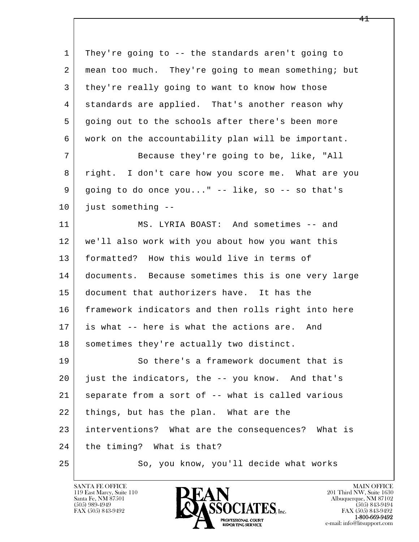| 1  | They're going to -- the standards aren't going to   |
|----|-----------------------------------------------------|
| 2  | mean too much. They're going to mean something; but |
| 3  | they're really going to want to know how those      |
| 4  | standards are applied. That's another reason why    |
| 5  | going out to the schools after there's been more    |
| 6  | work on the accountability plan will be important.  |
| 7  | Because they're going to be, like, "All             |
| 8  | right. I don't care how you score me. What are you  |
| 9  | going to do once you" -- like, so -- so that's      |
| 10 | just something --                                   |
| 11 | MS. LYRIA BOAST: And sometimes -- and               |
| 12 | we'll also work with you about how you want this    |
| 13 | formatted? How this would live in terms of          |
| 14 | documents. Because sometimes this is one very large |
| 15 | document that authorizers have. It has the          |
| 16 | framework indicators and then rolls right into here |
| 17 | is what -- here is what the actions are.<br>And     |
| 18 | sometimes they're actually two distinct.            |
| 19 | So there's a framework document that is             |
| 20 | just the indicators, the -- you know. And that's    |
| 21 | separate from a sort of -- what is called various   |
| 22 | things, but has the plan. What are the              |
| 23 | interventions? What are the consequences? What is   |
| 24 | the timing? What is that?                           |
| 25 | So, you know, you'll decide what works              |

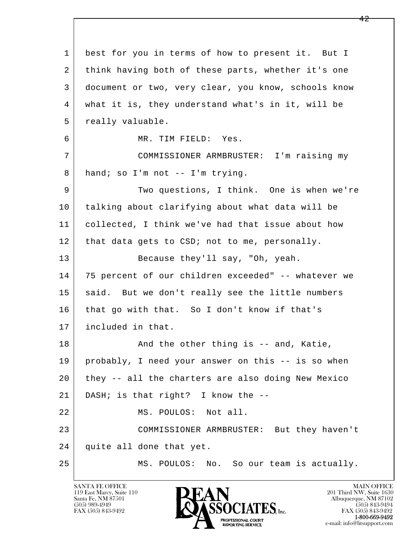l  $\overline{\phantom{a}}$  1 best for you in terms of how to present it. But I 2 think having both of these parts, whether it's one 3 document or two, very clear, you know, schools know 4 what it is, they understand what's in it, will be 5 | really valuable. 6 MR. TIM FIELD: Yes. 7 COMMISSIONER ARMBRUSTER: I'm raising my 8 hand; so I'm not -- I'm trying. 9 Two questions, I think. One is when we're 10 talking about clarifying about what data will be 11 collected, I think we've had that issue about how 12 that data gets to CSD; not to me, personally. 13 Because they'll say, "Oh, yeah. 14 75 percent of our children exceeded" -- whatever we 15 | said. But we don't really see the little numbers 16 that go with that. So I don't know if that's 17 included in that. 18 | Rand the other thing is -- and, Katie, 19 probably, I need your answer on this -- is so when 20 they -- all the charters are also doing New Mexico 21 DASH; is that right? I know the -- 22 | MS. POULOS: Not all. 23 COMMISSIONER ARMBRUSTER: But they haven't 24 quite all done that yet. 25 MS. POULOS: No. So our team is actually.

119 East Marcy, Suite 110<br>Santa Fe, NM 87501

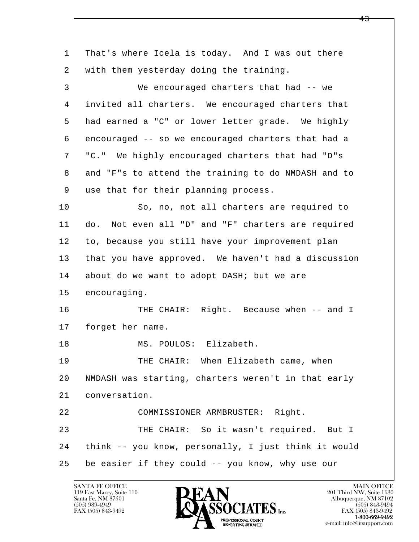l  $\overline{\phantom{a}}$  1 That's where Icela is today. And I was out there 2 with them yesterday doing the training. 3 We encouraged charters that had -- we 4 invited all charters. We encouraged charters that 5 had earned a "C" or lower letter grade. We highly 6 encouraged -- so we encouraged charters that had a 7 "C." We highly encouraged charters that had "D"s 8 and "F"s to attend the training to do NMDASH and to 9 | use that for their planning process. 10 So, no, not all charters are required to 11 do. Not even all "D" and "F" charters are required 12 to, because you still have your improvement plan 13 that you have approved. We haven't had a discussion 14 about do we want to adopt DASH; but we are 15 encouraging. 16 THE CHAIR: Right. Because when -- and I 17 | forget her name. 18 MS. POULOS: Elizabeth. 19 THE CHAIR: When Elizabeth came, when 20 | NMDASH was starting, charters weren't in that early 21 conversation. 22 COMMISSIONER ARMBRUSTER: Right. 23 | THE CHAIR: So it wasn't required. But I 24 think -- you know, personally, I just think it would 25 be easier if they could -- you know, why use our

119 East Marcy, Suite 110<br>Santa Fe, NM 87501

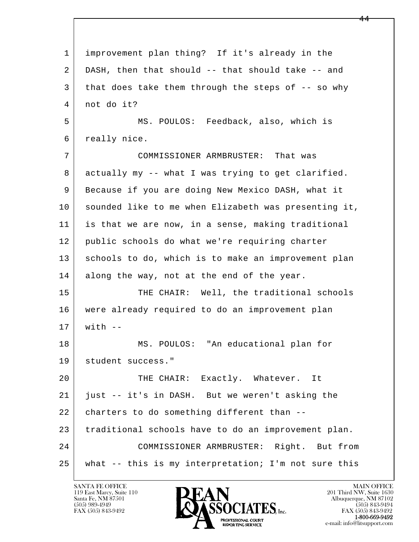l  $\overline{\phantom{a}}$  1 improvement plan thing? If it's already in the 2 DASH, then that should -- that should take -- and 3 that does take them through the steps of -- so why 4 not do it? 5 MS. POULOS: Feedback, also, which is 6 really nice. 7 COMMISSIONER ARMBRUSTER: That was 8 actually my -- what I was trying to get clarified. 9 Because if you are doing New Mexico DASH, what it 10 sounded like to me when Elizabeth was presenting it, 11 is that we are now, in a sense, making traditional 12 public schools do what we're requiring charter 13 | schools to do, which is to make an improvement plan 14 along the way, not at the end of the year. 15 | THE CHAIR: Well, the traditional schools 16 were already required to do an improvement plan  $17$  with  $-$  18 MS. POULOS: "An educational plan for 19 | student success." 20 | THE CHAIR: Exactly. Whatever. It 21 just -- it's in DASH. But we weren't asking the 22 charters to do something different than -- 23 traditional schools have to do an improvement plan. 24 COMMISSIONER ARMBRUSTER: Right. But from 25 what -- this is my interpretation; I'm not sure this

119 East Marcy, Suite 110<br>Santa Fe, NM 87501

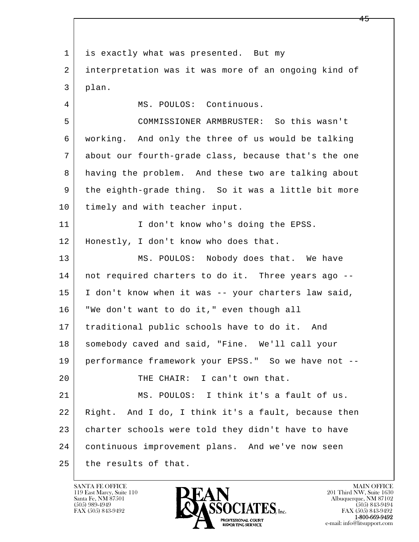l  $\overline{\phantom{a}}$ 1 is exactly what was presented. But my 2 interpretation was it was more of an ongoing kind of 3 plan. 4 MS. POULOS: Continuous. 5 COMMISSIONER ARMBRUSTER: So this wasn't 6 working. And only the three of us would be talking 7 about our fourth-grade class, because that's the one 8 having the problem. And these two are talking about 9 the eighth-grade thing. So it was a little bit more 10 | timely and with teacher input. 11 | I don't know who's doing the EPSS. 12 Honestly, I don't know who does that. 13 MS. POULOS: Nobody does that. We have 14 not required charters to do it. Three years ago -- 15 I don't know when it was -- your charters law said, 16 "We don't want to do it," even though all 17 traditional public schools have to do it. And 18 somebody caved and said, "Fine. We'll call your 19 performance framework your EPSS." So we have not -- 20 THE CHAIR: I can't own that. 21 | MS. POULOS: I think it's a fault of us. 22 Right. And I do, I think it's a fault, because then 23 charter schools were told they didn't have to have 24 continuous improvement plans. And we've now seen  $25$  the results of that.

119 East Marcy, Suite 110<br>Santa Fe, NM 87501

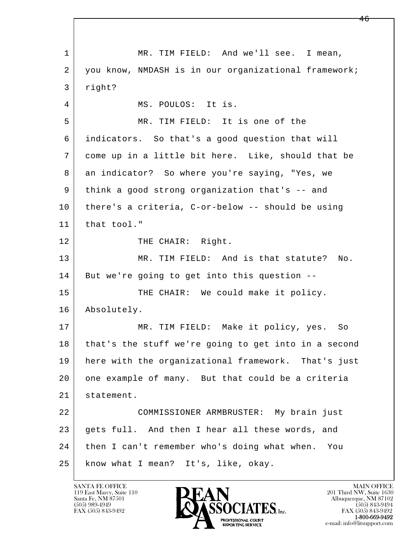l  $\overline{\phantom{a}}$ 1 MR. TIM FIELD: And we'll see. I mean, 2 you know, NMDASH is in our organizational framework; 3 right? 4 MS. POULOS: It is. 5 MR. TIM FIELD: It is one of the 6 indicators. So that's a good question that will 7 come up in a little bit here. Like, should that be 8 an indicator? So where you're saying, "Yes, we 9 think a good strong organization that's -- and 10 there's a criteria, C-or-below -- should be using 11 that tool." 12 THE CHAIR: Right. 13 MR. TIM FIELD: And is that statute? No. 14 But we're going to get into this question --15 THE CHAIR: We could make it policy. 16 Absolutely. 17 MR. TIM FIELD: Make it policy, yes. So 18 | that's the stuff we're going to get into in a second 19 here with the organizational framework. That's just 20 one example of many. But that could be a criteria 21 statement. 22 COMMISSIONER ARMBRUSTER: My brain just 23 | gets full. And then I hear all these words, and 24 then I can't remember who's doing what when. You 25 | know what I mean? It's, like, okay.

119 East Marcy, Suite 110<br>Santa Fe, NM 87501

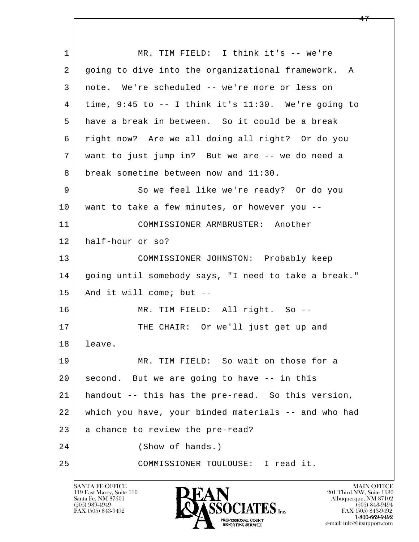l  $\overline{\phantom{a}}$ 1 MR. TIM FIELD: I think it's -- we're 2 going to dive into the organizational framework. A 3 note. We're scheduled -- we're more or less on 4 time, 9:45 to -- I think it's 11:30. We're going to 5 have a break in between. So it could be a break 6 right now? Are we all doing all right? Or do you 7 want to just jump in? But we are -- we do need a 8 break sometime between now and 11:30. 9 So we feel like we're ready? Or do you 10 want to take a few minutes, or however you -- 11 COMMISSIONER ARMBRUSTER: Another 12 half-hour or so? 13 COMMISSIONER JOHNSTON: Probably keep 14 | going until somebody says, "I need to take a break." 15 | And it will come; but -- 16 MR. TIM FIELD: All right. So -- 17 THE CHAIR: Or we'll just get up and 18 leave. 19 MR. TIM FIELD: So wait on those for a  $20$  second. But we are going to have  $-$  in this 21 handout -- this has the pre-read. So this version, 22 which you have, your binded materials -- and who had 23 a chance to review the pre-read? 24 (Show of hands.) 25 COMMISSIONER TOULOUSE: I read it.

119 East Marcy, Suite 110<br>Santa Fe, NM 87501

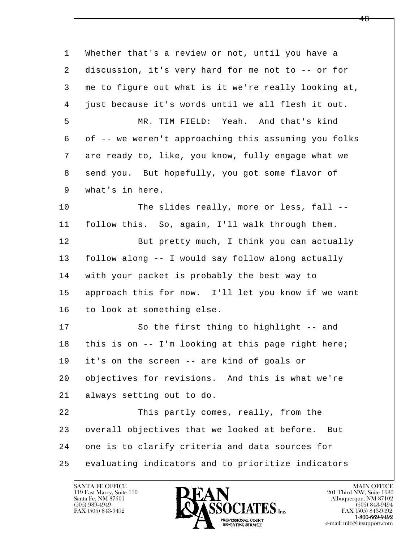l  $\overline{\phantom{a}}$  1 Whether that's a review or not, until you have a 2 discussion, it's very hard for me not to -- or for 3 me to figure out what is it we're really looking at, 4 just because it's words until we all flesh it out. 5 MR. TIM FIELD: Yeah. And that's kind 6 of -- we weren't approaching this assuming you folks 7 are ready to, like, you know, fully engage what we 8 send you. But hopefully, you got some flavor of 9 | what's in here. 10 The slides really, more or less, fall -- 11 follow this. So, again, I'll walk through them. 12 But pretty much, I think you can actually 13 follow along -- I would say follow along actually 14 with your packet is probably the best way to 15 approach this for now. I'll let you know if we want 16 to look at something else. 17 So the first thing to highlight -- and 18 this is on -- I'm looking at this page right here; 19 it's on the screen -- are kind of goals or 20 objectives for revisions. And this is what we're 21 always setting out to do. 22 This partly comes, really, from the 23 overall objectives that we looked at before. But 24 one is to clarify criteria and data sources for 25 evaluating indicators and to prioritize indicators

119 East Marcy, Suite 110<br>Santa Fe, NM 87501

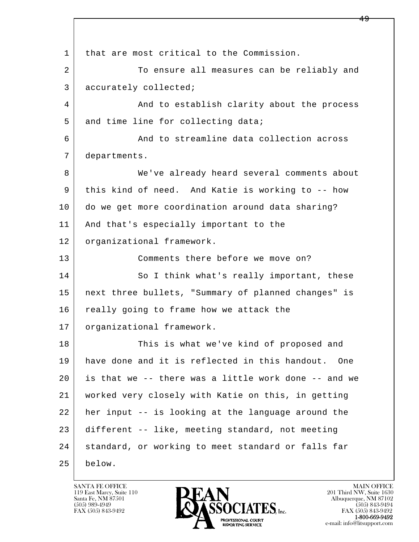l  $\overline{\phantom{a}}$ 1 | that are most critical to the Commission. 2 To ensure all measures can be reliably and 3 accurately collected; 4 And to establish clarity about the process 5 and time line for collecting data; 6 And to streamline data collection across 7 departments. 8 We've already heard several comments about 9 this kind of need. And Katie is working to -- how 10 do we get more coordination around data sharing? 11 And that's especially important to the 12 organizational framework. 13 Comments there before we move on? 14 So I think what's really important, these 15 next three bullets, "Summary of planned changes" is 16 really going to frame how we attack the 17 organizational framework. 18 This is what we've kind of proposed and 19 have done and it is reflected in this handout. One 20 is that we -- there was a little work done -- and we 21 worked very closely with Katie on this, in getting 22 her input -- is looking at the language around the 23 different -- like, meeting standard, not meeting 24 standard, or working to meet standard or falls far 25 below.

119 East Marcy, Suite 110<br>Santa Fe, NM 87501

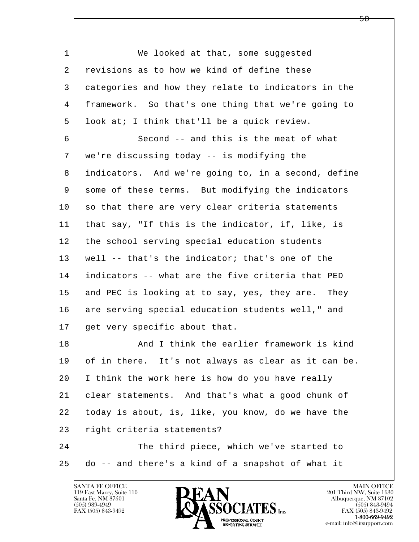l  $\overline{\phantom{a}}$ 1 We looked at that, some suquested 2 revisions as to how we kind of define these 3 categories and how they relate to indicators in the 4 framework. So that's one thing that we're going to 5 look at; I think that'll be a quick review. 6 Second -- and this is the meat of what 7 we're discussing today -- is modifying the 8 indicators. And we're going to, in a second, define 9 some of these terms. But modifying the indicators 10 so that there are very clear criteria statements 11 that say, "If this is the indicator, if, like, is 12 | the school serving special education students 13 well -- that's the indicator; that's one of the 14 indicators -- what are the five criteria that PED 15 and PEC is looking at to say, yes, they are. They 16 are serving special education students well," and 17 get very specific about that. 18 And I think the earlier framework is kind 19 of in there. It's not always as clear as it can be. 20 I think the work here is how do you have really 21 clear statements. And that's what a good chunk of 22 today is about, is, like, you know, do we have the 23 right criteria statements? 24 The third piece, which we've started to 25 do -- and there's a kind of a snapshot of what it

119 East Marcy, Suite 110<br>Santa Fe, NM 87501



FAX (505) 843-9492<br>**1-800-669-9492**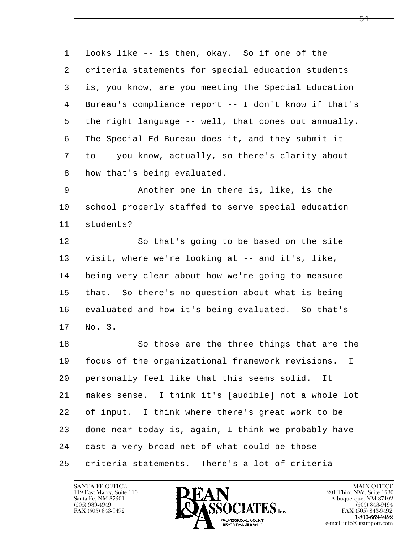| 1  | looks like -- is then, okay. So if one of the          |
|----|--------------------------------------------------------|
| 2  | criteria statements for special education students     |
| 3  | is, you know, are you meeting the Special Education    |
| 4  | Bureau's compliance report -- I don't know if that's   |
| 5  | the right language -- well, that comes out annually.   |
| 6  | The Special Ed Bureau does it, and they submit it      |
| 7  | to -- you know, actually, so there's clarity about     |
| 8  | how that's being evaluated.                            |
| 9  | Another one in there is, like, is the                  |
| 10 | school properly staffed to serve special education     |
| 11 | students?                                              |
| 12 | So that's going to be based on the site                |
| 13 | visit, where we're looking at -- and it's, like,       |
| 14 | being very clear about how we're going to measure      |
| 15 | that. So there's no question about what is being       |
| 16 | evaluated and how it's being evaluated. So that's      |
| 17 | No. 3.                                                 |
| 18 | So those are the three things that are the             |
| 19 | focus of the organizational framework revisions.<br>T. |
| 20 | personally feel like that this seems solid.<br>It      |
| 21 | makes sense. I think it's [audible] not a whole lot    |
| 22 | of input. I think where there's great work to be       |
| 23 | done near today is, again, I think we probably have    |
| 24 | cast a very broad net of what could be those           |
| 25 | criteria statements. There's a lot of criteria         |

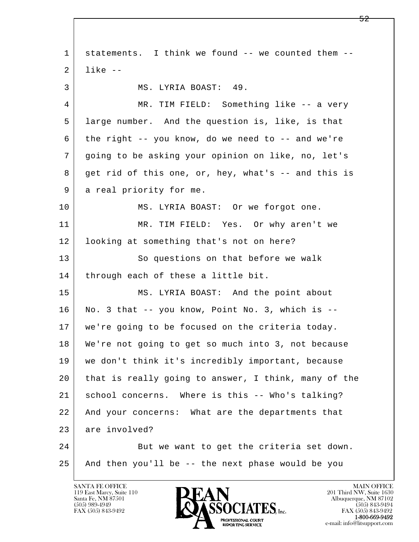l  $\overline{\phantom{a}}$ 1 statements. I think we found -- we counted them -- $2$  like  $-$ 3 MS. LYRIA BOAST: 49. 4 | MR. TIM FIELD: Something like -- a very 5 large number. And the question is, like, is that  $6$  the right  $-$  you know, do we need to  $-$  and we're 7 going to be asking your opinion on like, no, let's 8 get rid of this one, or, hey, what's -- and this is 9 a real priority for me. 10 MS. LYRIA BOAST: Or we forgot one. 11 MR. TIM FIELD: Yes. Or why aren't we 12 looking at something that's not on here? 13 So questions on that before we walk 14 | through each of these a little bit. 15 | MS. LYRIA BOAST: And the point about 16 No. 3 that -- you know, Point No. 3, which is -- 17 we're going to be focused on the criteria today. 18 We're not going to get so much into 3, not because 19 we don't think it's incredibly important, because 20 that is really going to answer, I think, many of the 21 school concerns. Where is this -- Who's talking? 22 And your concerns: What are the departments that 23 are involved? 24 But we want to get the criteria set down. 25 And then you'll be -- the next phase would be you

119 East Marcy, Suite 110<br>Santa Fe, NM 87501



FAX (505) 843-9492<br>**1-800-669-9492**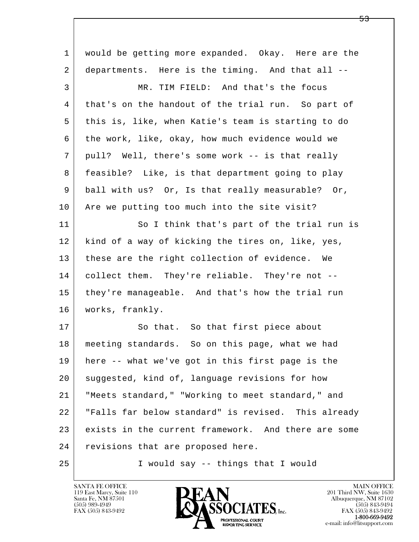| $\mathbf 1$ | would be getting more expanded. Okay. Here are the  |
|-------------|-----------------------------------------------------|
| 2           | departments. Here is the timing. And that all --    |
| 3           | MR. TIM FIELD: And that's the focus                 |
| 4           | that's on the handout of the trial run. So part of  |
| 5           | this is, like, when Katie's team is starting to do  |
| 6           | the work, like, okay, how much evidence would we    |
| 7           | pull? Well, there's some work -- is that really     |
| 8           | feasible? Like, is that department going to play    |
| 9           | ball with us? Or, Is that really measurable? Or,    |
| 10          | Are we putting too much into the site visit?        |
| 11          | So I think that's part of the trial run is          |
| 12          | kind of a way of kicking the tires on, like, yes,   |
| 13          | these are the right collection of evidence. We      |
| 14          | collect them. They're reliable. They're not --      |
| 15          | they're manageable. And that's how the trial run    |
| 16          | works, frankly.                                     |
| 17          | So that. So that first piece about                  |
| 1 8 I       | meeting standards. So on this page, what we had     |
| 19          | here -- what we've got in this first page is the    |
| 20          | suggested, kind of, language revisions for how      |
| 21          | "Meets standard," "Working to meet standard," and   |
| 22          | "Falls far below standard" is revised. This already |
| 23          | exists in the current framework. And there are some |
| 24          | revisions that are proposed here.                   |
| 25          | I would say -- things that I would                  |

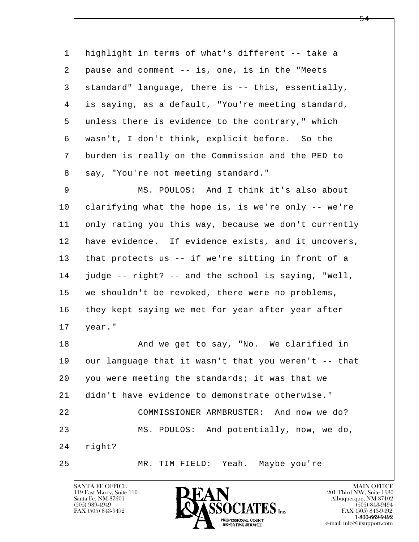1 highlight in terms of what's different -- take a 2 pause and comment -- is, one, is in the "Meets 3 standard" language, there is -- this, essentially, 4 is saying, as a default, "You're meeting standard, 5 unless there is evidence to the contrary," which 6 wasn't, I don't think, explicit before. So the 7 burden is really on the Commission and the PED to 8 say, "You're not meeting standard." 9 MS. POULOS: And I think it's also about 10 clarifying what the hope is, is we're only -- we're

11 only rating you this way, because we don't currently 12 have evidence. If evidence exists, and it uncovers, 13 that protects us -- if we're sitting in front of a 14 judge -- right? -- and the school is saying, "Well, 15 we shouldn't be revoked, there were no problems, 16 they kept saying we met for year after year after  $17$  year."

l  $\overline{\phantom{a}}$ 18 and we get to say, "No. We clarified in 19 our language that it wasn't that you weren't -- that 20 you were meeting the standards; it was that we 21 didn't have evidence to demonstrate otherwise." 22 COMMISSIONER ARMBRUSTER: And now we do? 23 MS. POULOS: And potentially, now, we do, 24 right? 25 MR. TIM FIELD: Yeah. Maybe you're

119 East Marcy, Suite 110<br>Santa Fe, NM 87501

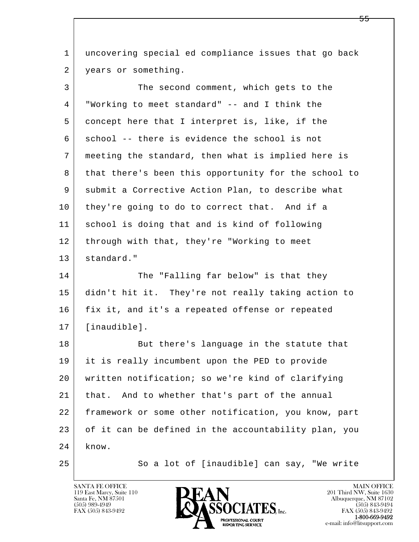1 | uncovering special ed compliance issues that go back 2 years or something.

| 3  | The second comment, which gets to the                |
|----|------------------------------------------------------|
| 4  | "Working to meet standard" -- and I think the        |
| 5  | concept here that I interpret is, like, if the       |
| 6  | school -- there is evidence the school is not        |
| 7  | meeting the standard, then what is implied here is   |
| 8  | that there's been this opportunity for the school to |
| 9  | submit a Corrective Action Plan, to describe what    |
| 10 | they're going to do to correct that. And if a        |
| 11 | school is doing that and is kind of following        |
| 12 | through with that, they're "Working to meet          |
| 13 | standard."                                           |
| 14 | The "Falling far below" is that they                 |
| 15 | didn't hit it. They're not really taking action to   |
| 16 | fix it, and it's a repeated offense or repeated      |
| 17 | [inaudible].                                         |
| 18 | But there's language in the statute that             |
| 19 | it is really incumbent upon the PED to provide       |
| 20 | written notification; so we're kind of clarifying    |
| 21 | that. And to whether that's part of the annual       |
| 22 | framework or some other notification, you know, part |
| 23 | of it can be defined in the accountability plan, you |
| 24 | know.                                                |
| 25 | So a lot of [inaudible] can say, "We write           |

119 East Marcy, Suite 110<br>Santa Fe, NM 87501<br>(505) 989-4949

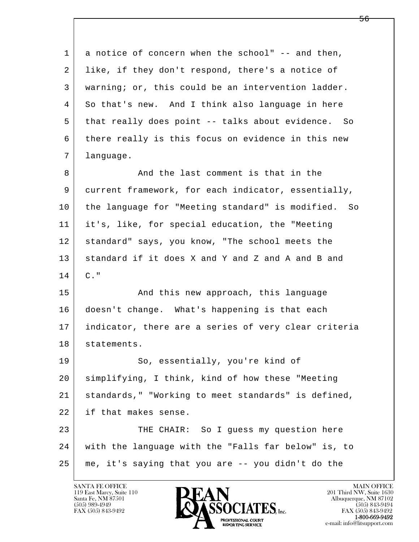| 1  | a notice of concern when the school" -- and then,    |
|----|------------------------------------------------------|
| 2  | like, if they don't respond, there's a notice of     |
| 3  | warning; or, this could be an intervention ladder.   |
| 4  | So that's new. And I think also language in here     |
| 5  | that really does point -- talks about evidence. So   |
| 6  | there really is this focus on evidence in this new   |
| 7  | language.                                            |
| 8  | And the last comment is that in the                  |
| 9  | current framework, for each indicator, essentially,  |
| 10 | the language for "Meeting standard" is modified. So  |
| 11 | it's, like, for special education, the "Meeting      |
| 12 | standard" says, you know, "The school meets the      |
| 13 | standard if it does X and Y and Z and A and B and    |
| 14 | $C.$ "                                               |
| 15 | And this new approach, this language                 |
| 16 | doesn't change. What's happening is that each        |
| 17 | indicator, there are a series of very clear criteria |
| 18 | statements.                                          |
| 19 | So, essentially, you're kind of                      |
| 20 | simplifying, I think, kind of how these "Meeting     |
| 21 | standards," "Working to meet standards" is defined,  |
| 22 | if that makes sense.                                 |
| 23 | THE CHAIR: So I guess my question here               |
| 24 | with the language with the "Falls far below" is, to  |
| 25 | me, it's saying that you are -- you didn't do the    |

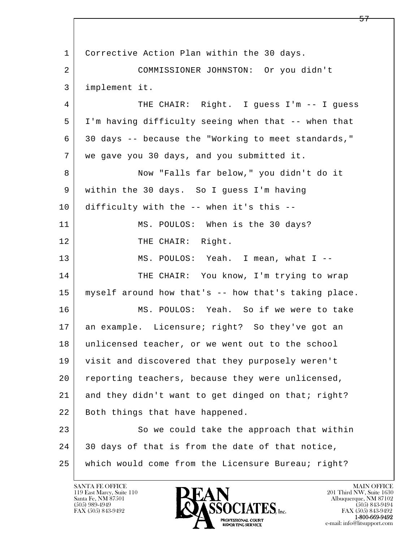l  $\overline{\phantom{a}}$ 1 Corrective Action Plan within the 30 days. 2 COMMISSIONER JOHNSTON: Or you didn't 3 implement it. 4 THE CHAIR: Right. I guess I'm -- I guess 5 I'm having difficulty seeing when that -- when that 6 30 days -- because the "Working to meet standards," 7 we gave you 30 days, and you submitted it. 8 Now "Falls far below," you didn't do it 9 within the 30 days. So I guess I'm having 10 difficulty with the -- when it's this -- 11 MS. POULOS: When is the 30 days? 12 THE CHAIR: Right. 13 MS. POULOS: Yeah. I mean, what I --14 THE CHAIR: You know, I'm trying to wrap 15 myself around how that's -- how that's taking place. 16 MS. POULOS: Yeah. So if we were to take 17 an example. Licensure; right? So they've got an 18 unlicensed teacher, or we went out to the school 19 visit and discovered that they purposely weren't 20 reporting teachers, because they were unlicensed, 21 and they didn't want to get dinged on that; right? 22 | Both things that have happened. 23 So we could take the approach that within 24 30 days of that is from the date of that notice, 25 which would come from the Licensure Bureau; right?

119 East Marcy, Suite 110<br>Santa Fe, NM 87501

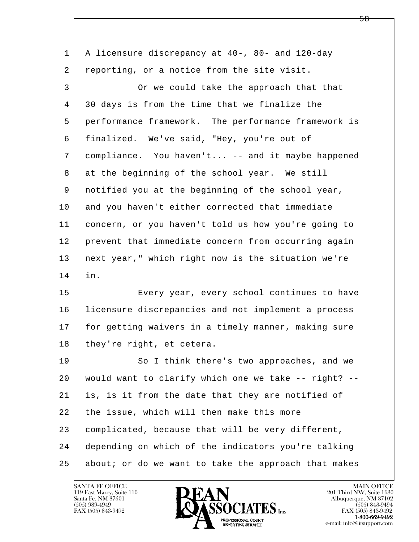| $\mathbf{1}$ | A licensure discrepancy at 40-, 80- and 120-day      |
|--------------|------------------------------------------------------|
| 2            | reporting, or a notice from the site visit.          |
| 3            | Or we could take the approach that that              |
| 4            | 30 days is from the time that we finalize the        |
| 5            | performance framework. The performance framework is  |
| 6            | finalized. We've said, "Hey, you're out of           |
| 7            | compliance. You haven't -- and it maybe happened     |
| 8            | at the beginning of the school year. We still        |
| 9            | notified you at the beginning of the school year,    |
| 10           | and you haven't either corrected that immediate      |
| 11           | concern, or you haven't told us how you're going to  |
| 12           | prevent that immediate concern from occurring again  |
| 13           | next year," which right now is the situation we're   |
| 14           | in.                                                  |
| 15           | Every year, every school continues to have           |
| 16           | licensure discrepancies and not implement a process  |
| 17           | for getting waivers in a timely manner, making sure  |
| 18           | they're right, et cetera.                            |
| 19           | So I think there's two approaches, and we            |
| 20           | would want to clarify which one we take -- right? -- |
| 21           | is, is it from the date that they are notified of    |
| 22           | the issue, which will then make this more            |
| 23           | complicated, because that will be very different,    |
| 24           | depending on which of the indicators you're talking  |
| 25           | about; or do we want to take the approach that makes |
|              |                                                      |

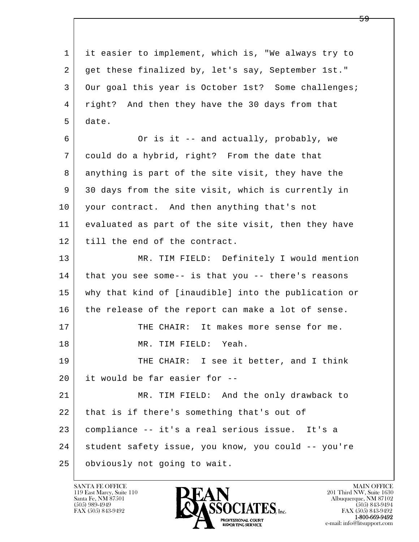l  $\overline{\phantom{a}}$  1 it easier to implement, which is, "We always try to 2 get these finalized by, let's say, September 1st." 3 Our goal this year is October 1st? Some challenges; 4 right? And then they have the 30 days from that 5 date. 6 Or is it -- and actually, probably, we 7 could do a hybrid, right? From the date that 8 anything is part of the site visit, they have the 9 30 days from the site visit, which is currently in 10 your contract. And then anything that's not 11 evaluated as part of the site visit, then they have 12 till the end of the contract. 13 MR. TIM FIELD: Definitely I would mention 14 that you see some-- is that you -- there's reasons 15 why that kind of [inaudible] into the publication or 16 the release of the report can make a lot of sense. 17 THE CHAIR: It makes more sense for me. 18 MR. TIM FIELD: Yeah. 19 THE CHAIR: I see it better, and I think 20 it would be far easier for -- 21 MR. TIM FIELD: And the only drawback to 22 that is if there's something that's out of 23 compliance -- it's a real serious issue. It's a 24 student safety issue, you know, you could -- you're 25 obviously not going to wait.

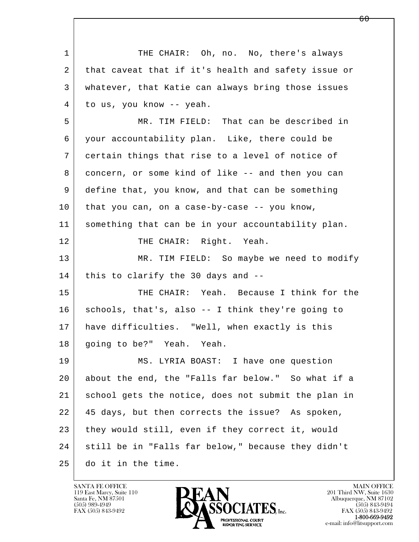l  $\overline{\phantom{a}}$ 1 THE CHAIR: Oh, no. No, there's always 2 that caveat that if it's health and safety issue or 3 whatever, that Katie can always bring those issues 4 to us, you know -- yeah. 5 MR. TIM FIELD: That can be described in 6 your accountability plan. Like, there could be 7 certain things that rise to a level of notice of 8 concern, or some kind of like -- and then you can 9 define that, you know, and that can be something  $10$  that you can, on a case-by-case -- you know, 11 something that can be in your accountability plan. 12 | THE CHAIR: Right. Yeah. 13 MR. TIM FIELD: So maybe we need to modify  $14$  this to clarify the 30 days and  $-$  15 THE CHAIR: Yeah. Because I think for the 16 schools, that's, also -- I think they're going to 17 have difficulties. "Well, when exactly is this 18 going to be?" Yeah. Yeah. 19 MS. LYRIA BOAST: I have one question 20 about the end, the "Falls far below." So what if a 21 school gets the notice, does not submit the plan in 22 45 days, but then corrects the issue? As spoken, 23 they would still, even if they correct it, would 24 still be in "Falls far below," because they didn't 25 do it in the time.

119 East Marcy, Suite 110<br>Santa Fe, NM 87501

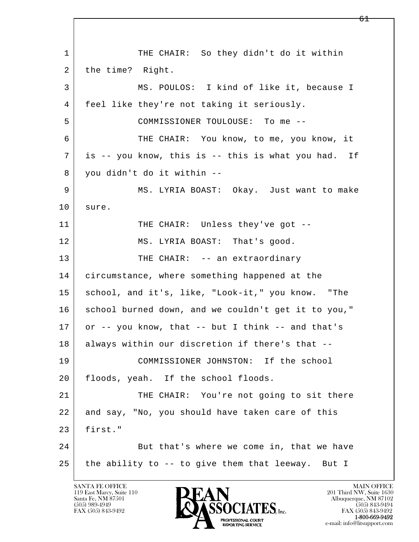l  $\overline{\phantom{a}}$ 1 THE CHAIR: So they didn't do it within 2 | the time? Right. 3 MS. POULOS: I kind of like it, because I 4 feel like they're not taking it seriously. 5 COMMISSIONER TOULOUSE: To me -- 6 THE CHAIR: You know, to me, you know, it 7 is -- you know, this is -- this is what you had. If 8 you didn't do it within -- 9 MS. LYRIA BOAST: Okay. Just want to make 10 sure. 11 THE CHAIR: Unless they've got --12 | MS. LYRIA BOAST: That's good. 13 THE CHAIR: -- an extraordinary 14 circumstance, where something happened at the 15 school, and it's, like, "Look-it," you know. "The 16 school burned down, and we couldn't get it to you,"  $17$  or -- you know, that -- but I think -- and that's 18 always within our discretion if there's that -- 19 COMMISSIONER JOHNSTON: If the school 20 | floods, yeah. If the school floods. 21 THE CHAIR: You're not going to sit there 22 and say, "No, you should have taken care of this 23 first." 24 But that's where we come in, that we have  $25$  the ability to  $-$ - to give them that leeway. But I

119 East Marcy, Suite 110<br>Santa Fe, NM 87501

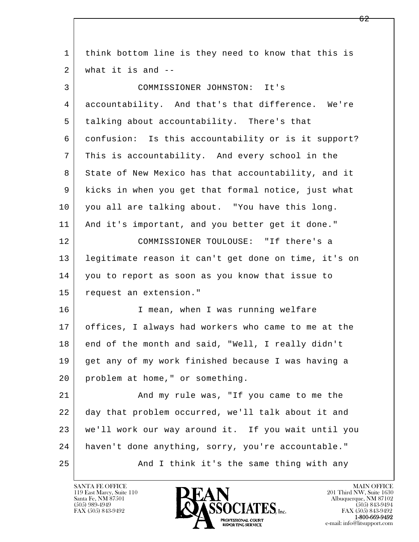| think bottom line is they need to know that this is  |
|------------------------------------------------------|
| what it is and $-$                                   |
| COMMISSIONER JOHNSTON: It's                          |
| accountability. And that's that difference. We're    |
| talking about accountability. There's that           |
| confusion: Is this accountability or is it support?  |
| This is accountability. And every school in the      |
| State of New Mexico has that accountability, and it  |
| kicks in when you get that formal notice, just what  |
| you all are talking about. "You have this long.      |
| And it's important, and you better get it done."     |
| COMMISSIONER TOULOUSE: "If there's a                 |
| legitimate reason it can't get done on time, it's on |
| you to report as soon as you know that issue to      |
| request an extension."                               |
| I mean, when I was running welfare                   |
| offices, I always had workers who came to me at the  |
| end of the month and said, "Well, I really didn't    |
| get any of my work finished because I was having a   |
| problem at home, " or something.                     |
| And my rule was, "If you came to me the              |
| day that problem occurred, we'll talk about it and   |
| we'll work our way around it. If you wait until you  |
| haven't done anything, sorry, you're accountable."   |
| And I think it's the same thing with any             |
|                                                      |

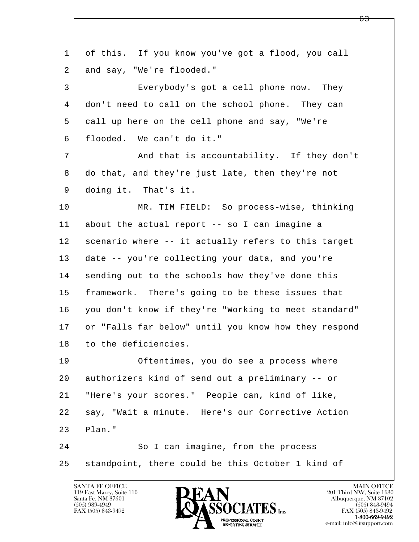l  $\overline{\phantom{a}}$  1 of this. If you know you've got a flood, you call 2 and say, "We're flooded." 3 Everybody's got a cell phone now. They 4 don't need to call on the school phone. They can 5 call up here on the cell phone and say, "We're 6 flooded. We can't do it." 7 and that is accountability. If they don't 8 do that, and they're just late, then they're not 9 doing it. That's it. 10 MR. TIM FIELD: So process-wise, thinking 11 about the actual report -- so I can imagine a 12 scenario where -- it actually refers to this target 13 date -- you're collecting your data, and you're 14 sending out to the schools how they've done this 15 framework. There's going to be these issues that 16 you don't know if they're "Working to meet standard" 17 | or "Falls far below" until you know how they respond 18 to the deficiencies. 19 Oftentimes, you do see a process where 20 authorizers kind of send out a preliminary -- or 21 "Here's your scores." People can, kind of like, 22 | say, "Wait a minute. Here's our Corrective Action  $23$  Plan." 24 So I can imagine, from the process 25 standpoint, there could be this October 1 kind of

119 East Marcy, Suite 110<br>Santa Fe, NM 87501



FAX (505) 843-9492<br>1-800-669-9492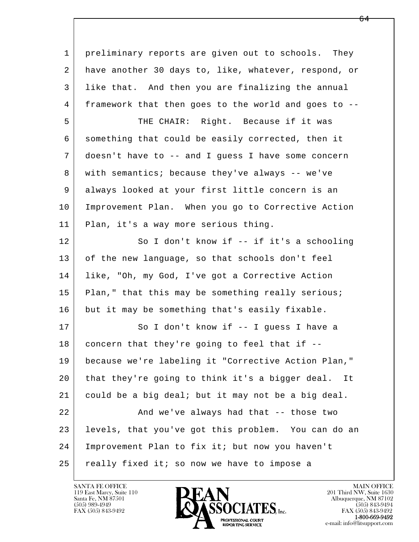l  $\overline{\phantom{a}}$  1 preliminary reports are given out to schools. They 2 have another 30 days to, like, whatever, respond, or 3 like that. And then you are finalizing the annual 4 framework that then goes to the world and goes to -- 5 THE CHAIR: Right. Because if it was 6 something that could be easily corrected, then it 7 doesn't have to -- and I guess I have some concern 8 with semantics; because they've always -- we've 9 always looked at your first little concern is an 10 Improvement Plan. When you go to Corrective Action 11 Plan, it's a way more serious thing. 12 So I don't know if -- if it's a schooling 13 of the new language, so that schools don't feel 14 like, "Oh, my God, I've got a Corrective Action 15 | Plan," that this may be something really serious; 16 but it may be something that's easily fixable. 17 So I don't know if -- I guess I have a  $18$  concern that they're going to feel that if  $-$ - 19 because we're labeling it "Corrective Action Plan," 20 that they're going to think it's a bigger deal. It 21 could be a big deal; but it may not be a big deal. 22 And we've always had that -- those two 23 levels, that you've got this problem. You can do an 24 Improvement Plan to fix it; but now you haven't  $25$  really fixed it; so now we have to impose a

119 East Marcy, Suite 110<br>Santa Fe, NM 87501



FAX (505) 843-9492<br>1-800-669-9492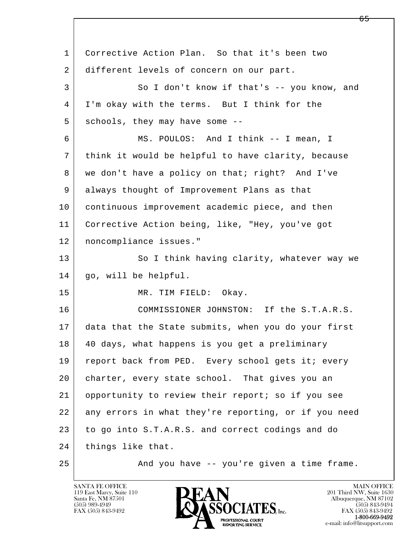l  $\overline{\phantom{a}}$  1 Corrective Action Plan. So that it's been two 2 different levels of concern on our part. 3 So I don't know if that's -- you know, and 4 I'm okay with the terms. But I think for the 5 schools, they may have some -- 6 MS. POULOS: And I think -- I mean, I 7 think it would be helpful to have clarity, because 8 | we don't have a policy on that; right? And I've 9 always thought of Improvement Plans as that 10 continuous improvement academic piece, and then 11 Corrective Action being, like, "Hey, you've got 12 noncompliance issues." 13 So I think having clarity, whatever way we 14 | go, will be helpful. 15 MR. TIM FIELD: Okay. 16 COMMISSIONER JOHNSTON: If the S.T.A.R.S. 17 data that the State submits, when you do your first 18 40 days, what happens is you get a preliminary 19 | report back from PED. Every school gets it; every 20 charter, every state school. That gives you an 21 opportunity to review their report; so if you see 22 any errors in what they're reporting, or if you need 23 to go into S.T.A.R.S. and correct codings and do 24 | things like that. 25 And you have -- you're given a time frame.

119 East Marcy, Suite 110<br>Santa Fe, NM 87501

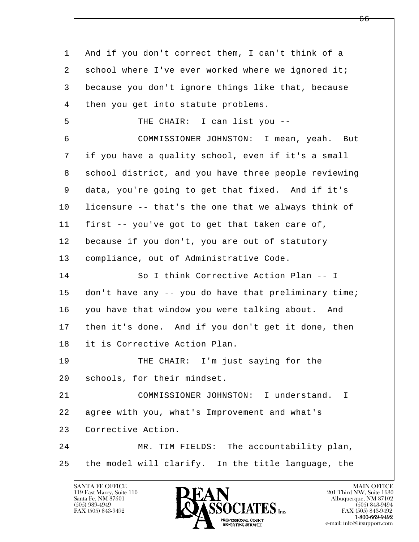l  $\overline{\phantom{a}}$  1 And if you don't correct them, I can't think of a 2 school where I've ever worked where we ignored it; 3 because you don't ignore things like that, because 4 | then you get into statute problems. 5 | THE CHAIR: I can list you -- 6 COMMISSIONER JOHNSTON: I mean, yeah. But 7 if you have a quality school, even if it's a small 8 school district, and you have three people reviewing 9 data, you're going to get that fixed. And if it's 10 licensure -- that's the one that we always think of 11 first -- you've got to get that taken care of, 12 because if you don't, you are out of statutory 13 compliance, out of Administrative Code. 14 So I think Corrective Action Plan -- I 15 don't have any -- you do have that preliminary time; 16 you have that window you were talking about. And 17 then it's done. And if you don't get it done, then 18 it is Corrective Action Plan. 19 THE CHAIR: I'm just saying for the 20 schools, for their mindset. 21 COMMISSIONER JOHNSTON: I understand. I 22 agree with you, what's Improvement and what's 23 Corrective Action. 24 MR. TIM FIELDS: The accountability plan, 25 the model will clarify. In the title language, the

119 East Marcy, Suite 110<br>Santa Fe, NM 87501

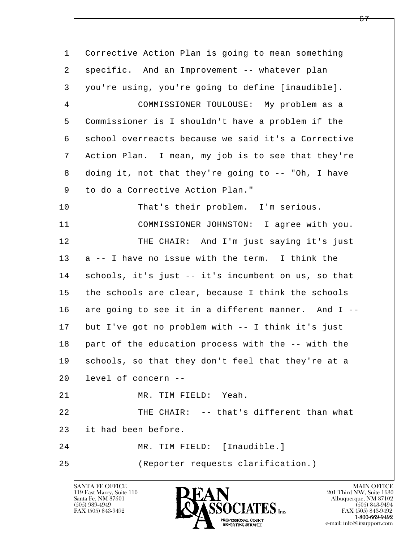l  $\overline{\phantom{a}}$  1 Corrective Action Plan is going to mean something 2 specific. And an Improvement -- whatever plan 3 you're using, you're going to define [inaudible]. 4 COMMISSIONER TOULOUSE: My problem as a 5 Commissioner is I shouldn't have a problem if the 6 school overreacts because we said it's a Corrective 7 Action Plan. I mean, my job is to see that they're 8 doing it, not that they're going to -- "Oh, I have 9 to do a Corrective Action Plan." 10 That's their problem. I'm serious. 11 COMMISSIONER JOHNSTON: I agree with you. 12 THE CHAIR: And I'm just saying it's just  $13$  a  $-$  I have no issue with the term. I think the 14 schools, it's just -- it's incumbent on us, so that 15 the schools are clear, because I think the schools 16 are going to see it in a different manner. And I -- 17 but I've got no problem with -- I think it's just 18 part of the education process with the -- with the 19 schools, so that they don't feel that they're at a 20 level of concern -- 21 MR. TIM FIELD: Yeah. 22 THE CHAIR: -- that's different than what 23 it had been before. 24 MR. TIM FIELD: [Inaudible.] 25 (Reporter requests clarification.)

119 East Marcy, Suite 110<br>Santa Fe, NM 87501



FAX (505) 843-9492<br>**1-800-669-9492**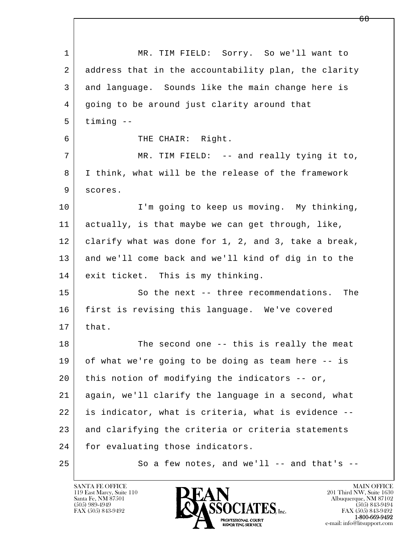l  $\overline{\phantom{a}}$  1 MR. TIM FIELD: Sorry. So we'll want to 2 | address that in the accountability plan, the clarity 3 and language. Sounds like the main change here is 4 going to be around just clarity around that  $5$  timing  $-$ 6 THE CHAIR: Right. 7 | MR. TIM FIELD: -- and really tying it to, 8 I think, what will be the release of the framework 9 scores. 10 I'm going to keep us moving. My thinking, 11 actually, is that maybe we can get through, like, 12 clarify what was done for 1, 2, and 3, take a break, 13 and we'll come back and we'll kind of dig in to the 14 exit ticket. This is my thinking. 15 | So the next -- three recommendations. The 16 first is revising this language. We've covered  $17$  that. 18 The second one -- this is really the meat 19 of what we're going to be doing as team here -- is 20 this notion of modifying the indicators -- or, 21 again, we'll clarify the language in a second, what 22 is indicator, what is criteria, what is evidence -- 23 and clarifying the criteria or criteria statements 24 | for evaluating those indicators.  $25$  So a few notes, and we'll -- and that's --

119 East Marcy, Suite 110<br>Santa Fe, NM 87501

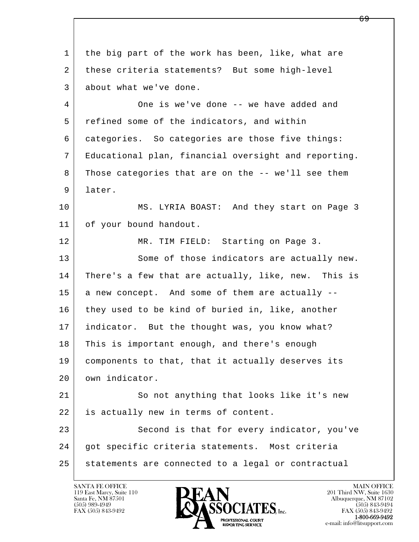l  $\overline{\phantom{a}}$  1 the big part of the work has been, like, what are 2 these criteria statements? But some high-level 3 about what we've done. 4 One is we've done -- we have added and 5 refined some of the indicators, and within 6 categories. So categories are those five things: 7 Educational plan, financial oversight and reporting. 8 Those categories that are on the -- we'll see them 9 later. 10 MS. LYRIA BOAST: And they start on Page 3 11 of your bound handout. 12 MR. TIM FIELD: Starting on Page 3. 13 Some of those indicators are actually new. 14 There's a few that are actually, like, new. This is 15 a new concept. And some of them are actually --16 they used to be kind of buried in, like, another 17 indicator. But the thought was, you know what? 18 This is important enough, and there's enough 19 components to that, that it actually deserves its 20 own indicator. 21 So not anything that looks like it's new 22 is actually new in terms of content. 23 Second is that for every indicator, you've 24 got specific criteria statements. Most criteria 25 statements are connected to a legal or contractual

119 East Marcy, Suite 110<br>Santa Fe, NM 87501



FAX (505) 843-9492<br>1-800-669-9492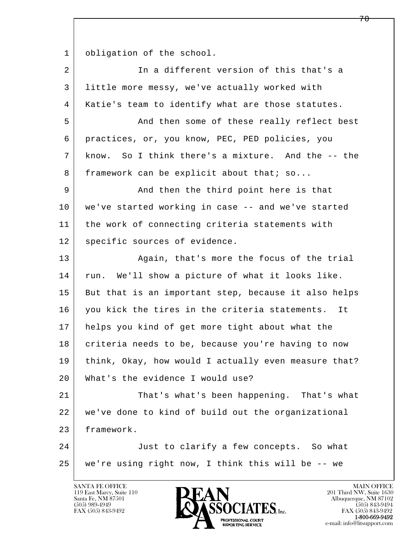1 obligation of the school.

 2 In a different version of this that's a 3 little more messy, we've actually worked with 4 Katie's team to identify what are those statutes. 5 And then some of these really reflect best 6 practices, or, you know, PEC, PED policies, you 7 know. So I think there's a mixture. And the -- the

9 and then the third point here is that 10 we've started working in case -- and we've started 11 the work of connecting criteria statements with 12 | specific sources of evidence.

8 framework can be explicit about that; so...

13 Again, that's more the focus of the trial 14 run. We'll show a picture of what it looks like. 15 | But that is an important step, because it also helps 16 you kick the tires in the criteria statements. It 17 helps you kind of get more tight about what the 18 criteria needs to be, because you're having to now 19 think, Okay, how would I actually even measure that? 20 What's the evidence I would use?

21 That's what's been happening. That's what 22 we've done to kind of build out the organizational 23 framework.

l  $\overline{\phantom{a}}$ 24 Just to clarify a few concepts. So what 25 we're using right now, I think this will be -- we

119 East Marcy, Suite 110<br>Santa Fe, NM 87501



FAX (505) 843-9492<br>1-800-669-9492

7ብ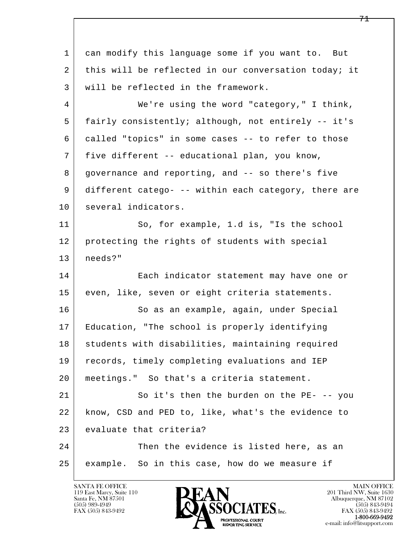| 1  | can modify this language some if you want to. But    |
|----|------------------------------------------------------|
| 2  | this will be reflected in our conversation today; it |
| 3  | will be reflected in the framework.                  |
| 4  | We're using the word "category," I think,            |
| 5  | fairly consistently; although, not entirely -- it's  |
| 6  | called "topics" in some cases -- to refer to those   |
| 7  | five different -- educational plan, you know,        |
| 8  | governance and reporting, and -- so there's five     |
| 9  | different catego- -- within each category, there are |
| 10 | several indicators.                                  |
| 11 | So, for example, 1.d is, "Is the school              |
| 12 | protecting the rights of students with special       |
| 13 | needs?"                                              |
| 14 | Each indicator statement may have one or             |
| 15 | even, like, seven or eight criteria statements.      |
| 16 | So as an example, again, under Special               |
| 17 | Education, "The school is properly identifying       |
| 18 | students with disabilities, maintaining required     |
| 19 | records, timely completing evaluations and IEP       |
| 20 | meetings." So that's a criteria statement.           |
| 21 | So it's then the burden on the PE- -- you            |
| 22 | know, CSD and PED to, like, what's the evidence to   |
| 23 | evaluate that criteria?                              |
| 24 | Then the evidence is listed here, as an              |
| 25 | example. So in this case, how do we measure if       |
|    |                                                      |

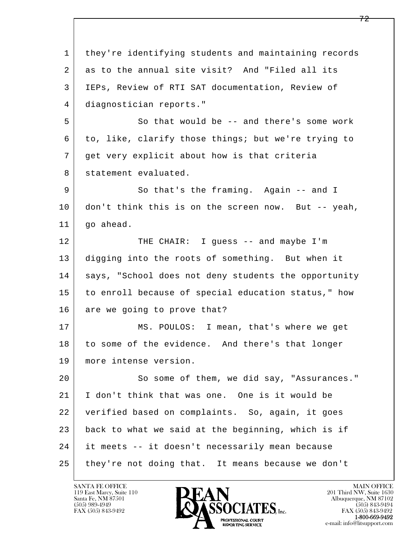l  $\overline{\phantom{a}}$  1 they're identifying students and maintaining records 2 as to the annual site visit? And "Filed all its 3 IEPs, Review of RTI SAT documentation, Review of 4 diagnostician reports." 5 So that would be -- and there's some work 6 to, like, clarify those things; but we're trying to 7 get very explicit about how is that criteria 8 | statement evaluated. 9 So that's the framing. Again -- and I 10 don't think this is on the screen now. But -- yeah, 11 go ahead. 12 THE CHAIR: I guess -- and maybe I'm 13 digging into the roots of something. But when it 14 says, "School does not deny students the opportunity 15 to enroll because of special education status," how 16 are we going to prove that? 17 | MS. POULOS: I mean, that's where we get 18 to some of the evidence. And there's that longer 19 more intense version. 20 So some of them, we did say, "Assurances." 21 I don't think that was one. One is it would be 22 verified based on complaints. So, again, it goes 23 back to what we said at the beginning, which is if 24 it meets -- it doesn't necessarily mean because 25 they're not doing that. It means because we don't

119 East Marcy, Suite 110<br>Santa Fe, NM 87501



FAX (505) 843-9492<br>1-800-669-9492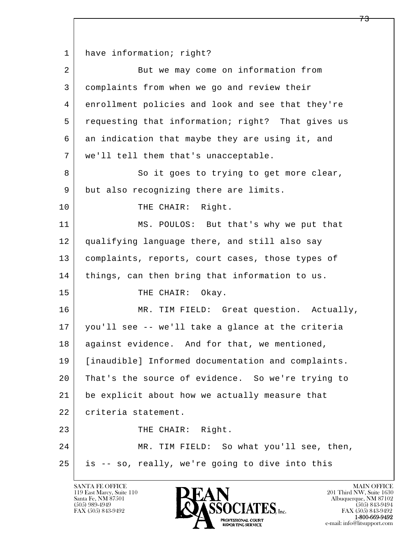1 have information; right?

| $\overline{2}$ | But we may come on information from                |
|----------------|----------------------------------------------------|
| 3              | complaints from when we go and review their        |
| 4              | enrollment policies and look and see that they're  |
| 5              | requesting that information; right? That gives us  |
| 6              | an indication that maybe they are using it, and    |
| 7              | we'll tell them that's unacceptable.               |
| 8              | So it goes to trying to get more clear,            |
| 9              | but also recognizing there are limits.             |
| 10             | THE CHAIR: Right.                                  |
| 11             | MS. POULOS: But that's why we put that             |
| 12             | qualifying language there, and still also say      |
| 13             | complaints, reports, court cases, those types of   |
| 14             | things, can then bring that information to us.     |
| 15             | THE CHAIR:<br>Okay.                                |
| 16             | MR. TIM FIELD: Great question. Actually,           |
| 17             | you'll see -- we'll take a glance at the criteria  |
| 18             | against evidence. And for that, we mentioned,      |
| 19             | [inaudible] Informed documentation and complaints. |
| 20             | That's the source of evidence. So we're trying to  |
| 21             | be explicit about how we actually measure that     |
| 22             | criteria statement.                                |
| 23             | THE CHAIR: Right.                                  |
| 24             | MR. TIM FIELD: So what you'll see, then,           |
| 25             | is -- so, really, we're going to dive into this    |

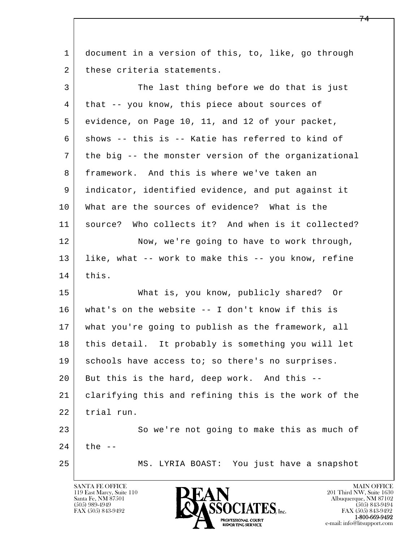l  $\overline{\phantom{a}}$  1 document in a version of this, to, like, go through 2 these criteria statements. 3 The last thing before we do that is just 4 that -- you know, this piece about sources of 5 evidence, on Page 10, 11, and 12 of your packet,  $6$  shows -- this is -- Katie has referred to kind of 7 the big -- the monster version of the organizational 8 framework. And this is where we've taken an 9 indicator, identified evidence, and put against it 10 What are the sources of evidence? What is the 11 source? Who collects it? And when is it collected? 12 Now, we're going to have to work through, 13 like, what -- work to make this -- you know, refine 14 this. 15 What is, you know, publicly shared? Or 16 what's on the website -- I don't know if this is 17 what you're going to publish as the framework, all 18 this detail. It probably is something you will let 19 | schools have access to; so there's no surprises. 20 But this is the hard, deep work. And this -- 21 clarifying this and refining this is the work of the 22 trial run. 23 So we're not going to make this as much of  $24$  the  $-$ 25 MS. LYRIA BOAST: You just have a snapshot

119 East Marcy, Suite 110<br>Santa Fe, NM 87501

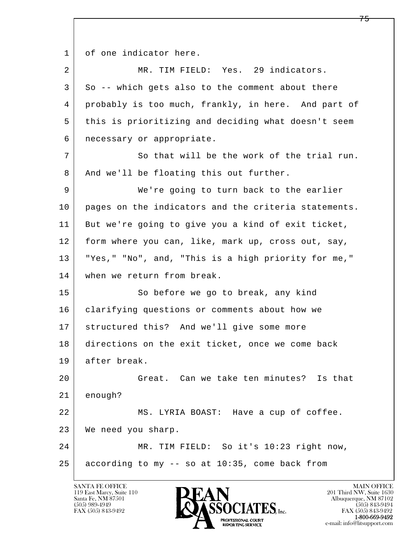1 of one indicator here.

l  $\overline{\phantom{a}}$  2 MR. TIM FIELD: Yes. 29 indicators. 3 So -- which gets also to the comment about there 4 probably is too much, frankly, in here. And part of 5 this is prioritizing and deciding what doesn't seem 6 necessary or appropriate.  $7$  So that will be the work of the trial run. 8 | And we'll be floating this out further. 9 We're going to turn back to the earlier 10 pages on the indicators and the criteria statements. 11 But we're going to give you a kind of exit ticket, 12 form where you can, like, mark up, cross out, say, 13 "Yes," "No", and, "This is a high priority for me," 14 when we return from break. 15 So before we go to break, any kind 16 clarifying questions or comments about how we 17 structured this? And we'll give some more 18 directions on the exit ticket, once we come back 19 after break. 20 Great. Can we take ten minutes? Is that 21 enough? 22 MS. LYRIA BOAST: Have a cup of coffee. 23 We need you sharp. 24 MR. TIM FIELD: So it's 10:23 right now,  $25$  according to my  $-$  so at 10:35, come back from

119 East Marcy, Suite 110<br>Santa Fe, NM 87501

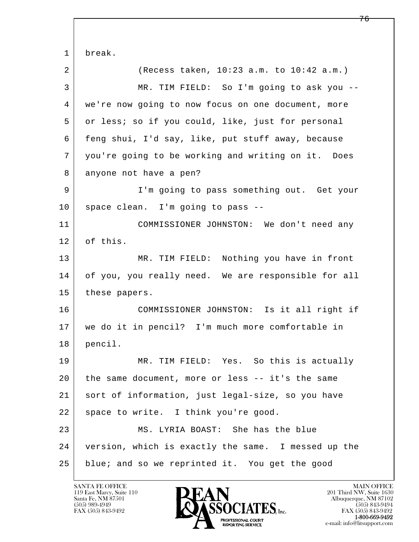l  $\overline{\phantom{a}}$  1 break. 2 (Recess taken, 10:23 a.m. to 10:42 a.m.) 3 MR. TIM FIELD: So I'm going to ask you -- 4 we're now going to now focus on one document, more 5 or less; so if you could, like, just for personal 6 feng shui, I'd say, like, put stuff away, because 7 you're going to be working and writing on it. Does 8 anyone not have a pen? 9 I'm going to pass something out. Get your 10 space clean. I'm going to pass -- 11 COMMISSIONER JOHNSTON: We don't need any 12 of this. 13 MR. TIM FIELD: Nothing you have in front 14 of you, you really need. We are responsible for all 15 these papers. 16 COMMISSIONER JOHNSTON: Is it all right if 17 we do it in pencil? I'm much more comfortable in 18 pencil. 19 MR. TIM FIELD: Yes. So this is actually 20 the same document, more or less -- it's the same 21 sort of information, just legal-size, so you have 22 | space to write. I think you're good. 23 MS. LYRIA BOAST: She has the blue 24 version, which is exactly the same. I messed up the 25 blue; and so we reprinted it. You get the good

119 East Marcy, Suite 110<br>Santa Fe, NM 87501

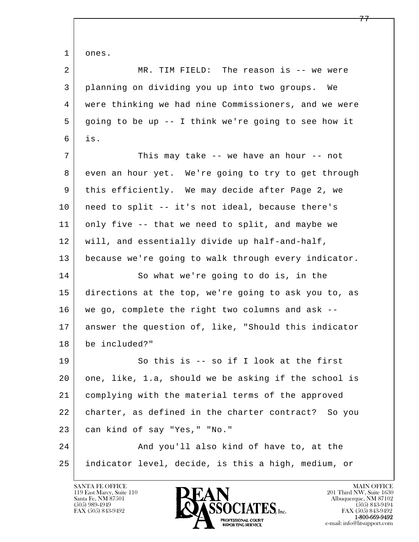l  $\overline{\phantom{a}}$  1 ones. 2 MR. TIM FIELD: The reason is -- we were 3 planning on dividing you up into two groups. We 4 were thinking we had nine Commissioners, and we were  $5$  going to be up -- I think we're going to see how it  $6$  is. 7 This may take -- we have an hour -- not 8 even an hour yet. We're going to try to get through 9 this efficiently. We may decide after Page 2, we 10 | need to split -- it's not ideal, because there's 11 only five -- that we need to split, and maybe we 12 will, and essentially divide up half-and-half, 13 because we're going to walk through every indicator. 14 So what we're going to do is, in the 15 directions at the top, we're going to ask you to, as 16 we go, complete the right two columns and ask -- 17 answer the question of, like, "Should this indicator 18 be included?" 19 So this is -- so if I look at the first 20 one, like, 1.a, should we be asking if the school is 21 complying with the material terms of the approved 22 charter, as defined in the charter contract? So you 23 can kind of say "Yes," "No." 24 And you'll also kind of have to, at the 25 indicator level, decide, is this a high, medium, or

119 East Marcy, Suite 110<br>Santa Fe, NM 87501



FAX (505) 843-9492<br>**1-800-669-9492**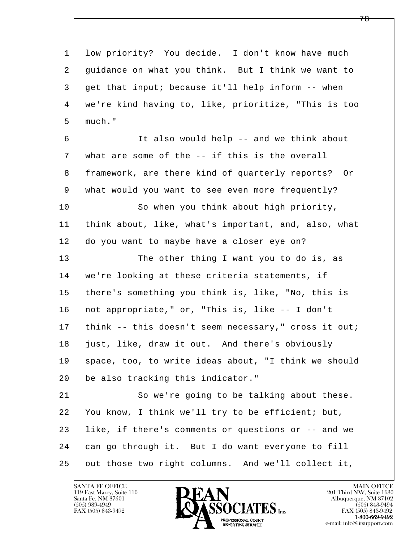l  $\overline{\phantom{a}}$ 1 low priority? You decide. I don't know have much 2 guidance on what you think. But I think we want to 3 get that input; because it'll help inform -- when 4 we're kind having to, like, prioritize, "This is too 5 much." 6 It also would help -- and we think about 7 what are some of the -- if this is the overall 8 framework, are there kind of quarterly reports? Or 9 what would you want to see even more frequently? 10 So when you think about high priority, 11 think about, like, what's important, and, also, what 12 do you want to maybe have a closer eye on? 13 The other thing I want you to do is, as 14 | we're looking at these criteria statements, if 15 there's something you think is, like, "No, this is 16 not appropriate," or, "This is, like -- I don't 17 | think -- this doesn't seem necessary," cross it out; 18 just, like, draw it out. And there's obviously 19 | space, too, to write ideas about, "I think we should 20 be also tracking this indicator." 21 So we're going to be talking about these. 22 You know, I think we'll try to be efficient; but, 23 like, if there's comments or questions or -- and we 24 can go through it. But I do want everyone to fill 25 out those two right columns. And we'll collect it,

119 East Marcy, Suite 110<br>Santa Fe, NM 87501



FAX (505) 843-9492<br>**1-800-669-9492**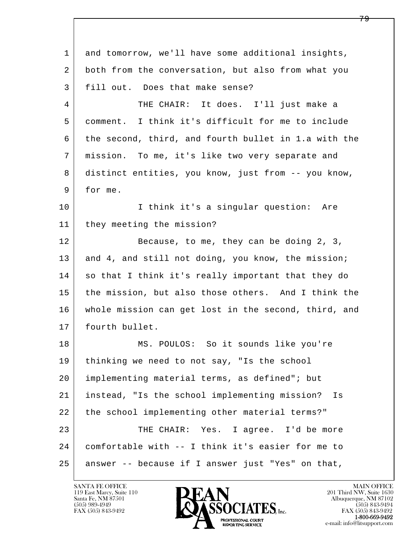l  $\overline{\phantom{a}}$  1 and tomorrow, we'll have some additional insights, 2 both from the conversation, but also from what you 3 fill out. Does that make sense? 4 THE CHAIR: It does. I'll just make a 5 comment. I think it's difficult for me to include 6 the second, third, and fourth bullet in 1.a with the 7 mission. To me, it's like two very separate and 8 distinct entities, you know, just from -- you know, 9 for me. 10 | I think it's a singular question: Are 11 they meeting the mission? 12 Because, to me, they can be doing 2, 3, 13 and 4, and still not doing, you know, the mission; 14 so that I think it's really important that they do 15 the mission, but also those others. And I think the 16 whole mission can get lost in the second, third, and 17 | fourth bullet. 18 MS. POULOS: So it sounds like you're 19 thinking we need to not say, "Is the school 20 implementing material terms, as defined"; but 21 instead, "Is the school implementing mission? Is 22 the school implementing other material terms?" 23 | THE CHAIR: Yes. I agree. I'd be more 24 comfortable with -- I think it's easier for me to 25 answer -- because if I answer just "Yes" on that,

119 East Marcy, Suite 110<br>Santa Fe, NM 87501



FAX (505) 843-9492<br>1-800-669-9492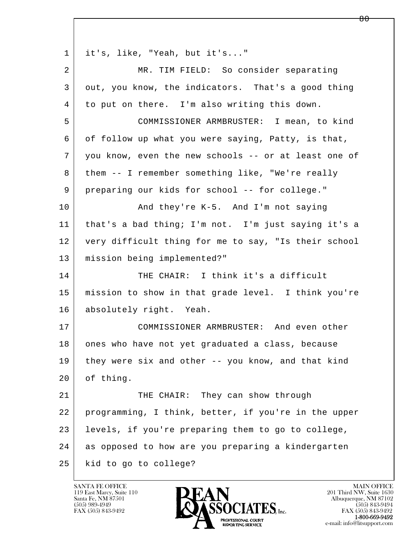l  $\overline{\phantom{a}}$  1 it's, like, "Yeah, but it's..." 2 MR. TIM FIELD: So consider separating 3 out, you know, the indicators. That's a good thing 4 to put on there. I'm also writing this down. 5 COMMISSIONER ARMBRUSTER: I mean, to kind 6 of follow up what you were saying, Patty, is that, 7 you know, even the new schools -- or at least one of 8 | them -- I remember something like, "We're really 9 preparing our kids for school -- for college." 10 | And they're K-5. And I'm not saying 11 that's a bad thing; I'm not. I'm just saying it's a 12 very difficult thing for me to say, "Is their school 13 mission being implemented?" 14 THE CHAIR: I think it's a difficult 15 mission to show in that grade level. I think you're 16 absolutely right. Yeah. 17 COMMISSIONER ARMBRUSTER: And even other 18 ones who have not yet graduated a class, because 19 they were six and other -- you know, and that kind  $20$  of thing. 21 THE CHAIR: They can show through 22 programming, I think, better, if you're in the upper 23 levels, if you're preparing them to go to college, 24 as opposed to how are you preparing a kindergarten 25 kid to go to college?

119 East Marcy, Suite 110<br>Santa Fe, NM 87501

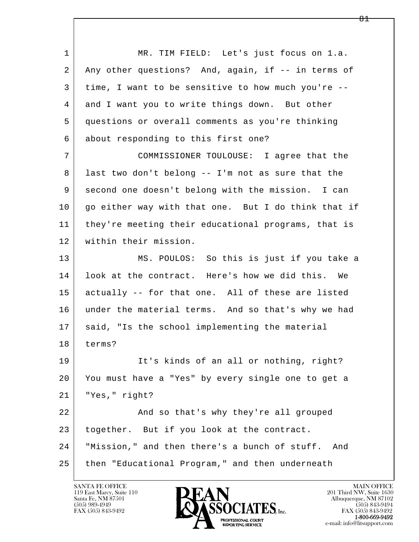l  $\overline{\phantom{a}}$  1 MR. TIM FIELD: Let's just focus on 1.a. 2 Any other questions? And, again, if -- in terms of 3 time, I want to be sensitive to how much you're -- 4 and I want you to write things down. But other 5 questions or overall comments as you're thinking 6 about responding to this first one? 7 COMMISSIONER TOULOUSE: I agree that the 8 last two don't belong -- I'm not as sure that the 9 second one doesn't belong with the mission. I can 10 | go either way with that one. But I do think that if 11 they're meeting their educational programs, that is 12 within their mission. 13 MS. POULOS: So this is just if you take a 14 look at the contract. Here's how we did this. We 15 actually -- for that one. All of these are listed 16 under the material terms. And so that's why we had 17 | said, "Is the school implementing the material 18 terms? 19 It's kinds of an all or nothing, right? 20 You must have a "Yes" by every single one to get a 21 "Yes," right? 22 And so that's why they're all grouped 23 together. But if you look at the contract. 24 "Mission," and then there's a bunch of stuff. And 25 then "Educational Program," and then underneath

119 East Marcy, Suite 110<br>Santa Fe, NM 87501

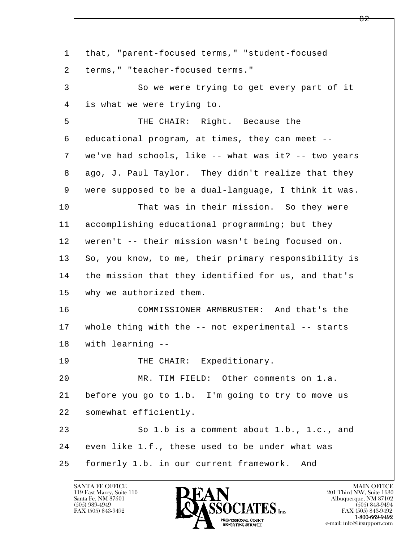l  $\overline{\phantom{a}}$ 1 | that, "parent-focused terms," "student-focused 2 terms," "teacher-focused terms." 3 So we were trying to get every part of it 4 is what we were trying to. 5 | THE CHAIR: Right. Because the 6 educational program, at times, they can meet -- 7 we've had schools, like -- what was it? -- two years 8 ago, J. Paul Taylor. They didn't realize that they 9 were supposed to be a dual-language, I think it was. 10 That was in their mission. So they were 11 accomplishing educational programming; but they 12 weren't -- their mission wasn't being focused on. 13 So, you know, to me, their primary responsibility is 14 the mission that they identified for us, and that's 15 why we authorized them. 16 COMMISSIONER ARMBRUSTER: And that's the 17 whole thing with the -- not experimental -- starts 18 with learning -- 19 THE CHAIR: Expeditionary. 20 MR. TIM FIELD: Other comments on 1.a. 21 before you go to 1.b. I'm going to try to move us 22 | somewhat efficiently. 23 So 1.b is a comment about 1.b., 1.c., and 24 even like 1.f., these used to be under what was 25 formerly 1.b. in our current framework. And

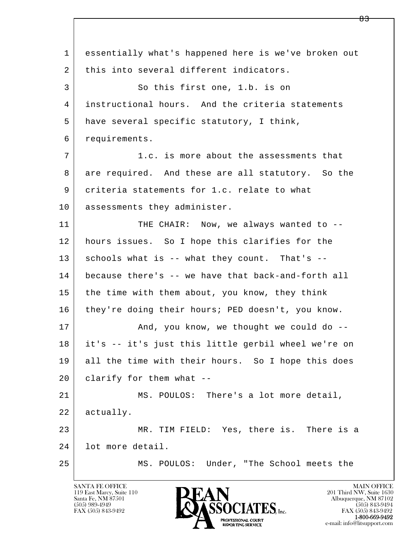l  $\overline{\phantom{a}}$  1 essentially what's happened here is we've broken out 2 this into several different indicators. 3 So this first one, 1.b. is on 4 instructional hours. And the criteria statements 5 have several specific statutory, I think, 6 requirements. 7 1.c. is more about the assessments that 8 are required. And these are all statutory. So the 9 criteria statements for 1.c. relate to what 10 | assessments they administer. 11 THE CHAIR: Now, we always wanted to -- 12 hours issues. So I hope this clarifies for the 13 | schools what is -- what they count. That's -- 14 because there's -- we have that back-and-forth all 15 the time with them about, you know, they think 16 they're doing their hours; PED doesn't, you know. 17 | And, you know, we thought we could do -- 18 it's -- it's just this little gerbil wheel we're on 19 all the time with their hours. So I hope this does 20 clarify for them what -- 21 MS. POULOS: There's a lot more detail, 22 actually. 23 MR. TIM FIELD: Yes, there is. There is a 24 lot more detail. 25 MS. POULOS: Under, "The School meets the

119 East Marcy, Suite 110<br>Santa Fe, NM 87501

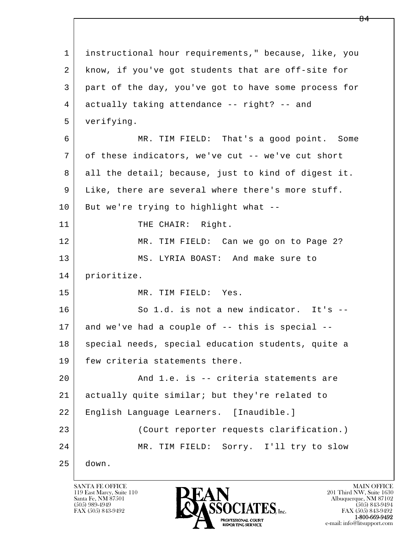l  $\overline{\phantom{a}}$  1 instructional hour requirements," because, like, you 2 know, if you've got students that are off-site for 3 part of the day, you've got to have some process for 4 actually taking attendance -- right? -- and 5 verifying. 6 MR. TIM FIELD: That's a good point. Some 7 of these indicators, we've cut -- we've cut short 8 all the detail; because, just to kind of digest it. 9 Like, there are several where there's more stuff.  $10$  But we're trying to highlight what  $-$ -11 THE CHAIR: Right. 12 MR. TIM FIELD: Can we go on to Page 2? 13 MS. LYRIA BOAST: And make sure to 14 prioritize. 15 MR. TIM FIELD: Yes. 16 So 1.d. is not a new indicator. It's --17 and we've had a couple of -- this is special --18 | special needs, special education students, quite a 19 few criteria statements there. 20 And 1.e. is -- criteria statements are 21 actually quite similar; but they're related to 22 English Language Learners. [Inaudible.] 23 (Court reporter requests clarification.) 24 MR. TIM FIELD: Sorry. I'll try to slow  $25$  down.

119 East Marcy, Suite 110<br>Santa Fe, NM 87501

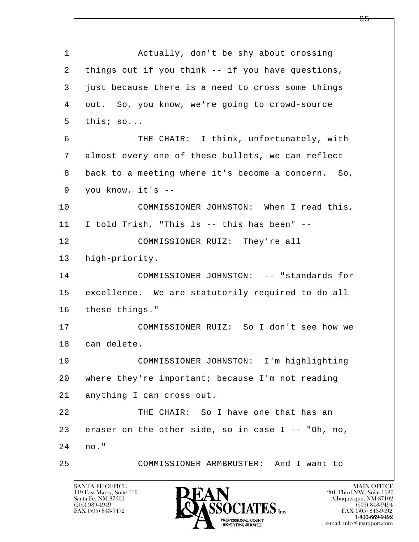l  $\overline{\phantom{a}}$ 1 Actually, don't be shy about crossing 2 | things out if you think -- if you have questions, 3 just because there is a need to cross some things 4 out. So, you know, we're going to crowd-source  $5$  this; so... 6 THE CHAIR: I think, unfortunately, with 7 almost every one of these bullets, we can reflect 8 back to a meeting where it's become a concern. So, 9 you know, it's -- 10 COMMISSIONER JOHNSTON: When I read this, 11 I told Trish, "This is -- this has been" -- 12 COMMISSIONER RUIZ: They're all 13 high-priority. 14 COMMISSIONER JOHNSTON: -- "standards for 15 excellence. We are statutorily required to do all 16 these things." 17 COMMISSIONER RUIZ: So I don't see how we 18 can delete. 19 COMMISSIONER JOHNSTON: I'm highlighting 20 where they're important; because I'm not reading 21 anything I can cross out. 22 THE CHAIR: So I have one that has an 23 eraser on the other side, so in case  $I - -$  "Oh, no, 24 no." 25 COMMISSIONER ARMBRUSTER: And I want to

119 East Marcy, Suite 110<br>Santa Fe, NM 87501

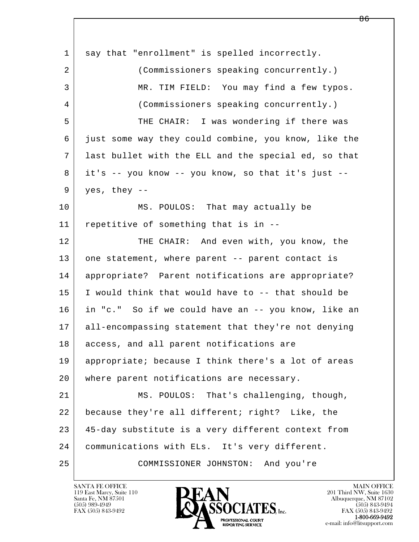l  $\overline{\phantom{a}}$ 1 say that "enrollment" is spelled incorrectly. 2 (Commissioners speaking concurrently.) 3 MR. TIM FIELD: You may find a few typos. 4 (Commissioners speaking concurrently.) 5 THE CHAIR: I was wondering if there was 6 just some way they could combine, you know, like the 7 last bullet with the ELL and the special ed, so that 8 it's -- you know -- you know, so that it's just -- $9$  yes, they --10 MS. POULOS: That may actually be 11 repetitive of something that is in -- 12 THE CHAIR: And even with, you know, the 13 one statement, where parent -- parent contact is 14 appropriate? Parent notifications are appropriate? 15 I would think that would have to -- that should be 16 in "c." So if we could have an -- you know, like an 17 all-encompassing statement that they're not denying 18 access, and all parent notifications are 19 appropriate; because I think there's a lot of areas 20 | where parent notifications are necessary. 21 MS. POULOS: That's challenging, though, 22 because they're all different; right? Like, the 23 45-day substitute is a very different context from 24 communications with ELs. It's very different. 25 COMMISSIONER JOHNSTON: And you're

119 East Marcy, Suite 110<br>Santa Fe, NM 87501

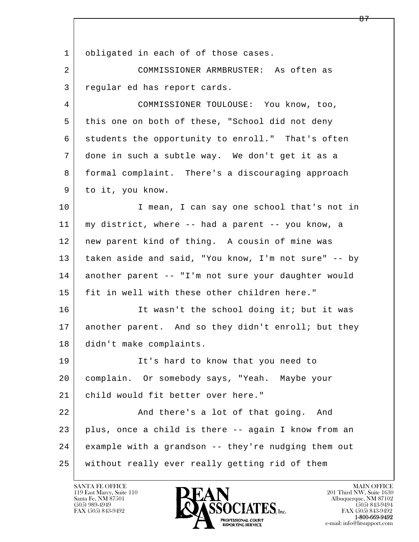l  $\overline{\phantom{a}}$ 1 | obligated in each of of those cases. 2 COMMISSIONER ARMBRUSTER: As often as 3 regular ed has report cards. 4 COMMISSIONER TOULOUSE: You know, too, 5 this one on both of these, "School did not deny 6 students the opportunity to enroll." That's often 7 done in such a subtle way. We don't get it as a 8 formal complaint. There's a discouraging approach 9 to it, you know. 10 I mean, I can say one school that's not in 11 my district, where -- had a parent -- you know, a 12 | new parent kind of thing. A cousin of mine was 13 taken aside and said, "You know, I'm not sure" -- by 14 another parent -- "I'm not sure your daughter would 15 fit in well with these other children here." 16 It wasn't the school doing it; but it was 17 another parent. And so they didn't enroll; but they 18 didn't make complaints. 19 | It's hard to know that you need to 20 complain. Or somebody says, "Yeah. Maybe your 21 child would fit better over here." 22 And there's a lot of that going. And 23 plus, once a child is there -- again I know from an 24 example with a grandson -- they're nudging them out 25 without really ever really getting rid of them

119 East Marcy, Suite 110<br>Santa Fe, NM 87501

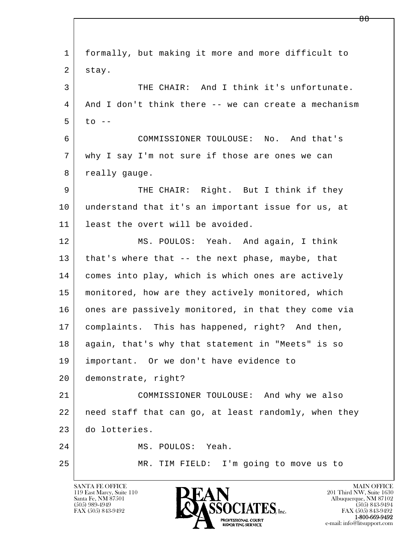| $\mathbf{1}$ | formally, but making it more and more difficult to   |
|--------------|------------------------------------------------------|
| 2            | stay.                                                |
| 3            | THE CHAIR: And I think it's unfortunate.             |
| 4            | And I don't think there -- we can create a mechanism |
| 5            | $\overline{t}$ o --                                  |
| 6            | COMMISSIONER TOULOUSE: No. And that's                |
| 7            | why I say I'm not sure if those are ones we can      |
| 8            | really gauge.                                        |
| 9            | THE CHAIR: Right. But I think if they                |
| 10           | understand that it's an important issue for us, at   |
| 11           | least the overt will be avoided.                     |
| 12           | MS. POULOS: Yeah. And again, I think                 |
| 13           | that's where that -- the next phase, maybe, that     |
| 14           | comes into play, which is which ones are actively    |
| 15           | monitored, how are they actively monitored, which    |
| 16           | ones are passively monitored, in that they come via  |
| 17           | complaints. This has happened, right? And then,      |
| 18           | again, that's why that statement in "Meets" is so    |
| 19           | important. Or we don't have evidence to              |
| 20           | demonstrate, right?                                  |
| 21           | COMMISSIONER TOULOUSE: And why we also               |
| 22           | need staff that can go, at least randomly, when they |
| 23           | do lotteries.                                        |
| 24           | MS. POULOS: Yeah.                                    |
| 25           | MR. TIM FIELD: I'm going to move us to               |
|              |                                                      |

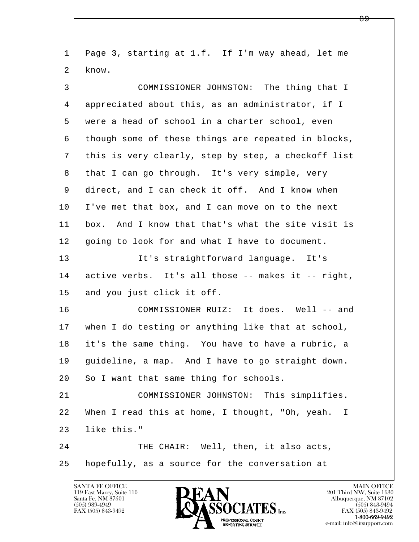| 1  | Page 3, starting at 1.f. If I'm way ahead, let me   |
|----|-----------------------------------------------------|
| 2  | know.                                               |
| 3  | COMMISSIONER JOHNSTON: The thing that I             |
| 4  | appreciated about this, as an administrator, if I   |
| 5  | were a head of school in a charter school, even     |
| 6  | though some of these things are repeated in blocks, |
| 7  | this is very clearly, step by step, a checkoff list |
| 8  | that I can go through. It's very simple, very       |
| 9  | direct, and I can check it off. And I know when     |
| 10 | I've met that box, and I can move on to the next    |
| 11 | box. And I know that that's what the site visit is  |
| 12 | going to look for and what I have to document.      |
| 13 | It's straightforward language. It's                 |
| 14 | active verbs. It's all those -- makes it -- right,  |
| 15 | and you just click it off.                          |
| 16 | COMMISSIONER RUIZ: It does. Well -- and             |
| 17 | when I do testing or anything like that at school,  |
| 18 | it's the same thing. You have to have a rubric, a   |
| 19 | guideline, a map. And I have to go straight down.   |
| 20 | So I want that same thing for schools.              |
| 21 | COMMISSIONER JOHNSTON: This simplifies.             |
| 22 | When I read this at home, I thought, "Oh, yeah. I   |
| 23 | like this."                                         |
| 24 | THE CHAIR: Well, then, it also acts,                |
| 25 | hopefully, as a source for the conversation at      |
|    |                                                     |

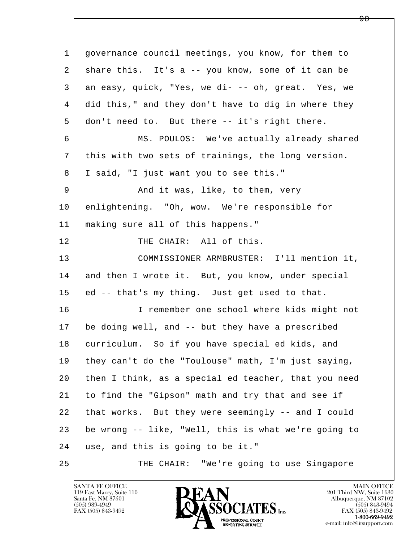l  $\overline{\phantom{a}}$  1 governance council meetings, you know, for them to 2 | share this. It's a -- you know, some of it can be 3 an easy, quick, "Yes, we di- -- oh, great. Yes, we 4 did this," and they don't have to dig in where they 5 don't need to. But there -- it's right there. 6 MS. POULOS: We've actually already shared 7 this with two sets of trainings, the long version. 8 I said, "I just want you to see this." 9 and it was, like, to them, very 10 enlightening. "Oh, wow. We're responsible for 11 making sure all of this happens." 12 | THE CHAIR: All of this. 13 COMMISSIONER ARMBRUSTER: I'll mention it, 14 and then I wrote it. But, you know, under special 15 ed -- that's my thing. Just get used to that. 16 I remember one school where kids might not 17 be doing well, and -- but they have a prescribed 18 curriculum. So if you have special ed kids, and 19 they can't do the "Toulouse" math, I'm just saying, 20 then I think, as a special ed teacher, that you need 21 to find the "Gipson" math and try that and see if 22 that works. But they were seemingly -- and I could 23 be wrong -- like, "Well, this is what we're going to 24 use, and this is going to be it." 25 THE CHAIR: "We're going to use Singapore

119 East Marcy, Suite 110<br>Santa Fe, NM 87501



<del>ዓበ</del>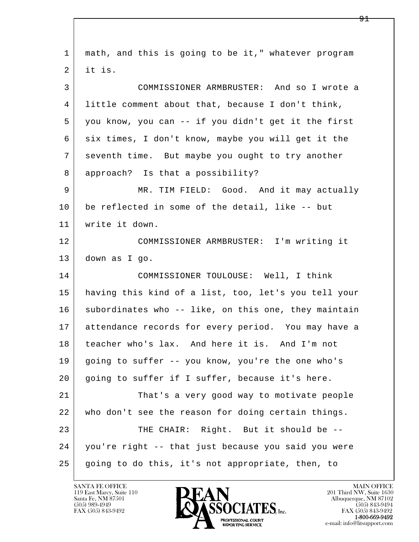| $\mathbf 1$ | math, and this is going to be it," whatever program  |
|-------------|------------------------------------------------------|
| 2           | it is.                                               |
| 3           | COMMISSIONER ARMBRUSTER: And so I wrote a            |
| 4           | little comment about that, because I don't think,    |
| 5           | you know, you can -- if you didn't get it the first  |
| 6           | six times, I don't know, maybe you will get it the   |
| 7           | seventh time. But maybe you ought to try another     |
| 8           | approach? Is that a possibility?                     |
| 9           | MR. TIM FIELD: Good. And it may actually             |
| 10          | be reflected in some of the detail, like -- but      |
| 11          | write it down.                                       |
| 12          | COMMISSIONER ARMBRUSTER: I'm writing it              |
| 13          | down as I go.                                        |
| 14          | COMMISSIONER TOULOUSE: Well, I think                 |
| 15          | having this kind of a list, too, let's you tell your |
| 16          | subordinates who -- like, on this one, they maintain |
| 17          | attendance records for every period. You may have a  |
| 18          | teacher who's lax. And here it is. And I'm not       |
| 19          | going to suffer -- you know, you're the one who's    |
| 20          | going to suffer if I suffer, because it's here.      |
| 21          | That's a very good way to motivate people            |
| 22          | who don't see the reason for doing certain things.   |
| 23          | THE CHAIR: Right. But it should be --                |
| 24          | you're right -- that just because you said you were  |
| 25          | going to do this, it's not appropriate, then, to     |

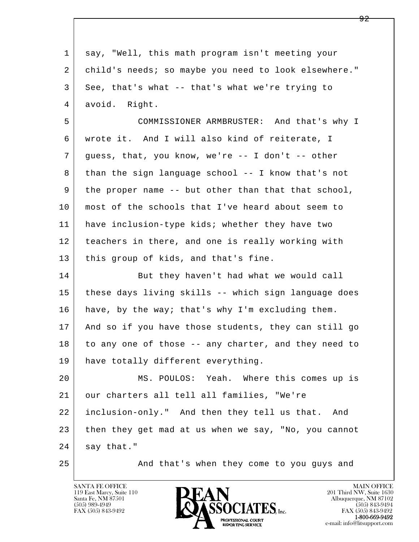| $\mathbf 1$ | say, "Well, this math program isn't meeting your     |
|-------------|------------------------------------------------------|
| 2           | child's needs; so maybe you need to look elsewhere." |
| 3           | See, that's what -- that's what we're trying to      |
| 4           | avoid. Right.                                        |
| 5           | COMMISSIONER ARMBRUSTER: And that's why I            |
| 6           | wrote it. And I will also kind of reiterate, I       |
| 7           | guess, that, you know, we're -- I don't -- other     |
| 8           | than the sign language school -- I know that's not   |
| 9           | the proper name -- but other than that that school,  |
| 10          | most of the schools that I've heard about seem to    |
| 11          | have inclusion-type kids; whether they have two      |
| 12          | teachers in there, and one is really working with    |
| 13          | this group of kids, and that's fine.                 |
| 14          | But they haven't had what we would call              |
| 15          | these days living skills -- which sign language does |
| 16          | have, by the way; that's why I'm excluding them.     |
| 17          | And so if you have those students, they can still go |
| 18          | to any one of those -- any charter, and they need to |
| 19          | have totally different everything.                   |
| 20          | MS. POULOS: Yeah. Where this comes up is             |
| 21          | our charters all tell all families, "We're           |
| 22          | inclusion-only." And then they tell us that. And     |
| 23          | then they get mad at us when we say, "No, you cannot |
| 24          | say that."                                           |
| 25          | And that's when they come to you guys and            |

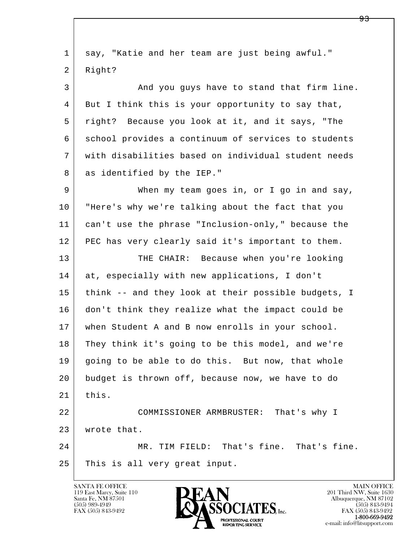l  $\overline{\phantom{a}}$  1 say, "Katie and her team are just being awful." 2 Right? 3 And you guys have to stand that firm line. 4 | But I think this is your opportunity to say that, 5 right? Because you look at it, and it says, "The 6 school provides a continuum of services to students 7 with disabilities based on individual student needs 8 as identified by the IEP." 9 When my team goes in, or I go in and say, 10 "Here's why we're talking about the fact that you 11 can't use the phrase "Inclusion-only," because the 12 PEC has very clearly said it's important to them. 13 THE CHAIR: Because when you're looking 14 at, especially with new applications, I don't 15 think -- and they look at their possible budgets, I 16 don't think they realize what the impact could be 17 when Student A and B now enrolls in your school. 18 They think it's going to be this model, and we're 19 going to be able to do this. But now, that whole 20 budget is thrown off, because now, we have to do  $21$  this. 22 COMMISSIONER ARMBRUSTER: That's why I 23 wrote that. 24 MR. TIM FIELD: That's fine. That's fine. 25 This is all very great input.

119 East Marcy, Suite 110<br>Santa Fe, NM 87501

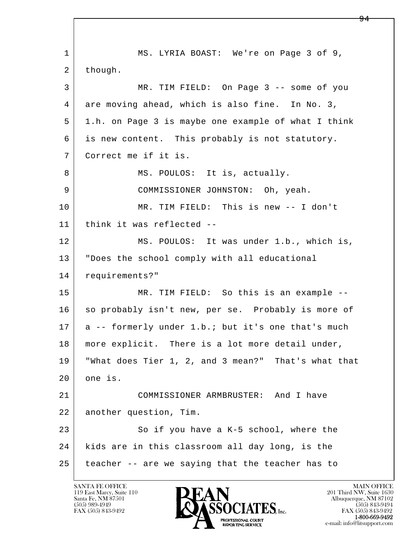l  $\overline{\phantom{a}}$  1 MS. LYRIA BOAST: We're on Page 3 of 9, 2 though. 3 MR. TIM FIELD: On Page 3 -- some of you 4 are moving ahead, which is also fine. In No. 3, 5 1.h. on Page 3 is maybe one example of what I think 6 is new content. This probably is not statutory. 7 Correct me if it is. 8 | MS. POULOS: It is, actually. 9 COMMISSIONER JOHNSTON: Oh, yeah. 10 MR. TIM FIELD: This is new -- I don't 11 think it was reflected -- 12 MS. POULOS: It was under 1.b., which is, 13 "Does the school comply with all educational 14 requirements?" 15 | MR. TIM FIELD: So this is an example --16 so probably isn't new, per se. Probably is more of 17 | a -- formerly under 1.b.; but it's one that's much 18 more explicit. There is a lot more detail under, 19 "What does Tier 1, 2, and 3 mean?" That's what that  $20$  one is. 21 COMMISSIONER ARMBRUSTER: And I have 22 another question, Tim. 23 So if you have a K-5 school, where the 24 kids are in this classroom all day long, is the  $25$  | teacher -- are we saying that the teacher has to

119 East Marcy, Suite 110<br>Santa Fe, NM 87501



FAX (505) 843-9492<br>1-800-669-9492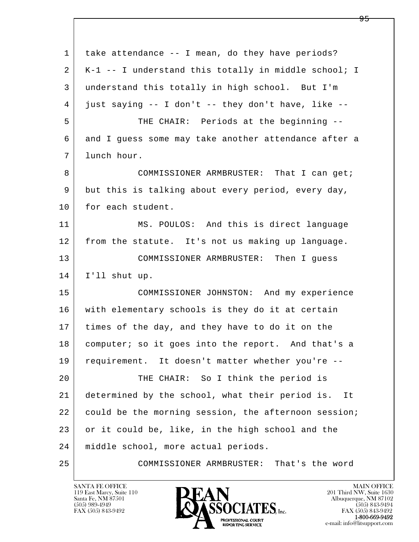| $\mathbf 1$ | take attendance -- I mean, do they have periods?      |
|-------------|-------------------------------------------------------|
| 2           | K-1 -- I understand this totally in middle school; I  |
| 3           | understand this totally in high school. But I'm       |
| 4           | just saying -- I don't -- they don't have, like --    |
| 5           | THE CHAIR: Periods at the beginning --                |
| 6           | and I guess some may take another attendance after a  |
| 7           | lunch hour.                                           |
| 8           | COMMISSIONER ARMBRUSTER: That I can get;              |
| 9           | but this is talking about every period, every day,    |
| 10          | for each student.                                     |
| 11          | MS. POULOS: And this is direct language               |
| 12          | from the statute. It's not us making up language.     |
| 13          | COMMISSIONER ARMBRUSTER: Then I guess                 |
| 14          | I'll shut up.                                         |
| 15          | COMMISSIONER JOHNSTON: And my experience              |
| 16          | with elementary schools is they do it at certain      |
| 17          | times of the day, and they have to do it on the       |
| 18          | computer; so it goes into the report. And that's a    |
| 19          | requirement. It doesn't matter whether you're --      |
| 20          | THE CHAIR: So I think the period is                   |
| 21          | determined by the school, what their period is.<br>It |
| 22          | could be the morning session, the afternoon session;  |
| 23          | or it could be, like, in the high school and the      |
| 24          | middle school, more actual periods.                   |
| 25          | COMMISSIONER ARMBRUSTER: That's the word              |

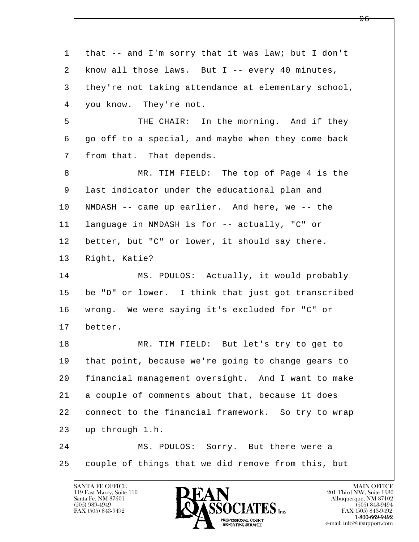| 1  | that -- and I'm sorry that it was law; but I don't  |
|----|-----------------------------------------------------|
| 2  | know all those laws. But I -- every 40 minutes,     |
| 3  | they're not taking attendance at elementary school, |
| 4  | you know. They're not.                              |
| 5  | THE CHAIR: In the morning. And if they              |
| 6  | go off to a special, and maybe when they come back  |
| 7  | from that. That depends.                            |
| 8  | MR. TIM FIELD: The top of Page 4 is the             |
| 9  | last indicator under the educational plan and       |
| 10 | NMDASH -- came up earlier. And here, we -- the      |
| 11 | language in NMDASH is for -- actually, "C" or       |
| 12 | better, but "C" or lower, it should say there.      |
| 13 | Right, Katie?                                       |
| 14 | MS. POULOS: Actually, it would probably             |
| 15 | be "D" or lower. I think that just got transcribed  |
| 16 | wrong. We were saying it's excluded for "C" or      |
| 17 | better.                                             |
| 18 | MR. TIM FIELD: But let's try to get to              |
| 19 | that point, because we're going to change gears to  |
| 20 | financial management oversight. And I want to make  |
| 21 | a couple of comments about that, because it does    |
| 22 | connect to the financial framework. So try to wrap  |
| 23 | up through 1.h.                                     |
| 24 | MS. POULOS: Sorry. But there were a                 |
| 25 | couple of things that we did remove from this, but  |
|    |                                                     |

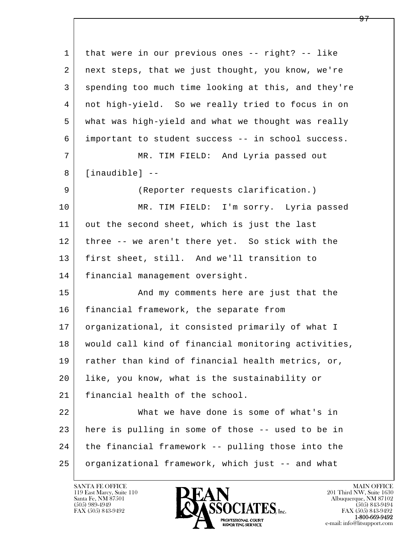l  $\overline{\phantom{a}}$  1 that were in our previous ones -- right? -- like 2 next steps, that we just thought, you know, we're 3 spending too much time looking at this, and they're 4 not high-yield. So we really tried to focus in on 5 what was high-yield and what we thought was really 6 important to student success -- in school success. 7 MR. TIM FIELD: And Lyria passed out 8 [inaudible] -- 9 (Reporter requests clarification.) 10 MR. TIM FIELD: I'm sorry. Lyria passed 11 out the second sheet, which is just the last 12 three -- we aren't there yet. So stick with the 13 first sheet, still. And we'll transition to 14 financial management oversight. 15 | And my comments here are just that the 16 financial framework, the separate from 17 | organizational, it consisted primarily of what I 18 would call kind of financial monitoring activities, 19 | rather than kind of financial health metrics, or, 20 like, you know, what is the sustainability or 21 financial health of the school. 22 What we have done is some of what's in 23 here is pulling in some of those -- used to be in 24 the financial framework -- pulling those into the 25 organizational framework, which just -- and what

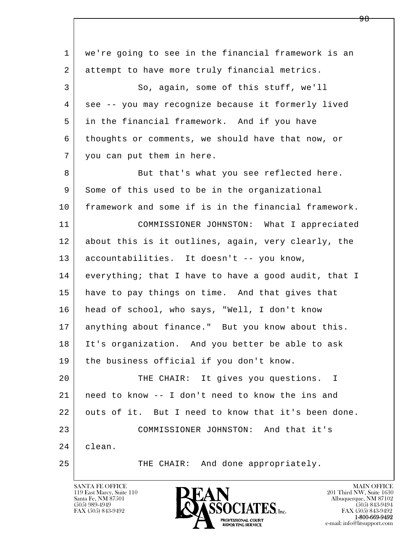l  $\overline{\phantom{a}}$  1 we're going to see in the financial framework is an 2 attempt to have more truly financial metrics. 3 So, again, some of this stuff, we'll 4 see -- you may recognize because it formerly lived 5 in the financial framework. And if you have 6 thoughts or comments, we should have that now, or 7 you can put them in here. 8 But that's what you see reflected here. 9 Some of this used to be in the organizational 10 framework and some if is in the financial framework. 11 COMMISSIONER JOHNSTON: What I appreciated 12 about this is it outlines, again, very clearly, the 13 accountabilities. It doesn't -- you know, 14 everything; that I have to have a good audit, that I 15 have to pay things on time. And that gives that 16 head of school, who says, "Well, I don't know 17 anything about finance." But you know about this. 18 It's organization. And you better be able to ask 19 | the business official if you don't know. 20 THE CHAIR: It gives you questions. I 21 need to know -- I don't need to know the ins and 22 outs of it. But I need to know that it's been done. 23 COMMISSIONER JOHNSTON: And that it's 24 clean. 25 | THE CHAIR: And done appropriately.

119 East Marcy, Suite 110<br>Santa Fe, NM 87501

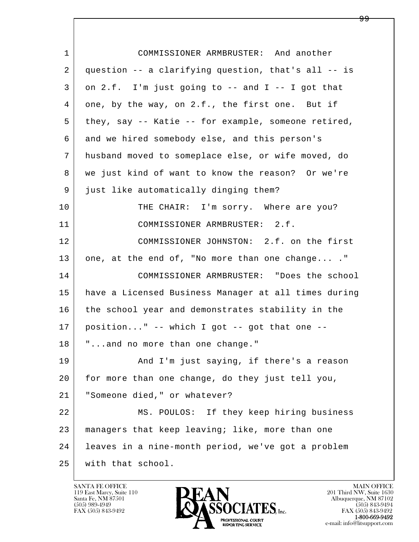| $\mathbf 1$ | COMMISSIONER ARMBRUSTER: And another                 |
|-------------|------------------------------------------------------|
| 2           | question -- a clarifying question, that's all -- is  |
| 3           | on 2.f. I'm just going to -- and I -- I got that     |
| 4           | one, by the way, on 2.f., the first one. But if      |
| 5           | they, say -- Katie -- for example, someone retired,  |
| 6           | and we hired somebody else, and this person's        |
| 7           | husband moved to someplace else, or wife moved, do   |
| 8           | we just kind of want to know the reason? Or we're    |
| 9           | just like automatically dinging them?                |
| 10          | THE CHAIR: I'm sorry. Where are you?                 |
| 11          | COMMISSIONER ARMBRUSTER: 2.f.                        |
| 12          | COMMISSIONER JOHNSTON: 2.f. on the first             |
| 13          | one, at the end of, "No more than one change"        |
| 14          | COMMISSIONER ARMBRUSTER: "Does the school            |
| 15          | have a Licensed Business Manager at all times during |
| 16          | the school year and demonstrates stability in the    |
| 17          | position" -- which I got -- got that one --          |
| 18          | "and no more than one change."                       |
| 19          | And I'm just saying, if there's a reason             |
| 20          | for more than one change, do they just tell you,     |
| 21          | "Someone died," or whatever?                         |
| 22          | MS. POULOS: If they keep hiring business             |
| 23          | managers that keep leaving; like, more than one      |
| 24          | leaves in a nine-month period, we've got a problem   |
| 25          | with that school.                                    |

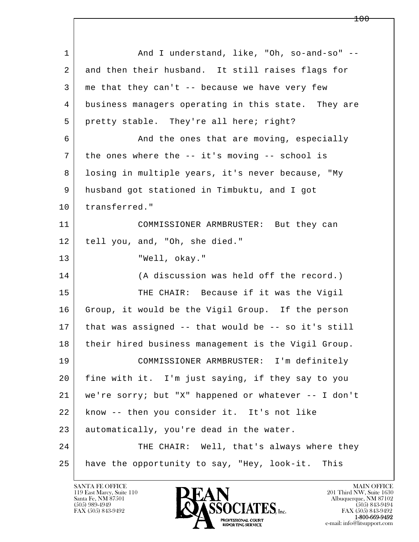l  $\overline{\phantom{a}}$ 1 And I understand, like, "Oh, so-and-so" --2 and then their husband. It still raises flags for 3 me that they can't -- because we have very few 4 business managers operating in this state. They are 5 | pretty stable. They're all here; right? 6 And the ones that are moving, especially 7 the ones where the -- it's moving -- school is 8 losing in multiple years, it's never because, "My 9 husband got stationed in Timbuktu, and I got 10 transferred." 11 COMMISSIONER ARMBRUSTER: But they can 12 tell you, and, "Oh, she died." 13 "Well, okay." 14 | (A discussion was held off the record.) 15 THE CHAIR: Because if it was the Vigil 16 Group, it would be the Vigil Group. If the person 17 that was assigned -- that would be -- so it's still 18 their hired business management is the Vigil Group. 19 COMMISSIONER ARMBRUSTER: I'm definitely 20 fine with it. I'm just saying, if they say to you 21 we're sorry; but "X" happened or whatever -- I don't 22 know -- then you consider it. It's not like 23 automatically, you're dead in the water. 24 THE CHAIR: Well, that's always where they 25 have the opportunity to say, "Hey, look-it. This

119 East Marcy, Suite 110<br>Santa Fe, NM 87501

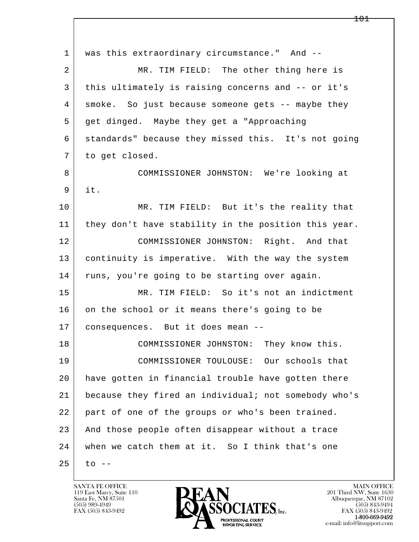l  $\overline{\phantom{a}}$ 1 was this extraordinary circumstance." And -- 2 MR. TIM FIELD: The other thing here is 3 this ultimately is raising concerns and -- or it's 4 smoke. So just because someone gets -- maybe they 5 get dinged. Maybe they get a "Approaching 6 standards" because they missed this. It's not going 7 to get closed. 8 COMMISSIONER JOHNSTON: We're looking at 9 it. 10 MR. TIM FIELD: But it's the reality that 11 they don't have stability in the position this year. 12 COMMISSIONER JOHNSTON: Right. And that 13 continuity is imperative. With the way the system 14 runs, you're going to be starting over again. 15 MR. TIM FIELD: So it's not an indictment 16 on the school or it means there's going to be 17 consequences. But it does mean -- 18 COMMISSIONER JOHNSTON: They know this. 19 COMMISSIONER TOULOUSE: Our schools that 20 have gotten in financial trouble have gotten there 21 because they fired an individual; not somebody who's 22 part of one of the groups or who's been trained. 23 And those people often disappear without a trace 24 when we catch them at it. So I think that's one  $25$  to  $-$ 

119 East Marcy, Suite 110<br>Santa Fe, NM 87501



FAX (505) 843-9492 FAX (505) 843-9492 e-mail: info@litsupport.com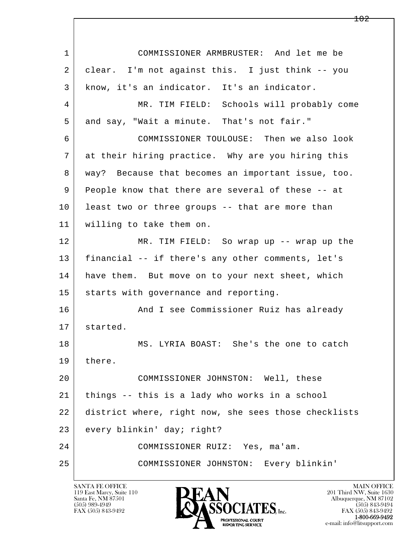l  $\overline{\phantom{a}}$  1 COMMISSIONER ARMBRUSTER: And let me be 2 clear. I'm not against this. I just think -- you 3 know, it's an indicator. It's an indicator. 4 MR. TIM FIELD: Schools will probably come 5 and say, "Wait a minute. That's not fair." 6 COMMISSIONER TOULOUSE: Then we also look 7 at their hiring practice. Why are you hiring this 8 way? Because that becomes an important issue, too. 9 | People know that there are several of these -- at 10 least two or three groups -- that are more than 11 willing to take them on. 12 MR. TIM FIELD: So wrap up -- wrap up the 13 financial -- if there's any other comments, let's 14 have them. But move on to your next sheet, which 15 starts with governance and reporting. 16 | The Road I see Commissioner Ruiz has already 17 started. 18 MS. LYRIA BOAST: She's the one to catch 19 there. 20 COMMISSIONER JOHNSTON: Well, these 21 things -- this is a lady who works in a school 22 district where, right now, she sees those checklists 23 every blinkin' day; right? 24 COMMISSIONER RUIZ: Yes, ma'am. 25 COMMISSIONER JOHNSTON: Every blinkin'

119 East Marcy, Suite 110<br>Santa Fe, NM 87501

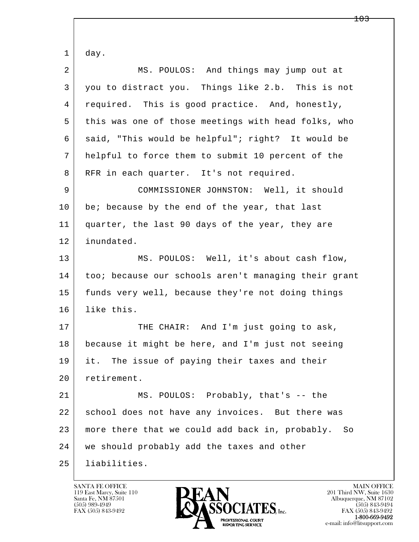l  $\overline{\phantom{a}}$  1 day. 2 MS. POULOS: And things may jump out at 3 you to distract you. Things like 2.b. This is not 4 required. This is good practice. And, honestly, 5 this was one of those meetings with head folks, who 6 said, "This would be helpful"; right? It would be 7 helpful to force them to submit 10 percent of the 8 | RFR in each quarter. It's not required. 9 COMMISSIONER JOHNSTON: Well, it should 10 be; because by the end of the year, that last 11 quarter, the last 90 days of the year, they are 12 inundated. 13 MS. POULOS: Well, it's about cash flow, 14 too; because our schools aren't managing their grant 15 funds very well, because they're not doing things 16 like this. 17 THE CHAIR: And I'm just going to ask, 18 because it might be here, and I'm just not seeing 19 it. The issue of paying their taxes and their 20 retirement. 21 MS. POULOS: Probably, that's -- the 22 school does not have any invoices. But there was 23 more there that we could add back in, probably. So 24 we should probably add the taxes and other 25 liabilities.

119 East Marcy, Suite 110<br>Santa Fe, NM 87501



FAX (505) 843-9492 FAX (505) 843-9492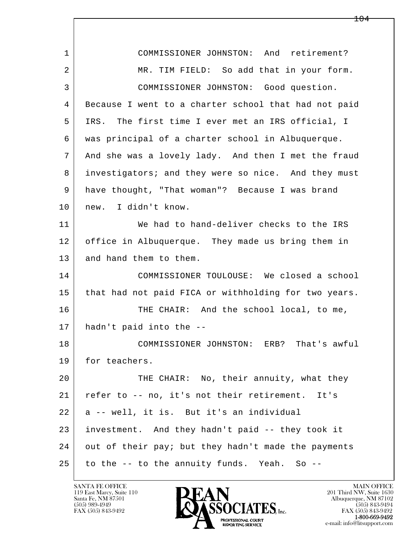| $\mathbf{1}$ | COMMISSIONER JOHNSTON: And retirement?               |
|--------------|------------------------------------------------------|
| 2            | MR. TIM FIELD: So add that in your form.             |
| 3            | COMMISSIONER JOHNSTON: Good question.                |
| 4            | Because I went to a charter school that had not paid |
| 5            | IRS. The first time I ever met an IRS official, I    |
| 6            | was principal of a charter school in Albuquerque.    |
| 7            | And she was a lovely lady. And then I met the fraud  |
| 8            | investigators; and they were so nice. And they must  |
| 9            | have thought, "That woman"? Because I was brand      |
| 10           | new. I didn't know.                                  |
| 11           | We had to hand-deliver checks to the IRS             |
| 12           | office in Albuquerque. They made us bring them in    |
| 13           | and hand them to them.                               |
| 14           | COMMISSIONER TOULOUSE: We closed a school            |
| 15           | that had not paid FICA or withholding for two years. |
| 16           | THE CHAIR: And the school local, to me,              |
| 17           | hadn't paid into the --                              |
| 18           | COMMISSIONER JOHNSTON: ERB? That's awful             |
| 19           | for teachers.                                        |
| 20           | THE CHAIR: No, their annuity, what they              |
| 21           | refer to -- no, it's not their retirement. It's      |
| 22           | a -- well, it is. But it's an individual             |
| 23           | investment. And they hadn't paid -- they took it     |
| 24           | out of their pay; but they hadn't made the payments  |
| 25           | to the -- to the annuity funds. Yeah. So --          |

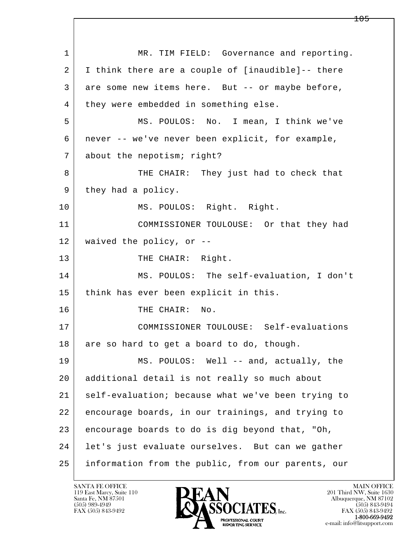l  $\overline{\phantom{a}}$ 1 | MR. TIM FIELD: Governance and reporting. 2 I think there are a couple of [inaudible]-- there 3 are some new items here. But -- or maybe before, 4 | they were embedded in something else. 5 MS. POULOS: No. I mean, I think we've 6 never -- we've never been explicit, for example, 7 about the nepotism; right? 8 THE CHAIR: They just had to check that 9 they had a policy. 10 MS. POULOS: Right. Right. 11 COMMISSIONER TOULOUSE: Or that they had 12 waived the policy, or -- 13 THE CHAIR: Right. 14 MS. POULOS: The self-evaluation, I don't 15 | think has ever been explicit in this. 16 THE CHAIR: No. 17 COMMISSIONER TOULOUSE: Self-evaluations 18 | are so hard to get a board to do, though. 19 MS. POULOS: Well -- and, actually, the 20 additional detail is not really so much about 21 self-evaluation; because what we've been trying to 22 encourage boards, in our trainings, and trying to 23 encourage boards to do is dig beyond that, "Oh, 24 let's just evaluate ourselves. But can we gather 25 information from the public, from our parents, our

119 East Marcy, Suite 110<br>Santa Fe, NM 87501



FAX (505) 843-9492 FAX (505) 843-9492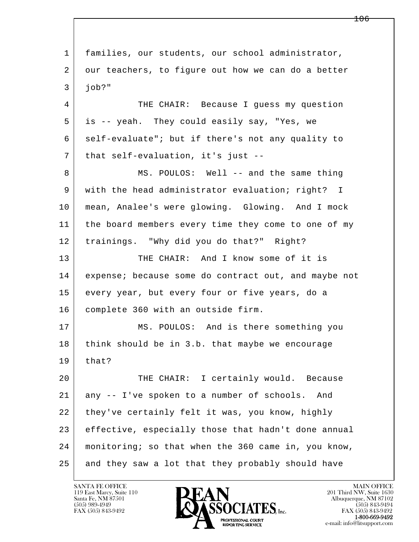l  $\overline{\phantom{a}}$  1 families, our students, our school administrator, 2 | our teachers, to figure out how we can do a better  $3$  job?" 4 THE CHAIR: Because I guess my question 5 is -- yeah. They could easily say, "Yes, we  $6$  self-evaluate"; but if there's not any quality to 7 | that self-evaluation, it's just --8 MS. POULOS: Well -- and the same thing 9 with the head administrator evaluation; right? I 10 mean, Analee's were glowing. Glowing. And I mock 11 the board members every time they come to one of my 12 trainings. "Why did you do that?" Right? 13 THE CHAIR: And I know some of it is 14 expense; because some do contract out, and maybe not 15 every year, but every four or five years, do a 16 complete 360 with an outside firm. 17 | MS. POULOS: And is there something you 18 think should be in 3.b. that maybe we encourage  $19$  that? 20 THE CHAIR: I certainly would. Because 21 any -- I've spoken to a number of schools. And 22 they've certainly felt it was, you know, highly 23 effective, especially those that hadn't done annual 24 monitoring; so that when the 360 came in, you know, 25 and they saw a lot that they probably should have

119 East Marcy, Suite 110<br>Santa Fe, NM 87501

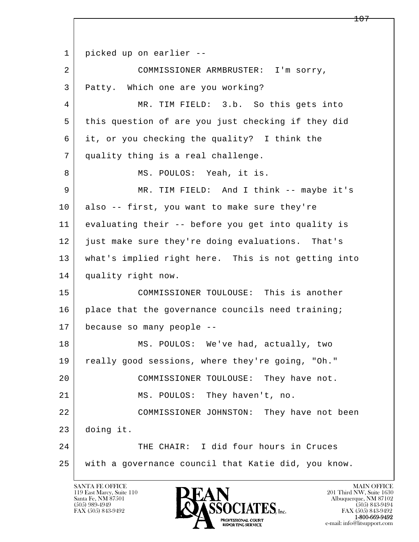l  $\overline{\phantom{a}}$  1 picked up on earlier -- 2 COMMISSIONER ARMBRUSTER: I'm sorry, 3 Patty. Which one are you working? 4 MR. TIM FIELD: 3.b. So this gets into 5 this question of are you just checking if they did 6 it, or you checking the quality? I think the 7 quality thing is a real challenge. 8 | MS. POULOS: Yeah, it is. 9 MR. TIM FIELD: And I think -- maybe it's 10 also -- first, you want to make sure they're 11 evaluating their -- before you get into quality is 12 just make sure they're doing evaluations. That's 13 what's implied right here. This is not getting into 14 quality right now. 15 COMMISSIONER TOULOUSE: This is another 16 place that the governance councils need training; 17 because so many people -- 18 MS. POULOS: We've had, actually, two 19 really good sessions, where they're going, "Oh." 20 COMMISSIONER TOULOUSE: They have not. 21 | MS. POULOS: They haven't, no. 22 | COMMISSIONER JOHNSTON: They have not been 23 doing it. 24 THE CHAIR: I did four hours in Cruces 25 with a governance council that Katie did, you know.

119 East Marcy, Suite 110<br>Santa Fe, NM 87501

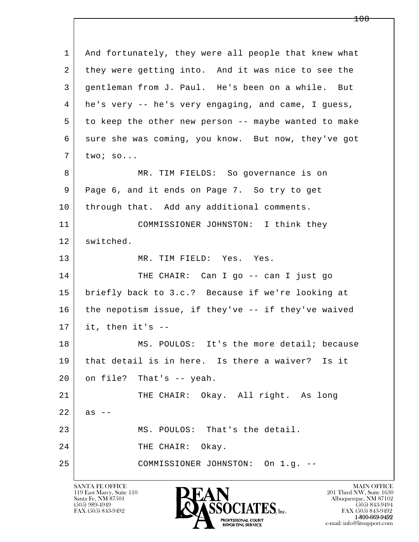l  $\overline{\phantom{a}}$  1 And fortunately, they were all people that knew what 2 they were getting into. And it was nice to see the 3 gentleman from J. Paul. He's been on a while. But 4 he's very -- he's very engaging, and came, I guess, 5 to keep the other new person -- maybe wanted to make 6 sure she was coming, you know. But now, they've got 7 two; so... 8 MR. TIM FIELDS: So governance is on 9 Page 6, and it ends on Page 7. So try to get 10 | through that. Add any additional comments. 11 COMMISSIONER JOHNSTON: I think they 12 switched. 13 MR. TIM FIELD: Yes. Yes. 14 THE CHAIR: Can I go -- can I just go 15 briefly back to 3.c.? Because if we're looking at 16 the nepotism issue, if they've -- if they've waived  $17$  it, then it's  $-$ 18 MS. POULOS: It's the more detail; because 19 that detail is in here. Is there a waiver? Is it 20 on file? That's -- yeah. 21 THE CHAIR: Okay. All right. As long  $22$  as  $-$ 23 MS. POULOS: That's the detail. 24 THE CHAIR: Okay. 25 COMMISSIONER JOHNSTON: On 1.g. --

119 East Marcy, Suite 110<br>Santa Fe, NM 87501

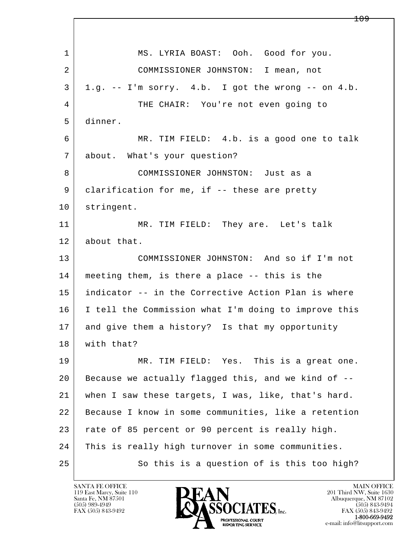l  $\overline{\phantom{a}}$ 1 | MS. LYRIA BOAST: Ooh. Good for you. 2 COMMISSIONER JOHNSTON: I mean, not  $3 \mid 1.g. -- I'm$  sorry. 4.b. I got the wrong  $--$  on 4.b. 4 THE CHAIR: You're not even going to 5 dinner. 6 MR. TIM FIELD: 4.b. is a good one to talk 7 about. What's your question? 8 COMMISSIONER JOHNSTON: Just as a 9 | clarification for me, if -- these are pretty 10 stringent. 11 MR. TIM FIELD: They are. Let's talk 12 about that. 13 COMMISSIONER JOHNSTON: And so if I'm not 14 meeting them, is there a place -- this is the 15 indicator -- in the Corrective Action Plan is where 16 I tell the Commission what I'm doing to improve this 17 and give them a history? Is that my opportunity 18 with that? 19 MR. TIM FIELD: Yes. This is a great one. 20 Because we actually flagged this, and we kind of -- 21 when I saw these targets, I was, like, that's hard. 22 Because I know in some communities, like a retention 23 rate of 85 percent or 90 percent is really high. 24 This is really high turnover in some communities. 25 | So this is a question of is this too high?

119 East Marcy, Suite 110<br>Santa Fe, NM 87501

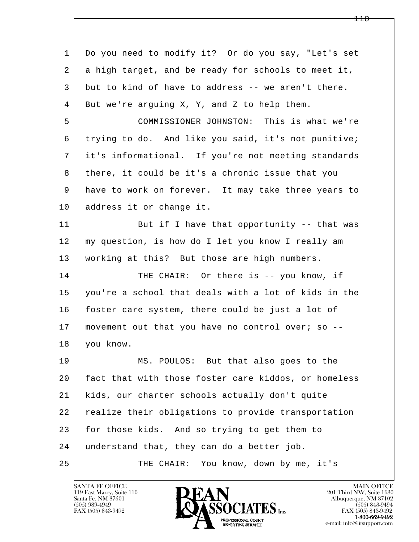| $\mathbf{1}$ | Do you need to modify it? Or do you say, "Let's set  |
|--------------|------------------------------------------------------|
| 2            | a high target, and be ready for schools to meet it,  |
| 3            | but to kind of have to address -- we aren't there.   |
| 4            | But we're arguing X, Y, and Z to help them.          |
| 5            | COMMISSIONER JOHNSTON: This is what we're            |
| 6            | trying to do. And like you said, it's not punitive;  |
| 7            | it's informational. If you're not meeting standards  |
| 8            | there, it could be it's a chronic issue that you     |
| 9            | have to work on forever. It may take three years to  |
| 10           | address it or change it.                             |
| 11           | But if I have that opportunity -- that was           |
| 12           | my question, is how do I let you know I really am    |
| 13           | working at this? But those are high numbers.         |
| 14           | THE CHAIR: Or there is -- you know, if               |
| 15           | you're a school that deals with a lot of kids in the |
| 16           | foster care system, there could be just a lot of     |
| 17           | movement out that you have no control over; so --    |
| 18           | you know.                                            |
| 19           | MS. POULOS: But that also goes to the                |
| 20           | fact that with those foster care kiddos, or homeless |
| 21           | kids, our charter schools actually don't quite       |
| 22           | realize their obligations to provide transportation  |
| 23           | for those kids. And so trying to get them to         |
| 24           | understand that, they can do a better job.           |
| 25           | You know, down by me, it's<br>THE CHAIR:             |

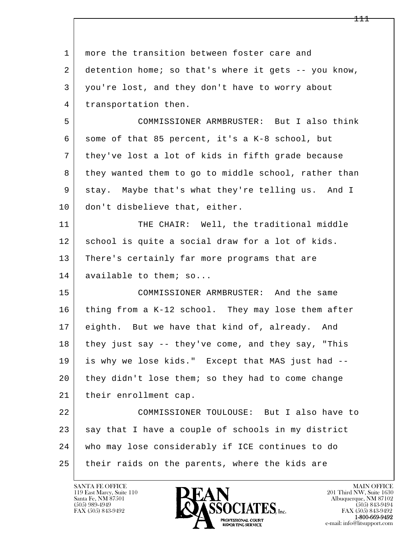| $\mathbf{1}$ | more the transition between foster care and          |
|--------------|------------------------------------------------------|
| 2            | detention home; so that's where it gets -- you know, |
| 3            | you're lost, and they don't have to worry about      |
| 4            | transportation then.                                 |
| 5            | COMMISSIONER ARMBRUSTER: But I also think            |
| 6            | some of that 85 percent, it's a K-8 school, but      |
| 7            | they've lost a lot of kids in fifth grade because    |
| 8            | they wanted them to go to middle school, rather than |
| 9            | stay. Maybe that's what they're telling us. And I    |
| 10           | don't disbelieve that, either.                       |
| 11           | THE CHAIR: Well, the traditional middle              |
| 12           | school is quite a social draw for a lot of kids.     |
| 13           | There's certainly far more programs that are         |
| 14           | available to them; so                                |
| 15           | COMMISSIONER ARMBRUSTER: And the same                |
| 16           | thing from a K-12 school. They may lose them after   |
| 17           | eighth. But we have that kind of, already. And       |
| 18           | they just say -- they've come, and they say, "This   |
| 19           | is why we lose kids." Except that MAS just had --    |
| 20           | they didn't lose them; so they had to come change    |
| 21           | their enrollment cap.                                |
| 22           | COMMISSIONER TOULOUSE: But I also have to            |
| 23           | say that I have a couple of schools in my district   |
| 24           | who may lose considerably if ICE continues to do     |
| 25           | their raids on the parents, where the kids are       |

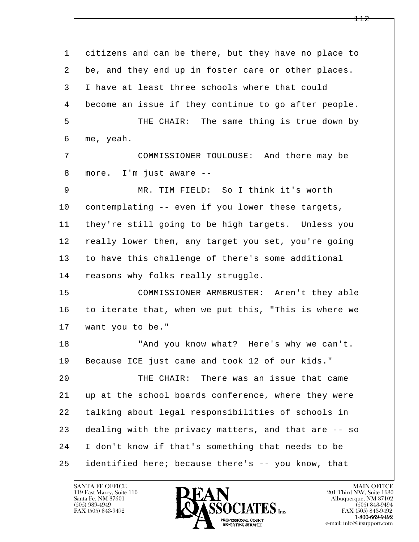l  $\overline{\phantom{a}}$  1 citizens and can be there, but they have no place to 2 be, and they end up in foster care or other places. 3 I have at least three schools where that could 4 become an issue if they continue to go after people. 5 THE CHAIR: The same thing is true down by 6 me, yeah. 7 COMMISSIONER TOULOUSE: And there may be 8 | more. I'm just aware -- 9 MR. TIM FIELD: So I think it's worth 10 contemplating -- even if you lower these targets, 11 they're still going to be high targets. Unless you 12 really lower them, any target you set, you're going 13 to have this challenge of there's some additional 14 reasons why folks really struggle. 15 COMMISSIONER ARMBRUSTER: Aren't they able 16 to iterate that, when we put this, "This is where we 17 want you to be." 18 | Tand you know what? Here's why we can't. 19 Because ICE just came and took 12 of our kids." 20 THE CHAIR: There was an issue that came 21 up at the school boards conference, where they were 22 talking about legal responsibilities of schools in 23 dealing with the privacy matters, and that are -- so 24 I don't know if that's something that needs to be 25 identified here; because there's -- you know, that

119 East Marcy, Suite 110<br>Santa Fe, NM 87501

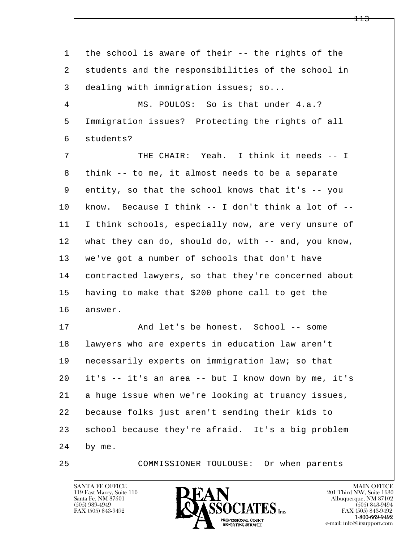l  $\overline{\phantom{a}}$  1 the school is aware of their -- the rights of the 2 | students and the responsibilities of the school in 3 dealing with immigration issues; so... 4 MS. POULOS: So is that under 4.a.? 5 Immigration issues? Protecting the rights of all 6 students? 7 THE CHAIR: Yeah. I think it needs -- I 8 | think -- to me, it almost needs to be a separate 9 entity, so that the school knows that it's -- you 10 know. Because I think -- I don't think a lot of -- 11 | I think schools, especially now, are very unsure of 12 what they can do, should do, with -- and, you know, 13 we've got a number of schools that don't have 14 contracted lawyers, so that they're concerned about 15 having to make that \$200 phone call to get the 16 answer. 17 And let's be honest. School -- some 18 lawyers who are experts in education law aren't 19 | necessarily experts on immigration law; so that 20 it's -- it's an area -- but I know down by me, it's 21 a huge issue when we're looking at truancy issues, 22 because folks just aren't sending their kids to 23 school because they're afraid. It's a big problem 24 by me. 25 COMMISSIONER TOULOUSE: Or when parents

119 East Marcy, Suite 110<br>Santa Fe, NM 87501

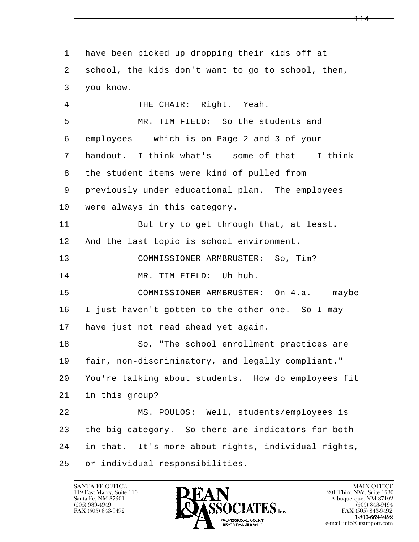l  $\overline{\phantom{a}}$  1 have been picked up dropping their kids off at 2 school, the kids don't want to go to school, then, 3 you know. 4 THE CHAIR: Right. Yeah. 5 MR. TIM FIELD: So the students and 6 employees -- which is on Page 2 and 3 of your 7 handout. I think what's -- some of that -- I think 8 | the student items were kind of pulled from 9 previously under educational plan. The employees 10 were always in this category. 11 But try to get through that, at least. 12 | And the last topic is school environment. 13 COMMISSIONER ARMBRUSTER: So, Tim? 14 MR. TIM FIELD: Uh-huh. 15 COMMISSIONER ARMBRUSTER: On 4.a. -- maybe 16 I just haven't gotten to the other one. So I may 17 have just not read ahead yet again. 18 | So, "The school enrollment practices are 19 fair, non-discriminatory, and legally compliant." 20 You're talking about students. How do employees fit 21 in this group? 22 MS. POULOS: Well, students/employees is 23 the big category. So there are indicators for both 24 in that. It's more about rights, individual rights, 25 or individual responsibilities.

119 East Marcy, Suite 110<br>Santa Fe, NM 87501

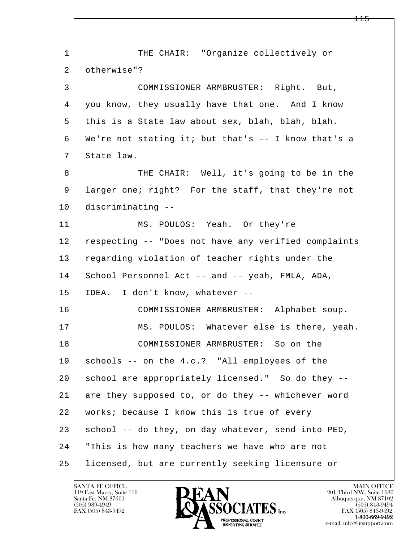| $\mathbf{1}$ | THE CHAIR: "Organize collectively or                  |
|--------------|-------------------------------------------------------|
| 2            | otherwise"?                                           |
| 3            | COMMISSIONER ARMBRUSTER: Right. But,                  |
| 4            | you know, they usually have that one. And I know      |
| 5            | this is a State law about sex, blah, blah, blah.      |
| 6            | We're not stating it; but that's $--$ I know that's a |
| 7            | State law.                                            |
| 8            | THE CHAIR: Well, it's going to be in the              |
| 9            | larger one; right? For the staff, that they're not    |
| 10           | discriminating --                                     |
| 11           | MS. POULOS: Yeah. Or they're                          |
| 12           | respecting -- "Does not have any verified complaints  |
| 13           | regarding violation of teacher rights under the       |
| 14           | School Personnel Act -- and -- yeah, FMLA, ADA,       |
| 15           | IDEA. I don't know, whatever --                       |
| 16           | COMMISSIONER ARMBRUSTER: Alphabet soup.               |
| 17           | MS. POULOS: Whatever else is there, yeah.             |
| 18           | COMMISSIONER ARMBRUSTER: So on the                    |
| 19           | schools -- on the 4.c.? "All employees of the         |
| 20           | school are appropriately licensed." So do they --     |
| 21           | are they supposed to, or do they -- whichever word    |
| 22           | works; because I know this is true of every           |
| 23           | school -- do they, on day whatever, send into PED,    |
| 24           | "This is how many teachers we have who are not        |
| 25           | licensed, but are currently seeking licensure or      |

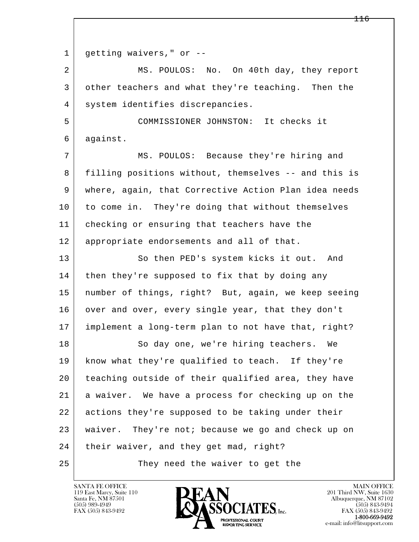1 | getting waivers," or --

 2 MS. POULOS: No. On 40th day, they report 3 other teachers and what they're teaching. Then the 4 | system identifies discrepancies.

 5 COMMISSIONER JOHNSTON: It checks it 6 against.

7 MS. POULOS: Because they're hiring and 8 | filling positions without, themselves -- and this is 9 where, again, that Corrective Action Plan idea needs 10 to come in. They're doing that without themselves 11 checking or ensuring that teachers have the 12 appropriate endorsements and all of that.

13 So then PED's system kicks it out. And 14 then they're supposed to fix that by doing any 15 number of things, right? But, again, we keep seeing 16 over and over, every single year, that they don't 17 implement a long-term plan to not have that, right?

l  $\overline{\phantom{a}}$ 18 So day one, we're hiring teachers. We 19 know what they're qualified to teach. If they're 20 teaching outside of their qualified area, they have 21 a waiver. We have a process for checking up on the 22 actions they're supposed to be taking under their 23 waiver. They're not; because we go and check up on 24 | their waiver, and they get mad, right? 25 They need the waiver to get the

119 East Marcy, Suite 110<br>Santa Fe, NM 87501

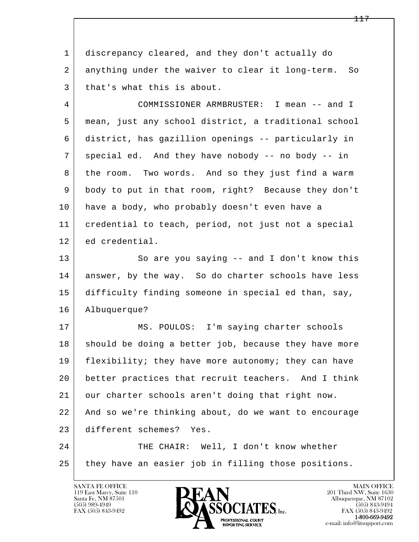1 discrepancy cleared, and they don't actually do 2 anything under the waiver to clear it long-term. So 3 | that's what this is about.

 4 COMMISSIONER ARMBRUSTER: I mean -- and I 5 mean, just any school district, a traditional school 6 district, has gazillion openings -- particularly in 7 special ed. And they have nobody -- no body -- in 8 the room. Two words. And so they just find a warm 9 body to put in that room, right? Because they don't 10 have a body, who probably doesn't even have a 11 credential to teach, period, not just not a special 12 ed credential.

13 So are you saying -- and I don't know this 14 answer, by the way. So do charter schools have less 15 difficulty finding someone in special ed than, say, 16 Albuquerque?

l 17 MS. POULOS: I'm saying charter schools 18 should be doing a better job, because they have more 19 | flexibility; they have more autonomy; they can have 20 better practices that recruit teachers. And I think 21 our charter schools aren't doing that right now. 22 And so we're thinking about, do we want to encourage 23 different schemes? Yes. 24 THE CHAIR: Well, I don't know whether

 $\overline{\phantom{a}}$ 25 they have an easier job in filling those positions.

119 East Marcy, Suite 110<br>Santa Fe, NM 87501



FAX (505) 843-9492<br>**1-800-669-9492**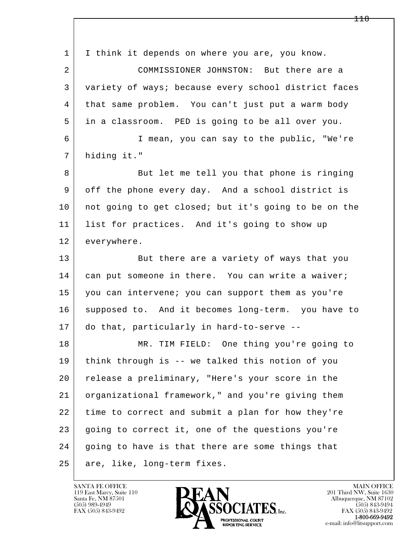l  $\overline{\phantom{a}}$  1 I think it depends on where you are, you know. 2 COMMISSIONER JOHNSTON: But there are a 3 variety of ways; because every school district faces 4 that same problem. You can't just put a warm body 5 in a classroom. PED is going to be all over you. 6 I mean, you can say to the public, "We're 7 hiding it." 8 But let me tell you that phone is ringing 9 off the phone every day. And a school district is 10 | not going to get closed; but it's going to be on the 11 list for practices. And it's going to show up 12 everywhere. 13 But there are a variety of ways that you 14 can put someone in there. You can write a waiver; 15 you can intervene; you can support them as you're 16 supposed to. And it becomes long-term. you have to 17 do that, particularly in hard-to-serve -- 18 MR. TIM FIELD: One thing you're going to 19 think through is -- we talked this notion of you 20 release a preliminary, "Here's your score in the 21 organizational framework," and you're giving them 22 time to correct and submit a plan for how they're 23 going to correct it, one of the questions you're 24 going to have is that there are some things that 25 are, like, long-term fixes.

119 East Marcy, Suite 110<br>Santa Fe, NM 87501

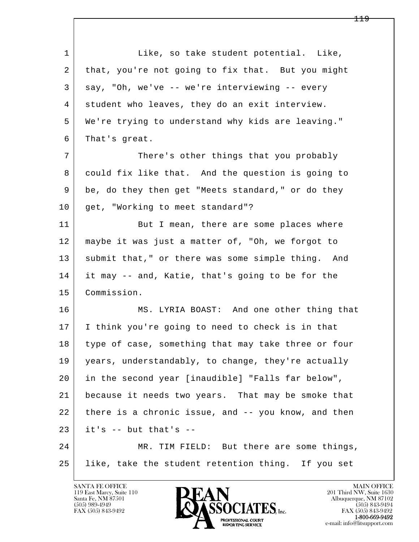l  $\overline{\phantom{a}}$ 1 Like, so take student potential. Like, 2 that, you're not going to fix that. But you might 3 say, "Oh, we've -- we're interviewing -- every 4 student who leaves, they do an exit interview. 5 We're trying to understand why kids are leaving." 6 That's great. 7 There's other things that you probably 8 could fix like that. And the question is going to 9 be, do they then get "Meets standard," or do they 10 | get, "Working to meet standard"? 11 But I mean, there are some places where 12 maybe it was just a matter of, "Oh, we forgot to 13 submit that," or there was some simple thing. And 14 it may -- and, Katie, that's going to be for the 15 Commission. 16 MS. LYRIA BOAST: And one other thing that 17 I think you're going to need to check is in that 18 type of case, something that may take three or four 19 years, understandably, to change, they're actually 20 in the second year [inaudible] "Falls far below", 21 because it needs two years. That may be smoke that 22 there is a chronic issue, and -- you know, and then  $23$  it's  $-$  but that's  $-$ 24 | MR. TIM FIELD: But there are some things, 25 like, take the student retention thing. If you set

119 East Marcy, Suite 110<br>Santa Fe, NM 87501



FAX (505) 843-9492<br>**1-800-669-9492**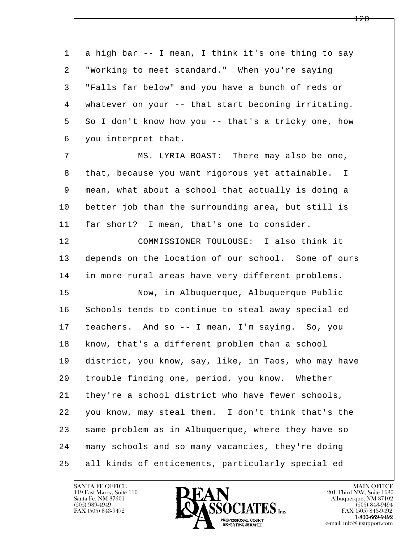l  $\overline{\phantom{a}}$  1 a high bar -- I mean, I think it's one thing to say 2 "Working to meet standard." When you're saying 3 "Falls far below" and you have a bunch of reds or 4 whatever on your -- that start becoming irritating. 5 So I don't know how you -- that's a tricky one, how 6 you interpret that. 7 MS. LYRIA BOAST: There may also be one, 8 that, because you want rigorous yet attainable. I 9 mean, what about a school that actually is doing a 10 better job than the surrounding area, but still is 11 far short? I mean, that's one to consider. 12 COMMISSIONER TOULOUSE: I also think it 13 depends on the location of our school. Some of ours 14 in more rural areas have very different problems. 15 Now, in Albuquerque, Albuquerque Public 16 Schools tends to continue to steal away special ed 17 teachers. And so -- I mean, I'm saying. So, you 18 | know, that's a different problem than a school 19 district, you know, say, like, in Taos, who may have 20 trouble finding one, period, you know. Whether 21 they're a school district who have fewer schools, 22 you know, may steal them. I don't think that's the 23 same problem as in Albuquerque, where they have so 24 many schools and so many vacancies, they're doing 25 all kinds of enticements, particularly special ed



FAX (505) 843-9492<br>**1-800-669-9492**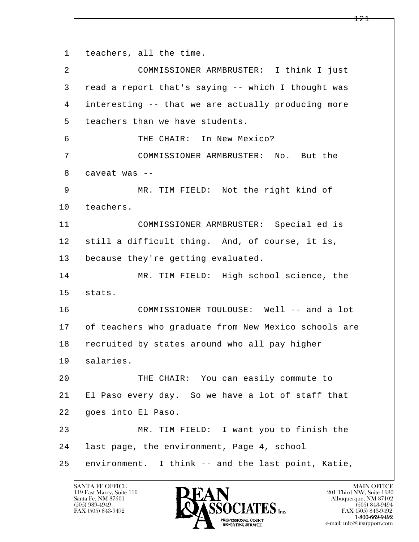l  $\overline{\phantom{a}}$ 1 | teachers, all the time. 2 COMMISSIONER ARMBRUSTER: I think I just 3 read a report that's saying -- which I thought was 4 interesting -- that we are actually producing more 5 teachers than we have students. 6 THE CHAIR: In New Mexico? 7 COMMISSIONER ARMBRUSTER: No. But the 8 caveat was -- 9 MR. TIM FIELD: Not the right kind of 10 teachers. 11 COMMISSIONER ARMBRUSTER: Special ed is 12 still a difficult thing. And, of course, it is, 13 because they're getting evaluated. 14 MR. TIM FIELD: High school science, the 15 stats. 16 COMMISSIONER TOULOUSE: Well -- and a lot 17 of teachers who graduate from New Mexico schools are 18 recruited by states around who all pay higher 19 salaries. 20 THE CHAIR: You can easily commute to 21 El Paso every day. So we have a lot of staff that 22 goes into El Paso. 23 MR. TIM FIELD: I want you to finish the 24 last page, the environment, Page 4, school 25 environment. I think -- and the last point, Katie,

119 East Marcy, Suite 110<br>Santa Fe, NM 87501

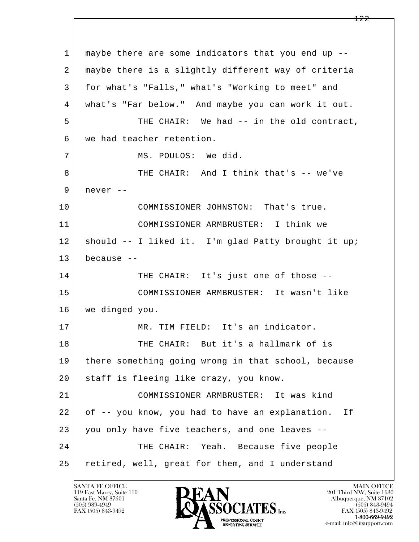l  $\overline{\phantom{a}}$  1 maybe there are some indicators that you end up -- 2 maybe there is a slightly different way of criteria 3 for what's "Falls," what's "Working to meet" and 4 what's "Far below." And maybe you can work it out. 5 THE CHAIR: We had -- in the old contract, 6 we had teacher retention. 7 | MS. POULOS: We did. 8 THE CHAIR: And I think that's -- we've  $9$  never  $-$ 10 COMMISSIONER JOHNSTON: That's true. 11 COMMISSIONER ARMBRUSTER: I think we 12 should -- I liked it. I'm glad Patty brought it up; 13 because -- 14 THE CHAIR: It's just one of those -- 15 COMMISSIONER ARMBRUSTER: It wasn't like 16 we dinged you. 17 MR. TIM FIELD: It's an indicator. 18 THE CHAIR: But it's a hallmark of is 19 there something going wrong in that school, because 20 staff is fleeing like crazy, you know. 21 COMMISSIONER ARMBRUSTER: It was kind 22 of -- you know, you had to have an explanation. If 23 | you only have five teachers, and one leaves -- 24 THE CHAIR: Yeah. Because five people 25 retired, well, great for them, and I understand

119 East Marcy, Suite 110<br>Santa Fe, NM 87501

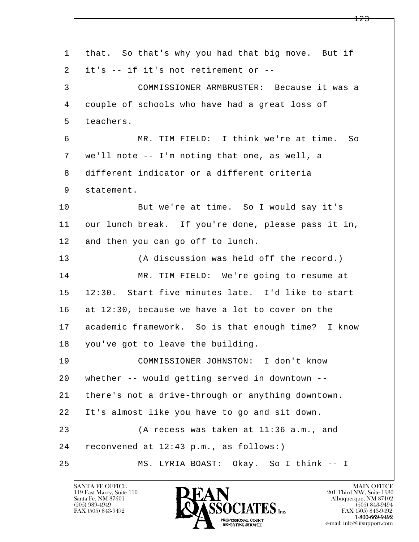| $\mathbf{1}$ | that. So that's why you had that big move. But if   |
|--------------|-----------------------------------------------------|
| 2            | it's -- if it's not retirement or --                |
| 3            | COMMISSIONER ARMBRUSTER: Because it was a           |
| 4            | couple of schools who have had a great loss of      |
| 5            | teachers.                                           |
| 6            | MR. TIM FIELD: I think we're at time. So            |
| 7            | we'll note -- I'm noting that one, as well, a       |
| 8            | different indicator or a different criteria         |
| 9            | statement.                                          |
| 10           | But we're at time. So I would say it's              |
| 11           | our lunch break. If you're done, please pass it in, |
| 12           | and then you can go off to lunch.                   |
| 13           | (A discussion was held off the record.)             |
| 14           | MR. TIM FIELD: We're going to resume at             |
| 15           | 12:30. Start five minutes late. I'd like to start   |
| 16           | at 12:30, because we have a lot to cover on the     |
| 17           | academic framework. So is that enough time? I know  |
| 18           | you've got to leave the building.                   |
| 19           | COMMISSIONER JOHNSTON: I don't know                 |
| 20           | whether -- would getting served in downtown --      |
| 21           | there's not a drive-through or anything downtown.   |
| 22           | It's almost like you have to go and sit down.       |
| 23           | (A recess was taken at 11:36 a.m., and              |
| 24           | reconvened at 12:43 p.m., as follows:)              |
| 25           | MS. LYRIA BOAST: Okay. So I think -- I              |

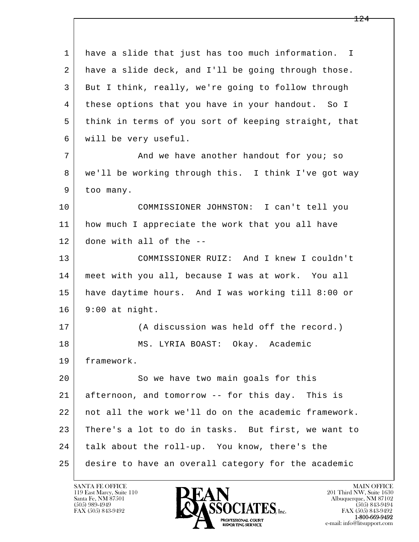l  $\overline{\phantom{a}}$  1 have a slide that just has too much information. I 2 have a slide deck, and I'll be going through those. 3 But I think, really, we're going to follow through 4 these options that you have in your handout. So I 5 think in terms of you sort of keeping straight, that 6 will be very useful. 7 And we have another handout for you; so 8 we'll be working through this. I think I've got way 9 too many. 10 COMMISSIONER JOHNSTON: I can't tell you 11 how much I appreciate the work that you all have 12 done with all of the -- 13 COMMISSIONER RUIZ: And I knew I couldn't 14 meet with you all, because I was at work. You all 15 have daytime hours. And I was working till 8:00 or 16 9:00 at night. 17 (A discussion was held off the record.) 18 MS. LYRIA BOAST: Okay. Academic 19 framework. 20 So we have two main goals for this 21 afternoon, and tomorrow -- for this day. This is 22 not all the work we'll do on the academic framework. 23 There's a lot to do in tasks. But first, we want to 24 talk about the roll-up. You know, there's the 25 desire to have an overall category for the academic

119 East Marcy, Suite 110<br>Santa Fe, NM 87501



FAX (505) 843-9492 FAX (505) 843-9492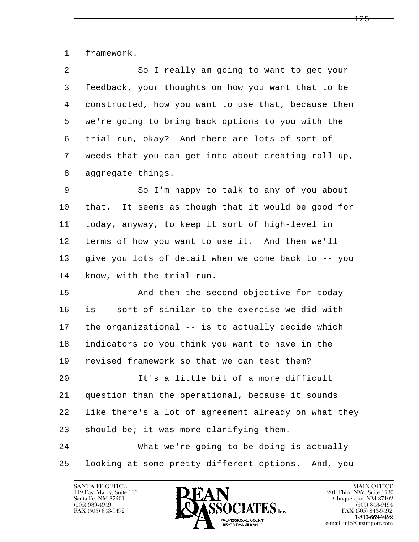1 framework.

| $\overline{2}$ | So I really am going to want to get your              |
|----------------|-------------------------------------------------------|
| 3              | feedback, your thoughts on how you want that to be    |
| 4              | constructed, how you want to use that, because then   |
| 5              | we're going to bring back options to you with the     |
| 6              | trial run, okay? And there are lots of sort of        |
| 7              | weeds that you can get into about creating roll-up,   |
| 8              | aggregate things.                                     |
| 9              | So I'm happy to talk to any of you about              |
| 10             | It seems as though that it would be good for<br>that. |
| 11             | today, anyway, to keep it sort of high-level in       |
| 12             | terms of how you want to use it. And then we'll       |
| 13             | give you lots of detail when we come back to -- you   |
| 14             | know, with the trial run.                             |
| 15             | And then the second objective for today               |
| 16             | is -- sort of similar to the exercise we did with     |
| 17             | the organizational -- is to actually decide which     |
| 18             | indicators do you think you want to have in the       |
| 19             | revised framework so that we can test them?           |
| 20             | It's a little bit of a more difficult                 |
| 21             | question than the operational, because it sounds      |
| 22             | like there's a lot of agreement already on what they  |
| 23             | should be; it was more clarifying them.               |
| 24             | What we're going to be doing is actually              |
| 25             | looking at some pretty different options. And, you    |
|                |                                                       |

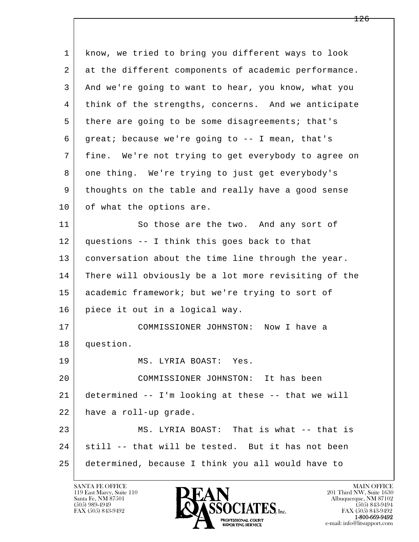| $\mathbf{1}$<br>2 | know, we tried to bring you different ways to look<br>at the different components of academic performance. |
|-------------------|------------------------------------------------------------------------------------------------------------|
|                   |                                                                                                            |
|                   |                                                                                                            |
| 3                 | And we're going to want to hear, you know, what you                                                        |
| 4                 | think of the strengths, concerns. And we anticipate                                                        |
| 5                 | there are going to be some disagreements; that's                                                           |
| 6                 | great; because we're going to -- I mean, that's                                                            |
| 7                 | fine. We're not trying to get everybody to agree on                                                        |
| 8                 | one thing. We're trying to just get everybody's                                                            |
| 9                 | thoughts on the table and really have a good sense                                                         |
| 10                | of what the options are.                                                                                   |
| 11                | So those are the two. And any sort of                                                                      |
| 12                | questions -- I think this goes back to that                                                                |
| 13                | conversation about the time line through the year.                                                         |
| 14                | There will obviously be a lot more revisiting of the                                                       |
| 15                | academic framework; but we're trying to sort of                                                            |
| 16                | piece it out in a logical way.                                                                             |
| 17                | COMMISSIONER JOHNSTON:<br>Now I have a                                                                     |
| 18                | question.                                                                                                  |
| 19                | MS. LYRIA BOAST: Yes.                                                                                      |
| 20                | COMMISSIONER JOHNSTON: It has been                                                                         |
| 21                | determined -- I'm looking at these -- that we will                                                         |
| 22                | have a roll-up grade.                                                                                      |
| 23                | MS. LYRIA BOAST: That is what -- that is                                                                   |
| 24                | still -- that will be tested. But it has not been                                                          |
| 25                | determined, because I think you all would have to                                                          |
|                   |                                                                                                            |

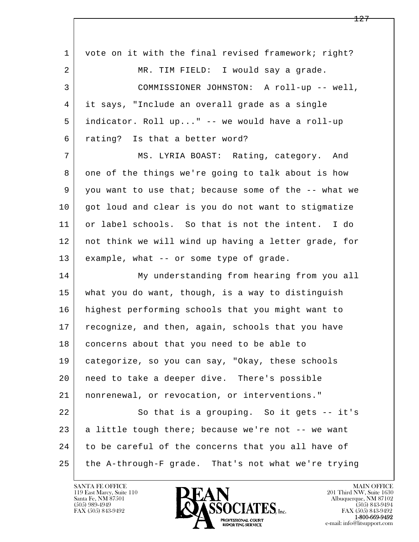| $\mathbf{1}$ | vote on it with the final revised framework; right?  |
|--------------|------------------------------------------------------|
| 2            | MR. TIM FIELD: I would say a grade.                  |
| 3            | COMMISSIONER JOHNSTON: A roll-up -- well,            |
| 4            | it says, "Include an overall grade as a single       |
| 5            | indicator. Roll up" -- we would have a roll-up       |
| 6            | rating? Is that a better word?                       |
| 7            | MS. LYRIA BOAST: Rating, category. And               |
| 8            | one of the things we're going to talk about is how   |
| 9            | you want to use that; because some of the -- what we |
| 10           | got loud and clear is you do not want to stigmatize  |
| 11           | or label schools. So that is not the intent. I do    |
| 12           | not think we will wind up having a letter grade, for |
| 13           | example, what -- or some type of grade.              |
| 14           | My understanding from hearing from you all           |
| 15           | what you do want, though, is a way to distinguish    |
| 16           | highest performing schools that you might want to    |
| 17           | recognize, and then, again, schools that you have    |
| 18           | concerns about that you need to be able to           |
| 19           | categorize, so you can say, "Okay, these schools     |
| 20           | need to take a deeper dive. There's possible         |
| 21           | nonrenewal, or revocation, or interventions."        |
| 22           | So that is a grouping. So it gets -- it's            |
| 23           | a little tough there; because we're not -- we want   |
| 24           | to be careful of the concerns that you all have of   |
| 25           | the A-through-F grade. That's not what we're trying  |

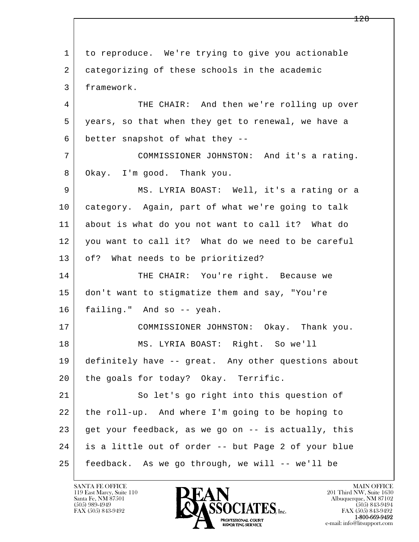l  $\overline{\phantom{a}}$  1 to reproduce. We're trying to give you actionable 2 categorizing of these schools in the academic 3 framework. 4 THE CHAIR: And then we're rolling up over 5 years, so that when they get to renewal, we have a 6 better snapshot of what they -- 7 COMMISSIONER JOHNSTON: And it's a rating. 8 Okay. I'm good. Thank you. 9 MS. LYRIA BOAST: Well, it's a rating or a 10 category. Again, part of what we're going to talk 11 about is what do you not want to call it? What do 12 you want to call it? What do we need to be careful 13 | of? What needs to be prioritized? 14 THE CHAIR: You're right. Because we 15 don't want to stigmatize them and say, "You're 16 failing." And so -- yeah. 17 COMMISSIONER JOHNSTON: Okay. Thank you. 18 MS. LYRIA BOAST: Right. So we'll 19 definitely have -- great. Any other questions about 20 the goals for today? Okay. Terrific. 21 So let's go right into this question of 22 the roll-up. And where I'm going to be hoping to 23 get your feedback, as we go on -- is actually, this 24 is a little out of order -- but Page 2 of your blue 25 feedback. As we go through, we will -- we'll be

119 East Marcy, Suite 110<br>Santa Fe, NM 87501

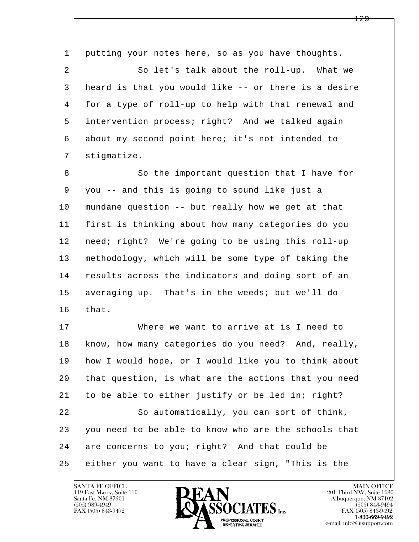| 1  | putting your notes here, so as you have thoughts.    |
|----|------------------------------------------------------|
| 2  | So let's talk about the roll-up. What we             |
| 3  | heard is that you would like -- or there is a desire |
| 4  | for a type of roll-up to help with that renewal and  |
| 5  | intervention process; right? And we talked again     |
| 6  | about my second point here; it's not intended to     |
| 7  | stigmatize.                                          |
| 8  | So the important question that I have for            |
| 9  | you -- and this is going to sound like just a        |
| 10 | mundane question -- but really how we get at that    |
| 11 | first is thinking about how many categories do you   |
| 12 | need; right? We're going to be using this roll-up    |
| 13 | methodology, which will be some type of taking the   |
| 14 | results across the indicators and doing sort of an   |
| 15 | averaging up. That's in the weeds; but we'll do      |
| 16 | that.                                                |
| 17 | Where we want to arrive at is I need to              |
| 18 | know, how many categories do you need? And, really,  |
| 19 | how I would hope, or I would like you to think about |
| 20 | that question, is what are the actions that you need |
| 21 | to be able to either justify or be led in; right?    |
| 22 | So automatically, you can sort of think,             |
| 23 | you need to be able to know who are the schools that |
| 24 | are concerns to you; right? And that could be        |
| 25 | either you want to have a clear sign, "This is the   |

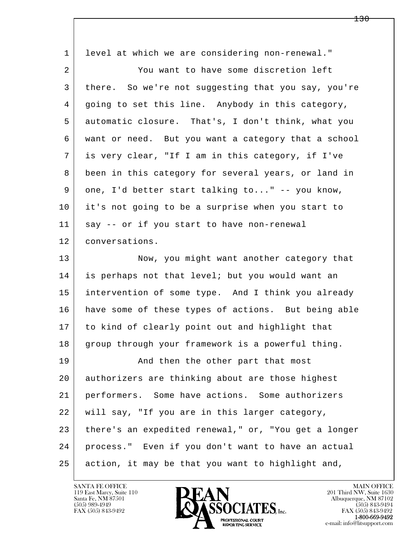| $\mathbf{1}$ | level at which we are considering non-renewal."      |
|--------------|------------------------------------------------------|
| 2            | You want to have some discretion left                |
| 3            | there. So we're not suggesting that you say, you're  |
| 4            | going to set this line. Anybody in this category,    |
| 5            | automatic closure. That's, I don't think, what you   |
| 6            | want or need. But you want a category that a school  |
| 7            | is very clear, "If I am in this category, if I've    |
| 8            | been in this category for several years, or land in  |
| 9            | one, I'd better start talking to" -- you know,       |
| 10           | it's not going to be a surprise when you start to    |
| 11           | say -- or if you start to have non-renewal           |
| 12           | conversations.                                       |
| 13           | Now, you might want another category that            |
| 14           | is perhaps not that level; but you would want an     |
| 15           | intervention of some type. And I think you already   |
| 16           | have some of these types of actions. But being able  |
| 17           | to kind of clearly point out and highlight that      |
| 18           | group through your framework is a powerful thing.    |
| 19           | And then the other part that most                    |
| 20           | authorizers are thinking about are those highest     |
| 21           | performers. Some have actions. Some authorizers      |
| 22           | will say, "If you are in this larger category,       |
| 23           | there's an expedited renewal," or, "You get a longer |
| 24           | process." Even if you don't want to have an actual   |
| 25           | action, it may be that you want to highlight and,    |

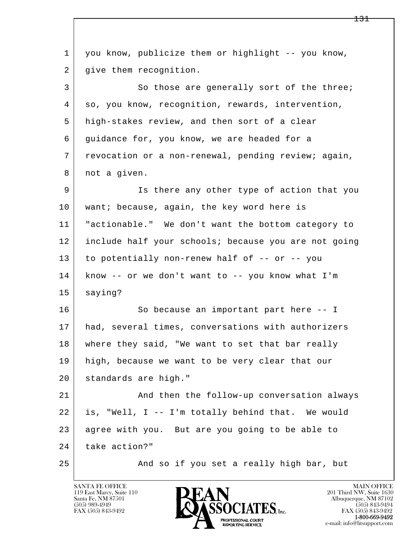| 1  | you know, publicize them or highlight -- you know,   |
|----|------------------------------------------------------|
| 2  | give them recognition.                               |
| 3  | So those are generally sort of the three;            |
| 4  | so, you know, recognition, rewards, intervention,    |
| 5  | high-stakes review, and then sort of a clear         |
| 6  | guidance for, you know, we are headed for a          |
| 7  | revocation or a non-renewal, pending review; again,  |
| 8  | not a given.                                         |
| 9  | Is there any other type of action that you           |
| 10 | want; because, again, the key word here is           |
| 11 | "actionable." We don't want the bottom category to   |
| 12 | include half your schools; because you are not going |
| 13 | to potentially non-renew half of -- or -- you        |
| 14 | know -- or we don't want to -- you know what I'm     |
| 15 | saying?                                              |
| 16 | So because an important part here -- I               |
| 17 | had, several times, conversations with authorizers   |
| 18 | where they said, "We want to set that bar really     |
| 19 | high, because we want to be very clear that our      |
| 20 | standards are high."                                 |
| 21 | And then the follow-up conversation always           |
| 22 | is, "Well, I -- I'm totally behind that. We would    |
| 23 | agree with you. But are you going to be able to      |
| 24 | take action?"                                        |
| 25 | And so if you set a really high bar, but             |

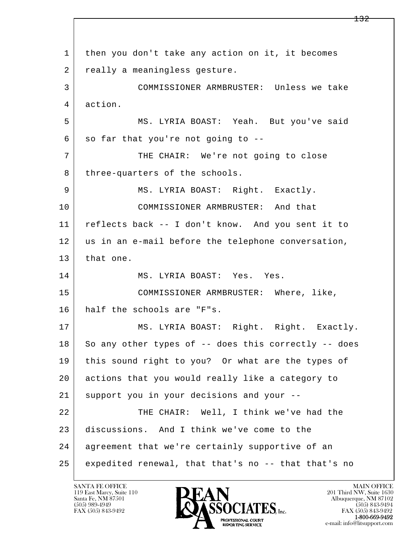l  $\overline{\phantom{a}}$  1 then you don't take any action on it, it becomes 2 really a meaningless gesture. 3 COMMISSIONER ARMBRUSTER: Unless we take 4 action. 5 MS. LYRIA BOAST: Yeah. But you've said  $6$  so far that you're not going to  $-$ -7 THE CHAIR: We're not going to close 8 three-quarters of the schools. 9 MS. LYRIA BOAST: Right. Exactly. 10 COMMISSIONER ARMBRUSTER: And that 11 reflects back -- I don't know. And you sent it to 12 us in an e-mail before the telephone conversation, 13 that one. 14 MS. LYRIA BOAST: Yes. Yes. 15 COMMISSIONER ARMBRUSTER: Where, like, 16 half the schools are "F"s. 17 | MS. LYRIA BOAST: Right. Right. Exactly.  $18$  | So any other types of -- does this correctly -- does 19 this sound right to you? Or what are the types of 20 actions that you would really like a category to 21 support you in your decisions and your -- 22 THE CHAIR: Well, I think we've had the 23 discussions. And I think we've come to the 24 agreement that we're certainly supportive of an 25 expedited renewal, that that's no -- that that's no

119 East Marcy, Suite 110<br>Santa Fe, NM 87501



FAX (505) 843-9492 FAX (505) 843-9492 e-mail: info@litsupport.com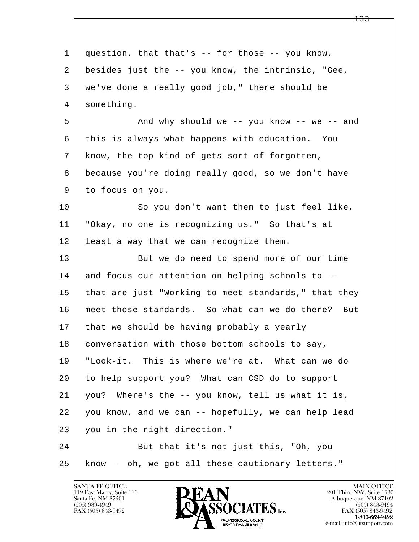| $\mathbf{1}$ | question, that that's -- for those -- you know,      |
|--------------|------------------------------------------------------|
| 2            | besides just the -- you know, the intrinsic, "Gee,   |
| 3            | we've done a really good job," there should be       |
| 4            | something.                                           |
| 5            | And why should we -- you know -- we -- and           |
| 6            | this is always what happens with education. You      |
| 7            | know, the top kind of gets sort of forgotten,        |
| 8            | because you're doing really good, so we don't have   |
| 9            | to focus on you.                                     |
| 10           | So you don't want them to just feel like,            |
| 11           | "Okay, no one is recognizing us." So that's at       |
| 12           | least a way that we can recognize them.              |
| 13           | But we do need to spend more of our time             |
| 14           | and focus our attention on helping schools to --     |
| 15           | that are just "Working to meet standards," that they |
| 16           | meet those standards. So what can we do there? But   |
| 17           | that we should be having probably a yearly           |
| 18           | conversation with those bottom schools to say,       |
| 19           | "Look-it. This is where we're at. What can we do     |
| 20           | to help support you? What can CSD do to support      |
| 21           | you? Where's the -- you know, tell us what it is,    |
| 22           | you know, and we can -- hopefully, we can help lead  |
| 23           | you in the right direction."                         |
| 24           | But that it's not just this, "Oh, you                |
| 25           | know -- oh, we got all these cautionary letters."    |

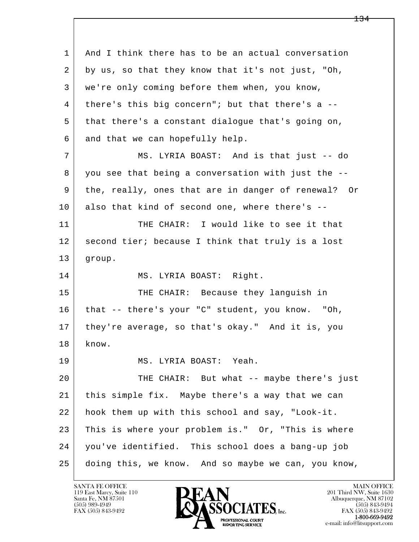l  $\overline{\phantom{a}}$ 1 And I think there has to be an actual conversation 2 by us, so that they know that it's not just, "Oh, 3 we're only coming before them when, you know, 4 there's this big concern"; but that there's a -- 5 that there's a constant dialogue that's going on,  $6$  and that we can hopefully help. 7 MS. LYRIA BOAST: And is that just -- do 8 you see that being a conversation with just the -- 9 the, really, ones that are in danger of renewal? Or 10 also that kind of second one, where there's --11 THE CHAIR: I would like to see it that 12 second tier; because I think that truly is a lost 13 group. 14 MS. LYRIA BOAST: Right. 15 THE CHAIR: Because they languish in 16 that -- there's your "C" student, you know. "Oh, 17 they're average, so that's okay." And it is, you 18 know. 19 MS. LYRIA BOAST: Yeah. 20 THE CHAIR: But what -- maybe there's just 21 this simple fix. Maybe there's a way that we can 22 hook them up with this school and say, "Look-it. 23 This is where your problem is." Or, "This is where 24 you've identified. This school does a bang-up job 25 doing this, we know. And so maybe we can, you know,

119 East Marcy, Suite 110<br>Santa Fe, NM 87501



FAX (505) 843-9492 FAX (505) 843-9492 e-mail: info@litsupport.com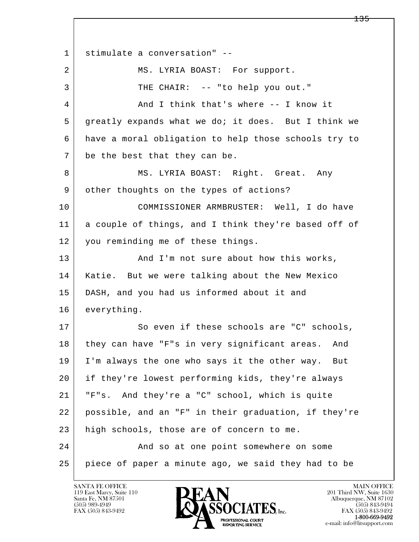l  $\overline{\phantom{a}}$  1 stimulate a conversation" -- 2 MS. LYRIA BOAST: For support. 3 THE CHAIR: -- "to help you out." 4 And I think that's where -- I know it 5 greatly expands what we do; it does. But I think we 6 have a moral obligation to help those schools try to 7 be the best that they can be. 8 | MS. LYRIA BOAST: Right. Great. Any 9 other thoughts on the types of actions? 10 COMMISSIONER ARMBRUSTER: Well, I do have 11 a couple of things, and I think they're based off of 12 you reminding me of these things. 13 And I'm not sure about how this works, 14 Katie. But we were talking about the New Mexico 15 DASH, and you had us informed about it and 16 everything. 17 So even if these schools are "C" schools, 18 | they can have "F"s in very significant areas. And 19 I'm always the one who says it the other way. But 20 if they're lowest performing kids, they're always 21 "F"s. And they're a "C" school, which is quite 22 possible, and an "F" in their graduation, if they're 23 high schools, those are of concern to me. 24 And so at one point somewhere on some 25 piece of paper a minute ago, we said they had to be

119 East Marcy, Suite 110<br>Santa Fe, NM 87501



FAX (505) 843-9492<br>1-800-669-9492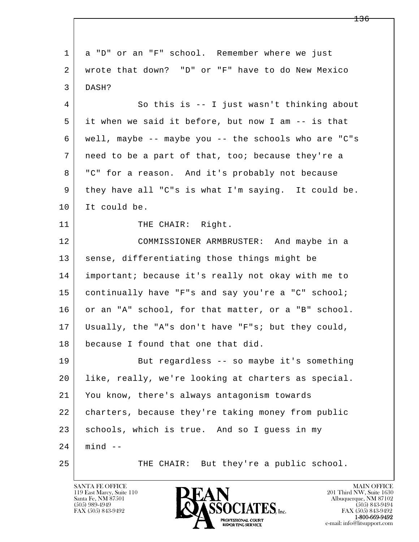l  $\overline{\phantom{a}}$  1 a "D" or an "F" school. Remember where we just 2 wrote that down? "D" or "F" have to do New Mexico 3 DASH? 4 So this is -- I just wasn't thinking about 5 it when we said it before, but now I am -- is that 6 well, maybe -- maybe you -- the schools who are "C"s 7 need to be a part of that, too; because they're a 8 "C" for a reason. And it's probably not because 9 they have all "C"s is what I'm saying. It could be. 10 It could be. 11 THE CHAIR: Right. 12 COMMISSIONER ARMBRUSTER: And maybe in a 13 | sense, differentiating those things might be 14 important; because it's really not okay with me to 15 | continually have "F"s and say you're a "C" school; 16 or an "A" school, for that matter, or a "B" school. 17 Usually, the "A"s don't have "F"s; but they could, 18 because I found that one that did. 19 But regardless -- so maybe it's something 20 | like, really, we're looking at charters as special. 21 You know, there's always antagonism towards 22 charters, because they're taking money from public 23 schools, which is true. And so I quess in my  $24$  mind  $-$ 25 THE CHAIR: But they're a public school.

119 East Marcy, Suite 110<br>Santa Fe, NM 87501

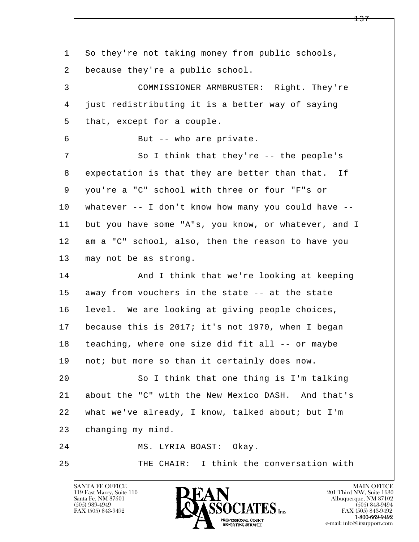l  $\overline{\phantom{a}}$ 1 So they're not taking money from public schools, 2 because they're a public school. 3 COMMISSIONER ARMBRUSTER: Right. They're 4 just redistributing it is a better way of saying 5 that, except for a couple. 6 | Rut -- who are private. 7 So I think that they're -- the people's 8 expectation is that they are better than that. If 9 you're a "C" school with three or four "F"s or 10 whatever -- I don't know how many you could have -- 11 but you have some "A"s, you know, or whatever, and I 12 am a "C" school, also, then the reason to have you 13 | may not be as strong. 14 And I think that we're looking at keeping 15 away from vouchers in the state -- at the state 16 level. We are looking at giving people choices, 17 because this is 2017; it's not 1970, when I began 18 teaching, where one size did fit all -- or maybe 19 | not; but more so than it certainly does now. 20 So I think that one thing is I'm talking 21 about the "C" with the New Mexico DASH. And that's 22 what we've already, I know, talked about; but I'm 23 changing my mind. 24 MS. LYRIA BOAST: Okay. 25 THE CHAIR: I think the conversation with

119 East Marcy, Suite 110<br>Santa Fe, NM 87501

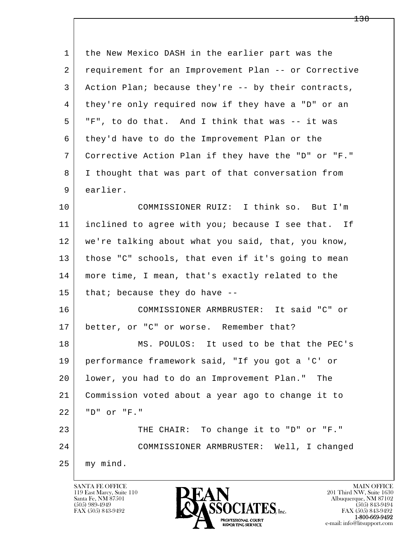1 the New Mexico DASH in the earlier part was the 2 requirement for an Improvement Plan -- or Corrective 3 Action Plan; because they're -- by their contracts, 4 they're only required now if they have a "D" or an 5 "F", to do that. And I think that was -- it was 6 they'd have to do the Improvement Plan or the 7 Corrective Action Plan if they have the "D" or "F." 8 I thought that was part of that conversation from 9 earlier. 10 COMMISSIONER RUIZ: I think so. But I'm 11 inclined to agree with you; because I see that. If 12 we're talking about what you said, that, you know, 13 those "C" schools, that even if it's going to mean

 14 more time, I mean, that's exactly related to the 15 that; because they do have  $-$ -

 16 COMMISSIONER ARMBRUSTER: It said "C" or 17 better, or "C" or worse. Remember that?

 18 MS. POULOS: It used to be that the PEC's 19 performance framework said, "If you got a 'C' or 20 lower, you had to do an Improvement Plan." The 21 Commission voted about a year ago to change it to 22 "D" or "F." 23 THE CHAIR: To change it to "D" or "F."

l  $\overline{\phantom{a}}$ 24 COMMISSIONER ARMBRUSTER: Well, I changed

 $25$  my mind.

119 East Marcy, Suite 110<br>Santa Fe, NM 87501

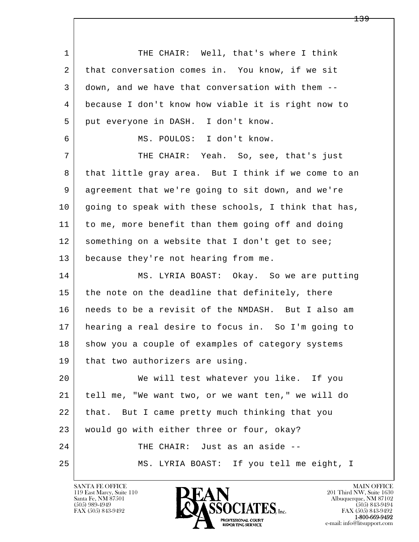l  $\overline{\phantom{a}}$ 1 THE CHAIR: Well, that's where I think 2 that conversation comes in. You know, if we sit 3 down, and we have that conversation with them -- 4 because I don't know how viable it is right now to 5 put everyone in DASH. I don't know. 6 MS. POULOS: I don't know. 7 THE CHAIR: Yeah. So, see, that's just 8 that little gray area. But I think if we come to an 9 agreement that we're going to sit down, and we're 10 going to speak with these schools, I think that has, 11 to me, more benefit than them going off and doing 12 something on a website that I don't get to see; 13 because they're not hearing from me. 14 MS. LYRIA BOAST: Okay. So we are putting 15 the note on the deadline that definitely, there 16 needs to be a revisit of the NMDASH. But I also am 17 hearing a real desire to focus in. So I'm going to 18 | show you a couple of examples of category systems 19 | that two authorizers are using. 20 We will test whatever you like. If you 21 tell me, "We want two, or we want ten," we will do 22 | that. But I came pretty much thinking that you 23 | would go with either three or four, okay? 24 THE CHAIR: Just as an aside --25 MS. LYRIA BOAST: If you tell me eight, I

119 East Marcy, Suite 110<br>Santa Fe, NM 87501

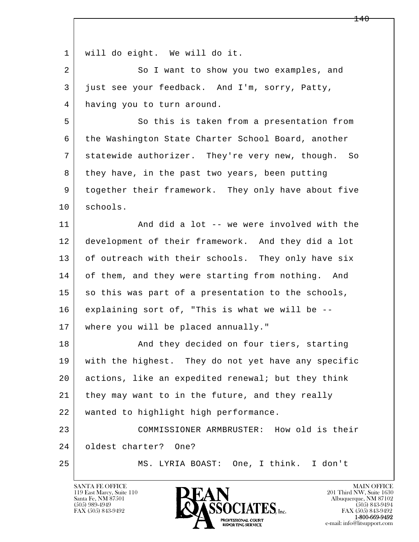l  $\overline{\phantom{a}}$  1 will do eight. We will do it. 2 So I want to show you two examples, and 3 just see your feedback. And I'm, sorry, Patty, 4 having you to turn around. 5 So this is taken from a presentation from 6 the Washington State Charter School Board, another 7 statewide authorizer. They're very new, though. So 8 they have, in the past two years, been putting 9 together their framework. They only have about five 10 schools. 11 And did a lot -- we were involved with the 12 development of their framework. And they did a lot 13 of outreach with their schools. They only have six 14 of them, and they were starting from nothing. And 15 so this was part of a presentation to the schools, 16 explaining sort of, "This is what we will be -- 17 where you will be placed annually." 18 | The Mand they decided on four tiers, starting 19 with the highest. They do not yet have any specific 20 actions, like an expedited renewal; but they think 21 they may want to in the future, and they really 22 wanted to highlight high performance. 23 COMMISSIONER ARMBRUSTER: How old is their 24 | oldest charter? One? 25 MS. LYRIA BOAST: One, I think. I don't

119 East Marcy, Suite 110<br>Santa Fe, NM 87501

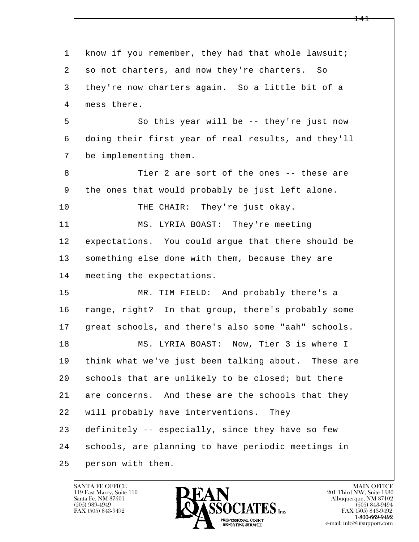l  $\overline{\phantom{a}}$ 1 know if you remember, they had that whole lawsuit; 2 so not charters, and now they're charters. So 3 they're now charters again. So a little bit of a 4 mess there. 5 So this year will be -- they're just now 6 doing their first year of real results, and they'll 7 be implementing them. 8 Tier 2 are sort of the ones -- these are 9 the ones that would probably be just left alone. 10 THE CHAIR: They're just okay. 11 MS. LYRIA BOAST: They're meeting 12 expectations. You could argue that there should be 13 something else done with them, because they are 14 meeting the expectations. 15 MR. TIM FIELD: And probably there's a 16 range, right? In that group, there's probably some 17 great schools, and there's also some "aah" schools. 18 MS. LYRIA BOAST: Now, Tier 3 is where I 19 think what we've just been talking about. These are 20 schools that are unlikely to be closed; but there 21 are concerns. And these are the schools that they 22 will probably have interventions. They 23 definitely -- especially, since they have so few 24 schools, are planning to have periodic meetings in 25 person with them.

119 East Marcy, Suite 110<br>Santa Fe, NM 87501

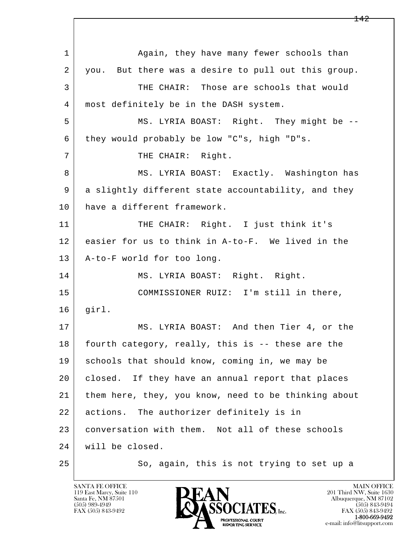l  $\overline{\phantom{a}}$ 1 Again, they have many fewer schools than 2 you. But there was a desire to pull out this group. 3 THE CHAIR: Those are schools that would 4 most definitely be in the DASH system. 5 MS. LYRIA BOAST: Right. They might be -- 6 they would probably be low "C"s, high "D"s. 7 | THE CHAIR: Right. 8 MS. LYRIA BOAST: Exactly. Washington has 9 a slightly different state accountability, and they 10 have a different framework. 11 THE CHAIR: Right. I just think it's 12 easier for us to think in A-to-F. We lived in the 13 | A-to-F world for too long. 14 MS. LYRIA BOAST: Right. Right. 15 COMMISSIONER RUIZ: I'm still in there, 16 girl. 17 MS. LYRIA BOAST: And then Tier 4, or the 18 fourth category, really, this is -- these are the 19 schools that should know, coming in, we may be 20 closed. If they have an annual report that places 21 them here, they, you know, need to be thinking about 22 actions. The authorizer definitely is in 23 conversation with them. Not all of these schools 24 will be closed. 25 | So, again, this is not trying to set up a

119 East Marcy, Suite 110<br>Santa Fe, NM 87501

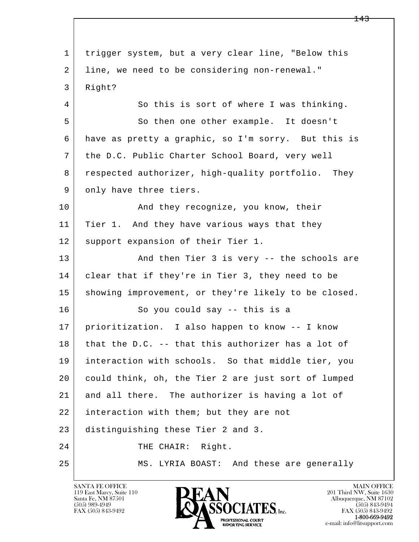l  $\overline{\phantom{a}}$  1 trigger system, but a very clear line, "Below this 2 line, we need to be considering non-renewal." 3 Right? 4 So this is sort of where I was thinking. 5 So then one other example. It doesn't 6 have as pretty a graphic, so I'm sorry. But this is 7 the D.C. Public Charter School Board, very well 8 respected authorizer, high-quality portfolio. They 9 only have three tiers. 10 And they recognize, you know, their 11 | Tier 1. And they have various ways that they 12 | support expansion of their Tier 1. 13 And then Tier 3 is very -- the schools are 14 clear that if they're in Tier 3, they need to be 15 | showing improvement, or they're likely to be closed. 16 So you could say -- this is a 17 prioritization. I also happen to know -- I know  $18$  | that the D.C. -- that this authorizer has a lot of 19 interaction with schools. So that middle tier, you 20 could think, oh, the Tier 2 are just sort of lumped 21 and all there. The authorizer is having a lot of 22 interaction with them; but they are not 23 distinguishing these Tier 2 and 3. 24 | THE CHAIR: Right. 25 MS. LYRIA BOAST: And these are generally

119 East Marcy, Suite 110<br>Santa Fe, NM 87501

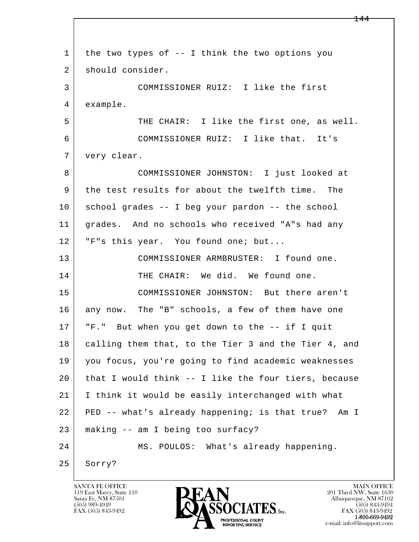l  $\overline{\phantom{a}}$  1 the two types of -- I think the two options you 2 should consider. 3 COMMISSIONER RUIZ: I like the first 4 example. 5 THE CHAIR: I like the first one, as well. 6 COMMISSIONER RUIZ: I like that. It's 7 very clear. 8 COMMISSIONER JOHNSTON: I just looked at 9 the test results for about the twelfth time. The 10 school grades -- I beg your pardon -- the school 11 grades. And no schools who received "A"s had any 12 "F"s this year. You found one; but... 13 COMMISSIONER ARMBRUSTER: I found one. 14 THE CHAIR: We did. We found one. 15 COMMISSIONER JOHNSTON: But there aren't 16 any now. The "B" schools, a few of them have one 17 "F." But when you get down to the -- if I quit 18 calling them that, to the Tier 3 and the Tier 4, and 19 you focus, you're going to find academic weaknesses  $20$  that I would think  $--$  I like the four tiers, because 21 I think it would be easily interchanged with what 22 PED -- what's already happening; is that true? Am I 23 making -- am I being too surfacy? 24 MS. POULOS: What's already happening. 25 Sorry?

119 East Marcy, Suite 110<br>Santa Fe, NM 87501

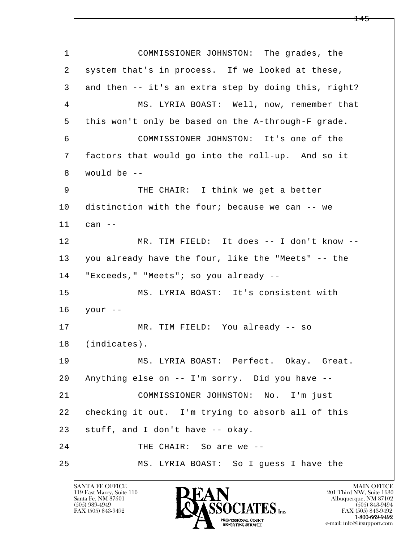l  $\overline{\phantom{a}}$  1 COMMISSIONER JOHNSTON: The grades, the 2 system that's in process. If we looked at these, 3 and then -- it's an extra step by doing this, right? 4 MS. LYRIA BOAST: Well, now, remember that 5 this won't only be based on the A-through-F grade. 6 COMMISSIONER JOHNSTON: It's one of the 7 factors that would go into the roll-up. And so it  $8$  would be  $-$ 9 THE CHAIR: I think we get a better 10 distinction with the four; because we can -- we 11 can -- 12 MR. TIM FIELD: It does -- I don't know -- 13 you already have the four, like the "Meets" -- the 14 "Exceeds," "Meets"; so you already -- 15 MS. LYRIA BOAST: It's consistent with  $16$  your  $-$  17 MR. TIM FIELD: You already -- so 18 (indicates). 19 MS. LYRIA BOAST: Perfect. Okay. Great. 20 Anything else on -- I'm sorry. Did you have -- 21 COMMISSIONER JOHNSTON: No. I'm just 22 checking it out. I'm trying to absorb all of this  $23$  stuff, and I don't have -- okay. 24 THE CHAIR: So are we --25 MS. LYRIA BOAST: So I guess I have the

119 East Marcy, Suite 110<br>Santa Fe, NM 87501

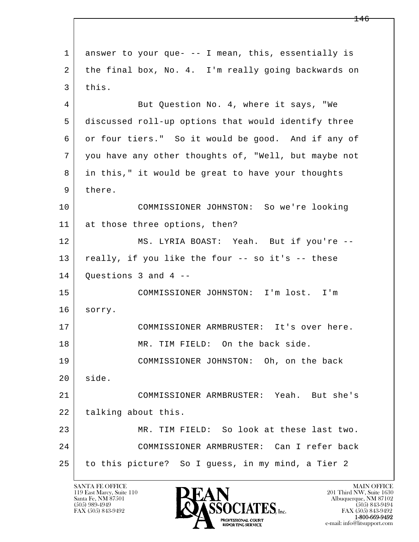l  $\overline{\phantom{a}}$  1 answer to your que- -- I mean, this, essentially is 2 the final box, No. 4. I'm really going backwards on 3 this. 4 But Question No. 4, where it says, "We 5 discussed roll-up options that would identify three 6 or four tiers." So it would be good. And if any of 7 you have any other thoughts of, "Well, but maybe not 8 in this," it would be great to have your thoughts 9 there. 10 COMMISSIONER JOHNSTON: So we're looking 11 at those three options, then? 12 MS. LYRIA BOAST: Yeah. But if you're --  $13$  really, if you like the four  $-$  so it's  $-$  these  $14$  Ouestions 3 and 4 -- 15 COMMISSIONER JOHNSTON: I'm lost. I'm 16 sorry. 17 COMMISSIONER ARMBRUSTER: It's over here. 18 MR. TIM FIELD: On the back side. 19 COMMISSIONER JOHNSTON: Oh, on the back 20 side. 21 COMMISSIONER ARMBRUSTER: Yeah. But she's 22 | talking about this. 23 MR. TIM FIELD: So look at these last two. 24 COMMISSIONER ARMBRUSTER: Can I refer back 25 to this picture? So I guess, in my mind, a Tier 2

119 East Marcy, Suite 110<br>Santa Fe, NM 87501

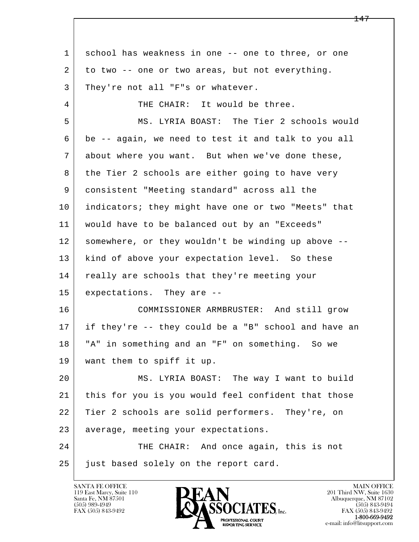l  $\overline{\phantom{a}}$  1 school has weakness in one -- one to three, or one 2 to two -- one or two areas, but not everything. 3 They're not all "F"s or whatever. 4 THE CHAIR: It would be three. 5 MS. LYRIA BOAST: The Tier 2 schools would 6 be -- again, we need to test it and talk to you all 7 about where you want. But when we've done these, 8 the Tier 2 schools are either going to have very 9 consistent "Meeting standard" across all the 10 indicators; they might have one or two "Meets" that 11 would have to be balanced out by an "Exceeds" 12 somewhere, or they wouldn't be winding up above -- 13 | kind of above your expectation level. So these 14 really are schools that they're meeting your 15 expectations. They are -- 16 COMMISSIONER ARMBRUSTER: And still grow 17 if they're -- they could be a "B" school and have an 18 | "A" in something and an "F" on something. So we 19 want them to spiff it up. 20 MS. LYRIA BOAST: The way I want to build 21 this for you is you would feel confident that those 22 Tier 2 schools are solid performers. They're, on 23 average, meeting your expectations. 24 THE CHAIR: And once again, this is not 25 just based solely on the report card.

119 East Marcy, Suite 110<br>Santa Fe, NM 87501

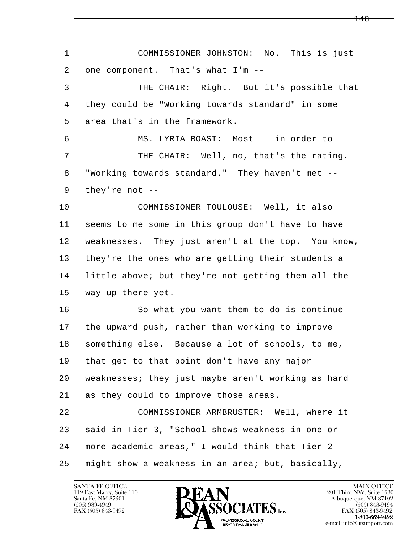l  $\overline{\phantom{a}}$  1 COMMISSIONER JOHNSTON: No. This is just  $2$  one component. That's what I'm  $-$  3 THE CHAIR: Right. But it's possible that 4 they could be "Working towards standard" in some 5 area that's in the framework. 6 MS. LYRIA BOAST: Most -- in order to -- 7 THE CHAIR: Well, no, that's the rating. 8 "Working towards standard." They haven't met --  $9$  they're not -- 10 COMMISSIONER TOULOUSE: Well, it also 11 seems to me some in this group don't have to have 12 weaknesses. They just aren't at the top. You know, 13 they're the ones who are getting their students a 14 little above; but they're not getting them all the 15 way up there yet. 16 So what you want them to do is continue 17 the upward push, rather than working to improve 18 | something else. Because a lot of schools, to me, 19 that get to that point don't have any major 20 weaknesses; they just maybe aren't working as hard 21 as they could to improve those areas. 22 COMMISSIONER ARMBRUSTER: Well, where it 23 | said in Tier 3, "School shows weakness in one or 24 more academic areas," I would think that Tier 2 25 might show a weakness in an area; but, basically,

119 East Marcy, Suite 110<br>Santa Fe, NM 87501

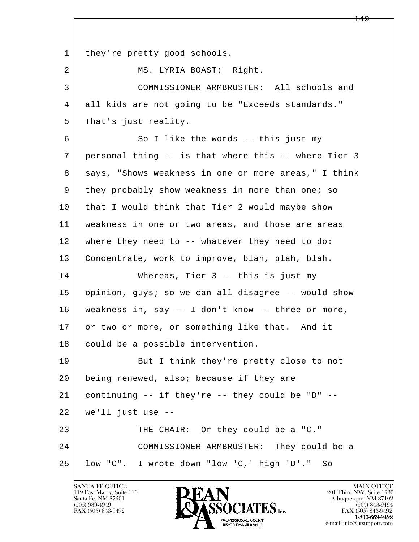l  $\overline{\phantom{a}}$ 1 | they're pretty good schools. 2 | MS. LYRIA BOAST: Right. 3 COMMISSIONER ARMBRUSTER: All schools and 4 all kids are not going to be "Exceeds standards." 5 That's just reality. 6 | So I like the words -- this just my 7 personal thing -- is that where this -- where Tier 3 8 says, "Shows weakness in one or more areas," I think 9 they probably show weakness in more than one; so 10 that I would think that Tier 2 would maybe show 11 weakness in one or two areas, and those are areas 12 where they need to -- whatever they need to do: 13 Concentrate, work to improve, blah, blah, blah. 14 Whereas, Tier 3 -- this is just my 15 opinion, guys; so we can all disagree -- would show 16 weakness in, say -- I don't know -- three or more, 17 or two or more, or something like that. And it 18 | could be a possible intervention. 19 But I think they're pretty close to not 20 being renewed, also; because if they are 21 continuing -- if they're -- they could be "D" --  $22$  we'll just use  $-$ 23 THE CHAIR: Or they could be a "C." 24 COMMISSIONER ARMBRUSTER: They could be a 25 low "C". I wrote down "low 'C,' high 'D'." So

119 East Marcy, Suite 110<br>Santa Fe, NM 87501

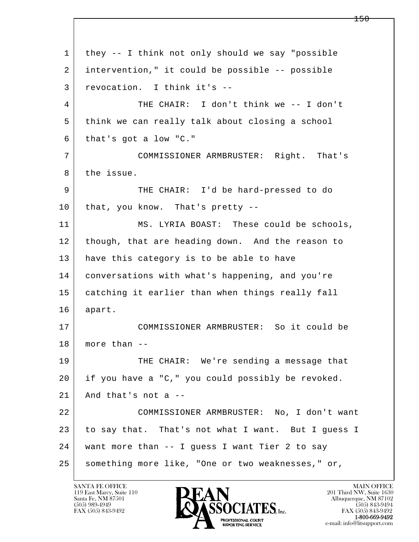l  $\overline{\phantom{a}}$  1 they -- I think not only should we say "possible 2 intervention," it could be possible -- possible 3 revocation. I think it's -- 4 THE CHAIR: I don't think we -- I don't 5 think we can really talk about closing a school 6 that's got a low "C." 7 COMMISSIONER ARMBRUSTER: Right. That's 8 the issue. 9 THE CHAIR: I'd be hard-pressed to do  $10$  that, you know. That's pretty  $-$ 11 | MS. LYRIA BOAST: These could be schools, 12 though, that are heading down. And the reason to 13 have this category is to be able to have 14 | conversations with what's happening, and you're 15 catching it earlier than when things really fall 16 apart. 17 COMMISSIONER ARMBRUSTER: So it could be 18 more than -- 19 THE CHAIR: We're sending a message that 20 if you have a "C," you could possibly be revoked.  $21$  And that's not a  $-$  22 COMMISSIONER ARMBRUSTER: No, I don't want 23 to say that. That's not what I want. But I guess I 24 want more than -- I guess I want Tier 2 to say 25 something more like, "One or two weaknesses," or,

119 East Marcy, Suite 110<br>Santa Fe, NM 87501

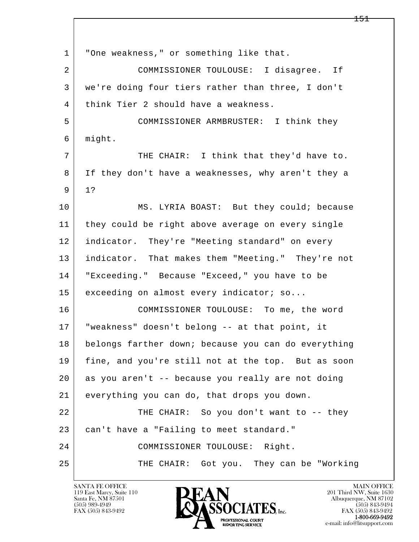l  $\overline{\phantom{a}}$  1 "One weakness," or something like that. 2 COMMISSIONER TOULOUSE: I disagree. If 3 we're doing four tiers rather than three, I don't 4 think Tier 2 should have a weakness. 5 COMMISSIONER ARMBRUSTER: I think they 6 might. 7 | THE CHAIR: I think that they'd have to. 8 If they don't have a weaknesses, why aren't they a 9 1? 10 MS. LYRIA BOAST: But they could; because 11 they could be right above average on every single 12 indicator. They're "Meeting standard" on every 13 indicator. That makes them "Meeting." They're not 14 "Exceeding." Because "Exceed," you have to be 15 exceeding on almost every indicator; so... 16 COMMISSIONER TOULOUSE: To me, the word 17 "weakness" doesn't belong -- at that point, it 18 belongs farther down; because you can do everything 19 fine, and you're still not at the top. But as soon 20 as you aren't -- because you really are not doing 21 everything you can do, that drops you down. 22 THE CHAIR: So you don't want to -- they 23 can't have a "Failing to meet standard." 24 COMMISSIONER TOULOUSE: Right. 25 THE CHAIR: Got you. They can be "Working

119 East Marcy, Suite 110<br>Santa Fe, NM 87501



FAX (505) 843-9492<br>1-800-669-9492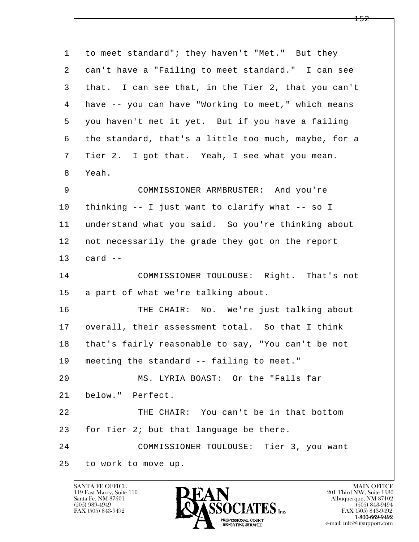l  $\overline{\phantom{a}}$ 1 to meet standard"; they haven't "Met." But they 2 can't have a "Failing to meet standard." I can see 3 that. I can see that, in the Tier 2, that you can't 4 have -- you can have "Working to meet," which means 5 you haven't met it yet. But if you have a failing 6 the standard, that's a little too much, maybe, for a 7 Tier 2. I got that. Yeah, I see what you mean. 8 Yeah. 9 COMMISSIONER ARMBRUSTER: And you're 10 thinking -- I just want to clarify what -- so I 11 understand what you said. So you're thinking about 12 not necessarily the grade they got on the report  $13$  card  $-$  14 COMMISSIONER TOULOUSE: Right. That's not 15 a part of what we're talking about. 16 THE CHAIR: No. We're just talking about 17 | overall, their assessment total. So that I think 18 that's fairly reasonable to say, "You can't be not 19 meeting the standard -- failing to meet." 20 MS. LYRIA BOAST: Or the "Falls far 21 below." Perfect. 22 THE CHAIR: You can't be in that bottom  $23$  for Tier 2; but that language be there. 24 COMMISSIONER TOULOUSE: Tier 3, you want 25 to work to move up.

119 East Marcy, Suite 110<br>Santa Fe, NM 87501

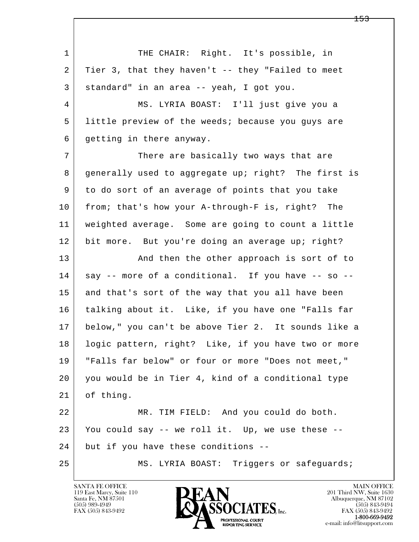l  $\overline{\phantom{a}}$ 1 THE CHAIR: Right. It's possible, in 2 Tier 3, that they haven't -- they "Failed to meet 3 standard" in an area -- yeah, I got you. 4 MS. LYRIA BOAST: I'll just give you a 5 little preview of the weeds; because you guys are 6 getting in there anyway. 7 There are basically two ways that are 8 generally used to aggregate up; right? The first is 9 to do sort of an average of points that you take 10 from; that's how your A-through-F is, right? The 11 weighted average. Some are going to count a little 12 bit more. But you're doing an average up; right? 13 And then the other approach is sort of to 14 say -- more of a conditional. If you have -- so --15 and that's sort of the way that you all have been 16 talking about it. Like, if you have one "Falls far 17 below," you can't be above Tier 2. It sounds like a 18 logic pattern, right? Like, if you have two or more 19 "Falls far below" or four or more "Does not meet," 20 you would be in Tier 4, kind of a conditional type 21 of thing. 22 MR. TIM FIELD: And you could do both. 23 You could say -- we roll it. Up, we use these -- 24 but if you have these conditions -- 25 MS. LYRIA BOAST: Triggers or safeguards;

119 East Marcy, Suite 110<br>Santa Fe, NM 87501

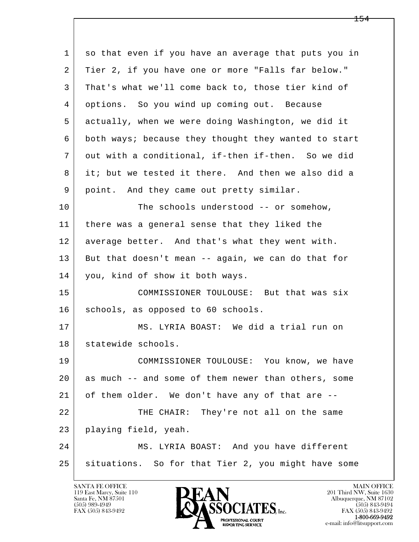| $\mathbf{1}$ | so that even if you have an average that puts you in |
|--------------|------------------------------------------------------|
| 2            | Tier 2, if you have one or more "Falls far below."   |
| 3            | That's what we'll come back to, those tier kind of   |
| 4            | options. So you wind up coming out. Because          |
| 5            | actually, when we were doing Washington, we did it   |
| 6            | both ways; because they thought they wanted to start |
| 7            | out with a conditional, if-then if-then. So we did   |
| 8            | it; but we tested it there. And then we also did a   |
| 9            | point. And they came out pretty similar.             |
| 10           | The schools understood -- or somehow,                |
| 11           | there was a general sense that they liked the        |
| 12           | average better. And that's what they went with.      |
| 13           | But that doesn't mean -- again, we can do that for   |
| 14           | you, kind of show it both ways.                      |
| 15           | COMMISSIONER TOULOUSE: But that was six              |
| 16           | schools, as opposed to 60 schools.                   |
| 17           | MS. LYRIA BOAST: We did a trial run on               |
| 18           | statewide schools.                                   |
| 19           | COMMISSIONER TOULOUSE: You know, we have             |
| 20           | as much -- and some of them newer than others, some  |
| 21           | of them older. We don't have any of that are --      |
| 22           | THE CHAIR: They're not all on the same               |
| 23           | playing field, yeah.                                 |
| 24           | MS. LYRIA BOAST: And you have different              |
| 25           | situations. So for that Tier 2, you might have some  |
|              |                                                      |

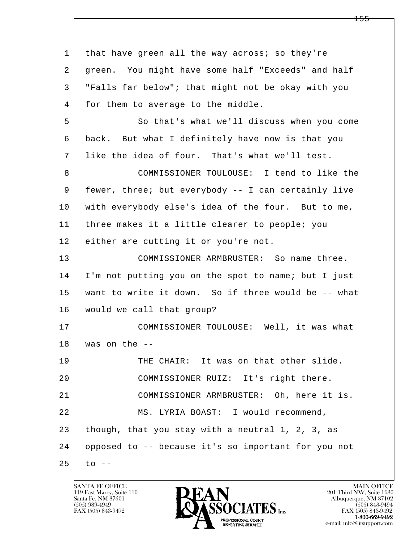l  $\overline{\phantom{a}}$  1 that have green all the way across; so they're 2 green. You might have some half "Exceeds" and half 3 "Falls far below"; that might not be okay with you 4 for them to average to the middle. 5 So that's what we'll discuss when you come 6 back. But what I definitely have now is that you 7 like the idea of four. That's what we'll test. 8 | COMMISSIONER TOULOUSE: I tend to like the 9 fewer, three; but everybody -- I can certainly live 10 with everybody else's idea of the four. But to me, 11 three makes it a little clearer to people; you 12 either are cutting it or you're not. 13 COMMISSIONER ARMBRUSTER: So name three. 14 I'm not putting you on the spot to name; but I just 15 want to write it down. So if three would be -- what 16 would we call that group? 17 COMMISSIONER TOULOUSE: Well, it was what  $18$  was on the  $-$  19 THE CHAIR: It was on that other slide. 20 COMMISSIONER RUIZ: It's right there. 21 COMMISSIONER ARMBRUSTER: Oh, here it is. 22 MS. LYRIA BOAST: I would recommend, 23 though, that you stay with a neutral 1, 2, 3, as 24 opposed to -- because it's so important for you not  $25$  to  $-$ 

119 East Marcy, Suite 110<br>Santa Fe, NM 87501

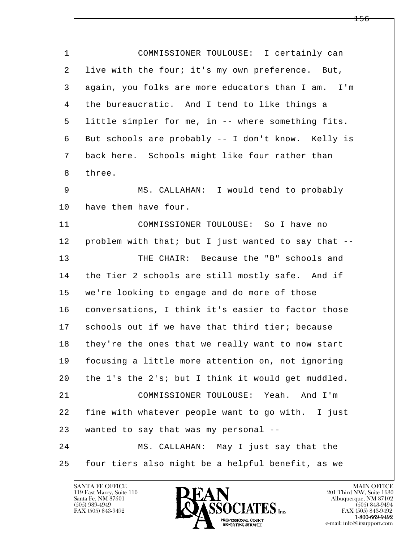| $\mathbf{1}$ | COMMISSIONER TOULOUSE: I certainly can              |
|--------------|-----------------------------------------------------|
| 2            | live with the four; it's my own preference. But,    |
| 3            | again, you folks are more educators than I am. I'm  |
| 4            | the bureaucratic. And I tend to like things a       |
| 5            | little simpler for me, in -- where something fits.  |
| 6            | But schools are probably -- I don't know. Kelly is  |
| 7            | back here. Schools might like four rather than      |
| 8            | three.                                              |
| 9            | MS. CALLAHAN: I would tend to probably              |
| 10           | have them have four.                                |
| 11           | COMMISSIONER TOULOUSE: So I have no                 |
| 12           | problem with that; but I just wanted to say that -- |
| 13           | THE CHAIR: Because the "B" schools and              |
| 14           | the Tier 2 schools are still mostly safe. And if    |
| 15           | we're looking to engage and do more of those        |
| 16           | conversations, I think it's easier to factor those  |
| 17           | schools out if we have that third tier; because     |
| 18           | they're the ones that we really want to now start   |
| 19           | focusing a little more attention on, not ignoring   |
| 20           | the 1's the 2's; but I think it would get muddled.  |
| 21           | COMMISSIONER TOULOUSE: Yeah. And I'm                |
| 22           | fine with whatever people want to go with. I just   |
| 23           | wanted to say that was my personal --               |
| 24           | MS. CALLAHAN: May I just say that the               |
| 25           | four tiers also might be a helpful benefit, as we   |

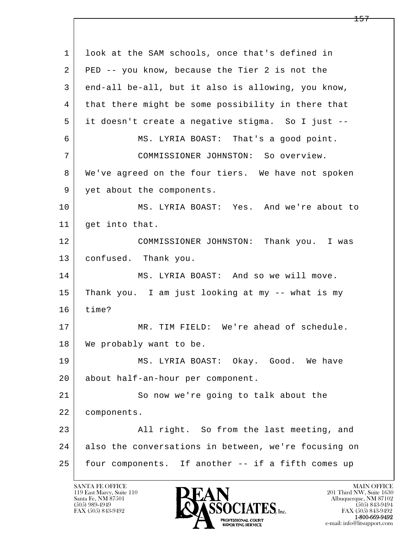l  $\overline{\phantom{a}}$  1 look at the SAM schools, once that's defined in 2 PED -- you know, because the Tier 2 is not the 3 end-all be-all, but it also is allowing, you know, 4 that there might be some possibility in there that 5 it doesn't create a negative stigma. So I just -- 6 MS. LYRIA BOAST: That's a good point. 7 COMMISSIONER JOHNSTON: So overview. 8 We've agreed on the four tiers. We have not spoken 9 yet about the components. 10 MS. LYRIA BOAST: Yes. And we're about to 11 get into that. 12 COMMISSIONER JOHNSTON: Thank you. I was 13 | confused. Thank you. 14 MS. LYRIA BOAST: And so we will move. 15 Thank you. I am just looking at my -- what is my 16 time? 17 MR. TIM FIELD: We're ahead of schedule. 18 | We probably want to be. 19 MS. LYRIA BOAST: Okay. Good. We have 20 about half-an-hour per component. 21 So now we're going to talk about the 22 components. 23 All right. So from the last meeting, and 24 also the conversations in between, we're focusing on 25 four components. If another -- if a fifth comes up

119 East Marcy, Suite 110<br>Santa Fe, NM 87501

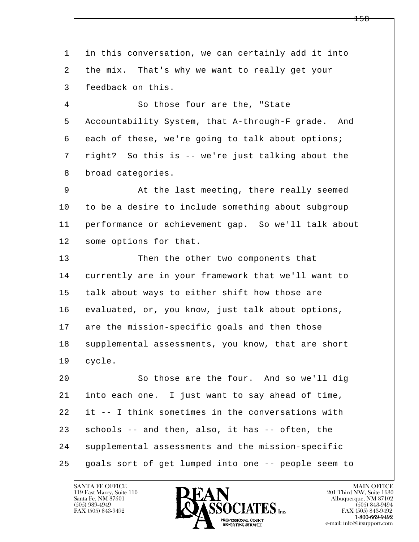l  $\overline{\phantom{a}}$  1 in this conversation, we can certainly add it into 2 the mix. That's why we want to really get your 3 feedback on this. 4 So those four are the, "State 5 Accountability System, that A-through-F grade. And 6 each of these, we're going to talk about options; 7 right? So this is -- we're just talking about the 8 broad categories. 9 At the last meeting, there really seemed 10 to be a desire to include something about subgroup 11 performance or achievement gap. So we'll talk about 12 some options for that. 13 Then the other two components that 14 currently are in your framework that we'll want to 15 | talk about ways to either shift how those are 16 evaluated, or, you know, just talk about options, 17 are the mission-specific goals and then those 18 | supplemental assessments, you know, that are short 19 cycle. 20 So those are the four. And so we'll dig 21 into each one. I just want to say ahead of time, 22 it -- I think sometimes in the conversations with  $23$  schools  $-$  and then, also, it has  $-$  often, the 24 | supplemental assessments and the mission-specific 25 goals sort of get lumped into one -- people seem to

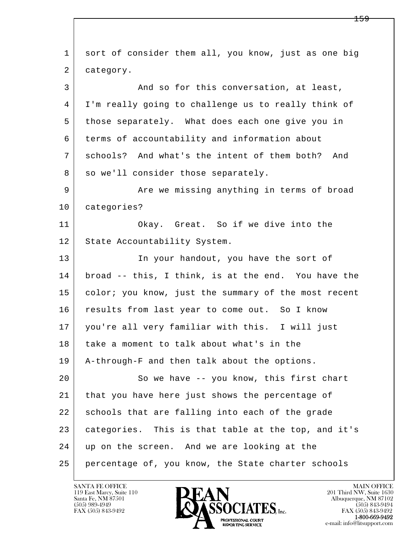l  $\overline{\phantom{a}}$ 1 sort of consider them all, you know, just as one big 2 category. 3 And so for this conversation, at least, 4 I'm really going to challenge us to really think of 5 those separately. What does each one give you in 6 terms of accountability and information about 7 schools? And what's the intent of them both? And 8 so we'll consider those separately. 9 Are we missing anything in terms of broad 10 categories? 11 Okay. Great. So if we dive into the 12 State Accountability System. 13 In your handout, you have the sort of 14 broad -- this, I think, is at the end. You have the 15 | color; you know, just the summary of the most recent 16 results from last year to come out. So I know 17 you're all very familiar with this. I will just 18 take a moment to talk about what's in the 19 A-through-F and then talk about the options. 20 So we have -- you know, this first chart 21 that you have here just shows the percentage of 22 schools that are falling into each of the grade 23 categories. This is that table at the top, and it's 24 up on the screen. And we are looking at the 25 percentage of, you know, the State charter schools

119 East Marcy, Suite 110<br>Santa Fe, NM 87501



FAX (505) 843-9492<br>**1-800-669-9492**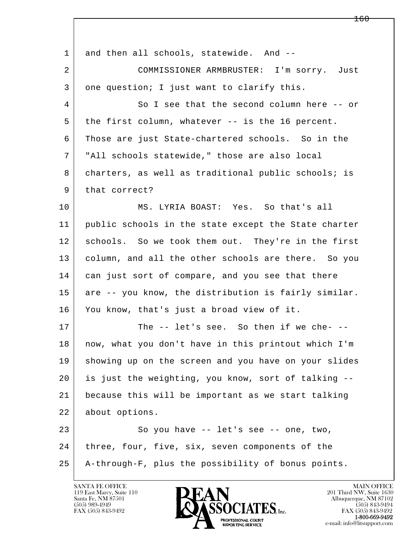| 1  | and then all schools, statewide. And --              |
|----|------------------------------------------------------|
| 2  | COMMISSIONER ARMBRUSTER: I'm sorry. Just             |
| 3  | one question; I just want to clarify this.           |
| 4  | So I see that the second column here -- or           |
| 5  | the first column, whatever -- is the 16 percent.     |
| 6  | Those are just State-chartered schools. So in the    |
| 7  | "All schools statewide," those are also local        |
| 8  | charters, as well as traditional public schools; is  |
| 9  | that correct?                                        |
| 10 | MS. LYRIA BOAST: Yes. So that's all                  |
| 11 | public schools in the state except the State charter |
| 12 | schools. So we took them out. They're in the first   |
| 13 | column, and all the other schools are there. So you  |
| 14 | can just sort of compare, and you see that there     |
| 15 | are -- you know, the distribution is fairly similar. |
| 16 | You know, that's just a broad view of it.            |
| 17 | The -- let's see. So then if we che- --              |
| 18 | now, what you don't have in this printout which I'm  |
| 19 | showing up on the screen and you have on your slides |
| 20 | is just the weighting, you know, sort of talking --  |
| 21 | because this will be important as we start talking   |
| 22 | about options.                                       |
| 23 | So you have -- let's see -- one, two,                |
| 24 | three, four, five, six, seven components of the      |
| 25 | A-through-F, plus the possibility of bonus points.   |
|    |                                                      |

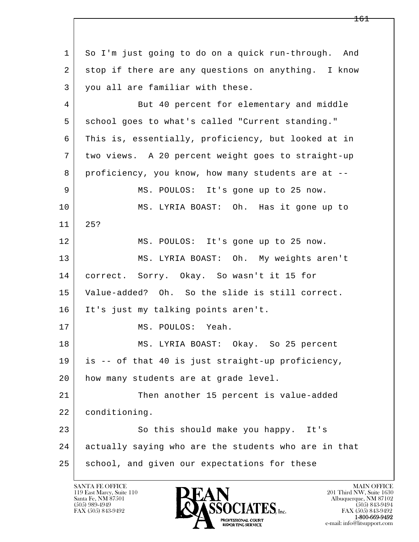l  $\overline{\phantom{a}}$  1 So I'm just going to do on a quick run-through. And 2 stop if there are any questions on anything. I know 3 you all are familiar with these. 4 But 40 percent for elementary and middle 5 school goes to what's called "Current standing." 6 This is, essentially, proficiency, but looked at in 7 two views. A 20 percent weight goes to straight-up 8 proficiency, you know, how many students are at -- 9 MS. POULOS: It's gone up to 25 now. 10 MS. LYRIA BOAST: Oh. Has it gone up to 11 25? 12 MS. POULOS: It's gone up to 25 now. 13 MS. LYRIA BOAST: Oh. My weights aren't 14 correct. Sorry. Okay. So wasn't it 15 for 15 Value-added? Oh. So the slide is still correct. 16 It's just my talking points aren't. 17 MS. POULOS: Yeah. 18 MS. LYRIA BOAST: Okay. So 25 percent 19 is -- of that 40 is just straight-up proficiency, 20 | how many students are at grade level. 21 Then another 15 percent is value-added 22 conditioning. 23 So this should make you happy. It's 24 actually saying who are the students who are in that 25 school, and given our expectations for these

119 East Marcy, Suite 110<br>Santa Fe, NM 87501

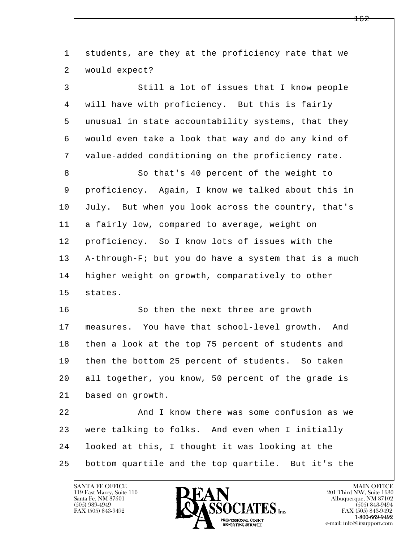| 1  | students, are they at the proficiency rate that we   |
|----|------------------------------------------------------|
| 2  | would expect?                                        |
| 3  | Still a lot of issues that I know people             |
| 4  | will have with proficiency. But this is fairly       |
| 5  | unusual in state accountability systems, that they   |
| 6  | would even take a look that way and do any kind of   |
| 7  | value-added conditioning on the proficiency rate.    |
| 8  | So that's 40 percent of the weight to                |
| 9  | proficiency. Again, I know we talked about this in   |
| 10 | July. But when you look across the country, that's   |
| 11 | a fairly low, compared to average, weight on         |
| 12 | proficiency. So I know lots of issues with the       |
| 13 | A-through-F; but you do have a system that is a much |
| 14 | higher weight on growth, comparatively to other      |
| 15 | states.                                              |
| 16 | So then the next three are growth                    |
| 17 | measures. You have that school-level growth.<br>And  |
| 18 | then a look at the top 75 percent of students and    |
| 19 | then the bottom 25 percent of students. So taken     |
| 20 | all together, you know, 50 percent of the grade is   |
| 21 | based on growth.                                     |
| 22 | And I know there was some confusion as we            |
| 23 | were talking to folks. And even when I initially     |
| 24 | looked at this, I thought it was looking at the      |
| 25 | bottom quartile and the top quartile. But it's the   |

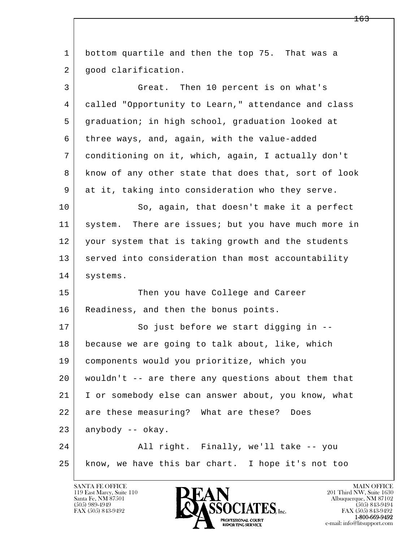l  $\overline{\phantom{a}}$  1 bottom quartile and then the top 75. That was a 2 | good clarification. 3 Great. Then 10 percent is on what's 4 called "Opportunity to Learn," attendance and class 5 graduation; in high school, graduation looked at 6 three ways, and, again, with the value-added 7 conditioning on it, which, again, I actually don't 8 know of any other state that does that, sort of look 9 at it, taking into consideration who they serve. 10 So, again, that doesn't make it a perfect 11 system. There are issues; but you have much more in 12 your system that is taking growth and the students 13 served into consideration than most accountability 14 systems. 15 Then you have College and Career 16 Readiness, and then the bonus points. 17 So just before we start digging in -- 18 because we are going to talk about, like, which 19 components would you prioritize, which you 20 wouldn't -- are there any questions about them that 21 I or somebody else can answer about, you know, what 22 are these measuring? What are these? Does  $23$  anybody -- okay. 24 | All right. Finally, we'll take -- you 25 know, we have this bar chart. I hope it's not too

119 East Marcy, Suite 110<br>Santa Fe, NM 87501



FAX (505) 843-9492<br>**1-800-669-9492**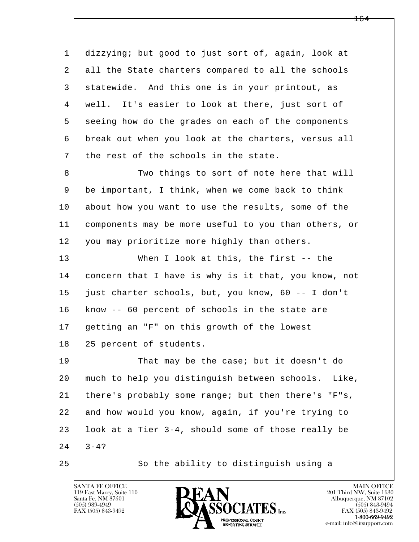l  $\overline{\phantom{a}}$  1 dizzying; but good to just sort of, again, look at 2 all the State charters compared to all the schools 3 statewide. And this one is in your printout, as 4 well. It's easier to look at there, just sort of 5 seeing how do the grades on each of the components 6 break out when you look at the charters, versus all 7 the rest of the schools in the state. 8 Two things to sort of note here that will 9 be important, I think, when we come back to think 10 about how you want to use the results, some of the 11 components may be more useful to you than others, or 12 you may prioritize more highly than others. 13 When I look at this, the first -- the 14 concern that I have is why is it that, you know, not 15 just charter schools, but, you know, 60 -- I don't 16 know -- 60 percent of schools in the state are 17 getting an "F" on this growth of the lowest 18 25 percent of students. 19 That may be the case; but it doesn't do 20 much to help you distinguish between schools. Like, 21 there's probably some range; but then there's "F"s, 22 and how would you know, again, if you're trying to 23 look at a Tier 3-4, should some of those really be  $24 \mid 3-4?$ 25 So the ability to distinguish using a

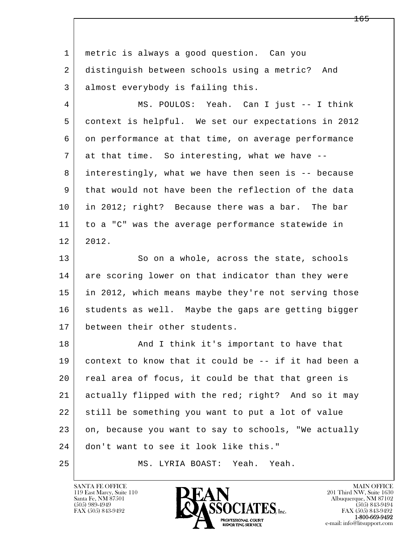l  $\overline{\phantom{a}}$  1 metric is always a good question. Can you 2 distinguish between schools using a metric? And 3 almost everybody is failing this. 4 MS. POULOS: Yeah. Can I just -- I think 5 context is helpful. We set our expectations in 2012 6 on performance at that time, on average performance 7 at that time. So interesting, what we have -- 8 interestingly, what we have then seen is -- because 9 that would not have been the reflection of the data 10 in 2012; right? Because there was a bar. The bar 11 to a "C" was the average performance statewide in 12 2012. 13 So on a whole, across the state, schools 14 are scoring lower on that indicator than they were 15 in 2012, which means maybe they're not serving those 16 students as well. Maybe the gaps are getting bigger 17 between their other students. 18 | Think it's important to have that 19 context to know that it could be -- if it had been a 20 real area of focus, it could be that that green is 21 actually flipped with the red; right? And so it may 22 still be something you want to put a lot of value 23 on, because you want to say to schools, "We actually 24 don't want to see it look like this." 25 MS. LYRIA BOAST: Yeah. Yeah.

119 East Marcy, Suite 110<br>Santa Fe, NM 87501

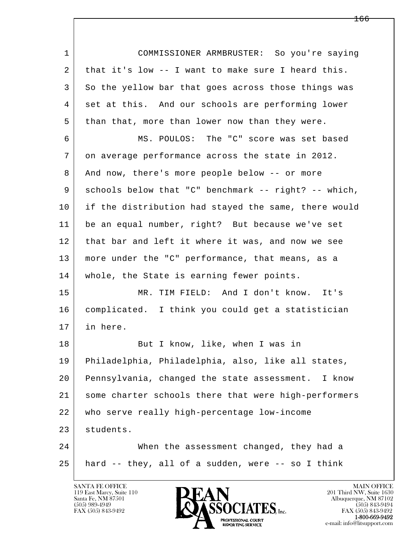l  $\overline{\phantom{a}}$  1 COMMISSIONER ARMBRUSTER: So you're saying 2 that it's low -- I want to make sure I heard this. 3 So the yellow bar that goes across those things was 4 set at this. And our schools are performing lower 5 than that, more than lower now than they were. 6 MS. POULOS: The "C" score was set based 7 on average performance across the state in 2012. 8 And now, there's more people below -- or more 9 | schools below that "C" benchmark -- right? -- which, 10 if the distribution had stayed the same, there would 11 be an equal number, right? But because we've set 12 that bar and left it where it was, and now we see 13 more under the "C" performance, that means, as a 14 whole, the State is earning fewer points. 15 MR. TIM FIELD: And I don't know. It's 16 complicated. I think you could get a statistician 17 in here. 18 But I know, like, when I was in 19 Philadelphia, Philadelphia, also, like all states, 20 Pennsylvania, changed the state assessment. I know 21 some charter schools there that were high-performers 22 who serve really high-percentage low-income 23 students. 24 When the assessment changed, they had a 25 hard -- they, all of a sudden, were -- so I think

119 East Marcy, Suite 110<br>Santa Fe, NM 87501



FAX (505) 843-9492<br>1-800-669-9492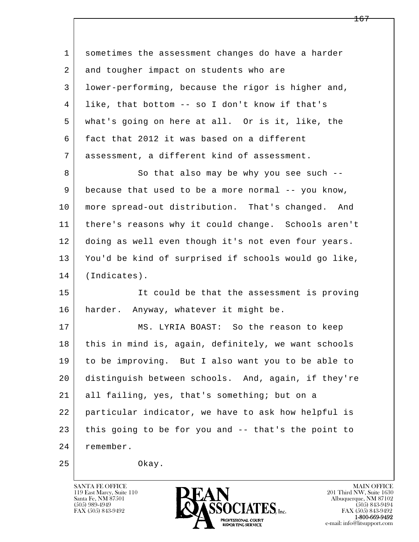| $\mathbf 1$ | sometimes the assessment changes do have a harder    |
|-------------|------------------------------------------------------|
| 2           | and tougher impact on students who are               |
| 3           | lower-performing, because the rigor is higher and,   |
| 4           | like, that bottom -- so I don't know if that's       |
| 5           | what's going on here at all. Or is it, like, the     |
| 6           | fact that 2012 it was based on a different           |
| 7           | assessment, a different kind of assessment.          |
| 8           | So that also may be why you see such --              |
| 9           | because that used to be a more normal -- you know,   |
| 10          | more spread-out distribution. That's changed. And    |
| 11          | there's reasons why it could change. Schools aren't  |
| 12          | doing as well even though it's not even four years.  |
| 13          | You'd be kind of surprised if schools would go like, |
| 14          | (Indicates).                                         |
| 15          | It could be that the assessment is proving           |
| 16          | harder. Anyway, whatever it might be.                |
| 17          | MS. LYRIA BOAST: So the reason to keep               |
| 18          | this in mind is, again, definitely, we want schools  |
| 19          | to be improving. But I also want you to be able to   |
| 20          | distinguish between schools. And, again, if they're  |
| 21          | all failing, yes, that's something; but on a         |
| 22          | particular indicator, we have to ask how helpful is  |
| 23          | this going to be for you and -- that's the point to  |
| 24          | remember.                                            |
| 25          | Okay.                                                |

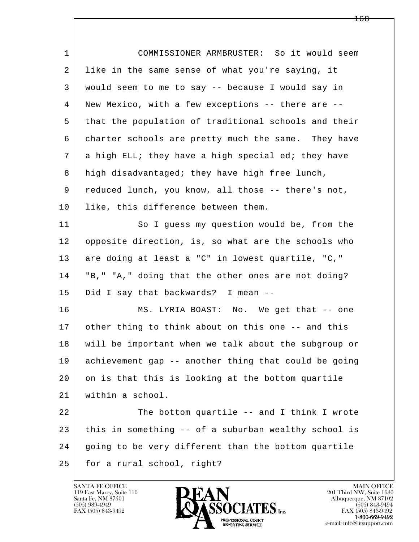| $\mathbf 1$ | COMMISSIONER ARMBRUSTER: So it would seem            |
|-------------|------------------------------------------------------|
| 2           | like in the same sense of what you're saying, it     |
| 3           | would seem to me to say -- because I would say in    |
| 4           | New Mexico, with a few exceptions -- there are --    |
| 5           | that the population of traditional schools and their |
| 6           | charter schools are pretty much the same. They have  |
| 7           | a high ELL; they have a high special ed; they have   |
| 8           | high disadvantaged; they have high free lunch,       |
| 9           | reduced lunch, you know, all those -- there's not,   |
| 10          | like, this difference between them.                  |
| 11          | So I guess my question would be, from the            |
| 12          | opposite direction, is, so what are the schools who  |
| 13          | are doing at least a "C" in lowest quartile, "C,"    |
| 14          | "B," "A," doing that the other ones are not doing?   |
| 15          | Did I say that backwards? I mean --                  |
| 16          | MS. LYRIA BOAST: No. We get that -- one              |
| 17          | other thing to think about on this one -- and this   |
| 18          | will be important when we talk about the subgroup or |
| 19          | achievement gap -- another thing that could be going |
| 20          | on is that this is looking at the bottom quartile    |
| 21          | within a school.                                     |
| 22          | The bottom quartile -- and I think I wrote           |
| 23          | this in something -- of a suburban wealthy school is |
| 24          | going to be very different than the bottom quartile  |
| 25          | for a rural school, right?                           |

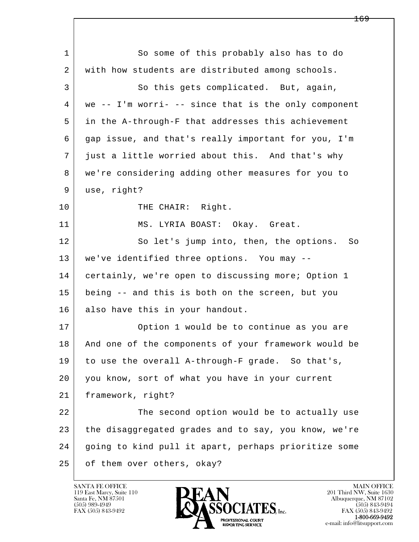| $\mathbf{1}$ | So some of this probably also has to do              |
|--------------|------------------------------------------------------|
| 2            | with how students are distributed among schools.     |
| 3            | So this gets complicated. But, again,                |
| 4            | we -- I'm worri- -- since that is the only component |
| 5            | in the A-through-F that addresses this achievement   |
| 6            | gap issue, and that's really important for you, I'm  |
| 7            | just a little worried about this. And that's why     |
| 8            | we're considering adding other measures for you to   |
| 9            | use, right?                                          |
| 10           | THE CHAIR: Right.                                    |
| 11           | MS. LYRIA BOAST: Okay. Great.                        |
| 12           | So let's jump into, then, the options.<br>So         |
| 13           | we've identified three options. You may --           |
| 14           | certainly, we're open to discussing more; Option 1   |
| 15           | being -- and this is both on the screen, but you     |
| 16           | also have this in your handout.                      |
| 17           | Option 1 would be to continue as you are             |
| 18           | And one of the components of your framework would be |
| 19           | to use the overall A-through-F grade. So that's,     |
| 20           | you know, sort of what you have in your current      |
| 21           | framework, right?                                    |
| 22           | The second option would be to actually use           |
| 23           | the disaggregated grades and to say, you know, we're |
| 24           | going to kind pull it apart, perhaps prioritize some |
| 25           | of them over others, okay?                           |

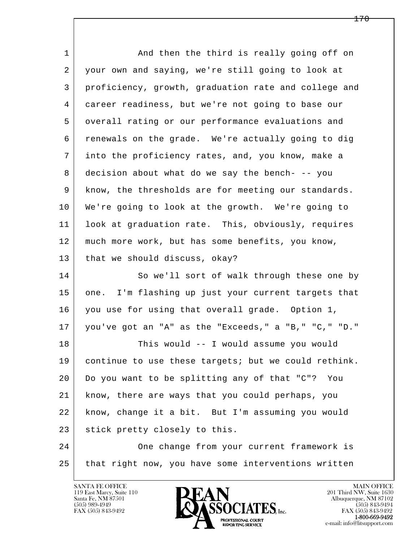l  $\overline{\phantom{a}}$ 1 and then the third is really going off on 2 your own and saying, we're still going to look at 3 proficiency, growth, graduation rate and college and 4 career readiness, but we're not going to base our 5 overall rating or our performance evaluations and 6 renewals on the grade. We're actually going to dig 7 into the proficiency rates, and, you know, make a 8 decision about what do we say the bench- -- you 9 know, the thresholds are for meeting our standards. 10 We're going to look at the growth. We're going to 11 look at graduation rate. This, obviously, requires 12 much more work, but has some benefits, you know, 13 that we should discuss, okay? 14 So we'll sort of walk through these one by 15 one. I'm flashing up just your current targets that 16 you use for using that overall grade. Option 1, 17 you've got an "A" as the "Exceeds," a "B," "C," "D." 18 This would -- I would assume you would 19 continue to use these targets; but we could rethink. 20 Do you want to be splitting any of that "C"? You 21 know, there are ways that you could perhaps, you 22 know, change it a bit. But I'm assuming you would 23 stick pretty closely to this. 24 One change from your current framework is 25 that right now, you have some interventions written

119 East Marcy, Suite 110<br>Santa Fe, NM 87501

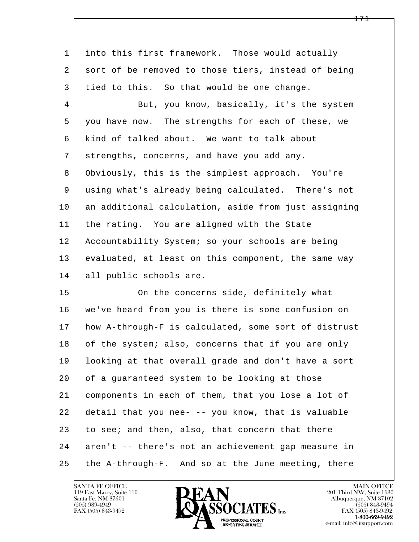l  $\overline{\phantom{a}}$ 1 into this first framework. Those would actually 2 sort of be removed to those tiers, instead of being 3 tied to this. So that would be one change. 4 But, you know, basically, it's the system 5 you have now. The strengths for each of these, we 6 kind of talked about. We want to talk about 7 strengths, concerns, and have you add any. 8 Obviously, this is the simplest approach. You're 9 using what's already being calculated. There's not 10 an additional calculation, aside from just assigning 11 | the rating. You are aligned with the State 12 | Accountability System; so your schools are being 13 evaluated, at least on this component, the same way 14 all public schools are. 15 On the concerns side, definitely what 16 we've heard from you is there is some confusion on 17 how A-through-F is calculated, some sort of distrust 18 of the system; also, concerns that if you are only 19 looking at that overall grade and don't have a sort 20 of a guaranteed system to be looking at those 21 components in each of them, that you lose a lot of 22 detail that you nee- -- you know, that is valuable 23 to see; and then, also, that concern that there 24 aren't -- there's not an achievement gap measure in  $25$  the A-through-F. And so at the June meeting, there

119 East Marcy, Suite 110<br>Santa Fe, NM 87501

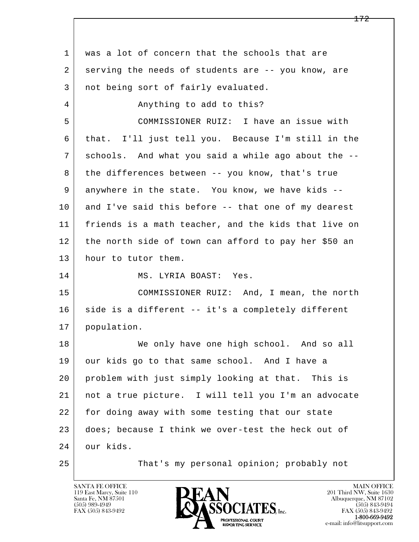l  $\overline{\phantom{a}}$ 1 was a lot of concern that the schools that are 2 serving the needs of students are -- you know, are 3 | not being sort of fairly evaluated. 4 | Anything to add to this? 5 COMMISSIONER RUIZ: I have an issue with 6 that. I'll just tell you. Because I'm still in the 7 schools. And what you said a while ago about the -- 8 the differences between -- you know, that's true 9 anywhere in the state. You know, we have kids -- 10 and I've said this before -- that one of my dearest 11 friends is a math teacher, and the kids that live on 12 the north side of town can afford to pay her \$50 an 13 | hour to tutor them. 14 MS. LYRIA BOAST: Yes. 15 COMMISSIONER RUIZ: And, I mean, the north 16 side is a different -- it's a completely different 17 population. 18 We only have one high school. And so all 19 our kids go to that same school. And I have a 20 problem with just simply looking at that. This is 21 not a true picture. I will tell you I'm an advocate 22 for doing away with some testing that our state 23 does; because I think we over-test the heck out of 24 our kids. 25 That's my personal opinion; probably not

119 East Marcy, Suite 110<br>Santa Fe, NM 87501

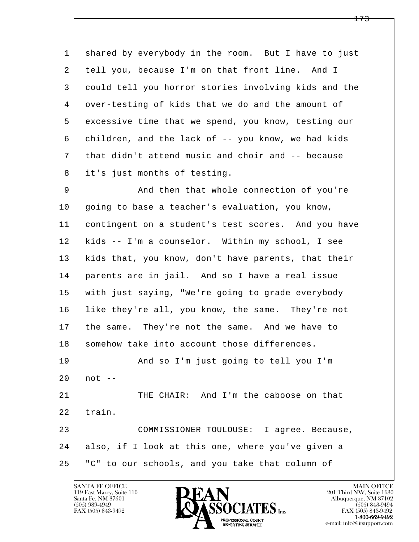1 shared by everybody in the room. But I have to just 2 tell you, because I'm on that front line. And I 3 could tell you horror stories involving kids and the 4 over-testing of kids that we do and the amount of 5 excessive time that we spend, you know, testing our 6 children, and the lack of -- you know, we had kids 7 that didn't attend music and choir and -- because 8 it's just months of testing.

l  $\overline{\phantom{a}}$ 9 and then that whole connection of you're 10 going to base a teacher's evaluation, you know, 11 contingent on a student's test scores. And you have 12 kids -- I'm a counselor. Within my school, I see 13 | kids that, you know, don't have parents, that their 14 parents are in jail. And so I have a real issue 15 with just saying, "We're going to grade everybody 16 like they're all, you know, the same. They're not 17 | the same. They're not the same. And we have to 18 somehow take into account those differences. 19 And so I'm just going to tell you I'm 20 not -- 21 | THE CHAIR: And I'm the caboose on that 22 train. 23 COMMISSIONER TOULOUSE: I agree. Because, 24 also, if I look at this one, where you've given a 25 "C" to our schools, and you take that column of

119 East Marcy, Suite 110<br>Santa Fe, NM 87501



FAX (505) 843-9492<br>1-800-669-9492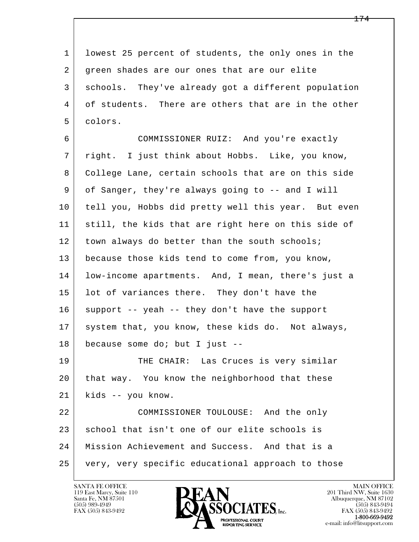l  $\overline{\phantom{a}}$  1 lowest 25 percent of students, the only ones in the 2 green shades are our ones that are our elite 3 schools. They've already got a different population 4 of students. There are others that are in the other 5 colors. 6 COMMISSIONER RUIZ: And you're exactly 7 right. I just think about Hobbs. Like, you know, 8 College Lane, certain schools that are on this side 9 of Sanger, they're always going to -- and I will 10 tell you, Hobbs did pretty well this year. But even 11 still, the kids that are right here on this side of 12 town always do better than the south schools; 13 | because those kids tend to come from, you know, 14 low-income apartments. And, I mean, there's just a 15 | lot of variances there. They don't have the 16 support -- yeah -- they don't have the support 17 system that, you know, these kids do. Not always, 18 because some do; but I just -- 19 THE CHAIR: Las Cruces is very similar 20 that way. You know the neighborhood that these 21 kids -- you know. 22 COMMISSIONER TOULOUSE: And the only 23 school that isn't one of our elite schools is 24 Mission Achievement and Success. And that is a 25 very, very specific educational approach to those

119 East Marcy, Suite 110<br>Santa Fe, NM 87501



FAX (505) 843-9492<br>1-800-669-9492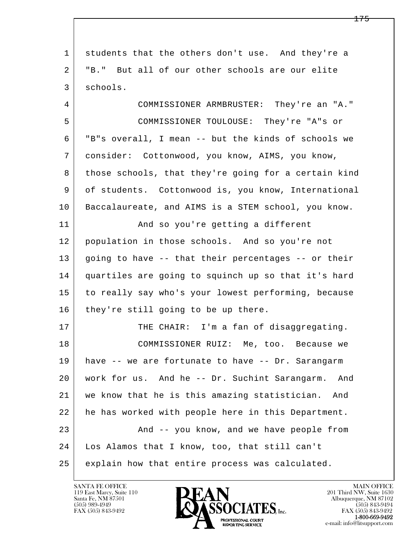l  $\overline{\phantom{a}}$  1 students that the others don't use. And they're a 2 "B." But all of our other schools are our elite 3 schools. 4 COMMISSIONER ARMBRUSTER: They're an "A." 5 COMMISSIONER TOULOUSE: They're "A"s or 6 "B"s overall, I mean -- but the kinds of schools we 7 consider: Cottonwood, you know, AIMS, you know, 8 those schools, that they're going for a certain kind 9 of students. Cottonwood is, you know, International 10 Baccalaureate, and AIMS is a STEM school, you know. 11 | And so you're getting a different 12 population in those schools. And so you're not 13 going to have -- that their percentages -- or their 14 quartiles are going to squinch up so that it's hard 15 to really say who's your lowest performing, because 16 they're still going to be up there. 17 | THE CHAIR: I'm a fan of disaggregating. 18 COMMISSIONER RUIZ: Me, too. Because we 19 have -- we are fortunate to have -- Dr. Sarangarm 20 work for us. And he -- Dr. Suchint Sarangarm. And 21 we know that he is this amazing statistician. And 22 he has worked with people here in this Department. 23 And -- you know, and we have people from 24 Los Alamos that I know, too, that still can't 25 explain how that entire process was calculated.

119 East Marcy, Suite 110<br>Santa Fe, NM 87501

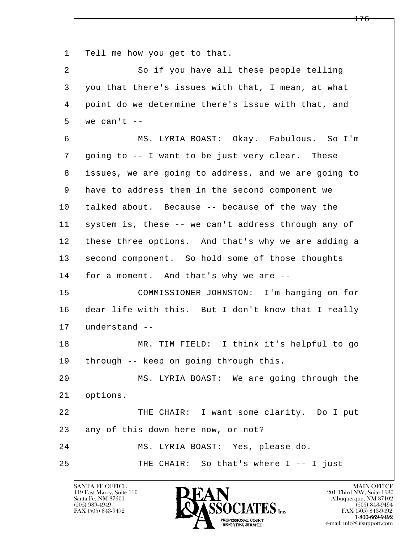1 | Tell me how you get to that.

2 So if you have all these people telling 3 you that there's issues with that, I mean, at what 4 point do we determine there's issue with that, and  $5$  we can't  $-$ 

 6 MS. LYRIA BOAST: Okay. Fabulous. So I'm 7 going to -- I want to be just very clear. These 8 issues, we are going to address, and we are going to 9 have to address them in the second component we 10 talked about. Because -- because of the way the 11 system is, these -- we can't address through any of 12 these three options. And that's why we are adding a 13 | second component. So hold some of those thoughts 14 for a moment. And that's why we are --

 15 COMMISSIONER JOHNSTON: I'm hanging on for 16 dear life with this. But I don't know that I really 17 understand --

 18 MR. TIM FIELD: I think it's helpful to go 19 | through -- keep on going through this.

l  $\overline{\phantom{a}}$  20 MS. LYRIA BOAST: We are going through the 21 options. 22 THE CHAIR: I want some clarity. Do I put 23 any of this down here now, or not? 24 MS. LYRIA BOAST: Yes, please do. 25 | THE CHAIR: So that's where I -- I just

119 East Marcy, Suite 110<br>Santa Fe, NM 87501

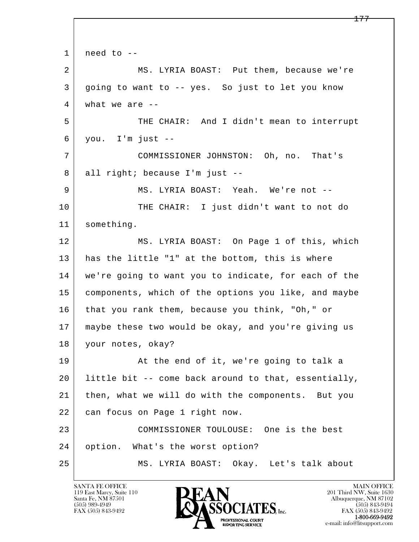l  $\overline{\phantom{a}}$  $1$  need to  $-$  2 MS. LYRIA BOAST: Put them, because we're 3 going to want to -- yes. So just to let you know  $4$  what we are  $-$  5 THE CHAIR: And I didn't mean to interrupt  $6$  you. I'm just  $-$  7 COMMISSIONER JOHNSTON: Oh, no. That's 8 all right; because I'm just -- 9 MS. LYRIA BOAST: Yeah. We're not -- 10 THE CHAIR: I just didn't want to not do 11 something. 12 MS. LYRIA BOAST: On Page 1 of this, which 13 has the little "1" at the bottom, this is where 14 we're going to want you to indicate, for each of the 15 components, which of the options you like, and maybe 16 that you rank them, because you think, "Oh," or 17 maybe these two would be okay, and you're giving us 18 your notes, okay? 19 At the end of it, we're going to talk a 20 little bit -- come back around to that, essentially, 21 then, what we will do with the components. But you 22 can focus on Page 1 right now. 23 COMMISSIONER TOULOUSE: One is the best 24 option. What's the worst option? 25 MS. LYRIA BOAST: Okay. Let's talk about

119 East Marcy, Suite 110<br>Santa Fe, NM 87501

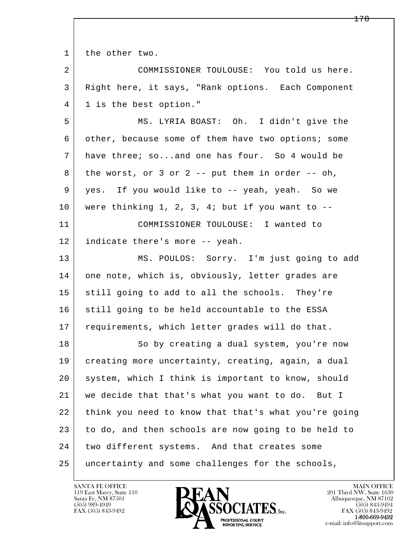1 the other two.

 2 COMMISSIONER TOULOUSE: You told us here. 3 Right here, it says, "Rank options. Each Component 4 1 is the best option."

 5 MS. LYRIA BOAST: Oh. I didn't give the 6 other, because some of them have two options; some 7 have three; so...and one has four. So 4 would be  $8$  the worst, or 3 or 2 -- put them in order -- oh, 9 yes. If you would like to -- yeah, yeah. So we  $10$  were thinking 1, 2, 3, 4; but if you want to  $-$ 11 COMMISSIONER TOULOUSE: I wanted to

12 indicate there's more -- yeah.

13 MS. POULOS: Sorry. I'm just going to add 14 one note, which is, obviously, letter grades are 15 still going to add to all the schools. They're 16 still going to be held accountable to the ESSA 17 | requirements, which letter grades will do that.

l  $\overline{\phantom{a}}$ 18 So by creating a dual system, you're now 19 creating more uncertainty, creating, again, a dual 20 system, which I think is important to know, should 21 we decide that that's what you want to do. But I 22 think you need to know that that's what you're going 23 to do, and then schools are now going to be held to 24 two different systems. And that creates some 25 uncertainty and some challenges for the schools,

119 East Marcy, Suite 110<br>Santa Fe, NM 87501

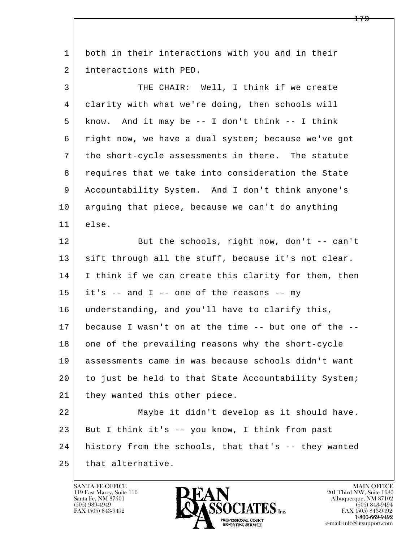| 1  | both in their interactions with you and in their     |
|----|------------------------------------------------------|
| 2  | interactions with PED.                               |
| 3  | THE CHAIR: Well, I think if we create                |
| 4  | clarity with what we're doing, then schools will     |
| 5  | know. And it may be $-$ I don't think $-$ - I think  |
| 6  | right now, we have a dual system; because we've got  |
| 7  | the short-cycle assessments in there. The statute    |
| 8  | requires that we take into consideration the State   |
| 9  | Accountability System. And I don't think anyone's    |
| 10 | arguing that piece, because we can't do anything     |
| 11 | else.                                                |
| 12 | But the schools, right now, don't -- can't           |
| 13 | sift through all the stuff, because it's not clear.  |
| 14 | I think if we can create this clarity for them, then |
| 15 | it's -- and I -- one of the reasons -- my            |
| 16 | understanding, and you'll have to clarify this,      |
| 17 | because I wasn't on at the time -- but one of the -- |
| 18 | one of the prevailing reasons why the short-cycle    |
| 19 | assessments came in was because schools didn't want  |
| 20 | to just be held to that State Accountability System; |
| 21 | they wanted this other piece.                        |
| 22 | Maybe it didn't develop as it should have.           |
| 23 | But I think it's -- you know, I think from past      |
| 24 | history from the schools, that that's -- they wanted |
| 25 | that alternative.                                    |

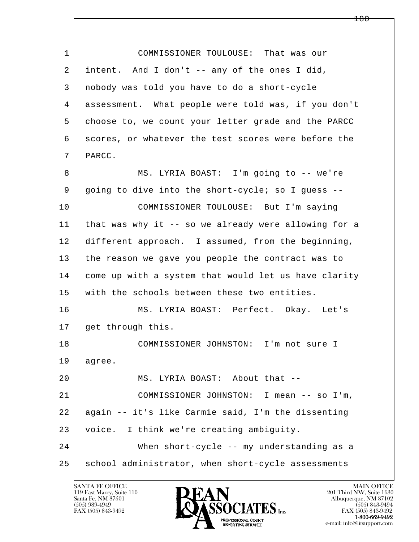| $\mathbf{1}$ | COMMISSIONER TOULOUSE: That was our                  |
|--------------|------------------------------------------------------|
| 2            | intent. And I don't -- any of the ones I did,        |
| 3            | nobody was told you have to do a short-cycle         |
| 4            | assessment. What people were told was, if you don't  |
| 5            | choose to, we count your letter grade and the PARCC  |
| 6            | scores, or whatever the test scores were before the  |
| 7            | PARCC.                                               |
| 8            | MS. LYRIA BOAST: I'm going to -- we're               |
| 9            | going to dive into the short-cycle; so I guess --    |
| 10           | COMMISSIONER TOULOUSE: But I'm saying                |
| 11           | that was why it -- so we already were allowing for a |
| 12           | different approach. I assumed, from the beginning,   |
| 13           | the reason we gave you people the contract was to    |
| 14           | come up with a system that would let us have clarity |
| 15           | with the schools between these two entities.         |
| 16           | MS. LYRIA BOAST: Perfect. Okay. Let's                |
| 17           | get through this.                                    |
| 18           | COMMISSIONER JOHNSTON: I'm not sure I                |
| 19           | agree.                                               |
| 20           | MS. LYRIA BOAST: About that --                       |
| 21           | COMMISSIONER JOHNSTON: I mean -- so I'm,             |
| 22           | again -- it's like Carmie said, I'm the dissenting   |
| 23           | voice. I think we're creating ambiguity.             |
| 24           | When short-cycle -- my understanding as a            |
| 25           | school administrator, when short-cycle assessments   |

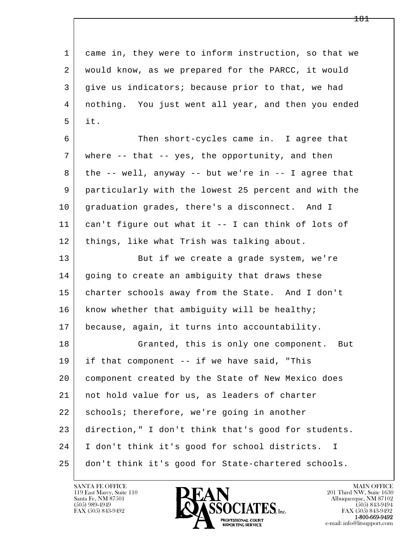l  $\overline{\phantom{a}}$  1 came in, they were to inform instruction, so that we 2 would know, as we prepared for the PARCC, it would 3 give us indicators; because prior to that, we had 4 nothing. You just went all year, and then you ended  $5$  it. 6 Then short-cycles came in. I agree that 7 where -- that -- yes, the opportunity, and then  $8$  the  $-$ - well, anyway  $-$ - but we're in  $-$ - I agree that 9 particularly with the lowest 25 percent and with the 10 graduation grades, there's a disconnect. And I 11 can't figure out what it -- I can think of lots of 12 | things, like what Trish was talking about. 13 But if we create a grade system, we're 14 | going to create an ambiguity that draws these 15 charter schools away from the State. And I don't 16 | know whether that ambiquity will be healthy; 17 because, again, it turns into accountability. 18 Granted, this is only one component. But 19 if that component -- if we have said, "This 20 component created by the State of New Mexico does 21 not hold value for us, as leaders of charter 22 | schools; therefore, we're going in another 23 direction," I don't think that's good for students. 24 I don't think it's good for school districts. I 25 don't think it's good for State-chartered schools.



FAX (505) 843-9492<br>**1-800-669-9492**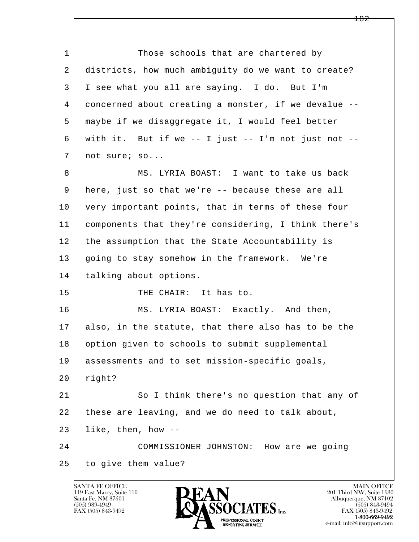l  $\overline{\phantom{a}}$ 1 Those schools that are chartered by 2 districts, how much ambiguity do we want to create? 3 I see what you all are saying. I do. But I'm 4 concerned about creating a monster, if we devalue -- 5 maybe if we disaggregate it, I would feel better 6 with it. But if we -- I just -- I'm not just not -- 7 not sure; so... 8 MS. LYRIA BOAST: I want to take us back 9 | here, just so that we're -- because these are all 10 very important points, that in terms of these four 11 components that they're considering, I think there's 12 the assumption that the State Accountability is 13 going to stay somehow in the framework. We're 14 | talking about options. 15 THE CHAIR: It has to. 16 MS. LYRIA BOAST: Exactly. And then, 17 also, in the statute, that there also has to be the 18 | option given to schools to submit supplemental 19 assessments and to set mission-specific goals, 20 right? 21 So I think there's no question that any of 22 these are leaving, and we do need to talk about,  $23$  like, then, how  $-$  24 COMMISSIONER JOHNSTON: How are we going 25 to give them value?

119 East Marcy, Suite 110<br>Santa Fe, NM 87501

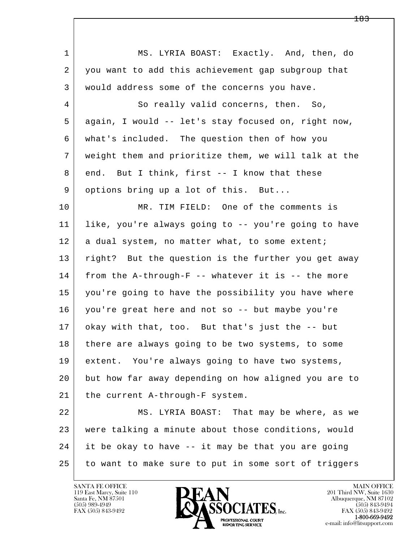l  $\overline{\phantom{a}}$  1 MS. LYRIA BOAST: Exactly. And, then, do 2 you want to add this achievement gap subgroup that 3 would address some of the concerns you have. 4 So really valid concerns, then. So, 5 again, I would -- let's stay focused on, right now, 6 what's included. The question then of how you 7 weight them and prioritize them, we will talk at the  $8$  end. But I think, first  $-$ - I know that these 9 options bring up a lot of this. But... 10 MR. TIM FIELD: One of the comments is 11 like, you're always going to -- you're going to have 12 a dual system, no matter what, to some extent; 13 right? But the question is the further you get away 14 from the A-through-F -- whatever it is -- the more 15 you're going to have the possibility you have where 16 you're great here and not so -- but maybe you're 17 okay with that, too. But that's just the -- but 18 there are always going to be two systems, to some 19 extent. You're always going to have two systems, 20 but how far away depending on how aligned you are to 21 | the current A-through-F system. 22 MS. LYRIA BOAST: That may be where, as we 23 were talking a minute about those conditions, would 24 it be okay to have -- it may be that you are going 25 to want to make sure to put in some sort of triggers

119 East Marcy, Suite 110<br>Santa Fe, NM 87501

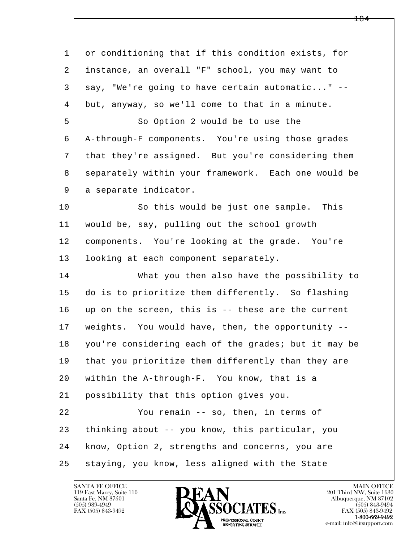| $\mathbf{1}$ | or conditioning that if this condition exists, for   |
|--------------|------------------------------------------------------|
| 2            | instance, an overall "F" school, you may want to     |
| 3            | say, "We're going to have certain automatic" --      |
| 4            | but, anyway, so we'll come to that in a minute.      |
| 5            | So Option 2 would be to use the                      |
| 6            | A-through-F components. You're using those grades    |
| 7            | that they're assigned. But you're considering them   |
| 8            | separately within your framework. Each one would be  |
| 9            | a separate indicator.                                |
| 10           | So this would be just one sample. This               |
| 11           | would be, say, pulling out the school growth         |
| 12           | components. You're looking at the grade. You're      |
| 13           | looking at each component separately.                |
| 14           | What you then also have the possibility to           |
| 15           | do is to prioritize them differently. So flashing    |
| 16           | up on the screen, this is -- these are the current   |
| 17           | weights. You would have, then, the opportunity --    |
| 18           | you're considering each of the grades; but it may be |
| 19           | that you prioritize them differently than they are   |
| 20           | within the A-through-F. You know, that is a          |
| 21           | possibility that this option gives you.              |
| 22           | You remain -- so, then, in terms of                  |
| 23           | thinking about -- you know, this particular, you     |
| 24           | know, Option 2, strengths and concerns, you are      |
| 25           | staying, you know, less aligned with the State       |

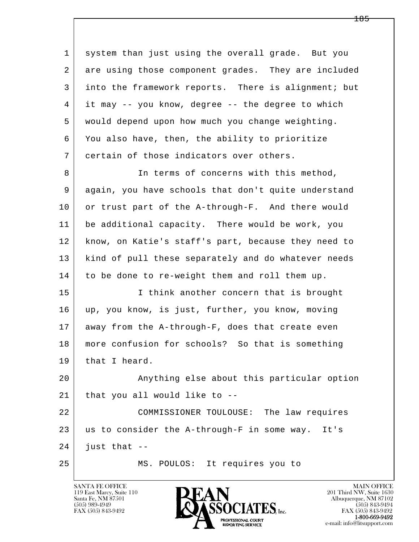l  $\overline{\phantom{a}}$  1 system than just using the overall grade. But you 2 are using those component grades. They are included 3 into the framework reports. There is alignment; but 4 it may -- you know, degree -- the degree to which 5 would depend upon how much you change weighting. 6 You also have, then, the ability to prioritize 7 certain of those indicators over others. 8 | The terms of concerns with this method, 9 again, you have schools that don't quite understand 10 or trust part of the A-through-F. And there would 11 be additional capacity. There would be work, you 12 know, on Katie's staff's part, because they need to 13 | kind of pull these separately and do whatever needs 14 to be done to re-weight them and roll them up. 15 | I think another concern that is brought 16 up, you know, is just, further, you know, moving 17 away from the A-through-F, does that create even 18 more confusion for schools? So that is something 19 that I heard. 20 Anything else about this particular option 21 that you all would like to -- 22 COMMISSIONER TOULOUSE: The law requires 23 us to consider the A-through-F in some way. It's  $24$  just that  $-$ 25 MS. POULOS: It requires you to

119 East Marcy, Suite 110<br>Santa Fe, NM 87501

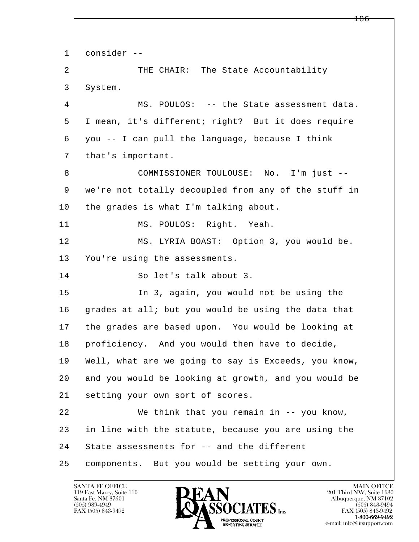l  $\overline{\phantom{a}}$  1 consider -- 2 THE CHAIR: The State Accountability 3 System. 4 MS. POULOS: -- the State assessment data. 5 I mean, it's different; right? But it does require 6 you -- I can pull the language, because I think 7 | that's important. 8 COMMISSIONER TOULOUSE: No. I'm just -- 9 we're not totally decoupled from any of the stuff in 10 the grades is what I'm talking about. 11 MS. POULOS: Right. Yeah. 12 MS. LYRIA BOAST: Option 3, you would be. 13 You're using the assessments. 14 So let's talk about 3. 15 In 3, again, you would not be using the 16 grades at all; but you would be using the data that 17 the grades are based upon. You would be looking at 18 | proficiency. And you would then have to decide, 19 Well, what are we going to say is Exceeds, you know, 20 and you would be looking at growth, and you would be 21 setting your own sort of scores. 22 We think that you remain in -- you know, 23 in line with the statute, because you are using the 24 State assessments for -- and the different 25 components. But you would be setting your own.

119 East Marcy, Suite 110<br>Santa Fe, NM 87501

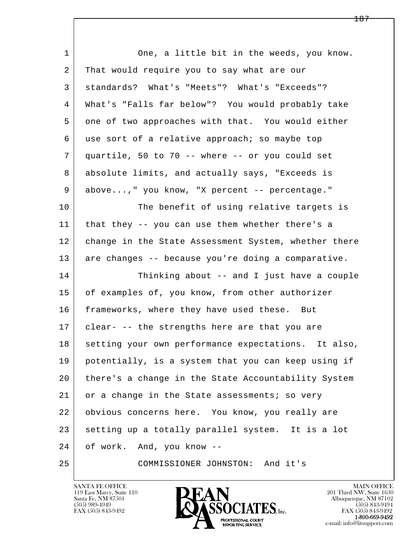| $\mathbf{1}$ | One, a little bit in the weeds, you know.            |
|--------------|------------------------------------------------------|
| 2            | That would require you to say what are our           |
| 3            | standards? What's "Meets"? What's "Exceeds"?         |
| 4            | What's "Falls far below"? You would probably take    |
| 5            | one of two approaches with that. You would either    |
| 6            | use sort of a relative approach; so maybe top        |
| 7            | quartile, 50 to 70 -- where -- or you could set      |
| 8            | absolute limits, and actually says, "Exceeds is      |
| 9            | above," you know, "X percent -- percentage."         |
| 10           | The benefit of using relative targets is             |
| 11           | that they -- you can use them whether there's a      |
| 12           | change in the State Assessment System, whether there |
| 13           | are changes -- because you're doing a comparative.   |
| 14           | Thinking about -- and I just have a couple           |
| 15           | of examples of, you know, from other authorizer      |
| 16           | frameworks, where they have used these. But          |
| 17           | clear- -- the strengths here are that you are        |
| 18           | setting your own performance expectations. It also,  |
| 19           | potentially, is a system that you can keep using if  |
| 20           | there's a change in the State Accountability System  |
| 21           | or a change in the State assessments; so very        |
| 22           | obvious concerns here. You know, you really are      |
| 23           | setting up a totally parallel system. It is a lot    |
| 24           | of work. And, you know --                            |
| 25           | COMMISSIONER JOHNSTON: And it's                      |

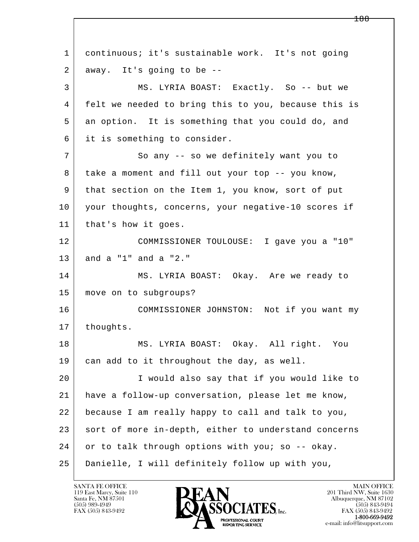l  $\overline{\phantom{a}}$  1 continuous; it's sustainable work. It's not going  $2$  away. It's going to be  $-$  3 MS. LYRIA BOAST: Exactly. So -- but we 4 felt we needed to bring this to you, because this is 5 an option. It is something that you could do, and 6 it is something to consider. 7 So any -- so we definitely want you to 8 take a moment and fill out your top -- you know, 9 that section on the Item 1, you know, sort of put 10 your thoughts, concerns, your negative-10 scores if 11 | that's how it goes. 12 COMMISSIONER TOULOUSE: I gave you a "10" 13 | and a "1" and a "2." 14 MS. LYRIA BOAST: Okay. Are we ready to 15 move on to subgroups? 16 COMMISSIONER JOHNSTON: Not if you want my 17 | thoughts. 18 MS. LYRIA BOAST: Okay. All right. You 19 can add to it throughout the day, as well. 20 I would also say that if you would like to 21 have a follow-up conversation, please let me know, 22 because I am really happy to call and talk to you, 23 sort of more in-depth, either to understand concerns 24 or to talk through options with you; so -- okay. 25 Danielle, I will definitely follow up with you,

119 East Marcy, Suite 110<br>Santa Fe, NM 87501

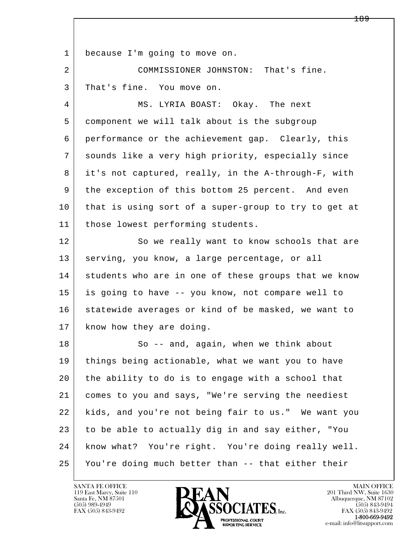l  $\overline{\phantom{a}}$ 1 because I'm going to move on. 2 COMMISSIONER JOHNSTON: That's fine. 3 | That's fine. You move on. 4 MS. LYRIA BOAST: Okay. The next 5 component we will talk about is the subgroup 6 performance or the achievement gap. Clearly, this 7 sounds like a very high priority, especially since 8 it's not captured, really, in the A-through-F, with 9 the exception of this bottom 25 percent. And even 10 that is using sort of a super-group to try to get at 11 | those lowest performing students. 12 So we really want to know schools that are 13 | serving, you know, a large percentage, or all 14 students who are in one of these groups that we know 15 is going to have -- you know, not compare well to 16 statewide averages or kind of be masked, we want to 17 | know how they are doing. 18 So -- and, again, when we think about 19 things being actionable, what we want you to have 20 the ability to do is to engage with a school that 21 comes to you and says, "We're serving the neediest 22 kids, and you're not being fair to us." We want you 23 to be able to actually dig in and say either, "You 24 know what? You're right. You're doing really well. 25 You're doing much better than -- that either their

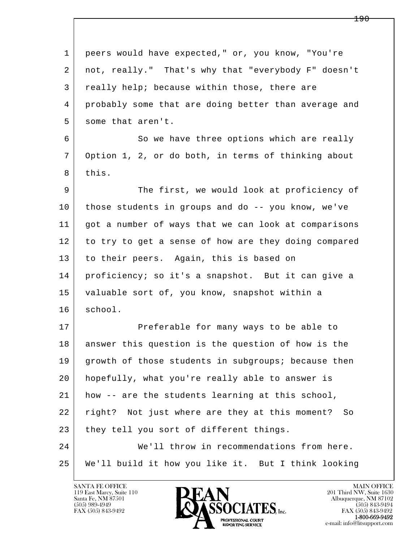| $\mathbf 1$ | peers would have expected," or, you know, "You're       |
|-------------|---------------------------------------------------------|
| 2           | not, really." That's why that "everybody F" doesn't     |
| 3           | really help; because within those, there are            |
| 4           | probably some that are doing better than average and    |
| 5           | some that aren't.                                       |
| 6           | So we have three options which are really               |
| 7           | Option 1, 2, or do both, in terms of thinking about     |
| 8           | this.                                                   |
| 9           | The first, we would look at proficiency of              |
| 10          | those students in groups and do -- you know, we've      |
| 11          | got a number of ways that we can look at comparisons    |
| 12          | to try to get a sense of how are they doing compared    |
| 13          | to their peers. Again, this is based on                 |
| 14          | proficiency; so it's a snapshot. But it can give a      |
| 15          | valuable sort of, you know, snapshot within a           |
| 16          | school.                                                 |
| 17          | Preferable for many ways to be able to                  |
| 18          | answer this question is the question of how is the      |
| 19          | growth of those students in subgroups; because then     |
| 20          | hopefully, what you're really able to answer is         |
| 21          | how -- are the students learning at this school,        |
| 22          | Not just where are they at this moment?<br>right?<br>So |
| 23          | they tell you sort of different things.                 |
| 24          | We'll throw in recommendations from here.               |
| 25          | We'll build it how you like it. But I think looking     |

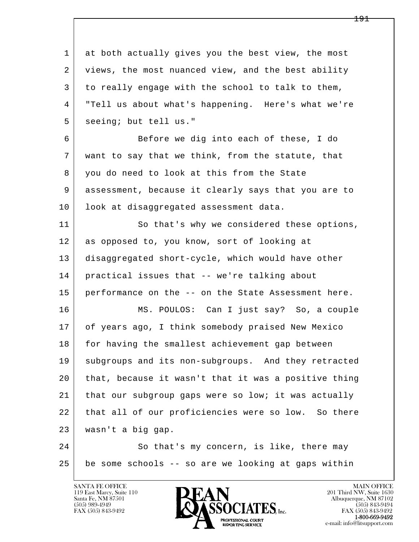l  $\overline{\phantom{a}}$  1 at both actually gives you the best view, the most 2 | views, the most nuanced view, and the best ability 3 to really engage with the school to talk to them, 4 "Tell us about what's happening. Here's what we're 5 seeing; but tell us." 6 Before we dig into each of these, I do 7 want to say that we think, from the statute, that 8 you do need to look at this from the State 9 assessment, because it clearly says that you are to 10 | look at disaggregated assessment data. 11 So that's why we considered these options, 12 as opposed to, you know, sort of looking at 13 disaggregated short-cycle, which would have other 14 practical issues that -- we're talking about 15 | performance on the -- on the State Assessment here. 16 MS. POULOS: Can I just say? So, a couple 17 of years ago, I think somebody praised New Mexico 18 for having the smallest achievement gap between 19 | subgroups and its non-subgroups. And they retracted 20 that, because it wasn't that it was a positive thing 21 that our subgroup gaps were so low; it was actually 22 | that all of our proficiencies were so low. So there 23 wasn't a big gap. 24 So that's my concern, is like, there may 25 be some schools -- so are we looking at gaps within

119 East Marcy, Suite 110<br>Santa Fe, NM 87501

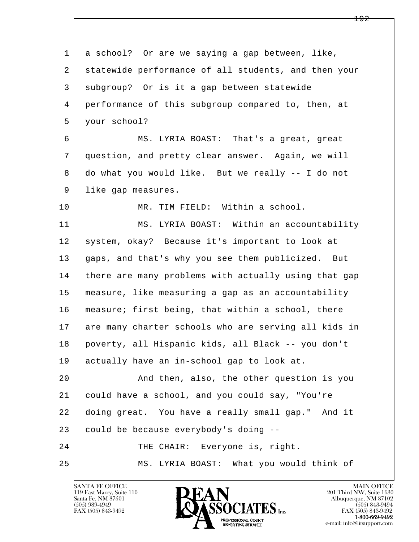l  $\overline{\phantom{a}}$  1 a school? Or are we saying a gap between, like, 2 statewide performance of all students, and then your 3 subgroup? Or is it a gap between statewide 4 performance of this subgroup compared to, then, at 5 your school? 6 MS. LYRIA BOAST: That's a great, great 7 question, and pretty clear answer. Again, we will 8 do what you would like. But we really -- I do not 9 | like gap measures. 10 | MR. TIM FIELD: Within a school. 11 MS. LYRIA BOAST: Within an accountability 12 system, okay? Because it's important to look at 13 gaps, and that's why you see them publicized. But 14 there are many problems with actually using that gap 15 measure, like measuring a gap as an accountability 16 measure; first being, that within a school, there 17 are many charter schools who are serving all kids in 18 poverty, all Hispanic kids, all Black -- you don't 19 actually have an in-school gap to look at. 20 | The Mand then, also, the other question is you 21 could have a school, and you could say, "You're 22 doing great. You have a really small gap." And it 23 could be because everybody's doing -- 24 THE CHAIR: Everyone is, right. 25 MS. LYRIA BOAST: What you would think of

119 East Marcy, Suite 110<br>Santa Fe, NM 87501



FAX (505) 843-9492<br>**1-800-669-9492**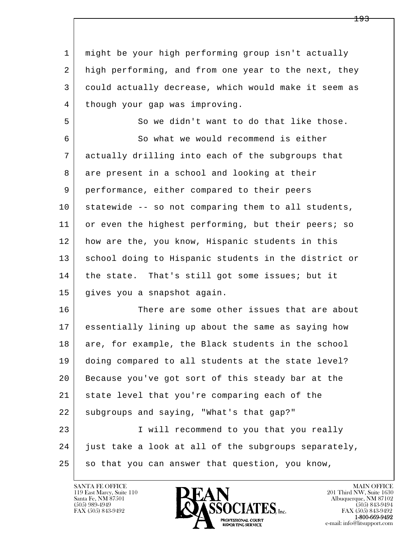1 might be your high performing group isn't actually 2 high performing, and from one year to the next, they 3 could actually decrease, which would make it seem as 4 | though your gap was improving.

 5 So we didn't want to do that like those. 6 So what we would recommend is either 7 actually drilling into each of the subgroups that 8 are present in a school and looking at their 9 performance, either compared to their peers 10 statewide -- so not comparing them to all students, 11 or even the highest performing, but their peers; so 12 how are the, you know, Hispanic students in this 13 | school doing to Hispanic students in the district or 14 | the state. That's still got some issues; but it 15 gives you a snapshot again.

l  $\overline{\phantom{a}}$  16 There are some other issues that are about 17 essentially lining up about the same as saying how 18 are, for example, the Black students in the school 19 doing compared to all students at the state level? 20 Because you've got sort of this steady bar at the 21 state level that you're comparing each of the 22 subgroups and saying, "What's that gap?" 23 I will recommend to you that you really 24 just take a look at all of the subgroups separately, 25 so that you can answer that question, you know,

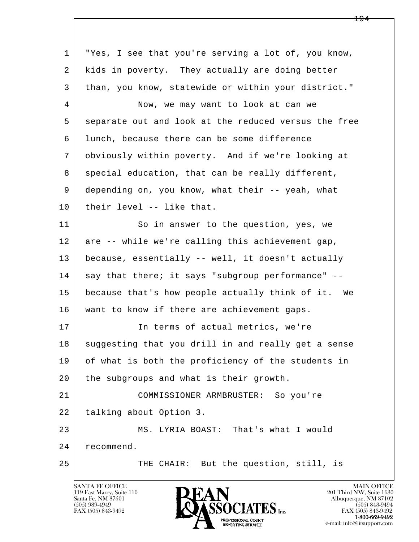l  $\overline{\phantom{a}}$  1 "Yes, I see that you're serving a lot of, you know, 2 kids in poverty. They actually are doing better 3 than, you know, statewide or within your district." 4 Now, we may want to look at can we 5 separate out and look at the reduced versus the free 6 lunch, because there can be some difference 7 obviously within poverty. And if we're looking at 8 special education, that can be really different, 9 depending on, you know, what their -- yeah, what 10 their level -- like that. 11 So in answer to the question, yes, we 12 are -- while we're calling this achievement gap, 13 because, essentially -- well, it doesn't actually 14 say that there; it says "subgroup performance" -- 15 because that's how people actually think of it. We 16 | want to know if there are achievement gaps. 17 | Therms of actual metrics, we're 18 suggesting that you drill in and really get a sense 19 of what is both the proficiency of the students in 20 the subgroups and what is their growth. 21 COMMISSIONER ARMBRUSTER: So you're 22 | talking about Option 3. 23 MS. LYRIA BOAST: That's what I would 24 recommend. 25 THE CHAIR: But the question, still, is

119 East Marcy, Suite 110<br>Santa Fe, NM 87501

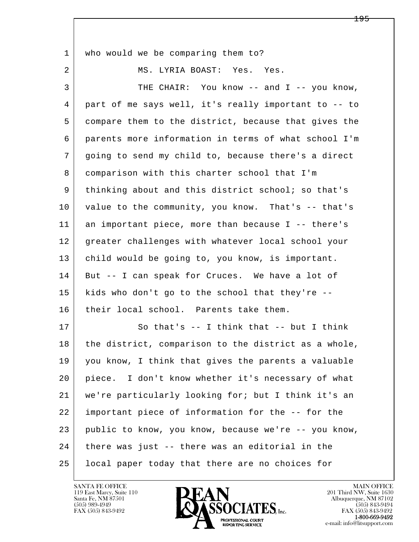| $\mathbf 1$ | who would we be comparing them to?                   |
|-------------|------------------------------------------------------|
| 2           | MS. LYRIA BOAST: Yes. Yes.                           |
| 3           | THE CHAIR: You know -- and I -- you know,            |
| 4           | part of me says well, it's really important to -- to |
| 5           | compare them to the district, because that gives the |
| 6           | parents more information in terms of what school I'm |
| 7           | going to send my child to, because there's a direct  |
| 8           | comparison with this charter school that I'm         |
| 9           | thinking about and this district school; so that's   |
| 10          | value to the community, you know. That's -- that's   |
| 11          | an important piece, more than because I -- there's   |
| 12          | greater challenges with whatever local school your   |
| 13          | child would be going to, you know, is important.     |
| 14          | But -- I can speak for Cruces. We have a lot of      |
| 15          | kids who don't go to the school that they're --      |
| 16          | their local school. Parents take them.               |
| 17          | So that's $-$ I think that $-$ but I think           |
| 18          | the district, comparison to the district as a whole, |
| 19          | you know, I think that gives the parents a valuable  |
| 20          | piece. I don't know whether it's necessary of what   |
| 21          | we're particularly looking for; but I think it's an  |
| 22          | important piece of information for the -- for the    |
| 23          | public to know, you know, because we're -- you know, |
| 24          | there was just -- there was an editorial in the      |
| 25          | local paper today that there are no choices for      |

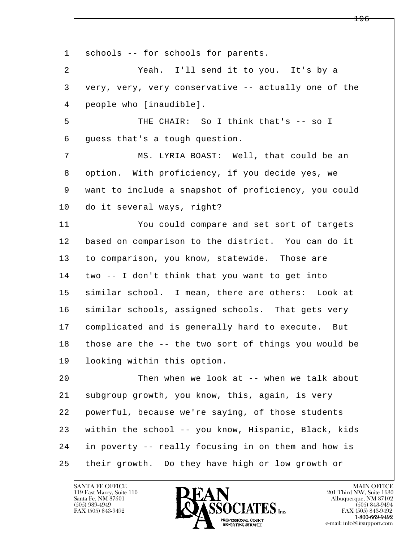l  $\overline{\phantom{a}}$ 1 schools -- for schools for parents. 2 Yeah. I'll send it to you. It's by a 3 very, very, very conservative -- actually one of the 4 people who [inaudible]. 5 THE CHAIR: So I think that's -- so I 6 guess that's a tough question. 7 MS. LYRIA BOAST: Well, that could be an 8 option. With proficiency, if you decide yes, we 9 want to include a snapshot of proficiency, you could 10 do it several ways, right? 11 You could compare and set sort of targets 12 based on comparison to the district. You can do it 13 to comparison, you know, statewide. Those are 14 two -- I don't think that you want to get into 15 similar school. I mean, there are others: Look at 16 similar schools, assigned schools. That gets very 17 complicated and is generally hard to execute. But 18 those are the -- the two sort of things you would be 19 looking within this option. 20 Then when we look at -- when we talk about 21 subgroup growth, you know, this, again, is very 22 powerful, because we're saying, of those students 23 within the school -- you know, Hispanic, Black, kids 24 in poverty -- really focusing in on them and how is 25 their growth. Do they have high or low growth or

119 East Marcy, Suite 110<br>Santa Fe, NM 87501

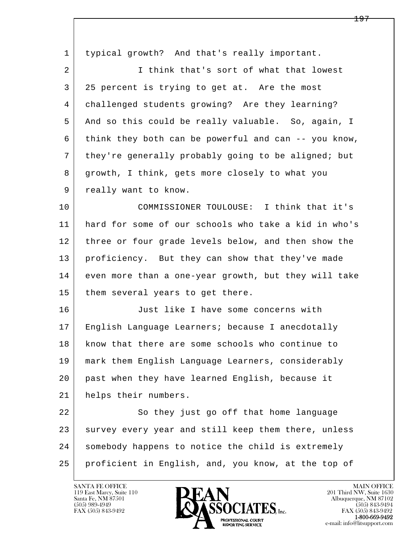| $\mathbf 1$    | typical growth? And that's really important.         |
|----------------|------------------------------------------------------|
| $\overline{2}$ | I think that's sort of what that lowest              |
| 3              | 25 percent is trying to get at. Are the most         |
| 4              | challenged students growing? Are they learning?      |
| 5              | And so this could be really valuable. So, again, I   |
| 6              | think they both can be powerful and can -- you know, |
| 7              | they're generally probably going to be aligned; but  |
| 8              | growth, I think, gets more closely to what you       |
| 9              | really want to know.                                 |
| 10             | COMMISSIONER TOULOUSE: I think that it's             |
| 11             | hard for some of our schools who take a kid in who's |
| 12             | three or four grade levels below, and then show the  |
| 13             | proficiency. But they can show that they've made     |
| 14             | even more than a one-year growth, but they will take |
| 15             | them several years to get there.                     |
| 16             | Just like I have some concerns with                  |
| 17             | English Language Learners; because I anecdotally     |
| 18             | know that there are some schools who continue to     |
| 19             | mark them English Language Learners, considerably    |
| 20             | past when they have learned English, because it      |
| 21             | helps their numbers.                                 |
| 22             | So they just go off that home language               |
| 23             | survey every year and still keep them there, unless  |
| 24             | somebody happens to notice the child is extremely    |
| 25             | proficient in English, and, you know, at the top of  |

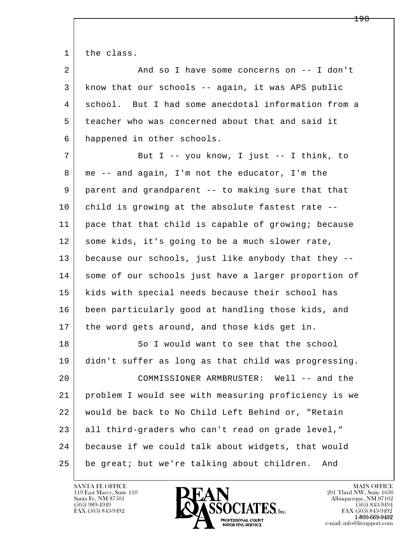1 the class.

| ᅩ  | CHE CIADD.                                           |
|----|------------------------------------------------------|
| 2  | And so I have some concerns on -- I don't            |
| 3  | know that our schools -- again, it was APS public    |
| 4  | school. But I had some anecdotal information from a  |
| 5  | teacher who was concerned about that and said it     |
| 6  | happened in other schools.                           |
| 7  | But I -- you know, I just -- I think, to             |
| 8  | me -- and again, I'm not the educator, I'm the       |
| 9  | parent and grandparent -- to making sure that that   |
| 10 | child is growing at the absolute fastest rate --     |
| 11 | pace that that child is capable of growing; because  |
| 12 | some kids, it's going to be a much slower rate,      |
| 13 | because our schools, just like anybody that they --  |
| 14 | some of our schools just have a larger proportion of |
| 15 | kids with special needs because their school has     |
| 16 | been particularly good at handling those kids, and   |
| 17 | the word gets around, and those kids get in.         |
| 18 | So I would want to see that the school               |
| 19 | didn't suffer as long as that child was progressing. |
| 20 | COMMISSIONER ARMBRUSTER: Well -- and the             |
| 21 | problem I would see with measuring proficiency is we |
| 22 | would be back to No Child Left Behind or, "Retain    |
| 23 | all third-graders who can't read on grade level,"    |
| 24 | because if we could talk about widgets, that would   |
| 25 | be great; but we're talking about children.<br>And   |

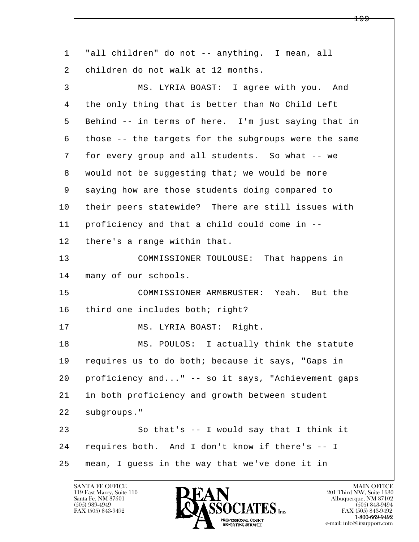l  $\overline{\phantom{a}}$ 1 | "all children" do not -- anything. I mean, all 2 children do not walk at 12 months. 3 MS. LYRIA BOAST: I agree with you. And 4 the only thing that is better than No Child Left 5 Behind -- in terms of here. I'm just saying that in 6 those -- the targets for the subgroups were the same 7 for every group and all students. So what -- we 8 | would not be suggesting that; we would be more 9 saying how are those students doing compared to 10 their peers statewide? There are still issues with 11 proficiency and that a child could come in -- 12 there's a range within that. 13 COMMISSIONER TOULOUSE: That happens in 14 | many of our schools. 15 COMMISSIONER ARMBRUSTER: Yeah. But the 16 | third one includes both; right? 17 | MS. LYRIA BOAST: Right. 18 MS. POULOS: I actually think the statute 19 requires us to do both; because it says, "Gaps in 20 proficiency and..." -- so it says, "Achievement gaps 21 in both proficiency and growth between student 22 subgroups."  $23$  So that's  $-$  I would say that I think it 24 requires both. And I don't know if there's -- I 25 mean, I guess in the way that we've done it in

119 East Marcy, Suite 110<br>Santa Fe, NM 87501

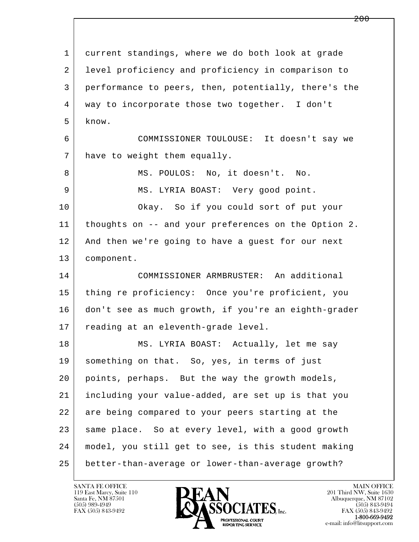l  $\overline{\phantom{a}}$  1 current standings, where we do both look at grade 2 | level proficiency and proficiency in comparison to 3 performance to peers, then, potentially, there's the 4 way to incorporate those two together. I don't 5 know. 6 COMMISSIONER TOULOUSE: It doesn't say we 7 have to weight them equally. 8 | MS. POULOS: No, it doesn't. No. 9 | MS. LYRIA BOAST: Very good point. 10 Okay. So if you could sort of put your 11 thoughts on -- and your preferences on the Option 2. 12 And then we're going to have a guest for our next 13 component. 14 COMMISSIONER ARMBRUSTER: An additional 15 thing re proficiency: Once you're proficient, you 16 don't see as much growth, if you're an eighth-grader 17 reading at an eleventh-grade level. 18 MS. LYRIA BOAST: Actually, let me say 19 something on that. So, yes, in terms of just 20 points, perhaps. But the way the growth models, 21 including your value-added, are set up is that you 22 are being compared to your peers starting at the 23 same place. So at every level, with a good growth 24 model, you still get to see, is this student making 25 better-than-average or lower-than-average growth?

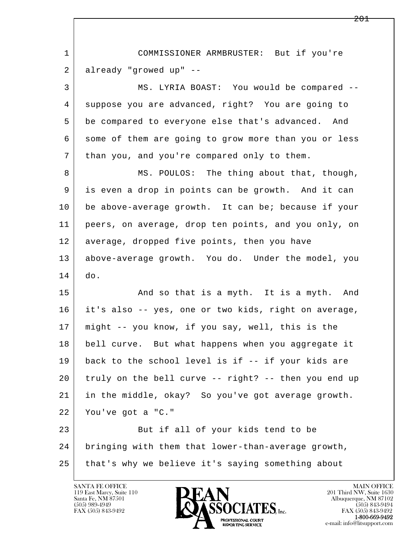| $\mathbf 1$ | COMMISSIONER ARMBRUSTER: But if you're               |
|-------------|------------------------------------------------------|
| 2           | already "growed up" --                               |
| 3           | MS. LYRIA BOAST: You would be compared --            |
| 4           | suppose you are advanced, right? You are going to    |
| 5           | be compared to everyone else that's advanced. And    |
| 6           | some of them are going to grow more than you or less |
| 7           | than you, and you're compared only to them.          |
| 8           | MS. POULOS: The thing about that, though,            |
| 9           | is even a drop in points can be growth. And it can   |
| 10          | be above-average growth. It can be; because if your  |
| 11          | peers, on average, drop ten points, and you only, on |
| 12          | average, dropped five points, then you have          |
| 13          | above-average growth. You do. Under the model, you   |
| 14          | do.                                                  |
| 15          | And so that is a myth. It is a myth. And             |
| 16          | it's also -- yes, one or two kids, right on average, |
| 17          | might -- you know, if you say, well, this is the     |
| 18          | bell curve. But what happens when you aggregate it   |
| 19          | back to the school level is if -- if your kids are   |
| 20          | truly on the bell curve -- right? -- then you end up |
| 21          | in the middle, okay? So you've got average growth.   |
| 22          | You've got a "C."                                    |
| 23          | But if all of your kids tend to be                   |
| 24          | bringing with them that lower-than-average growth,   |
| 25          | that's why we believe it's saying something about    |

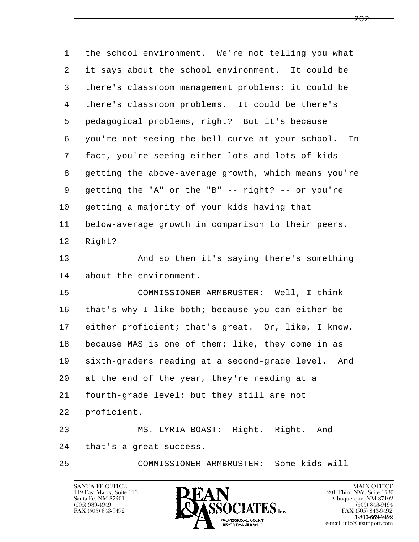| $\mathbf{1}$ | the school environment. We're not telling you what     |
|--------------|--------------------------------------------------------|
| 2            | it says about the school environment. It could be      |
| 3            | there's classroom management problems; it could be     |
| 4            | there's classroom problems. It could be there's        |
| 5            | pedagogical problems, right? But it's because          |
| 6            | you're not seeing the bell curve at your school.<br>In |
| 7            | fact, you're seeing either lots and lots of kids       |
| 8            | getting the above-average growth, which means you're   |
| 9            | getting the "A" or the "B" -- right? -- or you're      |
| 10           | getting a majority of your kids having that            |
| 11           | below-average growth in comparison to their peers.     |
| 12           | Right?                                                 |
| 13           | And so then it's saying there's something              |
| 14           | about the environment.                                 |
| 15           | COMMISSIONER ARMBRUSTER: Well, I think                 |
| 16           | that's why I like both; because you can either be      |
| 17           | either proficient; that's great. Or, like, I know,     |
| 18           | because MAS is one of them; like, they come in as      |
| 19           | sixth-graders reading at a second-grade level. And     |
| 20           | at the end of the year, they're reading at a           |
| 21           | fourth-grade level; but they still are not             |
| 22           | proficient.                                            |
| 23           | MS. LYRIA BOAST: Right. Right.<br>And                  |
| 24           | that's a great success.                                |
| 25           | COMMISSIONER ARMBRUSTER: Some kids will                |

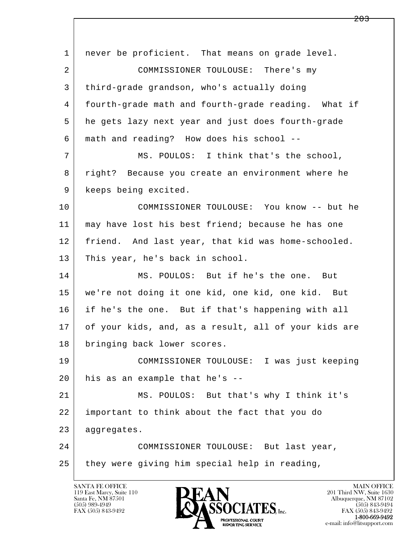l  $\overline{\phantom{a}}$  1 never be proficient. That means on grade level. 2 COMMISSIONER TOULOUSE: There's my 3 third-grade grandson, who's actually doing 4 fourth-grade math and fourth-grade reading. What if 5 he gets lazy next year and just does fourth-grade 6 math and reading? How does his school -- 7 | MS. POULOS: I think that's the school, 8 right? Because you create an environment where he 9 | keeps being excited. 10 COMMISSIONER TOULOUSE: You know -- but he 11 may have lost his best friend; because he has one 12 friend. And last year, that kid was home-schooled. 13 This year, he's back in school. 14 MS. POULOS: But if he's the one. But 15 we're not doing it one kid, one kid, one kid. But 16 if he's the one. But if that's happening with all 17 of your kids, and, as a result, all of your kids are 18 bringing back lower scores. 19 COMMISSIONER TOULOUSE: I was just keeping 20 his as an example that he's -- 21 MS. POULOS: But that's why I think it's 22 important to think about the fact that you do 23 aggregates. 24 COMMISSIONER TOULOUSE: But last year, 25 they were giving him special help in reading,

119 East Marcy, Suite 110<br>Santa Fe, NM 87501

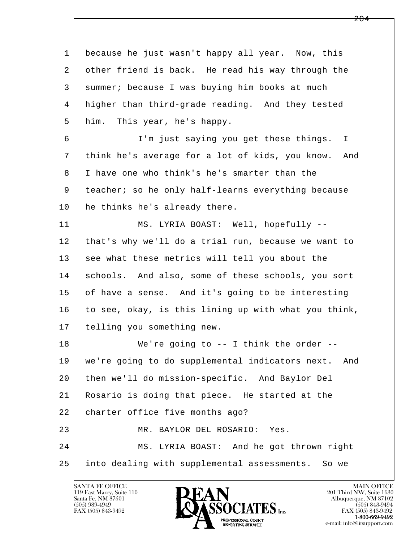l  $\overline{\phantom{a}}$  1 because he just wasn't happy all year. Now, this 2 other friend is back. He read his way through the 3 summer; because I was buying him books at much 4 higher than third-grade reading. And they tested 5 him. This year, he's happy. 6 I'm just saying you get these things. I 7 think he's average for a lot of kids, you know. And 8 I have one who think's he's smarter than the 9 | teacher; so he only half-learns everything because 10 he thinks he's already there. 11 MS. LYRIA BOAST: Well, hopefully -- 12 that's why we'll do a trial run, because we want to 13 see what these metrics will tell you about the 14 | schools. And also, some of these schools, you sort 15 of have a sense. And it's going to be interesting 16 to see, okay, is this lining up with what you think, 17 telling you something new. 18 We're going to -- I think the order -- 19 we're going to do supplemental indicators next. And 20 then we'll do mission-specific. And Baylor Del 21 Rosario is doing that piece. He started at the 22 charter office five months ago? 23 MR. BAYLOR DEL ROSARIO: Yes. 24 MS. LYRIA BOAST: And he got thrown right 25 into dealing with supplemental assessments. So we

119 East Marcy, Suite 110<br>Santa Fe, NM 87501

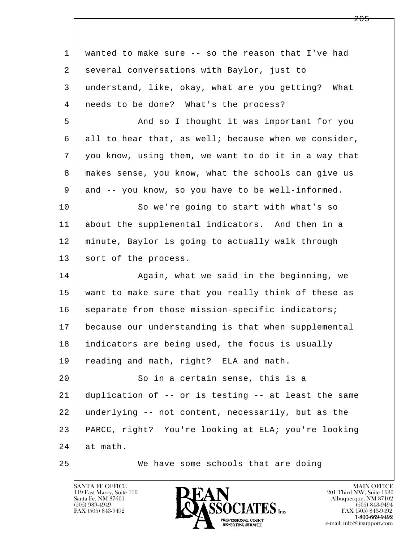l  $\overline{\phantom{a}}$  1 wanted to make sure -- so the reason that I've had 2 several conversations with Baylor, just to 3 understand, like, okay, what are you getting? What 4 needs to be done? What's the process? 5 And so I thought it was important for you 6 all to hear that, as well; because when we consider, 7 you know, using them, we want to do it in a way that 8 makes sense, you know, what the schools can give us 9 and -- you know, so you have to be well-informed. 10 So we're going to start with what's so 11 about the supplemental indicators. And then in a 12 minute, Baylor is going to actually walk through 13 | sort of the process. 14 Again, what we said in the beginning, we 15 want to make sure that you really think of these as 16 separate from those mission-specific indicators; 17 because our understanding is that when supplemental 18 indicators are being used, the focus is usually 19 | reading and math, right? ELA and math. 20 | So in a certain sense, this is a 21 duplication of -- or is testing -- at least the same 22 underlying -- not content, necessarily, but as the 23 PARCC, right? You're looking at ELA; you're looking 24 at math. 25 We have some schools that are doing

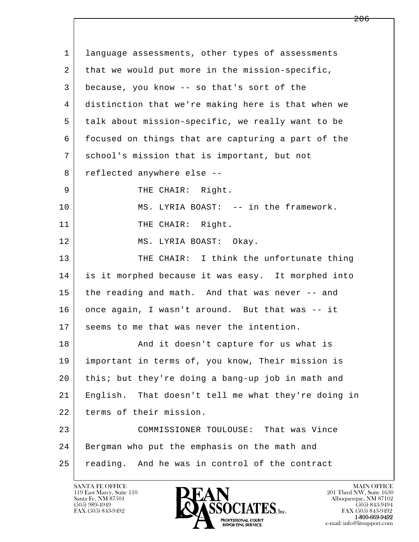l  $\overline{\phantom{a}}$  1 language assessments, other types of assessments 2 that we would put more in the mission-specific, 3 because, you know -- so that's sort of the 4 distinction that we're making here is that when we 5 talk about mission-specific, we really want to be 6 focused on things that are capturing a part of the 7 school's mission that is important, but not 8 reflected anywhere else --9 | THE CHAIR: Right. 10 MS. LYRIA BOAST: -- in the framework. 11 THE CHAIR: Right. 12 MS. LYRIA BOAST: Okay. 13 THE CHAIR: I think the unfortunate thing 14 is it morphed because it was easy. It morphed into 15 the reading and math. And that was never -- and 16 once again, I wasn't around. But that was -- it 17 seems to me that was never the intention. 18 | Rand it doesn't capture for us what is 19 important in terms of, you know, Their mission is 20 this; but they're doing a bang-up job in math and 21 English. That doesn't tell me what they're doing in 22 terms of their mission. 23 COMMISSIONER TOULOUSE: That was Vince 24 Bergman who put the emphasis on the math and 25 reading. And he was in control of the contract

119 East Marcy, Suite 110<br>Santa Fe, NM 87501

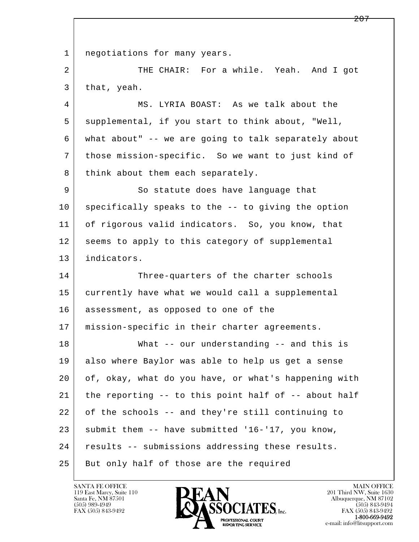1 | negotiations for many years.

2 THE CHAIR: For a while. Yeah. And I got 3 that, yeah.

 4 MS. LYRIA BOAST: As we talk about the 5 supplemental, if you start to think about, "Well, 6 what about" -- we are going to talk separately about 7 those mission-specific. So we want to just kind of 8 think about them each separately.

9 So statute does have language that 10 specifically speaks to the -- to giving the option 11 of rigorous valid indicators. So, you know, that 12 seems to apply to this category of supplemental 13 indicators.

14 Three-quarters of the charter schools 15 currently have what we would call a supplemental 16 assessment, as opposed to one of the 17 mission-specific in their charter agreements.

l  $\overline{\phantom{a}}$  18 What -- our understanding -- and this is 19 also where Baylor was able to help us get a sense 20 of, okay, what do you have, or what's happening with 21 the reporting  $-$ - to this point half of  $-$ - about half 22 of the schools -- and they're still continuing to  $23$  submit them  $-$  have submitted '16-'17, you know, 24 results -- submissions addressing these results. 25 But only half of those are the required

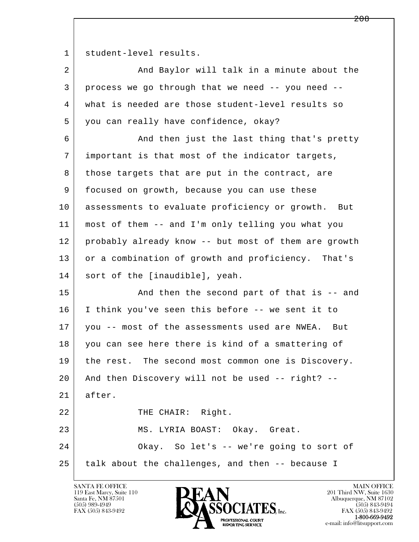1 student-level results.

| 2  | And Baylor will talk in a minute about the           |
|----|------------------------------------------------------|
|    |                                                      |
| 3  | process we go through that we need -- you need --    |
| 4  | what is needed are those student-level results so    |
| 5  | you can really have confidence, okay?                |
| 6  | And then just the last thing that's pretty           |
| 7  | important is that most of the indicator targets,     |
| 8  | those targets that are put in the contract, are      |
| 9  | focused on growth, because you can use these         |
| 10 | assessments to evaluate proficiency or growth. But   |
| 11 | most of them -- and I'm only telling you what you    |
| 12 | probably already know -- but most of them are growth |
| 13 | or a combination of growth and proficiency. That's   |
| 14 | sort of the [inaudible], yeah.                       |
| 15 | And then the second part of that is -- and           |
| 16 | I think you've seen this before -- we sent it to     |
| 17 | you -- most of the assessments used are NWEA.<br>But |
| 18 | you can see here there is kind of a smattering of    |
| 19 | the rest. The second most common one is Discovery.   |
| 20 | And then Discovery will not be used -- right? --     |
| 21 | after.                                               |
| 22 | THE CHAIR: Right.                                    |
| 23 | MS. LYRIA BOAST: Okay. Great.                        |
| 24 | Okay. So let's -- we're going to sort of             |
| 25 | talk about the challenges, and then -- because I     |

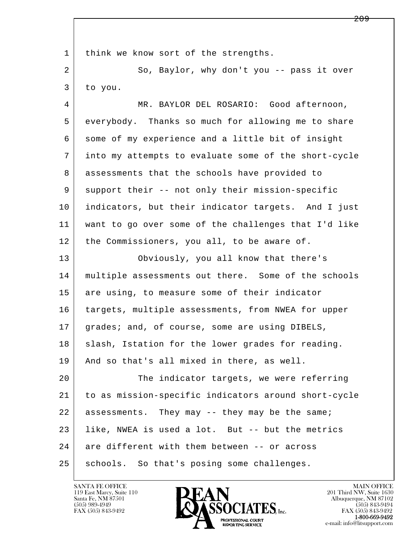l  $\overline{\phantom{a}}$ 1 | think we know sort of the strengths. 2 So, Baylor, why don't you -- pass it over 3 to you. 4 MR. BAYLOR DEL ROSARIO: Good afternoon, 5 everybody. Thanks so much for allowing me to share 6 some of my experience and a little bit of insight 7 into my attempts to evaluate some of the short-cycle 8 assessments that the schools have provided to 9 support their -- not only their mission-specific 10 indicators, but their indicator targets. And I just 11 want to go over some of the challenges that I'd like 12 the Commissioners, you all, to be aware of. 13 Obviously, you all know that there's 14 multiple assessments out there. Some of the schools 15 are using, to measure some of their indicator 16 | targets, multiple assessments, from NWEA for upper 17 | grades; and, of course, some are using DIBELS, 18 | slash, Istation for the lower grades for reading. 19 | And so that's all mixed in there, as well. 20 The indicator targets, we were referring 21 to as mission-specific indicators around short-cycle 22 assessments. They may -- they may be the same; 23 like, NWEA is used a lot. But -- but the metrics 24 are different with them between -- or across 25 schools. So that's posing some challenges.

119 East Marcy, Suite 110<br>Santa Fe, NM 87501

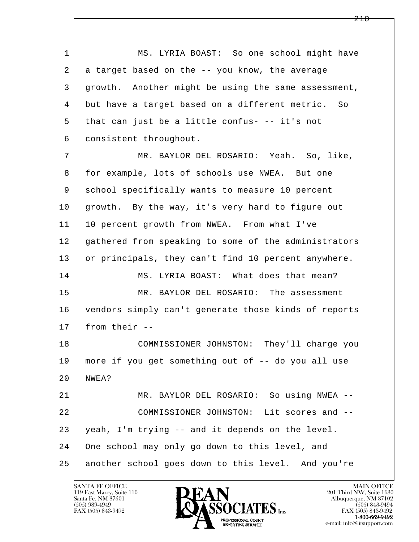l  $\overline{\phantom{a}}$ 1 | MS. LYRIA BOAST: So one school might have 2 a target based on the -- you know, the average 3 growth. Another might be using the same assessment, 4 but have a target based on a different metric. So 5 that can just be a little confus- -- it's not 6 consistent throughout. 7 MR. BAYLOR DEL ROSARIO: Yeah. So, like, 8 for example, lots of schools use NWEA. But one 9 school specifically wants to measure 10 percent 10 growth. By the way, it's very hard to figure out 11 10 percent growth from NWEA. From what I've 12 gathered from speaking to some of the administrators 13 or principals, they can't find 10 percent anywhere. 14 MS. LYRIA BOAST: What does that mean? 15 MR. BAYLOR DEL ROSARIO: The assessment 16 vendors simply can't generate those kinds of reports 17 from their -- 18 COMMISSIONER JOHNSTON: They'll charge you 19 more if you get something out of -- do you all use 20 NWEA? 21 MR. BAYLOR DEL ROSARIO: So using NWEA -- 22 COMMISSIONER JOHNSTON: Lit scores and -- 23 yeah, I'm trying -- and it depends on the level. 24 One school may only go down to this level, and 25 another school goes down to this level. And you're

119 East Marcy, Suite 110<br>Santa Fe, NM 87501



FAX (505) 843-9492<br>1-800-669-9492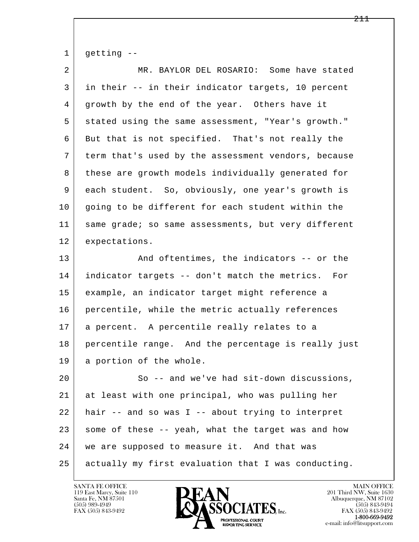$1$  getting  $-$ 

| $\overline{a}$ | MR. BAYLOR DEL ROSARIO: Some have stated            |
|----------------|-----------------------------------------------------|
| 3              | in their -- in their indicator targets, 10 percent  |
| 4              | growth by the end of the year. Others have it       |
| 5              | stated using the same assessment, "Year's growth."  |
| 6              | But that is not specified. That's not really the    |
| 7              | term that's used by the assessment vendors, because |
| 8              | these are growth models individually generated for  |
| 9              | each student. So, obviously, one year's growth is   |
| 10             | going to be different for each student within the   |
| 11             | same grade; so same assessments, but very different |
| 12             | expectations.                                       |
| 13             | And oftentimes, the indicators -- or the            |
| 14             | indicator targets -- don't match the metrics. For   |
| 15             | example, an indicator target might reference a      |
| 16             | percentile, while the metric actually references    |
| 17             | a percent. A percentile really relates to a         |
| 18             | percentile range. And the percentage is really just |
| 19             | a portion of the whole.                             |
| 20             | So -- and we've had sit-down discussions,           |
| 21             | at least with one principal, who was pulling her    |
| 22             | hair -- and so was I -- about trying to interpret   |
| 23             | some of these -- yeah, what the target was and how  |
| 24             | we are supposed to measure it. And that was         |
| 25             | actually my first evaluation that I was conducting. |
|                |                                                     |

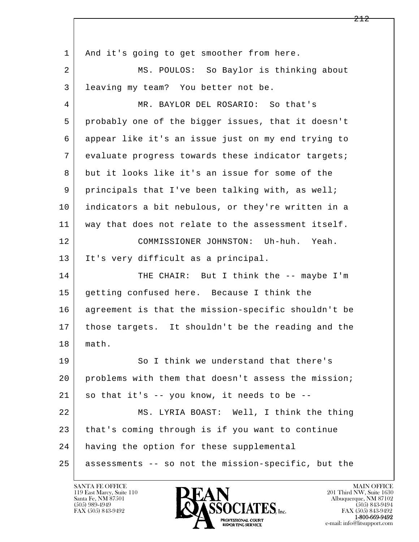l  $\overline{\phantom{a}}$ 1 | And it's going to get smoother from here. 2 MS. POULOS: So Baylor is thinking about 3 | leaving my team? You better not be. 4 MR. BAYLOR DEL ROSARIO: So that's 5 probably one of the bigger issues, that it doesn't 6 appear like it's an issue just on my end trying to 7 evaluate progress towards these indicator targets; 8 but it looks like it's an issue for some of the 9 principals that I've been talking with, as well; 10 indicators a bit nebulous, or they're written in a 11 way that does not relate to the assessment itself. 12 COMMISSIONER JOHNSTON: Uh-huh. Yeah. 13 It's very difficult as a principal. 14 THE CHAIR: But I think the -- maybe I'm 15 getting confused here. Because I think the 16 agreement is that the mission-specific shouldn't be 17 those targets. It shouldn't be the reading and the 18 math. 19 So I think we understand that there's 20 problems with them that doesn't assess the mission;  $21$  so that it's -- you know, it needs to be -- 22 MS. LYRIA BOAST: Well, I think the thing 23 that's coming through is if you want to continue 24 | having the option for these supplemental 25 assessments -- so not the mission-specific, but the

119 East Marcy, Suite 110<br>Santa Fe, NM 87501

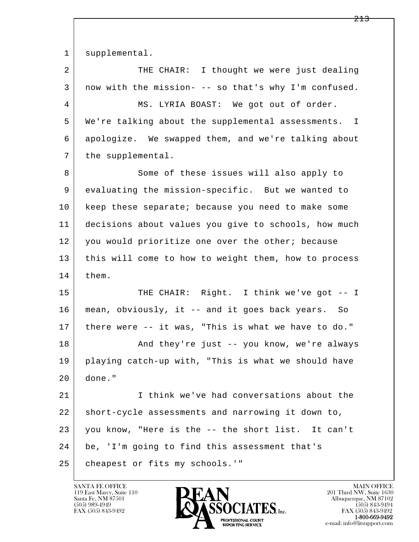1 supplemental.

| $\overline{a}$ | THE CHAIR: I thought we were just dealing            |
|----------------|------------------------------------------------------|
| 3              | now with the mission- -- so that's why I'm confused. |
| 4              | MS. LYRIA BOAST: We got out of order.                |
| 5              | We're talking about the supplemental assessments. I  |
| 6              | apologize. We swapped them, and we're talking about  |
| 7              | the supplemental.                                    |
| 8              | Some of these issues will also apply to              |
| 9              | evaluating the mission-specific. But we wanted to    |
| 10             | keep these separate; because you need to make some   |
| 11             | decisions about values you give to schools, how much |
| 12             | you would prioritize one over the other; because     |
| 13             | this will come to how to weight them, how to process |
| 14             | them.                                                |
| 15             | THE CHAIR: Right. I think we've got -- I             |
| 16             | mean, obviously, it -- and it goes back years. So    |
| 17             | there were -- it was, "This is what we have to do."  |
| 18             | And they're just -- you know, we're always           |
| 19             | playing catch-up with, "This is what we should have  |
| 20             | done."                                               |
| 21             | I think we've had conversations about the            |
| 22             | short-cycle assessments and narrowing it down to,    |
| 23             | you know, "Here is the -- the short list. It can't   |
| 24             | be, 'I'm going to find this assessment that's        |
|                |                                                      |
| 25             | cheapest or fits my schools.'"                       |

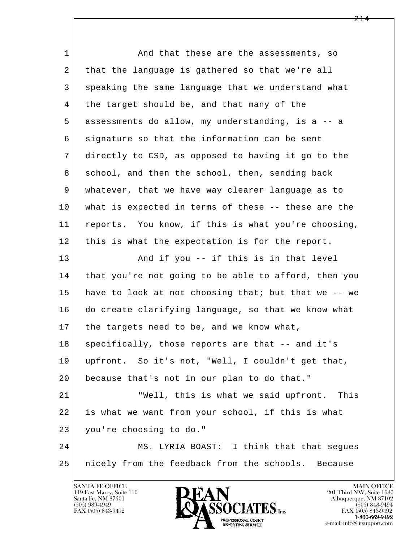l  $\overline{\phantom{a}}$ 1 and that these are the assessments, so 2 that the language is gathered so that we're all 3 speaking the same language that we understand what 4 the target should be, and that many of the 5 assessments do allow, my understanding, is a -- a 6 signature so that the information can be sent 7 directly to CSD, as opposed to having it go to the 8 school, and then the school, then, sending back 9 whatever, that we have way clearer language as to 10 what is expected in terms of these -- these are the 11 reports. You know, if this is what you're choosing, 12 this is what the expectation is for the report. 13 And if you -- if this is in that level 14 that you're not going to be able to afford, then you 15 | have to look at not choosing that; but that we  $-$ - we 16 do create clarifying language, so that we know what 17 | the targets need to be, and we know what, 18 specifically, those reports are that -- and it's 19 upfront. So it's not, "Well, I couldn't get that, 20 because that's not in our plan to do that." 21 "Well, this is what we said upfront. This 22 is what we want from your school, if this is what 23 you're choosing to do." 24 MS. LYRIA BOAST: I think that that segues 25 nicely from the feedback from the schools. Because



FAX (505) 843-9492<br>**1-800-669-9492**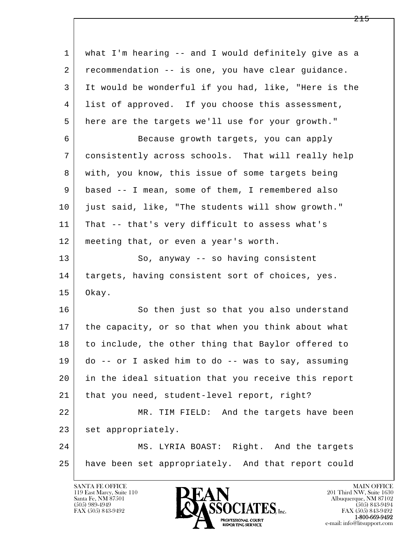| $\mathbf 1$ | what I'm hearing -- and I would definitely give as a |
|-------------|------------------------------------------------------|
| 2           | recommendation -- is one, you have clear guidance.   |
| 3           | It would be wonderful if you had, like, "Here is the |
| 4           | list of approved. If you choose this assessment,     |
| 5           | here are the targets we'll use for your growth."     |
| 6           | Because growth targets, you can apply                |
| 7           | consistently across schools. That will really help   |
| 8           | with, you know, this issue of some targets being     |
| 9           | based -- I mean, some of them, I remembered also     |
| 10          | just said, like, "The students will show growth."    |
| 11          | That -- that's very difficult to assess what's       |
| 12          | meeting that, or even a year's worth.                |
| 13          | So, anyway -- so having consistent                   |
| 14          | targets, having consistent sort of choices, yes.     |
| 15          | Okay.                                                |
| 16          | So then just so that you also understand             |
| 17          | the capacity, or so that when you think about what   |
| 18          | to include, the other thing that Baylor offered to   |
| 19          | do -- or I asked him to do -- was to say, assuming   |
| 20          | in the ideal situation that you receive this report  |
| 21          | that you need, student-level report, right?          |
| 22          | MR. TIM FIELD: And the targets have been             |
| 23          | set appropriately.                                   |
| 24          | MS. LYRIA BOAST: Right. And the targets              |
| 25          | have been set appropriately. And that report could   |
|             |                                                      |

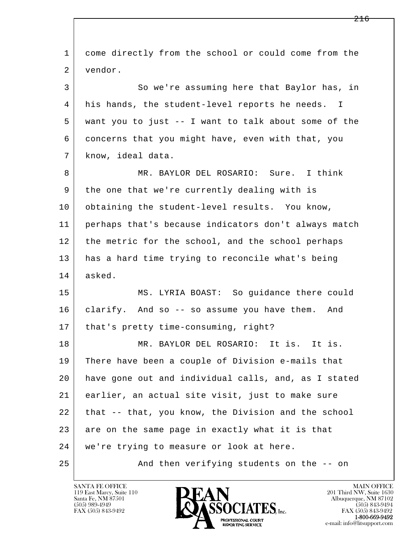l  $\overline{\phantom{a}}$  1 come directly from the school or could come from the 2 vendor. 3 So we're assuming here that Baylor has, in 4 his hands, the student-level reports he needs. I 5 want you to just -- I want to talk about some of the 6 concerns that you might have, even with that, you 7 know, ideal data. 8 MR. BAYLOR DEL ROSARIO: Sure. I think 9 | the one that we're currently dealing with is 10 obtaining the student-level results. You know, 11 perhaps that's because indicators don't always match 12 the metric for the school, and the school perhaps 13 | has a hard time trying to reconcile what's being 14 asked. 15 MS. LYRIA BOAST: So guidance there could 16 clarify. And so -- so assume you have them. And 17 | that's pretty time-consuming, right? 18 MR. BAYLOR DEL ROSARIO: It is. It is. 19 There have been a couple of Division e-mails that 20 have gone out and individual calls, and, as I stated 21 earlier, an actual site visit, just to make sure 22 that -- that, you know, the Division and the school 23 are on the same page in exactly what it is that 24 | we're trying to measure or look at here. 25 And then verifying students on the -- on

119 East Marcy, Suite 110<br>Santa Fe, NM 87501

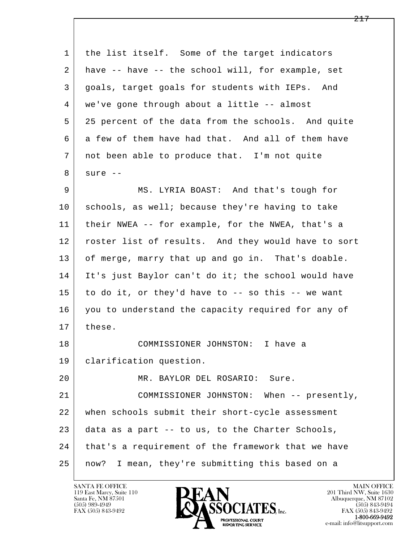| $\mathbf 1$ | the list itself. Some of the target indicators      |
|-------------|-----------------------------------------------------|
| 2           | have -- have -- the school will, for example, set   |
| 3           | goals, target goals for students with IEPs. And     |
| 4           | we've gone through about a little -- almost         |
| 5           | 25 percent of the data from the schools. And quite  |
| 6           | a few of them have had that. And all of them have   |
| 7           | not been able to produce that. I'm not quite        |
| 8           | sure $--$                                           |
| 9           | MS. LYRIA BOAST: And that's tough for               |
| 10          | schools, as well; because they're having to take    |
| 11          | their NWEA -- for example, for the NWEA, that's a   |
| 12          | roster list of results. And they would have to sort |
| 13          | of merge, marry that up and go in. That's doable.   |
| 14          | It's just Baylor can't do it; the school would have |
| 15          | to do it, or they'd have to -- so this -- we want   |
| 16          | you to understand the capacity required for any of  |
| 17          | these.                                              |
| 18          | COMMISSIONER JOHNSTON: I have a                     |
| 19          | clarification question.                             |
| 20          | MR. BAYLOR DEL ROSARIO:<br>Sure.                    |
| 21          | COMMISSIONER JOHNSTON:<br>When -- presently,        |
| 22          | when schools submit their short-cycle assessment    |
| 23          | data as a part -- to us, to the Charter Schools,    |
| 24          | that's a requirement of the framework that we have  |
| 25          | I mean, they're submitting this based on a<br>now?  |

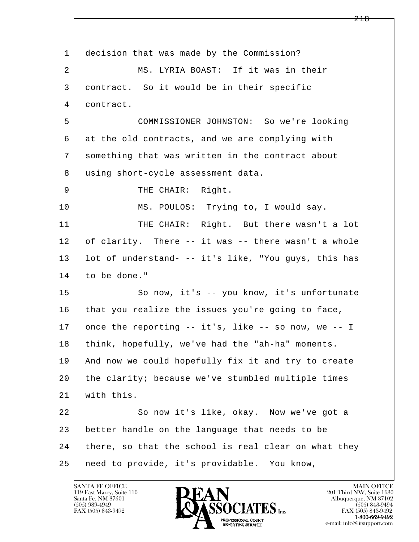l  $\overline{\phantom{a}}$ 1 decision that was made by the Commission? 2 MS. LYRIA BOAST: If it was in their 3 contract. So it would be in their specific 4 contract. 5 COMMISSIONER JOHNSTON: So we're looking 6 at the old contracts, and we are complying with 7 something that was written in the contract about 8 using short-cycle assessment data. 9 THE CHAIR: Right. 10 | MS. POULOS: Trying to, I would say. 11 THE CHAIR: Right. But there wasn't a lot 12 of clarity. There -- it was -- there wasn't a whole 13 | lot of understand- -- it's like, "You guys, this has 14 to be done." 15 | So now, it's -- you know, it's unfortunate 16 that you realize the issues you're going to face, 17 once the reporting -- it's, like -- so now, we -- I 18 think, hopefully, we've had the "ah-ha" moments. 19 | And now we could hopefully fix it and try to create 20 the clarity; because we've stumbled multiple times 21 with this. 22 So now it's like, okay. Now we've got a 23 better handle on the language that needs to be 24 there, so that the school is real clear on what they 25 need to provide, it's providable. You know,

119 East Marcy, Suite 110<br>Santa Fe, NM 87501

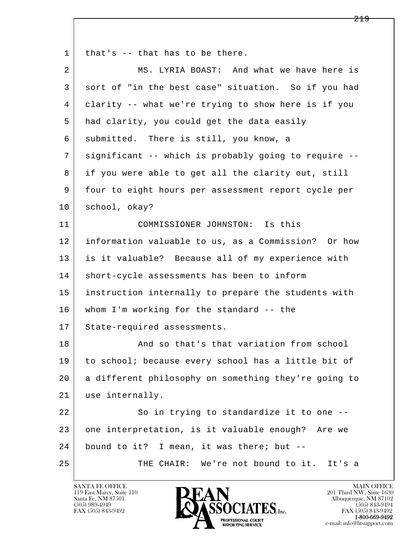| $\mathbf{1}$ | that's -- that has to be there.                      |
|--------------|------------------------------------------------------|
| 2            | MS. LYRIA BOAST: And what we have here is            |
| 3            | sort of "in the best case" situation. So if you had  |
| 4            | clarity -- what we're trying to show here is if you  |
| 5            | had clarity, you could get the data easily           |
| 6            | submitted. There is still, you know, a               |
| 7            | significant -- which is probably going to require -- |
| 8            | if you were able to get all the clarity out, still   |
| 9            | four to eight hours per assessment report cycle per  |
| 10           | school, okay?                                        |
| 11           | COMMISSIONER JOHNSTON: Is this                       |
| 12           | information valuable to us, as a Commission? Or how  |
| 13           | is it valuable? Because all of my experience with    |
| 14           | short-cycle assessments has been to inform           |
| 15           | instruction internally to prepare the students with  |
| 16           | whom I'm working for the standard -- the             |
| 17           | State-required assessments.                          |
| 18           | And so that's that variation from school             |
| 19           | to school; because every school has a little bit of  |
| 20           | a different philosophy on something they're going to |
| 21           | use internally.                                      |
| 22           | So in trying to standardize it to one --             |
| 23           | one interpretation, is it valuable enough?<br>Are we |
| 24           | bound to it? I mean, it was there; but --            |
| 25           | We're not bound to it. It's a<br>THE CHAIR:          |

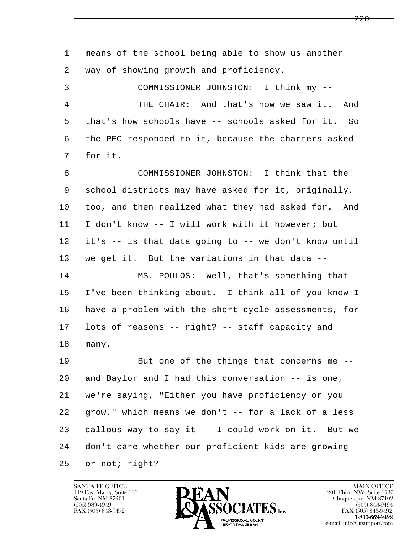| $\mathbf 1$ | means of the school being able to show us another    |
|-------------|------------------------------------------------------|
| 2           | way of showing growth and proficiency.               |
| 3           | COMMISSIONER JOHNSTON: I think my --                 |
| 4           | THE CHAIR: And that's how we saw it. And             |
| 5           | that's how schools have -- schools asked for it. So  |
| 6           | the PEC responded to it, because the charters asked  |
| 7           | for it.                                              |
| 8           | COMMISSIONER JOHNSTON: I think that the              |
| 9           | school districts may have asked for it, originally,  |
| 10          | too, and then realized what they had asked for. And  |
| 11          | I don't know -- I will work with it however; but     |
| 12          | it's -- is that data going to -- we don't know until |
| 13          | we get it. But the variations in that data --        |
| 14          | MS. POULOS: Well, that's something that              |
| 15          | I've been thinking about. I think all of you know I  |
| 16          | have a problem with the short-cycle assessments, for |
| 17          | lots of reasons -- right? -- staff capacity and      |
| 18          | many.                                                |
| 19          | But one of the things that concerns me --            |
| 20          | and Baylor and I had this conversation -- is one,    |
| 21          | we're saying, "Either you have proficiency or you    |
| 22          | grow," which means we don't -- for a lack of a less  |
| 23          | callous way to say it -- I could work on it. But we  |
| 24          | don't care whether our proficient kids are growing   |
| 25          | or not; right?                                       |

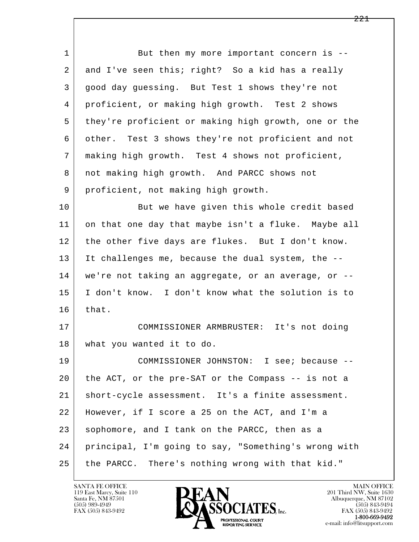l  $\overline{\phantom{a}}$ 1 But then my more important concern is --2 and I've seen this; right? So a kid has a really 3 good day guessing. But Test 1 shows they're not 4 proficient, or making high growth. Test 2 shows 5 they're proficient or making high growth, one or the 6 other. Test 3 shows they're not proficient and not 7 making high growth. Test 4 shows not proficient, 8 | not making high growth. And PARCC shows not 9 | proficient, not making high growth. 10 But we have given this whole credit based 11 on that one day that maybe isn't a fluke. Maybe all 12 the other five days are flukes. But I don't know. 13 It challenges me, because the dual system, the -- 14 we're not taking an aggregate, or an average, or -- 15 I don't know. I don't know what the solution is to  $16$  that. 17 COMMISSIONER ARMBRUSTER: It's not doing 18 what you wanted it to do. 19 COMMISSIONER JOHNSTON: I see; because -- 20 the ACT, or the pre-SAT or the Compass -- is not a 21 short-cycle assessment. It's a finite assessment. 22 However, if I score a 25 on the ACT, and I'm a 23 sophomore, and I tank on the PARCC, then as a 24 principal, I'm going to say, "Something's wrong with 25 the PARCC. There's nothing wrong with that kid."

119 East Marcy, Suite 110<br>Santa Fe, NM 87501

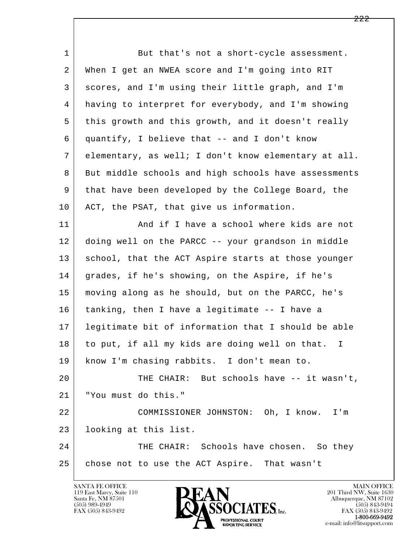l  $\overline{\phantom{a}}$ 1 But that's not a short-cycle assessment. 2 When I get an NWEA score and I'm going into RIT 3 scores, and I'm using their little graph, and I'm 4 having to interpret for everybody, and I'm showing 5 this growth and this growth, and it doesn't really 6 quantify, I believe that -- and I don't know 7 elementary, as well; I don't know elementary at all. 8 But middle schools and high schools have assessments 9 that have been developed by the College Board, the 10 ACT, the PSAT, that give us information. 11 | And if I have a school where kids are not 12 doing well on the PARCC -- your grandson in middle 13 | school, that the ACT Aspire starts at those younger 14 | grades, if he's showing, on the Aspire, if he's 15 moving along as he should, but on the PARCC, he's 16 tanking, then I have a legitimate -- I have a 17 legitimate bit of information that I should be able 18 to put, if all my kids are doing well on that. I 19 know I'm chasing rabbits. I don't mean to. 20 THE CHAIR: But schools have -- it wasn't, 21 "You must do this." 22 COMMISSIONER JOHNSTON: Oh, I know. I'm 23 looking at this list. 24 THE CHAIR: Schools have chosen. So they 25 chose not to use the ACT Aspire. That wasn't

119 East Marcy, Suite 110<br>Santa Fe, NM 87501

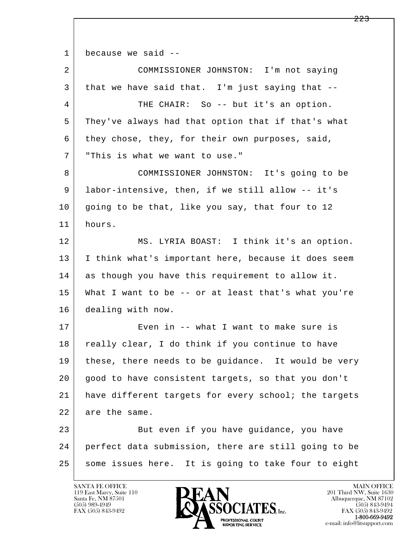l  $\overline{\phantom{a}}$  1 because we said -- 2 COMMISSIONER JOHNSTON: I'm not saying  $3$  that we have said that. I'm just saying that  $-$ -4 THE CHAIR: So -- but it's an option. 5 They've always had that option that if that's what 6 they chose, they, for their own purposes, said, 7 "This is what we want to use." 8 | COMMISSIONER JOHNSTON: It's going to be 9 labor-intensive, then, if we still allow -- it's  $10$  going to be that, like you say, that four to 12 11 hours. 12 MS. LYRIA BOAST: I think it's an option. 13 I think what's important here, because it does seem 14 as though you have this requirement to allow it. 15 What I want to be -- or at least that's what you're 16 dealing with now. 17 Even in -- what I want to make sure is 18 really clear, I do think if you continue to have 19 | these, there needs to be guidance. It would be very 20 good to have consistent targets, so that you don't 21 have different targets for every school; the targets 22 are the same. 23 But even if you have quidance, you have 24 perfect data submission, there are still going to be 25 some issues here. It is going to take four to eight

119 East Marcy, Suite 110<br>Santa Fe, NM 87501

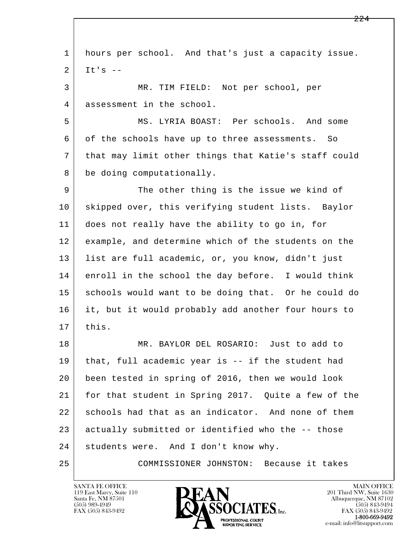l  $\overline{\phantom{a}}$  1 hours per school. And that's just a capacity issue.  $2$  It's  $-$  3 MR. TIM FIELD: Not per school, per 4 assessment in the school. 5 MS. LYRIA BOAST: Per schools. And some 6 of the schools have up to three assessments. So 7 that may limit other things that Katie's staff could 8 be doing computationally. 9 The other thing is the issue we kind of 10 skipped over, this verifying student lists. Baylor 11 does not really have the ability to go in, for 12 example, and determine which of the students on the 13 list are full academic, or, you know, didn't just 14 enroll in the school the day before. I would think 15 schools would want to be doing that. Or he could do 16 it, but it would probably add another four hours to 17 | this. 18 MR. BAYLOR DEL ROSARIO: Just to add to 19 that, full academic year is -- if the student had 20 been tested in spring of 2016, then we would look 21 for that student in Spring 2017. Quite a few of the 22 schools had that as an indicator. And none of them 23 actually submitted or identified who the -- those 24 | students were. And I don't know why. 25 COMMISSIONER JOHNSTON: Because it takes

119 East Marcy, Suite 110<br>Santa Fe, NM 87501

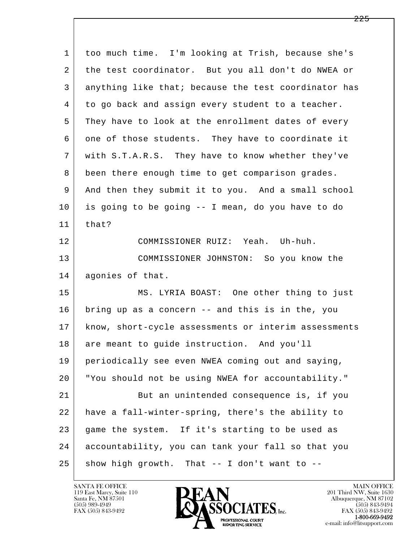| $\mathbf 1$ | too much time. I'm looking at Trish, because she's   |
|-------------|------------------------------------------------------|
| 2           | the test coordinator. But you all don't do NWEA or   |
| 3           | anything like that; because the test coordinator has |
| 4           | to go back and assign every student to a teacher.    |
| 5           | They have to look at the enrollment dates of every   |
| 6           | one of those students. They have to coordinate it    |
| 7           | with S.T.A.R.S. They have to know whether they've    |
| 8           | been there enough time to get comparison grades.     |
| 9           | And then they submit it to you. And a small school   |
| 10          | is going to be going -- I mean, do you have to do    |
| 11          | that?                                                |
| 12          | COMMISSIONER RUIZ: Yeah. Uh-huh.                     |
| 13          | COMMISSIONER JOHNSTON: So you know the               |
| 14          | agonies of that.                                     |
| 15          | MS. LYRIA BOAST: One other thing to just             |
| 16          | bring up as a concern -- and this is in the, you     |
| 17          | know, short-cycle assessments or interim assessments |
| 18          | are meant to guide instruction. And you'll           |
| 19          | periodically see even NWEA coming out and saying,    |
| 20          | "You should not be using NWEA for accountability."   |
| 21          | But an unintended consequence is, if you             |
| 22          | have a fall-winter-spring, there's the ability to    |
| 23          | game the system. If it's starting to be used as      |
| 24          | accountability, you can tank your fall so that you   |
| 25          | show high growth. That -- I don't want to --         |

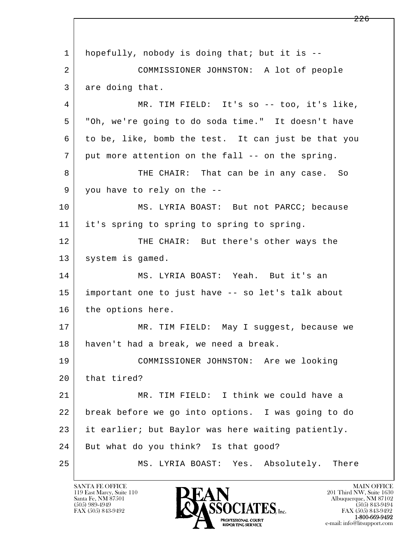l  $\overline{\phantom{a}}$ 1 hopefully, nobody is doing that; but it is -- 2 COMMISSIONER JOHNSTON: A lot of people 3 are doing that. 4 MR. TIM FIELD: It's so -- too, it's like, 5 "Oh, we're going to do soda time." It doesn't have 6 to be, like, bomb the test. It can just be that you 7 put more attention on the fall -- on the spring. 8 THE CHAIR: That can be in any case. So 9 you have to rely on the -- 10 | MS. LYRIA BOAST: But not PARCC; because 11 it's spring to spring to spring to spring. 12 THE CHAIR: But there's other ways the 13 | system is gamed. 14 MS. LYRIA BOAST: Yeah. But it's an 15 important one to just have -- so let's talk about 16 the options here. 17 | MR. TIM FIELD: May I suggest, because we 18 haven't had a break, we need a break. 19 COMMISSIONER JOHNSTON: Are we looking 20 that tired? 21 MR. TIM FIELD: I think we could have a 22 break before we go into options. I was going to do 23 it earlier; but Baylor was here waiting patiently. 24 | But what do you think? Is that good? 25 MS. LYRIA BOAST: Yes. Absolutely. There

119 East Marcy, Suite 110<br>Santa Fe, NM 87501

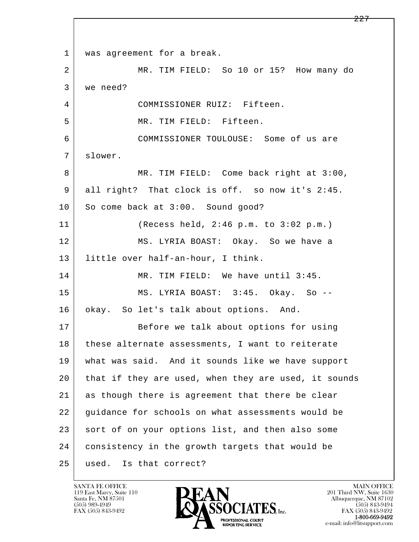l  $\overline{\phantom{a}}$ 1 | was agreement for a break. 2 MR. TIM FIELD: So 10 or 15? How many do 3 we need? 4 COMMISSIONER RUIZ: Fifteen. 5 MR. TIM FIELD: Fifteen. 6 COMMISSIONER TOULOUSE: Some of us are 7 slower. 8 MR. TIM FIELD: Come back right at 3:00, 9 all right? That clock is off. so now it's 2:45. 10 So come back at 3:00. Sound good? 11 (Recess held, 2:46 p.m. to 3:02 p.m.) 12 MS. LYRIA BOAST: Okay. So we have a 13 little over half-an-hour, I think. 14 MR. TIM FIELD: We have until 3:45. 15 MS. LYRIA BOAST: 3:45. Okay. So -- 16 | okay. So let's talk about options. And. 17 Before we talk about options for using 18 | these alternate assessments, I want to reiterate 19 what was said. And it sounds like we have support 20 that if they are used, when they are used, it sounds 21 as though there is agreement that there be clear 22 quidance for schools on what assessments would be 23 sort of on your options list, and then also some 24 consistency in the growth targets that would be 25 used. Is that correct?

119 East Marcy, Suite 110<br>Santa Fe, NM 87501



FAX (505) 843-9492 FAX (505) 843-9492 e-mail: info@litsupport.com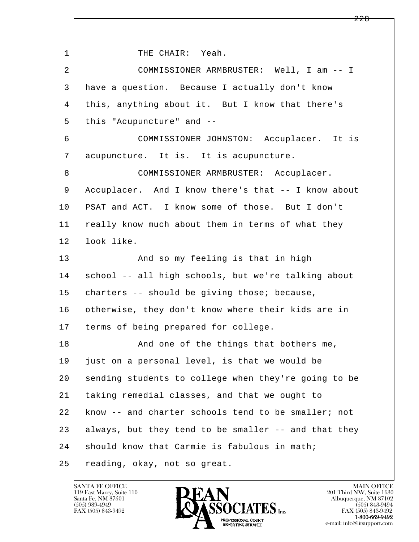l  $\overline{\phantom{a}}$ 1 THE CHAIR: Yeah. 2 COMMISSIONER ARMBRUSTER: Well, I am -- I 3 have a question. Because I actually don't know 4 this, anything about it. But I know that there's 5 this "Acupuncture" and -- 6 COMMISSIONER JOHNSTON: Accuplacer. It is 7 acupuncture. It is. It is acupuncture. 8 COMMISSIONER ARMBRUSTER: Accuplacer. 9 Accuplacer. And I know there's that -- I know about 10 PSAT and ACT. I know some of those. But I don't 11 really know much about them in terms of what they 12 look like. 13 | The Mand so my feeling is that in high 14 school -- all high schools, but we're talking about 15 charters -- should be giving those; because, 16 otherwise, they don't know where their kids are in 17 | terms of being prepared for college. 18 | The Sand one of the things that bothers me, 19 just on a personal level, is that we would be 20 sending students to college when they're going to be 21 taking remedial classes, and that we ought to 22 know -- and charter schools tend to be smaller; not 23 always, but they tend to be smaller -- and that they  $24$  should know that Carmie is fabulous in math; 25 reading, okay, not so great.

119 East Marcy, Suite 110<br>Santa Fe, NM 87501



FAX (505) 843-9492<br>**1-800-669-9492**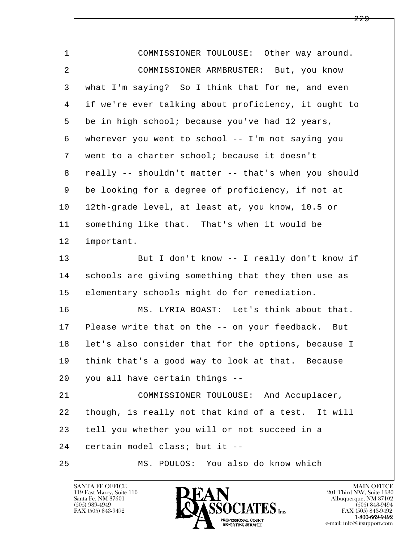| $\mathbf 1$    | COMMISSIONER TOULOUSE: Other way around.             |
|----------------|------------------------------------------------------|
| $\overline{2}$ | COMMISSIONER ARMBRUSTER: But, you know               |
| 3              | what I'm saying? So I think that for me, and even    |
| 4              | if we're ever talking about proficiency, it ought to |
| 5              | be in high school; because you've had 12 years,      |
| 6              | wherever you went to school -- I'm not saying you    |
| 7              | went to a charter school; because it doesn't         |
| 8              | really -- shouldn't matter -- that's when you should |
| 9              | be looking for a degree of proficiency, if not at    |
| 10             | 12th-grade level, at least at, you know, 10.5 or     |
| 11             | something like that. That's when it would be         |
| 12             | important.                                           |
| 13             | But I don't know -- I really don't know if           |
| 14             | schools are giving something that they then use as   |
| 15             | elementary schools might do for remediation.         |
| 16             | MS. LYRIA BOAST: Let's think about that.             |
| 17             | Please write that on the -- on your feedback. But    |
| 18             | let's also consider that for the options, because I  |
| 19             | think that's a good way to look at that. Because     |
| 20             | you all have certain things --                       |
| 21             | COMMISSIONER TOULOUSE: And Accuplacer,               |
| 22             | though, is really not that kind of a test. It will   |
| 23             | tell you whether you will or not succeed in a        |
| 24             | certain model class; but it --                       |
| 25             | MS. POULOS: You also do know which                   |

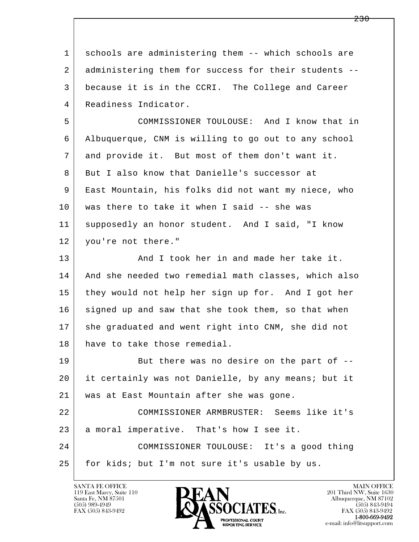l  $\overline{\phantom{a}}$ 1 schools are administering them -- which schools are 2 administering them for success for their students -- 3 because it is in the CCRI. The College and Career 4 Readiness Indicator. 5 COMMISSIONER TOULOUSE: And I know that in 6 Albuquerque, CNM is willing to go out to any school 7 and provide it. But most of them don't want it. 8 | But I also know that Danielle's successor at 9 East Mountain, his folks did not want my niece, who 10 was there to take it when I said -- she was 11 supposedly an honor student. And I said, "I know 12 you're not there." 13 And I took her in and made her take it. 14 And she needed two remedial math classes, which also 15 they would not help her sign up for. And I got her 16 signed up and saw that she took them, so that when 17 she graduated and went right into CNM, she did not 18 have to take those remedial. 19 But there was no desire on the part of -- 20 it certainly was not Danielle, by any means; but it 21 was at East Mountain after she was gone. 22 COMMISSIONER ARMBRUSTER: Seems like it's 23 a moral imperative. That's how I see it. 24 COMMISSIONER TOULOUSE: It's a good thing 25 for kids; but I'm not sure it's usable by us.

119 East Marcy, Suite 110<br>Santa Fe, NM 87501

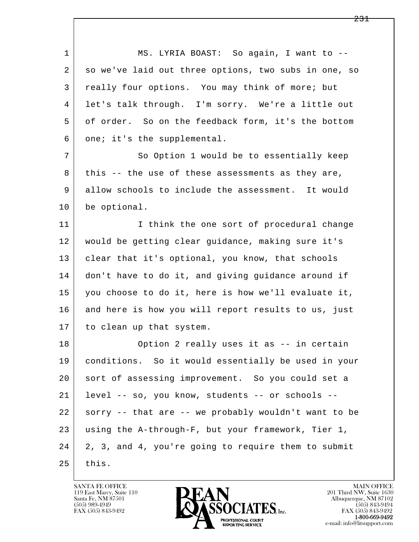l  $\overline{\phantom{a}}$ 1 MS. LYRIA BOAST: So again, I want to --2 | so we've laid out three options, two subs in one, so 3 really four options. You may think of more; but 4 let's talk through. I'm sorry. We're a little out 5 of order. So on the feedback form, it's the bottom 6 one; it's the supplemental. 7 So Option 1 would be to essentially keep 8 this -- the use of these assessments as they are, 9 allow schools to include the assessment. It would 10 be optional. 11 | I think the one sort of procedural change 12 would be getting clear guidance, making sure it's 13 | clear that it's optional, you know, that schools 14 don't have to do it, and giving quidance around if 15 you choose to do it, here is how we'll evaluate it, 16 and here is how you will report results to us, just 17 to clean up that system. 18 Option 2 really uses it as -- in certain 19 conditions. So it would essentially be used in your 20 sort of assessing improvement. So you could set a 21 level -- so, you know, students -- or schools -- 22 sorry -- that are -- we probably wouldn't want to be 23 using the A-through-F, but your framework, Tier 1, 24 2, 3, and 4, you're going to require them to submit  $25$  this.

119 East Marcy, Suite 110<br>Santa Fe, NM 87501

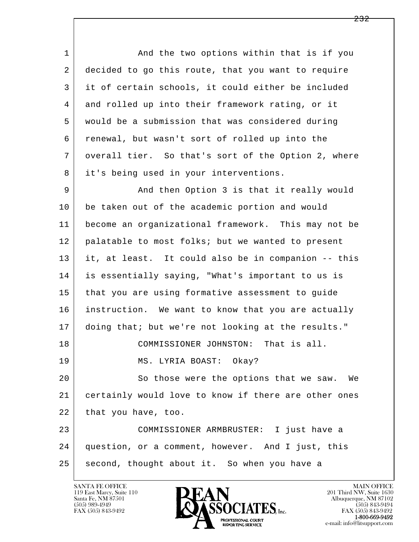l  $\overline{\phantom{a}}$ 1 and the two options within that is if you 2 decided to go this route, that you want to require 3 it of certain schools, it could either be included 4 and rolled up into their framework rating, or it 5 would be a submission that was considered during 6 renewal, but wasn't sort of rolled up into the 7 overall tier. So that's sort of the Option 2, where 8 it's being used in your interventions. 9 And then Option 3 is that it really would 10 be taken out of the academic portion and would 11 become an organizational framework. This may not be 12 | palatable to most folks; but we wanted to present 13 it, at least. It could also be in companion -- this 14 is essentially saying, "What's important to us is 15 that you are using formative assessment to guide 16 instruction. We want to know that you are actually 17 doing that; but we're not looking at the results." 18 COMMISSIONER JOHNSTON: That is all. 19 MS. LYRIA BOAST: Okay? 20 So those were the options that we saw. We 21 certainly would love to know if there are other ones 22 that you have, too. 23 COMMISSIONER ARMBRUSTER: I just have a 24 question, or a comment, however. And I just, this 25 second, thought about it. So when you have a

119 East Marcy, Suite 110<br>Santa Fe, NM 87501

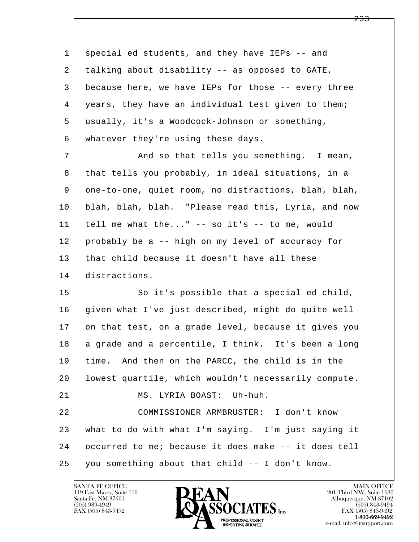1 special ed students, and they have IEPs -- and 2 talking about disability -- as opposed to GATE, 3 because here, we have IEPs for those -- every three 4 | years, they have an individual test given to them; 5 usually, it's a Woodcock-Johnson or something, 6 whatever they're using these days.

7 and so that tells you something. I mean, 8 that tells you probably, in ideal situations, in a 9 one-to-one, quiet room, no distractions, blah, blah, 10 blah, blah, blah. "Please read this, Lyria, and now  $11$  tell me what the..." -- so it's -- to me, would 12 probably be a -- high on my level of accuracy for 13 that child because it doesn't have all these 14 distractions.

l  $\overline{\phantom{a}}$ 15 | So it's possible that a special ed child, 16 given what I've just described, might do quite well 17 on that test, on a grade level, because it gives you 18 a grade and a percentile, I think. It's been a long 19 time. And then on the PARCC, the child is in the 20 lowest quartile, which wouldn't necessarily compute. 21 | MS. LYRIA BOAST: Uh-huh. 22 COMMISSIONER ARMBRUSTER: I don't know 23 what to do with what I'm saying. I'm just saying it 24 occurred to me; because it does make -- it does tell 25 you something about that child -- I don't know.

119 East Marcy, Suite 110<br>Santa Fe, NM 87501

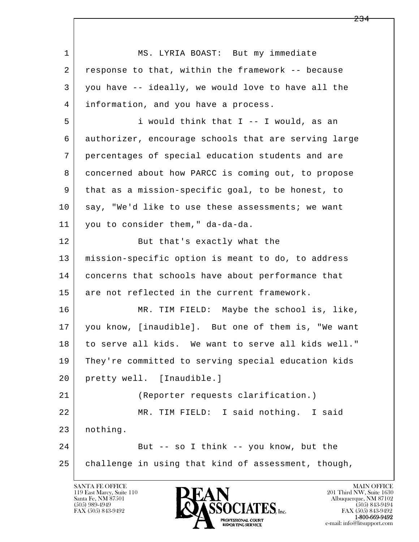l  $\overline{\phantom{a}}$ 1 MS. LYRIA BOAST: But my immediate 2 response to that, within the framework -- because 3 you have -- ideally, we would love to have all the 4 information, and you have a process. 5 i would think that I -- I would, as an 6 authorizer, encourage schools that are serving large 7 percentages of special education students and are 8 concerned about how PARCC is coming out, to propose 9 that as a mission-specific goal, to be honest, to 10 say, "We'd like to use these assessments; we want 11 you to consider them," da-da-da. 12 But that's exactly what the 13 mission-specific option is meant to do, to address 14 concerns that schools have about performance that 15 are not reflected in the current framework. 16 MR. TIM FIELD: Maybe the school is, like, 17 you know, [inaudible]. But one of them is, "We want 18 to serve all kids. We want to serve all kids well." 19 They're committed to serving special education kids 20 pretty well. [Inaudible.] 21 (Reporter requests clarification.) 22 MR. TIM FIELD: I said nothing. I said 23 nothing. 24 But -- so I think -- you know, but the 25 challenge in using that kind of assessment, though,

119 East Marcy, Suite 110<br>Santa Fe, NM 87501



FAX (505) 843-9492<br>**1-800-669-9492**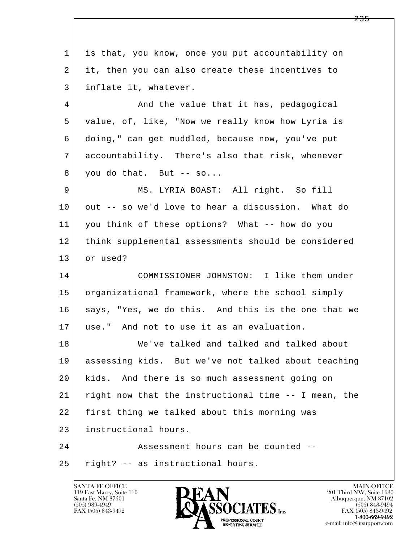l  $\overline{\phantom{a}}$  1 is that, you know, once you put accountability on 2 it, then you can also create these incentives to 3 inflate it, whatever. 4 | And the value that it has, pedagogical 5 value, of, like, "Now we really know how Lyria is 6 doing," can get muddled, because now, you've put 7 accountability. There's also that risk, whenever  $8$  you do that. But  $-$  so... 9 MS. LYRIA BOAST: All right. So fill 10 out -- so we'd love to hear a discussion. What do 11 you think of these options? What -- how do you 12 think supplemental assessments should be considered 13 or used? 14 COMMISSIONER JOHNSTON: I like them under 15 | organizational framework, where the school simply 16 says, "Yes, we do this. And this is the one that we 17 use." And not to use it as an evaluation. 18 We've talked and talked and talked about 19 assessing kids. But we've not talked about teaching 20 kids. And there is so much assessment going on  $21$  right now that the instructional time  $-$ - I mean, the 22 first thing we talked about this morning was 23 instructional hours. 24 | Resessment hours can be counted --25 right? -- as instructional hours.

119 East Marcy, Suite 110<br>Santa Fe, NM 87501

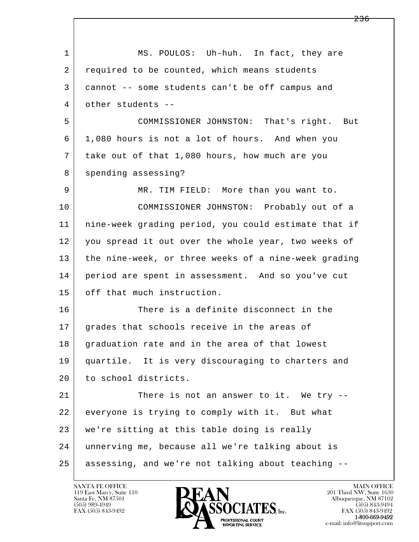l  $\overline{\phantom{a}}$ 1 MS. POULOS: Uh-huh. In fact, they are 2 required to be counted, which means students 3 cannot -- some students can't be off campus and 4 other students -- 5 COMMISSIONER JOHNSTON: That's right. But 6 1,080 hours is not a lot of hours. And when you 7 take out of that 1,080 hours, how much are you 8 | spending assessing? 9 | MR. TIM FIELD: More than you want to. 10 COMMISSIONER JOHNSTON: Probably out of a 11 nine-week grading period, you could estimate that if 12 you spread it out over the whole year, two weeks of 13 the nine-week, or three weeks of a nine-week grading 14 period are spent in assessment. And so you've cut 15 | off that much instruction. 16 There is a definite disconnect in the 17 grades that schools receive in the areas of 18 graduation rate and in the area of that lowest 19 quartile. It is very discouraging to charters and 20 to school districts. 21 There is not an answer to it. We try --22 everyone is trying to comply with it. But what 23 we're sitting at this table doing is really 24 unnerving me, because all we're talking about is 25 assessing, and we're not talking about teaching --

119 East Marcy, Suite 110<br>Santa Fe, NM 87501



FAX (505) 843-9492<br>**1-800-669-9492**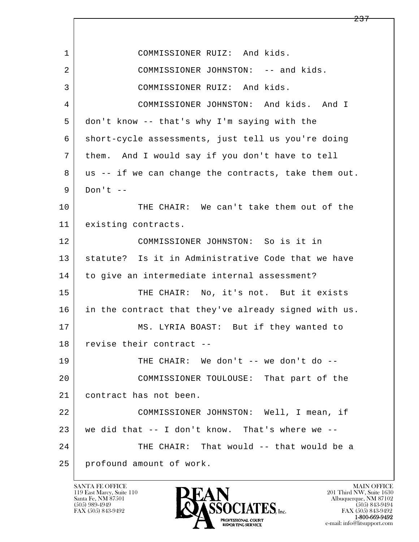| $\mathbf{1}$ | COMMISSIONER RUIZ: And kids.                         |
|--------------|------------------------------------------------------|
| 2            | COMMISSIONER JOHNSTON: -- and kids.                  |
| 3            | COMMISSIONER RUIZ: And kids.                         |
| 4            | COMMISSIONER JOHNSTON: And kids. And I               |
| 5            | don't know -- that's why I'm saying with the         |
| 6            | short-cycle assessments, just tell us you're doing   |
| 7            | them. And I would say if you don't have to tell      |
| 8            | us -- if we can change the contracts, take them out. |
| 9            | Don't $--$                                           |
| 10           | THE CHAIR: We can't take them out of the             |
| 11           | existing contracts.                                  |
| 12           | COMMISSIONER JOHNSTON: So is it in                   |
| 13           | statute? Is it in Administrative Code that we have   |
| 14           | to give an intermediate internal assessment?         |
| 15           | THE CHAIR: No, it's not. But it exists               |
| 16           | in the contract that they've already signed with us. |
| 17           | MS. LYRIA BOAST: But if they wanted to               |
| 18           | revise their contract --                             |
| 19           | THE CHAIR: We don't -- we don't do --                |
| 20           | COMMISSIONER TOULOUSE: That part of the              |
| 21           | contract has not been.                               |
| 22           | COMMISSIONER JOHNSTON: Well, I mean, if              |
| 23           | we did that $--$ I don't know. That's where we $--$  |
| 24           | THE CHAIR: That would -- that would be a             |
| 25           | profound amount of work.                             |

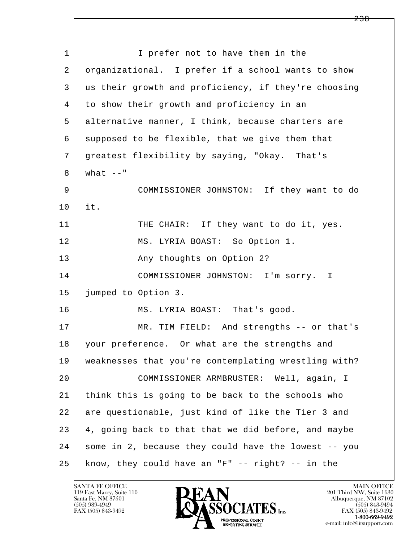| $\mathbf 1$ | I prefer not to have them in the                       |
|-------------|--------------------------------------------------------|
| 2           | organizational. I prefer if a school wants to show     |
| 3           | us their growth and proficiency, if they're choosing   |
| 4           | to show their growth and proficiency in an             |
| 5           | alternative manner, I think, because charters are      |
| 6           | supposed to be flexible, that we give them that        |
| 7           | greatest flexibility by saying, "Okay. That's          |
| 8           | what $--$ "                                            |
| 9           | COMMISSIONER JOHNSTON: If they want to do              |
| 10          | it.                                                    |
| 11          | THE CHAIR: If they want to do it, yes.                 |
| 12          | MS. LYRIA BOAST: So Option 1.                          |
| 13          | Any thoughts on Option 2?                              |
| 14          | COMMISSIONER JOHNSTON: I'm sorry. I                    |
| 15          | jumped to Option 3.                                    |
| 16          | MS. LYRIA BOAST: That's good.                          |
| 17          | MR. TIM FIELD: And strengths -- or that's              |
| 18          | your preference. Or what are the strengths and         |
| 19          | weaknesses that you're contemplating wrestling with?   |
| 20          | COMMISSIONER ARMBRUSTER: Well, again, I                |
| 21          | think this is going to be back to the schools who      |
| 22          | are questionable, just kind of like the Tier 3 and     |
| 23          | 4, going back to that that we did before, and maybe    |
| 24          | some in 2, because they could have the lowest -- you   |
| 25          | know, they could have an "F" $-$ - right? $-$ - in the |

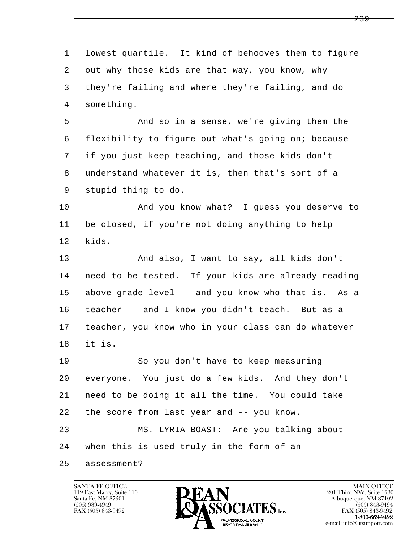l  $\overline{\phantom{a}}$  1 lowest quartile. It kind of behooves them to figure 2 out why those kids are that way, you know, why 3 they're failing and where they're failing, and do 4 something. 5 And so in a sense, we're giving them the 6 flexibility to figure out what's going on; because 7 if you just keep teaching, and those kids don't 8 understand whatever it is, then that's sort of a 9 stupid thing to do. 10 | And you know what? I quess you deserve to 11 be closed, if you're not doing anything to help 12 kids. 13 And also, I want to say, all kids don't 14 | need to be tested. If your kids are already reading 15 above grade level -- and you know who that is. As a 16 teacher -- and I know you didn't teach. But as a 17 teacher, you know who in your class can do whatever 18 it is. 19 So you don't have to keep measuring 20 everyone. You just do a few kids. And they don't 21 need to be doing it all the time. You could take 22 the score from last year and -- you know. 23 MS. LYRIA BOAST: Are you talking about 24 when this is used truly in the form of an 25 assessment?

119 East Marcy, Suite 110<br>Santa Fe, NM 87501

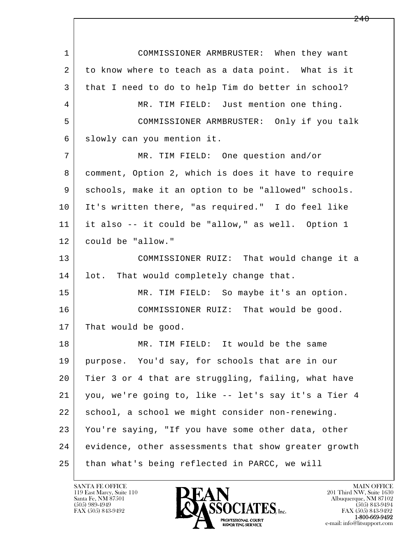l  $\overline{\phantom{a}}$  1 COMMISSIONER ARMBRUSTER: When they want 2 to know where to teach as a data point. What is it 3 that I need to do to help Tim do better in school? 4 MR. TIM FIELD: Just mention one thing. 5 COMMISSIONER ARMBRUSTER: Only if you talk 6 slowly can you mention it. 7 MR. TIM FIELD: One question and/or 8 comment, Option 2, which is does it have to require 9 schools, make it an option to be "allowed" schools. 10 It's written there, "as required." I do feel like 11 it also -- it could be "allow," as well. Option 1 12 could be "allow." 13 COMMISSIONER RUIZ: That would change it a 14 lot. That would completely change that. 15 | MR. TIM FIELD: So maybe it's an option. 16 COMMISSIONER RUIZ: That would be good. 17 That would be good. 18 MR. TIM FIELD: It would be the same 19 purpose. You'd say, for schools that are in our 20 Tier 3 or 4 that are struggling, failing, what have 21 you, we're going to, like -- let's say it's a Tier 4 22 school, a school we might consider non-renewing. 23 You're saying, "If you have some other data, other 24 evidence, other assessments that show greater growth 25 than what's being reflected in PARCC, we will

119 East Marcy, Suite 110<br>Santa Fe, NM 87501

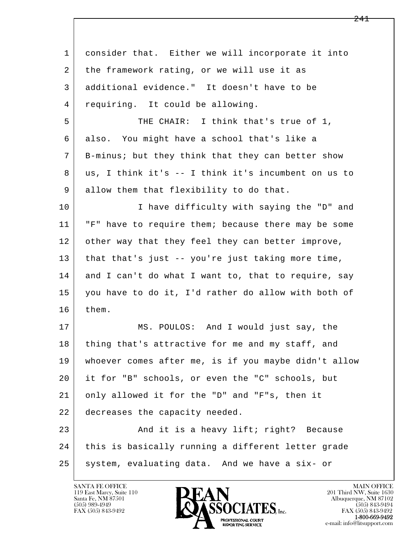| $\mathbf 1$ | consider that. Either we will incorporate it into    |
|-------------|------------------------------------------------------|
| 2           | the framework rating, or we will use it as           |
| 3           | additional evidence." It doesn't have to be          |
| 4           | requiring. It could be allowing.                     |
| 5           | THE CHAIR: I think that's true of 1,                 |
| 6           | also. You might have a school that's like a          |
| 7           | B-minus; but they think that they can better show    |
| 8           | us, I think it's -- I think it's incumbent on us to  |
| 9           | allow them that flexibility to do that.              |
| 10          | I have difficulty with saying the "D" and            |
| 11          | "F" have to require them; because there may be some  |
| 12          | other way that they feel they can better improve,    |
| 13          | that that's just -- you're just taking more time,    |
| 14          | and I can't do what I want to, that to require, say  |
| 15          | you have to do it, I'd rather do allow with both of  |
| 16          | them.                                                |
| 17          | MS. POULOS: And I would just say, the                |
| 18          | thing that's attractive for me and my staff, and     |
| 19          | whoever comes after me, is if you maybe didn't allow |
| 20          | it for "B" schools, or even the "C" schools, but     |
| 21          | only allowed it for the "D" and "F"s, then it        |
| 22          | decreases the capacity needed.                       |
| 23          | And it is a heavy lift; right? Because               |
| 24          | this is basically running a different letter grade   |
| 25          | system, evaluating data. And we have a six- or       |

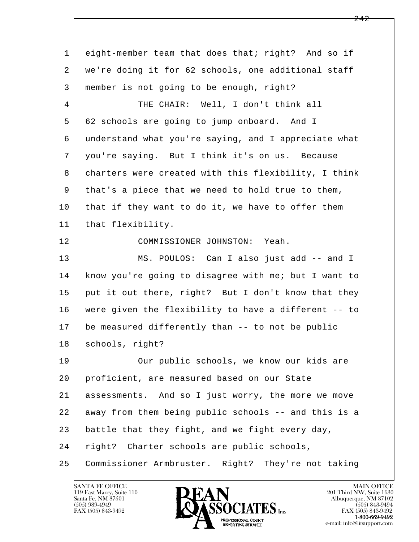l  $\overline{\phantom{a}}$  1 eight-member team that does that; right? And so if 2 we're doing it for 62 schools, one additional staff 3 member is not going to be enough, right? 4 THE CHAIR: Well, I don't think all 5 62 schools are going to jump onboard. And I 6 understand what you're saying, and I appreciate what 7 you're saying. But I think it's on us. Because 8 charters were created with this flexibility, I think 9 that's a piece that we need to hold true to them, 10 that if they want to do it, we have to offer them 11 | that flexibility. 12 COMMISSIONER JOHNSTON: Yeah. 13 MS. POULOS: Can I also just add -- and I 14 know you're going to disagree with me; but I want to 15 put it out there, right? But I don't know that they 16 were given the flexibility to have a different -- to 17 be measured differently than -- to not be public 18 | schools, right? 19 Our public schools, we know our kids are 20 proficient, are measured based on our State 21 assessments. And so I just worry, the more we move 22 away from them being public schools -- and this is a 23 battle that they fight, and we fight every day, 24 | right? Charter schools are public schools, 25 Commissioner Armbruster. Right? They're not taking

119 East Marcy, Suite 110<br>Santa Fe, NM 87501

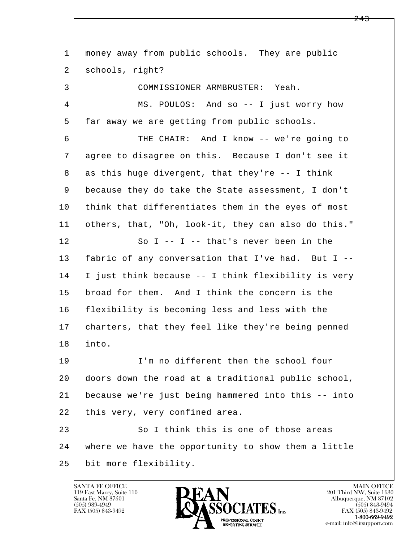l  $\overline{\phantom{a}}$  1 money away from public schools. They are public 2 schools, right? 3 COMMISSIONER ARMBRUSTER: Yeah. 4 MS. POULOS: And so -- I just worry how 5 far away we are getting from public schools. 6 THE CHAIR: And I know -- we're going to 7 agree to disagree on this. Because I don't see it 8 as this huge divergent, that they're -- I think 9 because they do take the State assessment, I don't 10 think that differentiates them in the eyes of most 11 others, that, "Oh, look-it, they can also do this."  $12$  So I -- I -- that's never been in the 13 | fabric of any conversation that I've had. But I -- 14 I just think because -- I think flexibility is very 15 broad for them. And I think the concern is the 16 flexibility is becoming less and less with the 17 charters, that they feel like they're being penned 18 into. 19 I'm no different then the school four 20 doors down the road at a traditional public school, 21 because we're just being hammered into this -- into 22 this very, very confined area. 23 So I think this is one of those areas 24 where we have the opportunity to show them a little 25 bit more flexibility.

119 East Marcy, Suite 110<br>Santa Fe, NM 87501

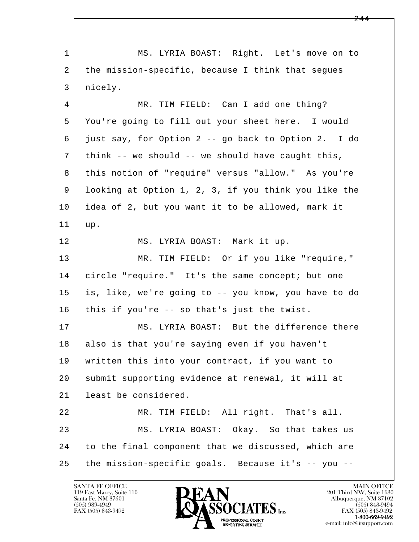l  $\overline{\phantom{a}}$  1 MS. LYRIA BOAST: Right. Let's move on to 2 the mission-specific, because I think that segues 3 nicely. 4 MR. TIM FIELD: Can I add one thing? 5 You're going to fill out your sheet here. I would 6 just say, for Option 2 -- go back to Option 2. I do 7 think -- we should -- we should have caught this, 8 this notion of "require" versus "allow." As you're 9 looking at Option 1, 2, 3, if you think you like the 10 idea of 2, but you want it to be allowed, mark it 11 up. 12 MS. LYRIA BOAST: Mark it up. 13 MR. TIM FIELD: Or if you like "require," 14 circle "require." It's the same concept; but one 15 is, like, we're going to -- you know, you have to do 16 this if you're -- so that's just the twist. 17 MS. LYRIA BOAST: But the difference there 18 also is that you're saying even if you haven't 19 written this into your contract, if you want to 20 submit supporting evidence at renewal, it will at 21 least be considered. 22 MR. TIM FIELD: All right. That's all. 23 MS. LYRIA BOAST: Okay. So that takes us 24 to the final component that we discussed, which are 25 the mission-specific goals. Because it's -- you --

119 East Marcy, Suite 110<br>Santa Fe, NM 87501

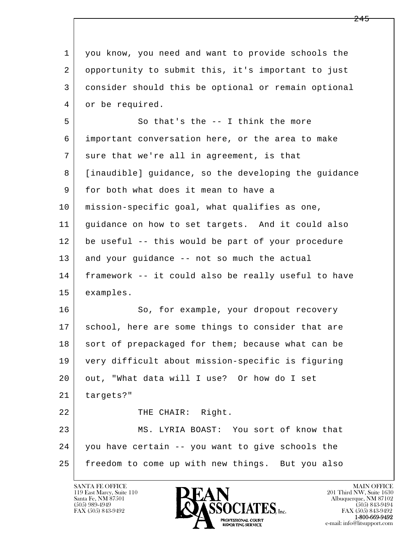| you know, you need and want to provide schools the   |
|------------------------------------------------------|
| opportunity to submit this, it's important to just   |
| consider should this be optional or remain optional  |
| or be required.                                      |
| So that's the $--$ I think the more                  |
| important conversation here, or the area to make     |
| sure that we're all in agreement, is that            |
| [inaudible] guidance, so the developing the guidance |
| for both what does it mean to have a                 |
| mission-specific goal, what qualifies as one,        |
| guidance on how to set targets. And it could also    |
| be useful -- this would be part of your procedure    |
| and your guidance -- not so much the actual          |
| framework -- it could also be really useful to have  |
| examples.                                            |
| So, for example, your dropout recovery               |
| school, here are some things to consider that are    |
| sort of prepackaged for them; because what can be    |
| very difficult about mission-specific is figuring    |
| out, "What data will I use? Or how do I set          |
| targets?"                                            |
| THE CHAIR: Right.                                    |
| MS. LYRIA BOAST: You sort of know that               |
| you have certain -- you want to give schools the     |
| freedom to come up with new things. But you also     |
|                                                      |

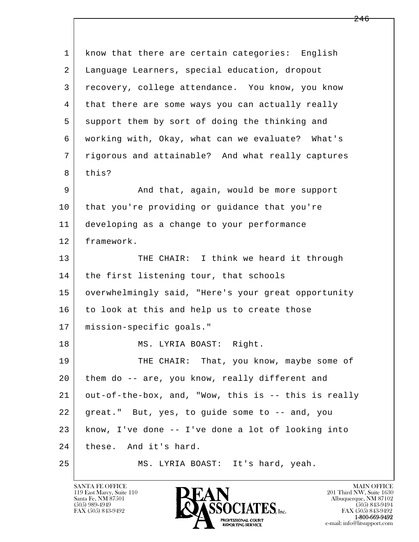l  $\overline{\phantom{a}}$ 1 know that there are certain categories: English 2 Language Learners, special education, dropout 3 recovery, college attendance. You know, you know 4 that there are some ways you can actually really 5 support them by sort of doing the thinking and 6 working with, Okay, what can we evaluate? What's 7 | rigorous and attainable? And what really captures 8 this? 9 And that, again, would be more support 10 that you're providing or quidance that you're 11 developing as a change to your performance 12 framework. 13 THE CHAIR: I think we heard it through 14 | the first listening tour, that schools 15 | overwhelmingly said, "Here's your great opportunity 16 to look at this and help us to create those 17 mission-specific goals." 18 | MS. LYRIA BOAST: Right. 19 THE CHAIR: That, you know, maybe some of 20 them do -- are, you know, really different and 21 out-of-the-box, and, "Wow, this is -- this is really 22 great." But, yes, to guide some to -- and, you 23 know, I've done -- I've done a lot of looking into 24 these. And it's hard. 25 | MS. LYRIA BOAST: It's hard, yeah.

119 East Marcy, Suite 110<br>Santa Fe, NM 87501

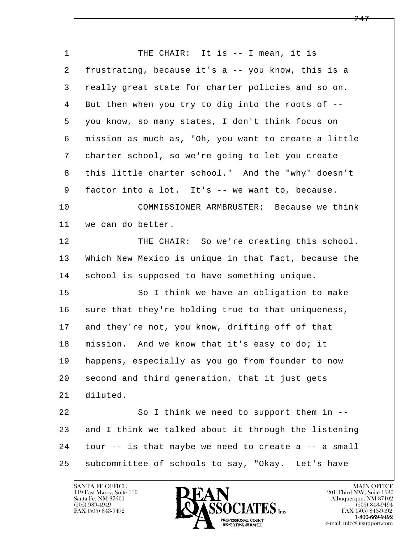l  $\overline{\phantom{a}}$ 1 THE CHAIR: It is -- I mean, it is 2 frustrating, because it's a -- you know, this is a 3 really great state for charter policies and so on. 4 But then when you try to dig into the roots of -- 5 you know, so many states, I don't think focus on 6 mission as much as, "Oh, you want to create a little 7 charter school, so we're going to let you create 8 this little charter school." And the "why" doesn't 9 | factor into a lot. It's -- we want to, because. 10 COMMISSIONER ARMBRUSTER: Because we think 11 we can do better. 12 THE CHAIR: So we're creating this school. 13 Which New Mexico is unique in that fact, because the 14 school is supposed to have something unique. 15 | So I think we have an obligation to make 16 sure that they're holding true to that uniqueness, 17 and they're not, you know, drifting off of that 18 | mission. And we know that it's easy to do; it 19 happens, especially as you go from founder to now 20 second and third generation, that it just gets 21 diluted. 22 So I think we need to support them in --23 and I think we talked about it through the listening 24 tour -- is that maybe we need to create a -- a small 25 | subcommittee of schools to say, "Okay. Let's have

119 East Marcy, Suite 110<br>Santa Fe, NM 87501



FAX (505) 843-9492<br>**1-800-669-9492**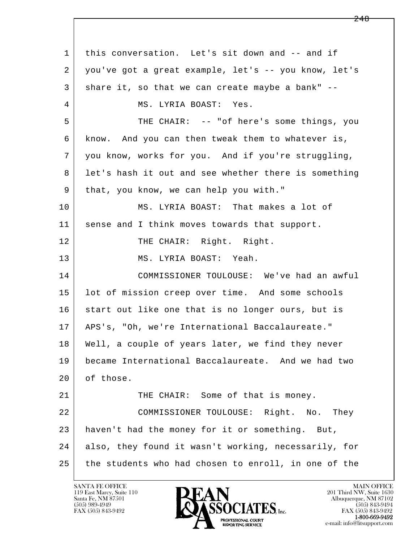l  $\overline{\phantom{a}}$  1 this conversation. Let's sit down and -- and if 2 you've got a great example, let's -- you know, let's  $3$  share it, so that we can create maybe a bank"  $-$  4 MS. LYRIA BOAST: Yes. 5 THE CHAIR: -- "of here's some things, you 6 know. And you can then tweak them to whatever is, 7 you know, works for you. And if you're struggling, 8 let's hash it out and see whether there is something 9 | that, you know, we can help you with." 10 MS. LYRIA BOAST: That makes a lot of 11 | sense and I think moves towards that support. 12 THE CHAIR: Right. Right. 13 MS. LYRIA BOAST: Yeah. 14 COMMISSIONER TOULOUSE: We've had an awful 15 lot of mission creep over time. And some schools 16 start out like one that is no longer ours, but is 17 APS's, "Oh, we're International Baccalaureate." 18 Well, a couple of years later, we find they never 19 became International Baccalaureate. And we had two 20 of those. 21 THE CHAIR: Some of that is money. 22 COMMISSIONER TOULOUSE: Right. No. They 23 haven't had the money for it or something. But, 24 also, they found it wasn't working, necessarily, for 25 the students who had chosen to enroll, in one of the

119 East Marcy, Suite 110<br>Santa Fe, NM 87501

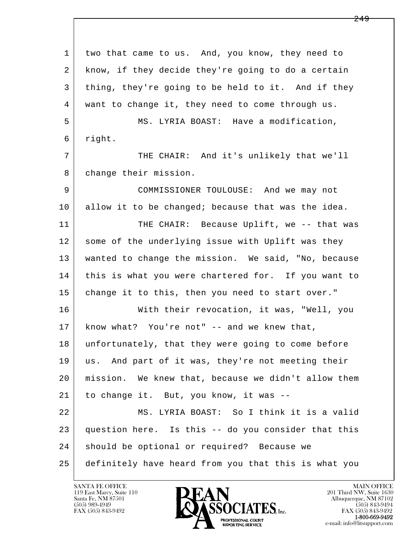l  $\overline{\phantom{a}}$  1 two that came to us. And, you know, they need to 2 | know, if they decide they're going to do a certain 3 thing, they're going to be held to it. And if they 4 want to change it, they need to come through us. 5 MS. LYRIA BOAST: Have a modification, 6 right. 7 THE CHAIR: And it's unlikely that we'll 8 | change their mission. 9 COMMISSIONER TOULOUSE: And we may not 10 allow it to be changed; because that was the idea. 11 THE CHAIR: Because Uplift, we -- that was 12 some of the underlying issue with Uplift was they 13 wanted to change the mission. We said, "No, because 14 this is what you were chartered for. If you want to 15 | change it to this, then you need to start over." 16 With their revocation, it was, "Well, you 17 know what? You're not" -- and we knew that, 18 unfortunately, that they were going to come before 19 us. And part of it was, they're not meeting their 20 mission. We knew that, because we didn't allow them 21 to change it. But, you know, it was -- 22 MS. LYRIA BOAST: So I think it is a valid 23 question here. Is this -- do you consider that this 24 | should be optional or required? Because we 25 definitely have heard from you that this is what you

119 East Marcy, Suite 110<br>Santa Fe, NM 87501



FAX (505) 843-9492<br>**1-800-669-9492**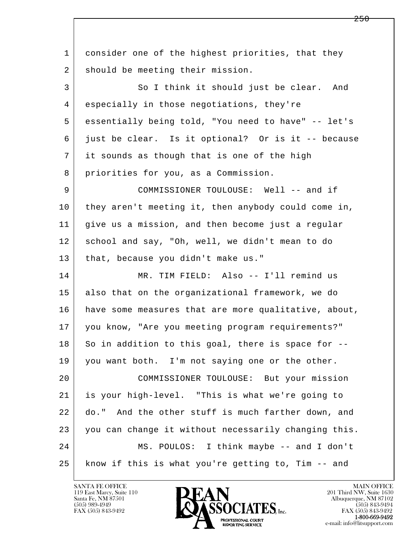l  $\overline{\phantom{a}}$ 1 consider one of the highest priorities, that they 2 should be meeting their mission. 3 So I think it should just be clear. And 4 especially in those negotiations, they're 5 essentially being told, "You need to have" -- let's 6 just be clear. Is it optional? Or is it -- because 7 it sounds as though that is one of the high 8 priorities for you, as a Commission. 9 COMMISSIONER TOULOUSE: Well -- and if 10 they aren't meeting it, then anybody could come in, 11 give us a mission, and then become just a regular 12 school and say, "Oh, well, we didn't mean to do 13 | that, because you didn't make us." 14 MR. TIM FIELD: Also -- I'll remind us 15 also that on the organizational framework, we do 16 have some measures that are more qualitative, about, 17 you know, "Are you meeting program requirements?"  $18$  So in addition to this goal, there is space for  $-$ - 19 you want both. I'm not saying one or the other. 20 COMMISSIONER TOULOUSE: But your mission 21 is your high-level. "This is what we're going to 22 do." And the other stuff is much farther down, and 23 you can change it without necessarily changing this. 24 MS. POULOS: I think maybe -- and I don't 25 know if this is what you're getting to, Tim -- and

119 East Marcy, Suite 110<br>Santa Fe, NM 87501

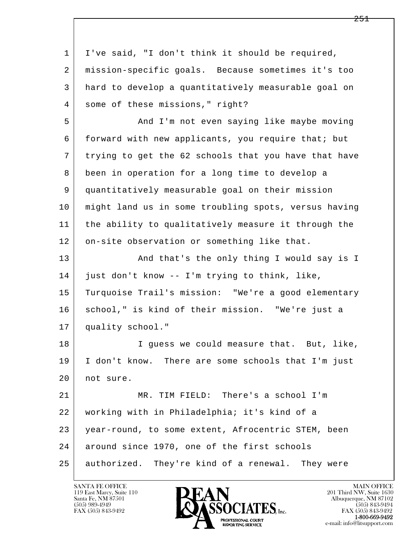| $\mathbf 1$ | I've said, "I don't think it should be required,     |
|-------------|------------------------------------------------------|
| 2           | mission-specific goals. Because sometimes it's too   |
| 3           | hard to develop a quantitatively measurable goal on  |
| 4           | some of these missions, " right?                     |
| 5           | And I'm not even saying like maybe moving            |
| 6           | forward with new applicants, you require that; but   |
| 7           | trying to get the 62 schools that you have that have |
| 8           | been in operation for a long time to develop a       |
| 9           | quantitatively measurable goal on their mission      |
| 10          | might land us in some troubling spots, versus having |
| 11          | the ability to qualitatively measure it through the  |
| 12          | on-site observation or something like that.          |
| 13          | And that's the only thing I would say is I           |
| 14          | just don't know -- I'm trying to think, like,        |
| 15          | Turquoise Trail's mission: "We're a good elementary  |
| 16          | school," is kind of their mission. "We're just a     |
| 17          | quality school."                                     |
| 18          | I guess we could measure that. But, like,            |
| 19          | I don't know. There are some schools that I'm just   |
| 20          | not sure.                                            |
| 21          | MR. TIM FIELD: There's a school I'm                  |
| 22          | working with in Philadelphia; it's kind of a         |
| 23          | year-round, to some extent, Afrocentric STEM, been   |
| 24          | around since 1970, one of the first schools          |
| 25          | authorized. They're kind of a renewal. They were     |

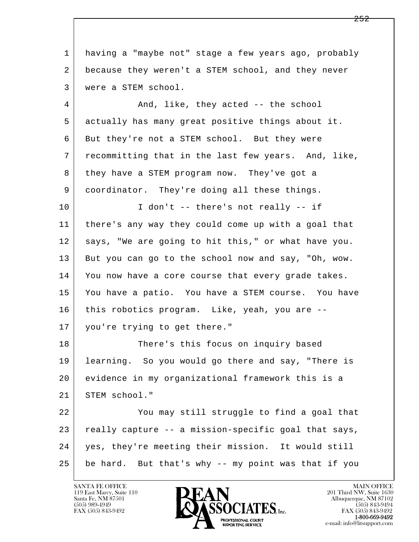l  $\overline{\phantom{a}}$  1 having a "maybe not" stage a few years ago, probably 2 because they weren't a STEM school, and they never 3 were a STEM school. 4 And, like, they acted -- the school 5 actually has many great positive things about it. 6 But they're not a STEM school. But they were 7 recommitting that in the last few years. And, like, 8 they have a STEM program now. They've got a 9 coordinator. They're doing all these things. 10 | I don't -- there's not really -- if 11 there's any way they could come up with a goal that 12 says, "We are going to hit this," or what have you. 13 But you can go to the school now and say, "Oh, wow. 14 You now have a core course that every grade takes. 15 You have a patio. You have a STEM course. You have 16 this robotics program. Like, yeah, you are -- 17 you're trying to get there." 18 There's this focus on inquiry based 19 learning. So you would go there and say, "There is 20 evidence in my organizational framework this is a 21 STEM school." 22 You may still struggle to find a goal that  $23$  really capture  $-$  a mission-specific goal that says, 24 yes, they're meeting their mission. It would still 25 be hard. But that's why -- my point was that if you

119 East Marcy, Suite 110<br>Santa Fe, NM 87501

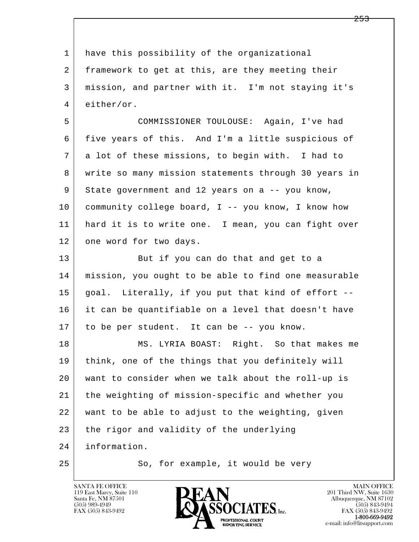l  $\overline{\phantom{a}}$ 1 have this possibility of the organizational 2 | framework to get at this, are they meeting their 3 mission, and partner with it. I'm not staying it's 4 either/or. 5 COMMISSIONER TOULOUSE: Again, I've had 6 five years of this. And I'm a little suspicious of 7 a lot of these missions, to begin with. I had to 8 write so many mission statements through 30 years in 9 State government and 12 years on a -- you know, 10 community college board, I -- you know, I know how 11 hard it is to write one. I mean, you can fight over 12 one word for two days. 13 But if you can do that and get to a 14 mission, you ought to be able to find one measurable 15 | goal. Literally, if you put that kind of effort -- 16 it can be quantifiable on a level that doesn't have 17 to be per student. It can be -- you know. 18 MS. LYRIA BOAST: Right. So that makes me 19 think, one of the things that you definitely will 20 want to consider when we talk about the roll-up is 21 the weighting of mission-specific and whether you 22 want to be able to adjust to the weighting, given 23 the rigor and validity of the underlying 24 information. 25 So, for example, it would be very



FAX (505) 843-9492<br>**1-800-669-9492**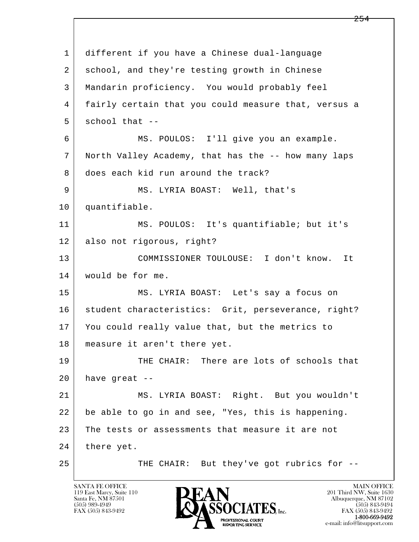l  $\overline{\phantom{a}}$  1 different if you have a Chinese dual-language 2 school, and they're testing growth in Chinese 3 Mandarin proficiency. You would probably feel 4 fairly certain that you could measure that, versus a  $5$  school that  $-$  6 MS. POULOS: I'll give you an example. 7 North Valley Academy, that has the -- how many laps 8 does each kid run around the track? 9 MS. LYRIA BOAST: Well, that's 10 quantifiable. 11 MS. POULOS: It's quantifiable; but it's 12 also not rigorous, right? 13 COMMISSIONER TOULOUSE: I don't know. It 14 would be for me. 15 MS. LYRIA BOAST: Let's say a focus on 16 | student characteristics: Grit, perseverance, right? 17 You could really value that, but the metrics to 18 measure it aren't there yet. 19 THE CHAIR: There are lots of schools that  $20$  have great -- 21 MS. LYRIA BOAST: Right. But you wouldn't 22 be able to go in and see, "Yes, this is happening. 23 The tests or assessments that measure it are not 24 there yet. 25 THE CHAIR: But they've got rubrics for --

119 East Marcy, Suite 110<br>Santa Fe, NM 87501

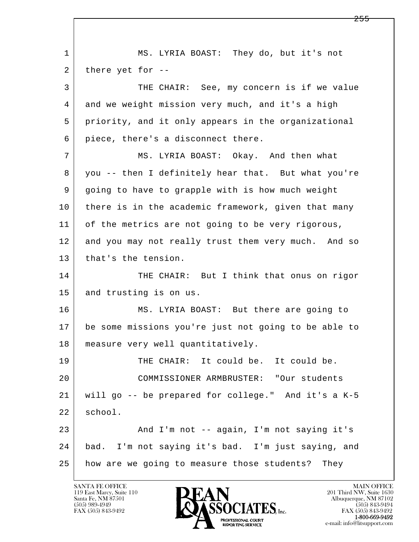l  $\overline{\phantom{a}}$  1 MS. LYRIA BOAST: They do, but it's not  $2$  there yet for  $-$  3 THE CHAIR: See, my concern is if we value 4 and we weight mission very much, and it's a high 5 priority, and it only appears in the organizational 6 piece, there's a disconnect there. 7 MS. LYRIA BOAST: Okay. And then what 8 you -- then I definitely hear that. But what you're 9 going to have to grapple with is how much weight 10 there is in the academic framework, given that many 11 of the metrics are not going to be very rigorous, 12 and you may not really trust them very much. And so 13 that's the tension. 14 THE CHAIR: But I think that onus on rigor 15 and trusting is on us. 16 MS. LYRIA BOAST: But there are going to 17 be some missions you're just not going to be able to 18 measure very well quantitatively. 19 THE CHAIR: It could be. It could be. 20 COMMISSIONER ARMBRUSTER: "Our students 21 will go -- be prepared for college." And it's a K-5 22 school. 23 | And I'm not -- again, I'm not saying it's 24 bad. I'm not saying it's bad. I'm just saying, and 25 how are we going to measure those students? They

119 East Marcy, Suite 110<br>Santa Fe, NM 87501

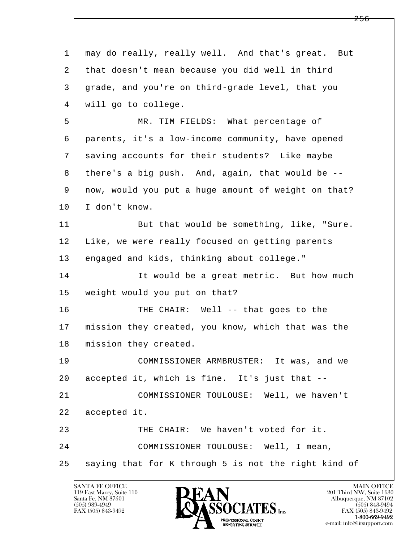l  $\overline{\phantom{a}}$  1 may do really, really well. And that's great. But 2 | that doesn't mean because you did well in third 3 grade, and you're on third-grade level, that you 4 | will go to college. 5 MR. TIM FIELDS: What percentage of 6 parents, it's a low-income community, have opened 7 saving accounts for their students? Like maybe 8 there's a big push. And, again, that would be -- 9 now, would you put a huge amount of weight on that? 10 I don't know. 11 But that would be something, like, "Sure. 12 Like, we were really focused on getting parents 13 engaged and kids, thinking about college." 14 It would be a great metric. But how much 15 weight would you put on that? 16 THE CHAIR: Well -- that goes to the 17 mission they created, you know, which that was the 18 | mission they created. 19 COMMISSIONER ARMBRUSTER: It was, and we 20 accepted it, which is fine. It's just that -- 21 COMMISSIONER TOULOUSE: Well, we haven't 22 accepted it. 23 | THE CHAIR: We haven't voted for it. 24 COMMISSIONER TOULOUSE: Well, I mean, 25 | saying that for K through 5 is not the right kind of

119 East Marcy, Suite 110<br>Santa Fe, NM 87501

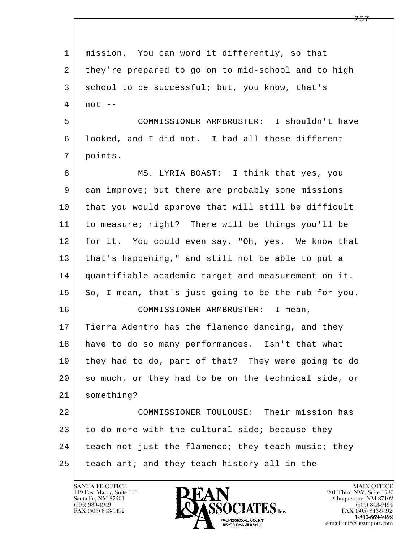| $\mathbf{1}$ | mission. You can word it differently, so that        |
|--------------|------------------------------------------------------|
| 2            | they're prepared to go on to mid-school and to high  |
| 3            | school to be successful; but, you know, that's       |
| 4            | $not --$                                             |
| 5            | COMMISSIONER ARMBRUSTER: I shouldn't have            |
| 6            | looked, and I did not. I had all these different     |
| 7            | points.                                              |
| 8            | MS. LYRIA BOAST: I think that yes, you               |
| 9            | can improve; but there are probably some missions    |
| 10           | that you would approve that will still be difficult  |
| 11           | to measure; right? There will be things you'll be    |
| 12           | for it. You could even say, "Oh, yes. We know that   |
| 13           | that's happening," and still not be able to put a    |
| 14           | quantifiable academic target and measurement on it.  |
| 15           | So, I mean, that's just going to be the rub for you. |
| 16           | COMMISSIONER ARMBRUSTER: I mean,                     |
| 17           | Tierra Adentro has the flamenco dancing, and they    |
| 18           | have to do so many performances. Isn't that what     |
| 19           | they had to do, part of that? They were going to do  |
| 20           | so much, or they had to be on the technical side, or |
| 21           | something?                                           |
| 22           | COMMISSIONER TOULOUSE: Their mission has             |
| 23           | to do more with the cultural side; because they      |
| 24           | teach not just the flamenco; they teach music; they  |
| 25           | teach art; and they teach history all in the         |

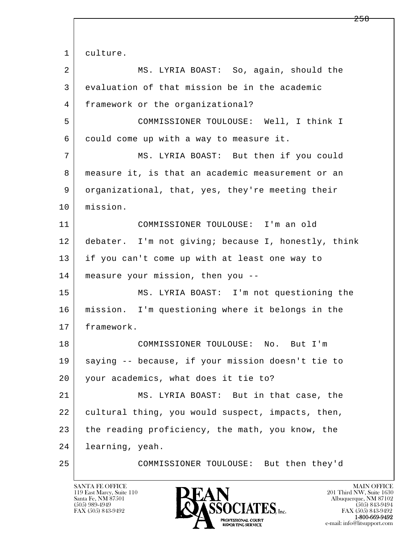l  $\overline{\phantom{a}}$ 1 culture. 2 MS. LYRIA BOAST: So, again, should the 3 evaluation of that mission be in the academic 4 framework or the organizational? 5 COMMISSIONER TOULOUSE: Well, I think I 6 could come up with a way to measure it. 7 | MS. LYRIA BOAST: But then if you could 8 measure it, is that an academic measurement or an 9 organizational, that, yes, they're meeting their 10 mission. 11 COMMISSIONER TOULOUSE: I'm an old 12 debater. I'm not giving; because I, honestly, think 13 if you can't come up with at least one way to 14 measure your mission, then you -- 15 MS. LYRIA BOAST: I'm not questioning the 16 mission. I'm questioning where it belongs in the 17 framework. 18 COMMISSIONER TOULOUSE: No. But I'm 19 saying -- because, if your mission doesn't tie to 20 your academics, what does it tie to? 21 MS. LYRIA BOAST: But in that case, the 22 cultural thing, you would suspect, impacts, then, 23 the reading proficiency, the math, you know, the 24 learning, yeah. 25 COMMISSIONER TOULOUSE: But then they'd

119 East Marcy, Suite 110<br>Santa Fe, NM 87501

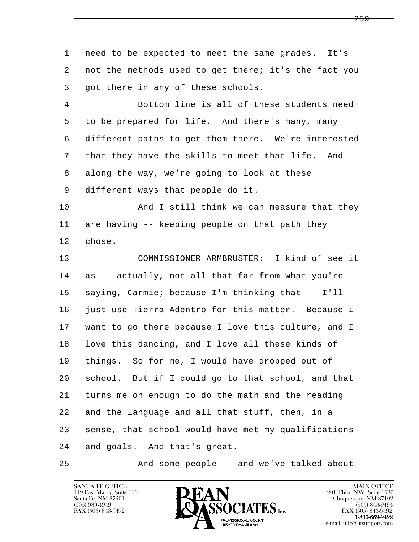l  $\overline{\phantom{a}}$  1 need to be expected to meet the same grades. It's 2 | not the methods used to get there; it's the fact you 3 | got there in any of these schools. 4 Bottom line is all of these students need 5 to be prepared for life. And there's many, many 6 different paths to get them there. We're interested 7 that they have the skills to meet that life. And 8 along the way, we're going to look at these 9 different ways that people do it. 10 And I still think we can measure that they 11 are having -- keeping people on that path they 12 chose. 13 COMMISSIONER ARMBRUSTER: I kind of see it 14 as -- actually, not all that far from what you're 15 saying, Carmie; because I'm thinking that -- I'll 16 just use Tierra Adentro for this matter. Because I 17 want to go there because I love this culture, and I 18 love this dancing, and I love all these kinds of 19 things. So for me, I would have dropped out of 20 school. But if I could go to that school, and that 21 turns me on enough to do the math and the reading 22 and the language and all that stuff, then, in a 23 sense, that school would have met my qualifications 24 and goals. And that's great. 25 And some people -- and we've talked about

119 East Marcy, Suite 110<br>Santa Fe, NM 87501

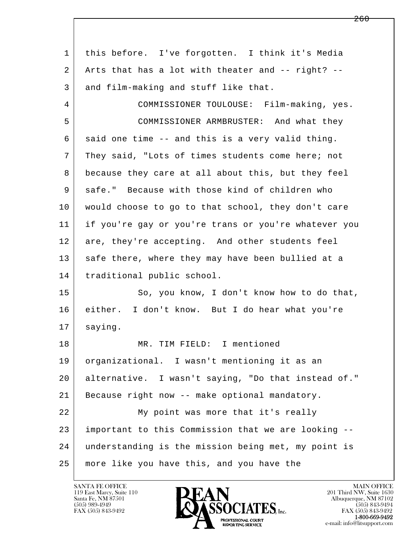l  $\overline{\phantom{a}}$  1 this before. I've forgotten. I think it's Media 2 Arts that has a lot with theater and -- right? -- 3 and film-making and stuff like that. 4 COMMISSIONER TOULOUSE: Film-making, yes. 5 COMMISSIONER ARMBRUSTER: And what they  $6$  said one time  $-$  and this is a very valid thing. 7 They said, "Lots of times students come here; not 8 because they care at all about this, but they feel 9 safe." Because with those kind of children who 10 would choose to go to that school, they don't care 11 if you're gay or you're trans or you're whatever you 12 are, they're accepting. And other students feel 13 safe there, where they may have been bullied at a 14 traditional public school. 15 So, you know, I don't know how to do that, 16 either. I don't know. But I do hear what you're 17 | saying. 18 MR. TIM FIELD: I mentioned 19 organizational. I wasn't mentioning it as an 20 alternative. I wasn't saying, "Do that instead of." 21 Because right now -- make optional mandatory. 22 My point was more that it's really 23 important to this Commission that we are looking -- 24 understanding is the mission being met, my point is 25 more like you have this, and you have the

119 East Marcy, Suite 110<br>Santa Fe, NM 87501

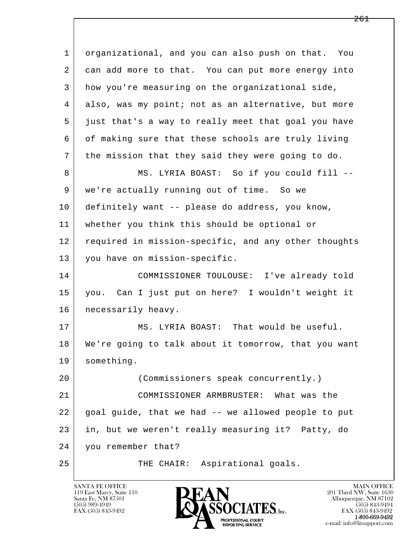| $\mathbf{1}$   | organizational, and you can also push on that. You   |
|----------------|------------------------------------------------------|
| $\overline{2}$ | can add more to that. You can put more energy into   |
| 3              | how you're measuring on the organizational side,     |
| 4              | also, was my point; not as an alternative, but more  |
| 5              | just that's a way to really meet that goal you have  |
| 6              | of making sure that these schools are truly living   |
| 7              | the mission that they said they were going to do.    |
| 8              | MS. LYRIA BOAST: So if you could fill --             |
| 9              | we're actually running out of time. So we            |
| 10             | definitely want -- please do address, you know,      |
| 11             | whether you think this should be optional or         |
| 12             | required in mission-specific, and any other thoughts |
| 13             | you have on mission-specific.                        |
| 14             | COMMISSIONER TOULOUSE: I've already told             |
| 15             | you. Can I just put on here? I wouldn't weight it    |
| 16             | necessarily heavy.                                   |
| 17             | MS. LYRIA BOAST: That would be useful.               |
| 18             | We're going to talk about it tomorrow, that you want |
| 19             | something.                                           |
| 20             | (Commissioners speak concurrently.)                  |
| 21             | COMMISSIONER ARMBRUSTER:<br>What was the             |
| 22             | goal guide, that we had -- we allowed people to put  |
| 23             | in, but we weren't really measuring it? Patty, do    |
| 24             | you remember that?                                   |
| 25             | Aspirational goals.<br>THE CHAIR:                    |

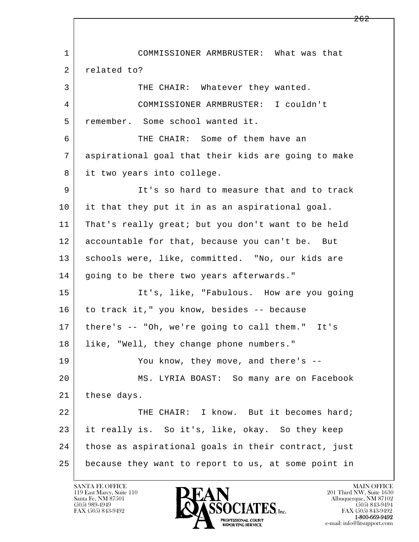l  $\overline{\phantom{a}}$  1 COMMISSIONER ARMBRUSTER: What was that 2 related to? 3 THE CHAIR: Whatever they wanted. 4 COMMISSIONER ARMBRUSTER: I couldn't 5 remember. Some school wanted it. 6 THE CHAIR: Some of them have an 7 aspirational goal that their kids are going to make 8 it two years into college. 9 It's so hard to measure that and to track 10 it that they put it in as an aspirational goal. 11 That's really great; but you don't want to be held 12 accountable for that, because you can't be. But 13 | schools were, like, committed. "No, our kids are 14 | going to be there two years afterwards." 15 It's, like, "Fabulous. How are you going 16 to track it," you know, besides -- because 17 there's -- "Oh, we're going to call them." It's 18 like, "Well, they change phone numbers." 19 You know, they move, and there's -- 20 MS. LYRIA BOAST: So many are on Facebook 21 these days. 22 THE CHAIR: I know. But it becomes hard; 23 it really is. So it's, like, okay. So they keep 24 | those as aspirational goals in their contract, just 25 because they want to report to us, at some point in

119 East Marcy, Suite 110<br>Santa Fe, NM 87501



FAX (505) 843-9492<br>1-800-669-9492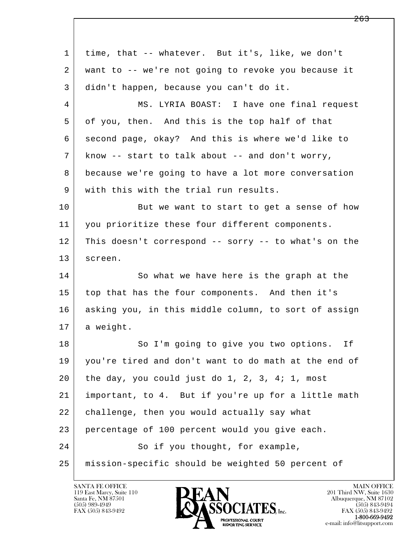l  $\overline{\phantom{a}}$  1 time, that -- whatever. But it's, like, we don't 2 want to -- we're not going to revoke you because it 3 didn't happen, because you can't do it. 4 MS. LYRIA BOAST: I have one final request 5 of you, then. And this is the top half of that 6 second page, okay? And this is where we'd like to  $7$  know -- start to talk about -- and don't worry, 8 because we're going to have a lot more conversation 9 with this with the trial run results. 10 But we want to start to get a sense of how 11 you prioritize these four different components. 12 This doesn't correspond -- sorry -- to what's on the 13 screen. 14 So what we have here is the graph at the 15 top that has the four components. And then it's 16 asking you, in this middle column, to sort of assign 17 a weight. 18 So I'm going to give you two options. If 19 you're tired and don't want to do math at the end of 20 the day, you could just do 1, 2, 3, 4; 1, most 21 important, to 4. But if you're up for a little math 22 | challenge, then you would actually say what 23 percentage of 100 percent would you give each. 24 So if you thought, for example, 25 mission-specific should be weighted 50 percent of

119 East Marcy, Suite 110<br>Santa Fe, NM 87501



<del>263</del>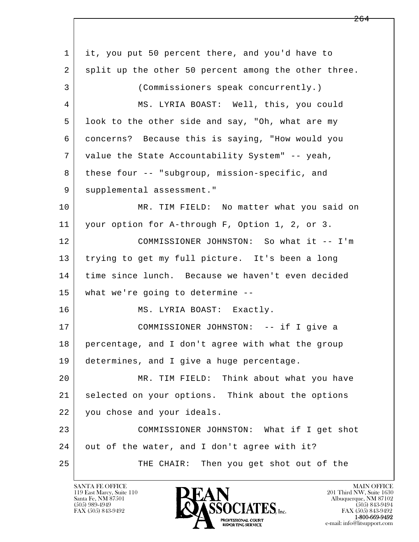l  $\overline{\phantom{a}}$  1 it, you put 50 percent there, and you'd have to 2 split up the other 50 percent among the other three. 3 (Commissioners speak concurrently.) 4 MS. LYRIA BOAST: Well, this, you could 5 look to the other side and say, "Oh, what are my 6 concerns? Because this is saying, "How would you 7 value the State Accountability System" -- yeah, 8 | these four -- "subgroup, mission-specific, and 9 | supplemental assessment." 10 MR. TIM FIELD: No matter what you said on 11 your option for A-through F, Option 1, 2, or 3. 12 COMMISSIONER JOHNSTON: So what it -- I'm 13 trying to get my full picture. It's been a long 14 time since lunch. Because we haven't even decided 15 what we're going to determine -- 16 MS. LYRIA BOAST: Exactly. 17 COMMISSIONER JOHNSTON: -- if I give a 18 percentage, and I don't agree with what the group 19 determines, and I give a huge percentage. 20 MR. TIM FIELD: Think about what you have 21 selected on your options. Think about the options 22 you chose and your ideals. 23 COMMISSIONER JOHNSTON: What if I get shot 24 out of the water, and I don't agree with it? 25 THE CHAIR: Then you get shot out of the

119 East Marcy, Suite 110<br>Santa Fe, NM 87501

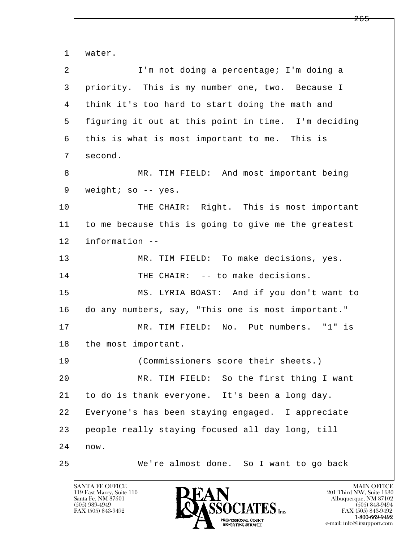l  $\overline{\phantom{a}}$  1 water. 2 I'm not doing a percentage; I'm doing a 3 priority. This is my number one, two. Because I 4 think it's too hard to start doing the math and 5 figuring it out at this point in time. I'm deciding 6 this is what is most important to me. This is 7 second. 8 MR. TIM FIELD: And most important being 9 | weight; so -- yes. 10 THE CHAIR: Right. This is most important 11 to me because this is going to give me the greatest 12 information -- 13 MR. TIM FIELD: To make decisions, yes. 14 THE CHAIR: -- to make decisions. 15 MS. LYRIA BOAST: And if you don't want to 16 do any numbers, say, "This one is most important." 17 MR. TIM FIELD: No. Put numbers. "1" is 18 | the most important. 19 (Commissioners score their sheets.) 20 MR. TIM FIELD: So the first thing I want 21 to do is thank everyone. It's been a long day. 22 Everyone's has been staying engaged. I appreciate 23 people really staying focused all day long, till 24 now. 25 We're almost done. So I want to go back

119 East Marcy, Suite 110<br>Santa Fe, NM 87501

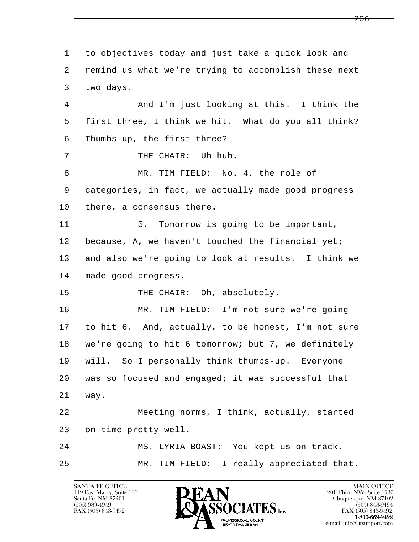l  $\overline{\phantom{a}}$  1 to objectives today and just take a quick look and 2 remind us what we're trying to accomplish these next 3 two days. 4 | And I'm just looking at this. I think the 5 first three, I think we hit. What do you all think? 6 Thumbs up, the first three? 7 | THE CHAIR: Uh-huh. 8 MR. TIM FIELD: No. 4, the role of 9 categories, in fact, we actually made good progress 10 there, a consensus there. 11 | 5. Tomorrow is going to be important, 12 because, A, we haven't touched the financial yet; 13 and also we're going to look at results. I think we 14 made good progress. 15 | THE CHAIR: Oh, absolutely. 16 MR. TIM FIELD: I'm not sure we're going 17 to hit 6. And, actually, to be honest, I'm not sure 18 we're going to hit 6 tomorrow; but 7, we definitely 19 will. So I personally think thumbs-up. Everyone 20 was so focused and engaged; it was successful that 21 way. 22 Meeting norms, I think, actually, started 23 on time pretty well. 24 MS. LYRIA BOAST: You kept us on track. 25 MR. TIM FIELD: I really appreciated that.

119 East Marcy, Suite 110<br>Santa Fe, NM 87501

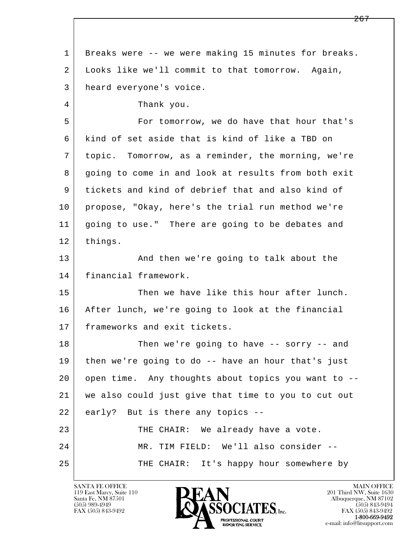| 1  | Breaks were -- we were making 15 minutes for breaks. |
|----|------------------------------------------------------|
| 2  | Looks like we'll commit to that tomorrow. Again,     |
| 3  | heard everyone's voice.                              |
| 4  | Thank you.                                           |
| 5  | For tomorrow, we do have that hour that's            |
| 6  | kind of set aside that is kind of like a TBD on      |
| 7  | topic. Tomorrow, as a reminder, the morning, we're   |
| 8  | going to come in and look at results from both exit  |
| 9  | tickets and kind of debrief that and also kind of    |
| 10 | propose, "Okay, here's the trial run method we're    |
| 11 | going to use." There are going to be debates and     |
| 12 | things.                                              |
| 13 | And then we're going to talk about the               |
| 14 | financial framework.                                 |
| 15 | Then we have like this hour after lunch.             |
| 16 | After lunch, we're going to look at the financial    |
| 17 | frameworks and exit tickets.                         |
| 18 | Then we're going to have $-$ sorry $-$ and           |
| 19 | then we're going to do -- have an hour that's just   |
| 20 | open time. Any thoughts about topics you want to --  |
| 21 | we also could just give that time to you to cut out  |
| 22 | early? But is there any topics --                    |
| 23 | THE CHAIR: We already have a vote.                   |
| 24 | MR. TIM FIELD: We'll also consider --                |
| 25 | THE CHAIR: It's happy hour somewhere by              |
|    |                                                      |

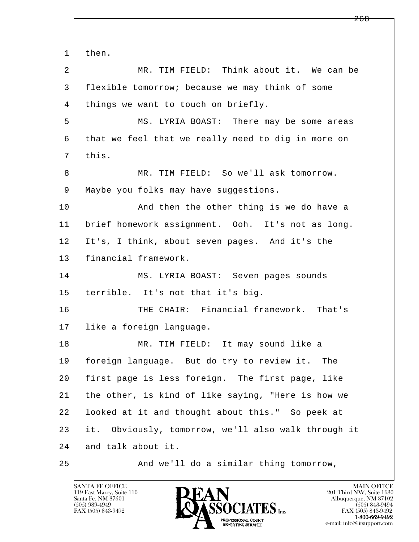l  $\overline{\phantom{a}}$ 1 then. 2 MR. TIM FIELD: Think about it. We can be 3 flexible tomorrow; because we may think of some 4 | things we want to touch on briefly. 5 MS. LYRIA BOAST: There may be some areas 6 that we feel that we really need to dig in more on  $7$  this. 8 MR. TIM FIELD: So we'll ask tomorrow. 9 | Maybe you folks may have suggestions. 10 And then the other thing is we do have a 11 brief homework assignment. Ooh. It's not as long. 12 It's, I think, about seven pages. And it's the 13 | financial framework. 14 MS. LYRIA BOAST: Seven pages sounds 15 terrible. It's not that it's big. 16 THE CHAIR: Financial framework. That's 17 like a foreign language. 18 MR. TIM FIELD: It may sound like a 19 foreign language. But do try to review it. The 20 first page is less foreign. The first page, like 21 the other, is kind of like saying, "Here is how we 22 looked at it and thought about this." So peek at 23 it. Obviously, tomorrow, we'll also walk through it 24 and talk about it. 25 And we'll do a similar thing tomorrow,

119 East Marcy, Suite 110<br>Santa Fe, NM 87501

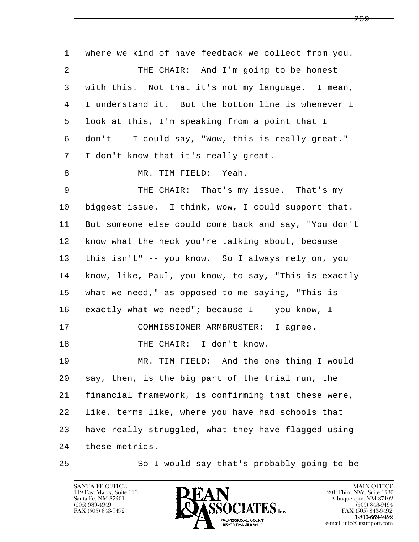l  $\overline{\phantom{a}}$  1 where we kind of have feedback we collect from you. 2 THE CHAIR: And I'm going to be honest 3 with this. Not that it's not my language. I mean, 4 I understand it. But the bottom line is whenever I 5 look at this, I'm speaking from a point that I 6 don't -- I could say, "Wow, this is really great." 7 I don't know that it's really great. 8 MR. TIM FIELD: Yeah. 9 THE CHAIR: That's my issue. That's my 10 biggest issue. I think, wow, I could support that. 11 But someone else could come back and say, "You don't 12 know what the heck you're talking about, because 13 this isn't" -- you know. So I always rely on, you 14 know, like, Paul, you know, to say, "This is exactly 15 what we need," as opposed to me saying, "This is  $16$  exactly what we need"; because I -- you know, I --17 | COMMISSIONER ARMBRUSTER: I agree. 18 | THE CHAIR: I don't know. 19 MR. TIM FIELD: And the one thing I would 20 say, then, is the big part of the trial run, the 21 financial framework, is confirming that these were, 22 like, terms like, where you have had schools that 23 have really struggled, what they have flagged using 24 these metrics. 25 So I would say that's probably going to be

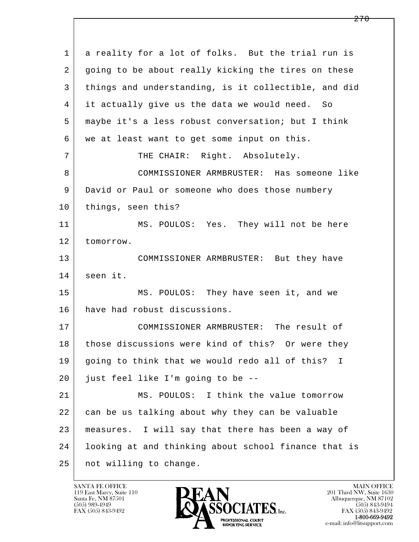| 1              | a reality for a lot of folks. But the trial run is   |
|----------------|------------------------------------------------------|
| $\overline{2}$ | going to be about really kicking the tires on these  |
| 3              | things and understanding, is it collectible, and did |
| 4              | it actually give us the data we would need. So       |
| 5              | maybe it's a less robust conversation; but I think   |
| 6              | we at least want to get some input on this.          |
| 7              | THE CHAIR: Right. Absolutely.                        |
| 8              | COMMISSIONER ARMBRUSTER: Has someone like            |
| 9              | David or Paul or someone who does those numbery      |
| 10             | things, seen this?                                   |
| 11             | MS. POULOS: Yes. They will not be here               |
| 12             | tomorrow.                                            |
| 13             | COMMISSIONER ARMBRUSTER: But they have               |
| 14             | seen it.                                             |
| 15             | MS. POULOS: They have seen it, and we                |
| 16             | have had robust discussions.                         |
| 17             | COMMISSIONER ARMBRUSTER: The result of               |
| 18             | those discussions were kind of this? Or were they    |
| 19             | going to think that we would redo all of this? I     |
| 20             | just feel like I'm going to be --                    |
| 21             | MS. POULOS: I think the value tomorrow               |
| 22             | can be us talking about why they can be valuable     |
| 23             | measures. I will say that there has been a way of    |
| 24             | looking at and thinking about school finance that is |
| 25             | not willing to change.                               |

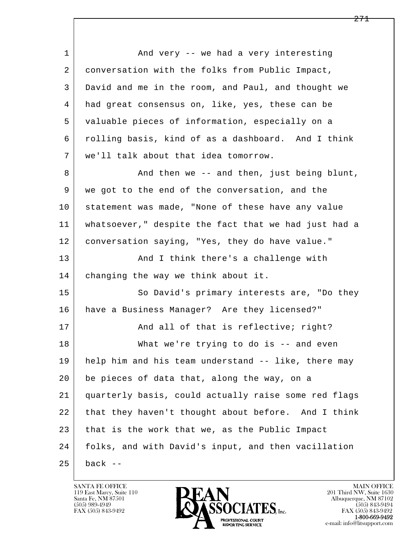l  $\overline{\phantom{a}}$ 1 and very -- we had a very interesting 2 conversation with the folks from Public Impact, 3 David and me in the room, and Paul, and thought we 4 had great consensus on, like, yes, these can be 5 valuable pieces of information, especially on a 6 rolling basis, kind of as a dashboard. And I think 7 we'll talk about that idea tomorrow. 8 And then we -- and then, just being blunt, 9 we got to the end of the conversation, and the 10 statement was made, "None of these have any value 11 whatsoever," despite the fact that we had just had a 12 conversation saying, "Yes, they do have value." 13 And I think there's a challenge with 14 changing the way we think about it. 15 | So David's primary interests are, "Do they 16 have a Business Manager? Are they licensed?" 17 | And all of that is reflective; right? 18 What we're trying to do is -- and even 19 help him and his team understand -- like, there may 20 be pieces of data that, along the way, on a 21 quarterly basis, could actually raise some red flags 22 that they haven't thought about before. And I think 23 that is the work that we, as the Public Impact 24 folks, and with David's input, and then vacillation  $25$  back  $-$ 

119 East Marcy, Suite 110<br>Santa Fe, NM 87501

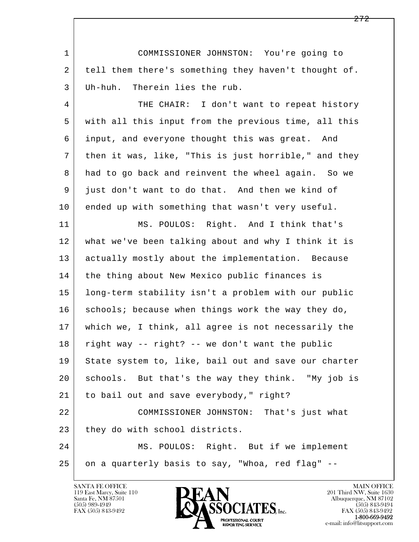l  $\overline{\phantom{a}}$  1 COMMISSIONER JOHNSTON: You're going to 2 | tell them there's something they haven't thought of. 3 Uh-huh. Therein lies the rub. 4 THE CHAIR: I don't want to repeat history 5 with all this input from the previous time, all this 6 input, and everyone thought this was great. And 7 then it was, like, "This is just horrible," and they 8 had to go back and reinvent the wheel again. So we 9 just don't want to do that. And then we kind of 10 ended up with something that wasn't very useful. 11 MS. POULOS: Right. And I think that's 12 what we've been talking about and why I think it is 13 actually mostly about the implementation. Because 14 the thing about New Mexico public finances is 15 long-term stability isn't a problem with our public  $16$  schools; because when things work the way they do, 17 which we, I think, all agree is not necessarily the  $18$  right way -- right? -- we don't want the public 19 State system to, like, bail out and save our charter 20 schools. But that's the way they think. "My job is 21 to bail out and save everybody," right? 22 COMMISSIONER JOHNSTON: That's just what 23 they do with school districts. 24 MS. POULOS: Right. But if we implement 25 on a quarterly basis to say, "Whoa, red flag" --

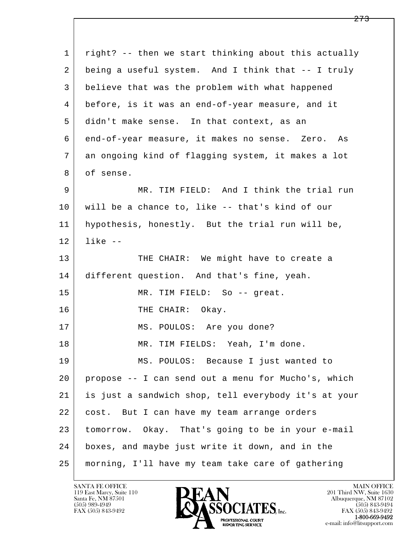| 1  | right? -- then we start thinking about this actually |
|----|------------------------------------------------------|
| 2  | being a useful system. And I think that -- I truly   |
| 3  | believe that was the problem with what happened      |
| 4  | before, is it was an end-of-year measure, and it     |
| 5  | didn't make sense. In that context, as an            |
| 6  | end-of-year measure, it makes no sense. Zero. As     |
| 7  | an ongoing kind of flagging system, it makes a lot   |
| 8  | of sense.                                            |
| 9  | MR. TIM FIELD: And I think the trial run             |
| 10 | will be a chance to, like -- that's kind of our      |
| 11 | hypothesis, honestly. But the trial run will be,     |
| 12 | $like$ $-$                                           |
| 13 | THE CHAIR: We might have to create a                 |
| 14 | different question. And that's fine, yeah.           |
| 15 | MR. TIM FIELD: So -- great.                          |
| 16 | THE CHAIR: Okay.                                     |
| 17 | MS. POULOS: Are you done?                            |
| 18 | MR. TIM FIELDS: Yeah, I'm done.                      |
| 19 | MS. POULOS: Because I just wanted to                 |
| 20 | propose -- I can send out a menu for Mucho's, which  |
| 21 | is just a sandwich shop, tell everybody it's at your |
| 22 | cost. But I can have my team arrange orders          |
| 23 | tomorrow. Okay. That's going to be in your e-mail    |
| 24 | boxes, and maybe just write it down, and in the      |
| 25 | morning, I'll have my team take care of gathering    |

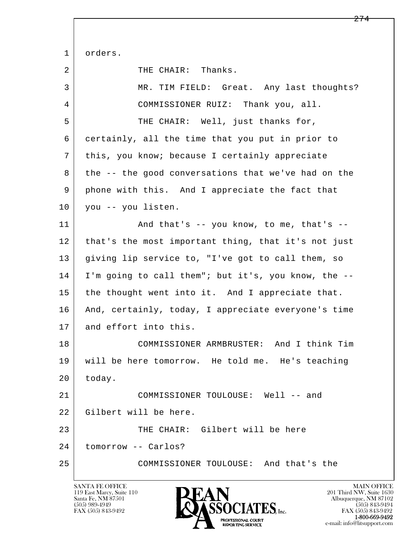l  $\overline{\phantom{a}}$ 1 | orders. 2 THE CHAIR: Thanks. 3 MR. TIM FIELD: Great. Any last thoughts? 4 COMMISSIONER RUIZ: Thank you, all. 5 THE CHAIR: Well, just thanks for, 6 certainly, all the time that you put in prior to 7 this, you know; because I certainly appreciate 8 the -- the good conversations that we've had on the 9 phone with this. And I appreciate the fact that 10 you -- you listen. 11 | And that's -- you know, to me, that's --12 that's the most important thing, that it's not just 13 giving lip service to, "I've got to call them, so 14 I'm going to call them"; but it's, you know, the -- 15 the thought went into it. And I appreciate that. 16 And, certainly, today, I appreciate everyone's time 17 and effort into this. 18 COMMISSIONER ARMBRUSTER: And I think Tim 19 will be here tomorrow. He told me. He's teaching 20 today. 21 COMMISSIONER TOULOUSE: Well -- and 22 Gilbert will be here. 23 THE CHAIR: Gilbert will be here 24 tomorrow -- Carlos? 25 COMMISSIONER TOULOUSE: And that's the

119 East Marcy, Suite 110<br>Santa Fe, NM 87501

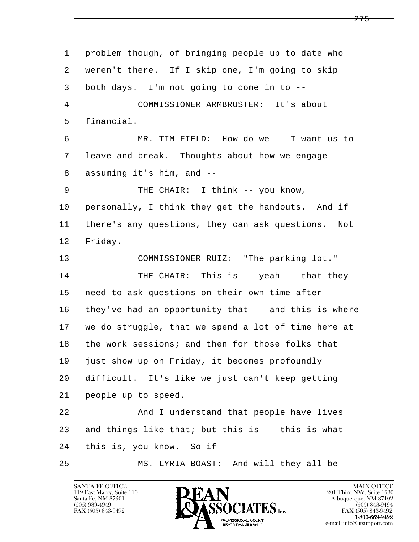l  $\overline{\phantom{a}}$  1 problem though, of bringing people up to date who 2 weren't there. If I skip one, I'm going to skip 3 both days. I'm not going to come in to -- 4 COMMISSIONER ARMBRUSTER: It's about 5 financial. 6 MR. TIM FIELD: How do we -- I want us to 7 leave and break. Thoughts about how we engage -- 8 | assuming it's him, and --9 THE CHAIR: I think -- you know, 10 personally, I think they get the handouts. And if 11 there's any questions, they can ask questions. Not 12 Friday. 13 COMMISSIONER RUIZ: "The parking lot." 14 THE CHAIR: This is -- yeah -- that they 15 need to ask questions on their own time after 16 they've had an opportunity that -- and this is where 17 we do struggle, that we spend a lot of time here at 18 the work sessions; and then for those folks that 19 just show up on Friday, it becomes profoundly 20 difficult. It's like we just can't keep getting 21 people up to speed. 22 And I understand that people have lives 23 and things like that; but this is  $-$ - this is what 24 this is, you know. So if -- 25 MS. LYRIA BOAST: And will they all be

119 East Marcy, Suite 110<br>Santa Fe, NM 87501

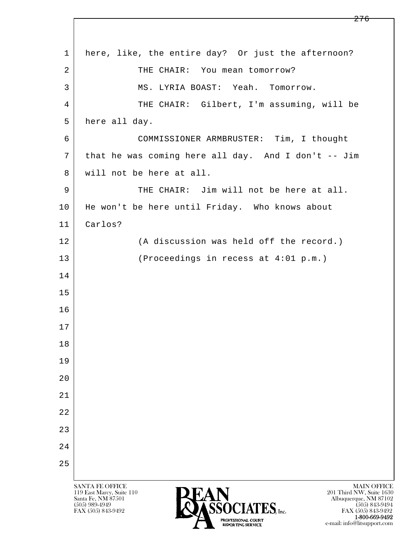l  $\overline{\phantom{a}}$ SANTA FE OFFICE MAIN OFFICE MAIN OFFICE MAIN OFFICE MAIN OFFICE 119 East Marcy, Suite 110<br>Santa Fe, NM 87501 Santa Fe, NM 87501 Albuquerque, NM 87102 1 here, like, the entire day? Or just the afternoon? 2 | THE CHAIR: You mean tomorrow? 3 MS. LYRIA BOAST: Yeah. Tomorrow. 4 THE CHAIR: Gilbert, I'm assuming, will be 5 here all day. 6 COMMISSIONER ARMBRUSTER: Tim, I thought 7 that he was coming here all day. And I don't -- Jim 8 will not be here at all. 9 | THE CHAIR: Jim will not be here at all. 10 He won't be here until Friday. Who knows about 11 Carlos? 12 (A discussion was held off the record.) 13 (Proceedings in recess at 4:01 p.m.) 14 15 16 17 18 19 20 21 22 23 24 25

 $\overline{\text{SSOCIATES}}_{\text{Inc}}$  (505) 989-4949 (505) 843-9492 (505) 843-9492 (505) 843-9492 FAX (505) 843-9492 FAX (505) 843-9492 1-800-669-9492 e-mail: info@litsupport.com